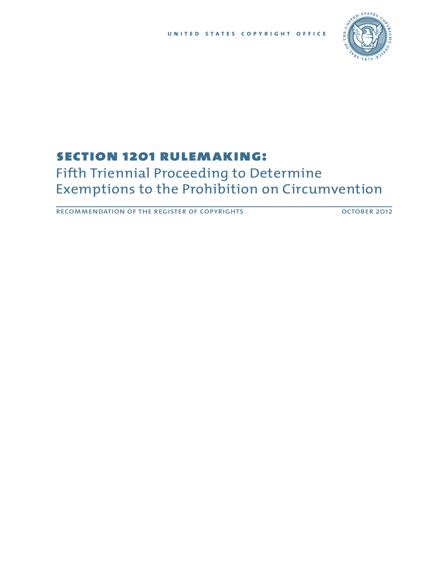

# section 1201 rulemaking:

# Fifth Triennial Proceeding to Determine Exemptions to the Prohibition on Circumvention

RECOMMENDATION OF THE REGISTER OF COPYRIGHTS **COLLUGATION** OCTOBER 2012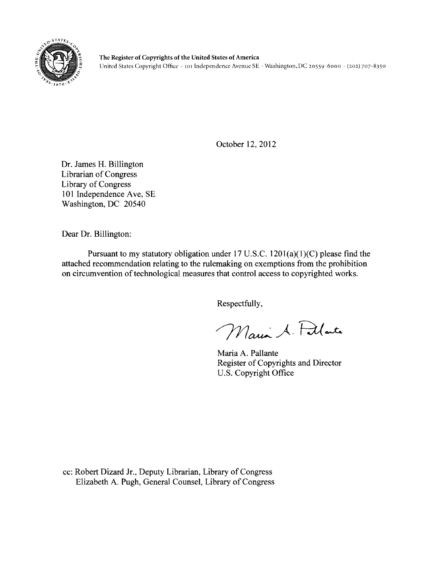

October 12, 2012

Dr. James H. Billington **Librarian of Congress** Library of Congress 101 Independence Ave, SE Washington, DC 20540

Dear Dr. Billington:

Pursuant to my statutory obligation under 17 U.S.C.  $1201(a)(1)(C)$  please find the attached recommendation relating to the rulemaking on exemptions from the prohibition on circumvention of technological measures that control access to copyrighted works.

Respectfully,

Maria A. Fillate

Maria A. Pallante Register of Copyrights and Director U.S. Copyright Office

cc: Robert Dizard Jr., Deputy Librarian, Library of Congress Elizabeth A. Pugh, General Counsel, Library of Congress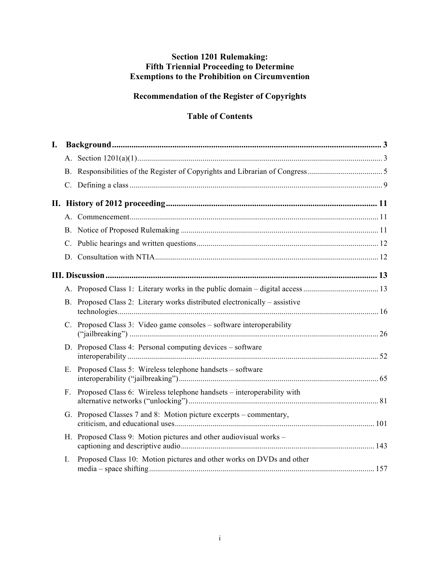# **Section 1201 Rulemaking: Fifth Triennial Proceeding to Determine Exemptions to the Prohibition on Circumvention**

# **Recommendation of the Register of Copyrights**

# **Table of Contents**

| I. |             |                                                                            |  |
|----|-------------|----------------------------------------------------------------------------|--|
|    |             |                                                                            |  |
|    |             |                                                                            |  |
|    |             |                                                                            |  |
|    |             |                                                                            |  |
|    |             |                                                                            |  |
|    |             |                                                                            |  |
|    |             |                                                                            |  |
|    |             |                                                                            |  |
|    |             |                                                                            |  |
|    |             |                                                                            |  |
|    |             | B. Proposed Class 2: Literary works distributed electronically – assistive |  |
|    | C.          | Proposed Class 3: Video game consoles – software interoperability          |  |
|    |             | D. Proposed Class 4: Personal computing devices – software                 |  |
|    | Е.          | Proposed Class 5: Wireless telephone handsets – software                   |  |
|    | $F_{\perp}$ | Proposed Class 6: Wireless telephone handsets – interoperability with      |  |
|    |             | G. Proposed Classes 7 and 8: Motion picture excerpts – commentary,         |  |
|    |             | H. Proposed Class 9: Motion pictures and other audiovisual works –         |  |
|    | $I_{\cdot}$ | Proposed Class 10: Motion pictures and other works on DVDs and other       |  |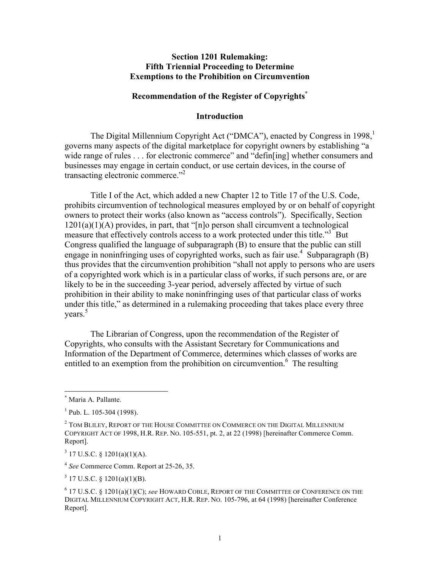#### **Section 1201 Rulemaking: Fifth Triennial Proceeding to Determine Exemptions to the Prohibition on Circumvention**

#### **Recommendation of the Register of Copyrights\***

#### **Introduction**

The Digital Millennium Copyright Act ("DMCA"), enacted by Congress in 1998,<sup>1</sup> governs many aspects of the digital marketplace for copyright owners by establishing "a wide range of rules . . . for electronic commerce" and "defin[ing] whether consumers and businesses may engage in certain conduct, or use certain devices, in the course of transacting electronic commerce."<sup>2</sup>

Title I of the Act, which added a new Chapter 12 to Title 17 of the U.S. Code, prohibits circumvention of technological measures employed by or on behalf of copyright owners to protect their works (also known as "access controls"). Specifically, Section  $1201(a)(1)(A)$  provides, in part, that "[n]o person shall circumvent a technological measure that effectively controls access to a work protected under this title."<sup>3</sup> But Congress qualified the language of subparagraph (B) to ensure that the public can still engage in noninfringing uses of copyrighted works, such as fair use.<sup>4</sup> Subparagraph  $(B)$ thus provides that the circumvention prohibition "shall not apply to persons who are users of a copyrighted work which is in a particular class of works, if such persons are, or are likely to be in the succeeding 3-year period, adversely affected by virtue of such prohibition in their ability to make noninfringing uses of that particular class of works under this title," as determined in a rulemaking proceeding that takes place every three vears. $5$ 

The Librarian of Congress, upon the recommendation of the Register of Copyrights, who consults with the Assistant Secretary for Communications and Information of the Department of Commerce, determines which classes of works are entitled to an exemption from the prohibition on circumvention.<sup>6</sup> The resulting

 $\overline{a}$ 

 $5$  17 U.S.C. § 1201(a)(1)(B).

Maria A. Pallante.

 $1$  Pub. L. 105-304 (1998).

 $^2$  Tom Bliley, Report of the House Committee on Commerce on the Digital Millennium COPYRIGHT ACT OF 1998, H.R. REP. NO. 105-551, pt. 2, at 22 (1998) [hereinafter Commerce Comm. Report].

 $3$  17 U.S.C. § 1201(a)(1)(A).

<sup>4</sup> *See* Commerce Comm. Report at 25-26, 35.

<sup>6</sup> 17 U.S.C. § 1201(a)(1)(C); *see* HOWARD COBLE, REPORT OF THE COMMITTEE OF CONFERENCE ON THE DIGITAL MILLENNIUM COPYRIGHT ACT, H.R. REP. NO. 105-796, at 64 (1998) [hereinafter Conference Report].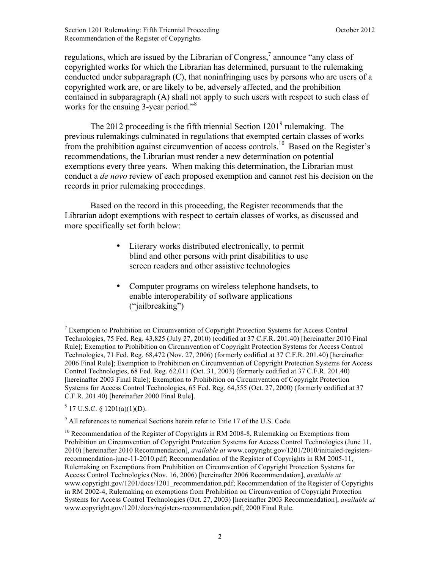regulations, which are issued by the Librarian of Congress,<sup>7</sup> announce "any class of copyrighted works for which the Librarian has determined, pursuant to the rulemaking conducted under subparagraph (C), that noninfringing uses by persons who are users of a copyrighted work are, or are likely to be, adversely affected, and the prohibition contained in subparagraph (A) shall not apply to such users with respect to such class of works for the ensuing 3-year period."<sup>8</sup>

The 2012 proceeding is the fifth triennial Section 1201<sup>9</sup> rulemaking. The previous rulemakings culminated in regulations that exempted certain classes of works from the prohibition against circumvention of access controls.10 Based on the Register's recommendations, the Librarian must render a new determination on potential exemptions every three years. When making this determination, the Librarian must conduct a *de novo* review of each proposed exemption and cannot rest his decision on the records in prior rulemaking proceedings.

Based on the record in this proceeding, the Register recommends that the Librarian adopt exemptions with respect to certain classes of works, as discussed and more specifically set forth below:

- Literary works distributed electronically, to permit blind and other persons with print disabilities to use screen readers and other assistive technologies
- Computer programs on wireless telephone handsets, to enable interoperability of software applications ("jailbreaking")

 $8$  17 U.S.C. § 1201(a)(1)(D).

 $\overline{a}$ 

 $9$  All references to numerical Sections herein refer to Title 17 of the U.S. Code.

 $<sup>7</sup>$  Exemption to Prohibition on Circumvention of Copyright Protection Systems for Access Control</sup> Technologies, 75 Fed. Reg. 43,825 (July 27, 2010) (codified at 37 C.F.R. 201.40) [hereinafter 2010 Final Rule]; Exemption to Prohibition on Circumvention of Copyright Protection Systems for Access Control Technologies, 71 Fed. Reg. 68,472 (Nov. 27, 2006) (formerly codified at 37 C.F.R. 201.40) [hereinafter 2006 Final Rule]; Exemption to Prohibition on Circumvention of Copyright Protection Systems for Access Control Technologies, 68 Fed. Reg. 62,011 (Oct. 31, 2003) (formerly codified at 37 C.F.R. 201.40) [hereinafter 2003 Final Rule]; Exemption to Prohibition on Circumvention of Copyright Protection Systems for Access Control Technologies, 65 Fed. Reg. 64,555 (Oct. 27, 2000) (formerly codified at 37 C.F.R. 201.40) [hereinafter 2000 Final Rule].

 $10$  Recommendation of the Register of Copyrights in RM 2008-8, Rulemaking on Exemptions from Prohibition on Circumvention of Copyright Protection Systems for Access Control Technologies (June 11, 2010) [hereinafter 2010 Recommendation], *available at* www.copyright.gov/1201/2010/initialed-registersrecommendation-june-11-2010.pdf; Recommendation of the Register of Copyrights in RM 2005-11, Rulemaking on Exemptions from Prohibition on Circumvention of Copyright Protection Systems for Access Control Technologies (Nov. 16, 2006) [hereinafter 2006 Recommendation], *available at*  www.copyright.gov/1201/docs/1201 recommendation.pdf; Recommendation of the Register of Copyrights in RM 2002-4, Rulemaking on exemptions from Prohibition on Circumvention of Copyright Protection Systems for Access Control Technologies (Oct. 27, 2003) [hereinafter 2003 Recommendation], *available at*  www.copyright.gov/1201/docs/registers-recommendation.pdf; 2000 Final Rule.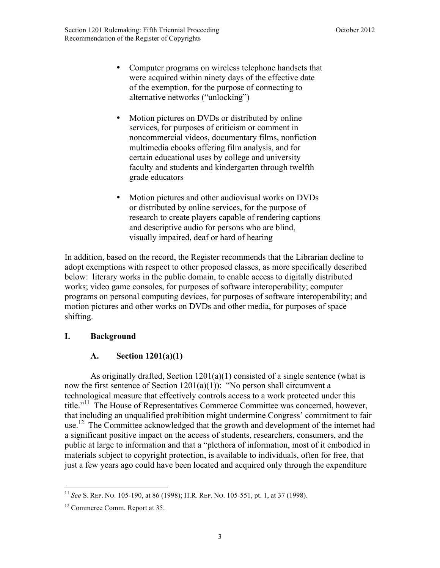- <span id="page-5-0"></span>• Computer programs on wireless telephone handsets that were acquired within ninety days of the effective date of the exemption, for the purpose of connecting to alternative networks ("unlocking")
- Motion pictures on DVDs or distributed by online services, for purposes of criticism or comment in noncommercial videos, documentary films, nonfiction multimedia ebooks offering film analysis, and for certain educational uses by college and university faculty and students and kindergarten through twelfth grade educators
- Motion pictures and other audiovisual works on DVDs or distributed by online services, for the purpose of research to create players capable of rendering captions and descriptive audio for persons who are blind, visually impaired, deaf or hard of hearing

In addition, based on the record, the Register recommends that the Librarian decline to adopt exemptions with respect to other proposed classes, as more specifically described below: literary works in the public domain, to enable access to digitally distributed works; video game consoles, for purposes of software interoperability; computer programs on personal computing devices, for purposes of software interoperability; and motion pictures and other works on DVDs and other media, for purposes of space shifting.

#### **I. Background**

#### **A. Section 1201(a)(1)**

As originally drafted, Section 1201(a)(1) consisted of a single sentence (what is now the first sentence of Section  $1201(a)(1)$ : "No person shall circumvent a technological measure that effectively controls access to a work protected under this title."<sup>11</sup> The House of Representatives Commerce Committee was concerned, however, that including an unqualified prohibition might undermine Congress' commitment to fair use.<sup>12</sup> The Committee acknowledged that the growth and development of the internet had a significant positive impact on the access of students, researchers, consumers, and the public at large to information and that a "plethora of information, most of it embodied in materials subject to copyright protection, is available to individuals, often for free, that just a few years ago could have been located and acquired only through the expenditure

<sup>1</sup> <sup>11</sup> *See* S. REP. NO. 105-190, at 86 (1998); H.R. REP. NO. 105-551, pt. 1, at 37 (1998).

<sup>12</sup> Commerce Comm. Report at 35.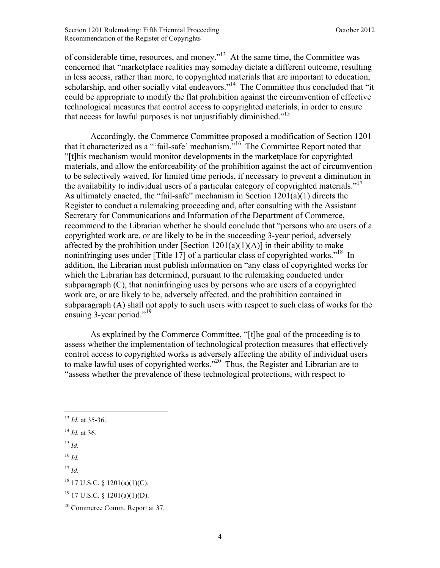of considerable time, resources, and money."13 At the same time, the Committee was concerned that "marketplace realities may someday dictate a different outcome, resulting in less access, rather than more, to copyrighted materials that are important to education, scholarship, and other socially vital endeavors."<sup>14</sup> The Committee thus concluded that "it could be appropriate to modify the flat prohibition against the circumvention of effective technological measures that control access to copyrighted materials, in order to ensure that access for lawful purposes is not unjustifiably diminished.<sup> $15$ </sup>

Accordingly, the Commerce Committee proposed a modification of Section 1201 that it characterized as a "'fail-safe' mechanism."16 The Committee Report noted that "[t]his mechanism would monitor developments in the marketplace for copyrighted materials, and allow the enforceability of the prohibition against the act of circumvention to be selectively waived, for limited time periods, if necessary to prevent a diminution in the availability to individual users of a particular category of copyrighted materials."<sup>17</sup> As ultimately enacted, the "fail-safe" mechanism in Section  $1201(a)(1)$  directs the Register to conduct a rulemaking proceeding and, after consulting with the Assistant Secretary for Communications and Information of the Department of Commerce, recommend to the Librarian whether he should conclude that "persons who are users of a copyrighted work are, or are likely to be in the succeeding 3-year period, adversely affected by the prohibition under [Section  $1201(a)(1)(A)$ ] in their ability to make noninfringing uses under [Title 17] of a particular class of copyrighted works."<sup>18</sup> In addition, the Librarian must publish information on "any class of copyrighted works for which the Librarian has determined, pursuant to the rulemaking conducted under subparagraph (C), that noninfringing uses by persons who are users of a copyrighted work are, or are likely to be, adversely affected, and the prohibition contained in subparagraph (A) shall not apply to such users with respect to such class of works for the ensuing 3-year period."<sup>19</sup>

As explained by the Commerce Committee, "[t]he goal of the proceeding is to assess whether the implementation of technological protection measures that effectively control access to copyrighted works is adversely affecting the ability of individual users to make lawful uses of copyrighted works."<sup>20</sup> Thus, the Register and Librarian are to "assess whether the prevalence of these technological protections, with respect to

 $^{15}$  *Id.* 

 $\overline{a}$ 

<sup>16</sup> *Id.*

<sup>13</sup> *Id.* at 35-36.

<sup>14</sup> *Id.* at 36.

<sup>17</sup> *Id.*

<sup>18</sup> 17 U.S.C. § 1201(a)(1)(C).

 $19$  17 U.S.C. § 1201(a)(1)(D).

<sup>20</sup> Commerce Comm. Report at 37.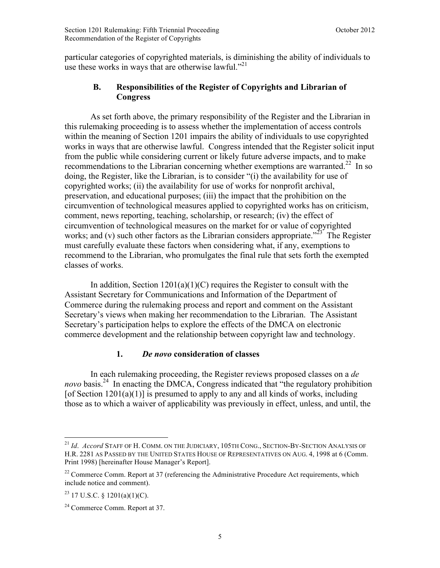<span id="page-7-0"></span>particular categories of copyrighted materials, is diminishing the ability of individuals to use these works in ways that are otherwise lawful."<sup>21</sup>

#### **B. Responsibilities of the Register of Copyrights and Librarian of Congress**

As set forth above, the primary responsibility of the Register and the Librarian in this rulemaking proceeding is to assess whether the implementation of access controls within the meaning of Section 1201 impairs the ability of individuals to use copyrighted works in ways that are otherwise lawful. Congress intended that the Register solicit input from the public while considering current or likely future adverse impacts, and to make recommendations to the Librarian concerning whether exemptions are warranted.<sup>22</sup> In so doing, the Register, like the Librarian, is to consider "(i) the availability for use of copyrighted works; (ii) the availability for use of works for nonprofit archival, preservation, and educational purposes; (iii) the impact that the prohibition on the circumvention of technological measures applied to copyrighted works has on criticism, comment, news reporting, teaching, scholarship, or research; (iv) the effect of circumvention of technological measures on the market for or value of copyrighted works; and (v) such other factors as the Librarian considers appropriate.<sup>223</sup> The Register must carefully evaluate these factors when considering what, if any, exemptions to recommend to the Librarian, who promulgates the final rule that sets forth the exempted classes of works.

In addition, Section  $1201(a)(1)(C)$  requires the Register to consult with the Assistant Secretary for Communications and Information of the Department of Commerce during the rulemaking process and report and comment on the Assistant Secretary's views when making her recommendation to the Librarian. The Assistant Secretary's participation helps to explore the effects of the DMCA on electronic commerce development and the relationship between copyright law and technology.

# **1.** *De novo* **consideration of classes**

 In each rulemaking proceeding, the Register reviews proposed classes on a *de novo* basis.<sup>24</sup> In enacting the DMCA, Congress indicated that "the regulatory prohibition" [of Section  $1201(a)(1)$ ] is presumed to apply to any and all kinds of works, including those as to which a waiver of applicability was previously in effect, unless, and until, the

<u>.</u>

<sup>21</sup> *Id*. *Accord* STAFF OF H. COMM. ON THE JUDICIARY, 105TH CONG., SECTION-BY-SECTION ANALYSIS OF H.R. 2281 AS PASSED BY THE UNITED STATES HOUSE OF REPRESENTATIVES ON AUG. 4, 1998 at 6 (Comm. Print 1998) [hereinafter House Manager's Report].

 $22$  Commerce Comm. Report at 37 (referencing the Administrative Procedure Act requirements, which include notice and comment).

 $^{23}$  17 U.S.C. § 1201(a)(1)(C).

<sup>24</sup> Commerce Comm. Report at 37.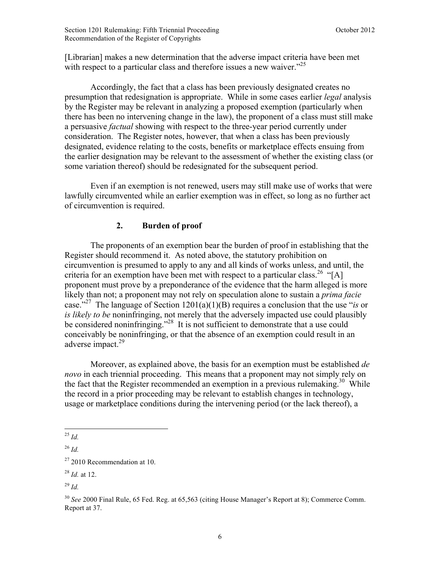[Librarian] makes a new determination that the adverse impact criteria have been met with respect to a particular class and therefore issues a new waiver.<sup> $25$ </sup>

 Accordingly, the fact that a class has been previously designated creates no presumption that redesignation is appropriate. While in some cases earlier *legal* analysis by the Register may be relevant in analyzing a proposed exemption (particularly when there has been no intervening change in the law), the proponent of a class must still make a persuasive *factual* showing with respect to the three-year period currently under consideration. The Register notes, however, that when a class has been previously designated, evidence relating to the costs, benefits or marketplace effects ensuing from the earlier designation may be relevant to the assessment of whether the existing class (or some variation thereof) should be redesignated for the subsequent period.

 Even if an exemption is not renewed, users may still make use of works that were lawfully circumvented while an earlier exemption was in effect, so long as no further act of circumvention is required.

# **2. Burden of proof**

The proponents of an exemption bear the burden of proof in establishing that the Register should recommend it. As noted above, the statutory prohibition on circumvention is presumed to apply to any and all kinds of works unless, and until, the criteria for an exemption have been met with respect to a particular class.<sup>26</sup> "[A] proponent must prove by a preponderance of the evidence that the harm alleged is more likely than not; a proponent may not rely on speculation alone to sustain a *prima facie* case."27 The language of Section 1201(a)(1)(B) requires a conclusion that the use "*is* or *is likely to be* noninfringing, not merely that the adversely impacted use could plausibly be considered noninfringing."<sup>28</sup> It is not sufficient to demonstrate that a use could conceivably be noninfringing, or that the absence of an exemption could result in an adverse impact.<sup>29</sup>

Moreover, as explained above, the basis for an exemption must be established *de novo* in each triennial proceeding. This means that a proponent may not simply rely on the fact that the Register recommended an exemption in a previous rulemaking.<sup>30</sup> While the record in a prior proceeding may be relevant to establish changes in technology, usage or marketplace conditions during the intervening period (or the lack thereof), a

<sup>&</sup>lt;u>.</u>  $^{25}$  *Id.* 

<sup>26</sup> *Id.*

 $27$  2010 Recommendation at 10.

<sup>28</sup> *Id.* at 12.

<sup>29</sup> *Id.*

<sup>30</sup> *See* 2000 Final Rule, 65 Fed. Reg. at 65,563 (citing House Manager's Report at 8); Commerce Comm. Report at 37.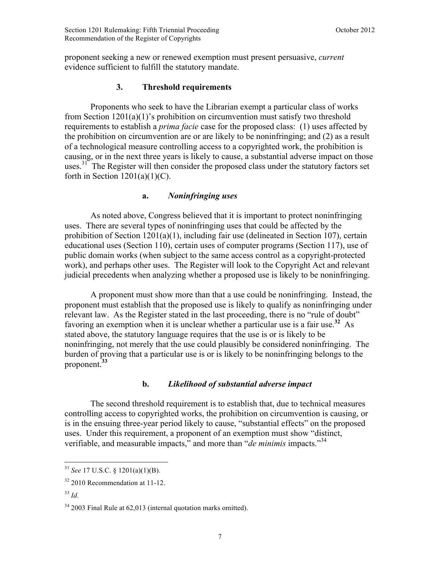proponent seeking a new or renewed exemption must present persuasive, *current*  evidence sufficient to fulfill the statutory mandate.

#### **3. Threshold requirements**

Proponents who seek to have the Librarian exempt a particular class of works from Section  $1201(a)(1)$ 's prohibition on circumvention must satisfy two threshold requirements to establish a *prima facie* case for the proposed class: (1) uses affected by the prohibition on circumvention are or are likely to be noninfringing; and (2) as a result of a technological measure controlling access to a copyrighted work, the prohibition is causing, or in the next three years is likely to cause, a substantial adverse impact on those uses.<sup>31</sup> The Register will then consider the proposed class under the statutory factors set forth in Section  $1201(a)(1)(C)$ .

#### **a.** *Noninfringing uses*

As noted above, Congress believed that it is important to protect noninfringing uses. There are several types of noninfringing uses that could be affected by the prohibition of Section  $1201(a)(1)$ , including fair use (delineated in Section 107), certain educational uses (Section 110), certain uses of computer programs (Section 117), use of public domain works (when subject to the same access control as a copyright-protected work), and perhaps other uses. The Register will look to the Copyright Act and relevant judicial precedents when analyzing whether a proposed use is likely to be noninfringing.

A proponent must show more than that a use could be noninfringing. Instead, the proponent must establish that the proposed use is likely to qualify as noninfringing under relevant law. As the Register stated in the last proceeding, there is no "rule of doubt" favoring an exemption when it is unclear whether a particular use is a fair use.**<sup>32</sup>** As stated above, the statutory language requires that the use is or is likely to be noninfringing, not merely that the use could plausibly be considered noninfringing. The burden of proving that a particular use is or is likely to be noninfringing belongs to the proponent.**<sup>33</sup>**

#### **b.** *Likelihood of substantial adverse impact*

The second threshold requirement is to establish that, due to technical measures controlling access to copyrighted works, the prohibition on circumvention is causing, or is in the ensuing three-year period likely to cause, "substantial effects" on the proposed uses. Under this requirement, a proponent of an exemption must show "distinct, verifiable, and measurable impacts," and more than "*de minimis* impacts."<sup>34</sup>

<sup>31</sup> *See* 17 U.S.C. § 1201(a)(1)(B).

 $32$  2010 Recommendation at 11-12.

<sup>33</sup> *Id.*

 $34$  2003 Final Rule at 62,013 (internal quotation marks omitted).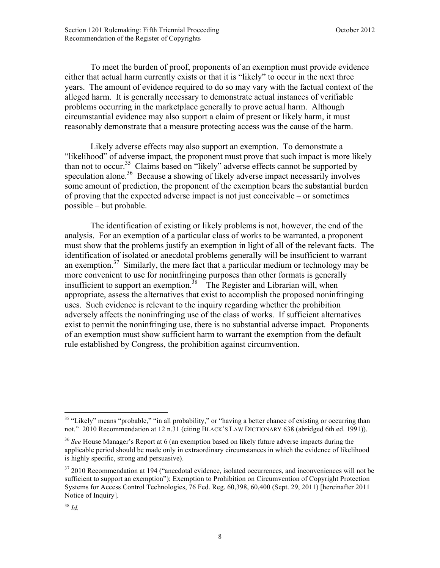To meet the burden of proof, proponents of an exemption must provide evidence either that actual harm currently exists or that it is "likely" to occur in the next three years. The amount of evidence required to do so may vary with the factual context of the alleged harm. It is generally necessary to demonstrate actual instances of verifiable problems occurring in the marketplace generally to prove actual harm. Although circumstantial evidence may also support a claim of present or likely harm, it must reasonably demonstrate that a measure protecting access was the cause of the harm.

Likely adverse effects may also support an exemption. To demonstrate a "likelihood" of adverse impact, the proponent must prove that such impact is more likely than not to occur.<sup>35</sup> Claims based on "likely" adverse effects cannot be supported by speculation alone.<sup>36</sup> Because a showing of likely adverse impact necessarily involves some amount of prediction, the proponent of the exemption bears the substantial burden of proving that the expected adverse impact is not just conceivable – or sometimes possible – but probable.

The identification of existing or likely problems is not, however, the end of the analysis. For an exemption of a particular class of works to be warranted, a proponent must show that the problems justify an exemption in light of all of the relevant facts. The identification of isolated or anecdotal problems generally will be insufficient to warrant an exemption.<sup>37</sup> Similarly, the mere fact that a particular medium or technology may be more convenient to use for noninfringing purposes than other formats is generally insufficient to support an exemption.<sup>38</sup> The Register and Librarian will, when appropriate, assess the alternatives that exist to accomplish the proposed noninfringing uses. Such evidence is relevant to the inquiry regarding whether the prohibition adversely affects the noninfringing use of the class of works. If sufficient alternatives exist to permit the noninfringing use, there is no substantial adverse impact. Proponents of an exemption must show sufficient harm to warrant the exemption from the default rule established by Congress, the prohibition against circumvention.

<u>.</u>

 $35$  "Likely" means "probable," "in all probability," or "having a better chance of existing or occurring than not." 2010 Recommendation at 12 n.31 (citing BLACK'S LAW DICTIONARY 638 (abridged 6th ed. 1991)).

<sup>36</sup> *See* House Manager's Report at 6 (an exemption based on likely future adverse impacts during the applicable period should be made only in extraordinary circumstances in which the evidence of likelihood is highly specific, strong and persuasive).

 $37,2010$  Recommendation at 194 ("anecdotal evidence, isolated occurrences, and inconveniences will not be sufficient to support an exemption"); Exemption to Prohibition on Circumvention of Copyright Protection Systems for Access Control Technologies, 76 Fed. Reg. 60,398, 60,400 (Sept. 29, 2011) [hereinafter 2011 Notice of Inquiry].

<sup>38</sup> *Id.*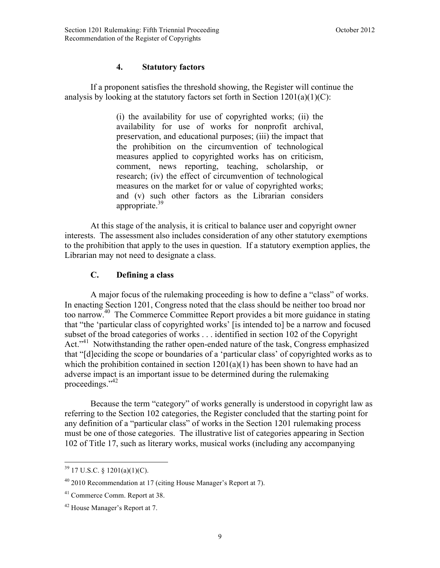# **4. Statutory factors**

<span id="page-11-0"></span> If a proponent satisfies the threshold showing, the Register will continue the analysis by looking at the statutory factors set forth in Section  $1201(a)(1)(C)$ :

> (i) the availability for use of copyrighted works; (ii) the availability for use of works for nonprofit archival, preservation, and educational purposes; (iii) the impact that the prohibition on the circumvention of technological measures applied to copyrighted works has on criticism, comment, news reporting, teaching, scholarship, or research; (iv) the effect of circumvention of technological measures on the market for or value of copyrighted works; and (v) such other factors as the Librarian considers appropriate.<sup>39</sup>

At this stage of the analysis, it is critical to balance user and copyright owner interests. The assessment also includes consideration of any other statutory exemptions to the prohibition that apply to the uses in question. If a statutory exemption applies, the Librarian may not need to designate a class.

#### **C. Defining a class**

A major focus of the rulemaking proceeding is how to define a "class" of works. In enacting Section 1201, Congress noted that the class should be neither too broad nor too narrow.40 The Commerce Committee Report provides a bit more guidance in stating that "the 'particular class of copyrighted works' [is intended to] be a narrow and focused subset of the broad categories of works . . . identified in section 102 of the Copyright Act."<sup>41</sup> Notwithstanding the rather open-ended nature of the task, Congress emphasized that "[d]eciding the scope or boundaries of a 'particular class' of copyrighted works as to which the prohibition contained in section  $1201(a)(1)$  has been shown to have had an adverse impact is an important issue to be determined during the rulemaking proceedings."<sup>42</sup>

Because the term "category" of works generally is understood in copyright law as referring to the Section 102 categories, the Register concluded that the starting point for any definition of a "particular class" of works in the Section 1201 rulemaking process must be one of those categories. The illustrative list of categories appearing in Section 102 of Title 17, such as literary works, musical works (including any accompanying

 $39$  17 U.S.C. § 1201(a)(1)(C).

 $40\,2010$  Recommendation at 17 (citing House Manager's Report at 7).

<sup>41</sup> Commerce Comm. Report at 38.

<sup>42</sup> House Manager's Report at 7.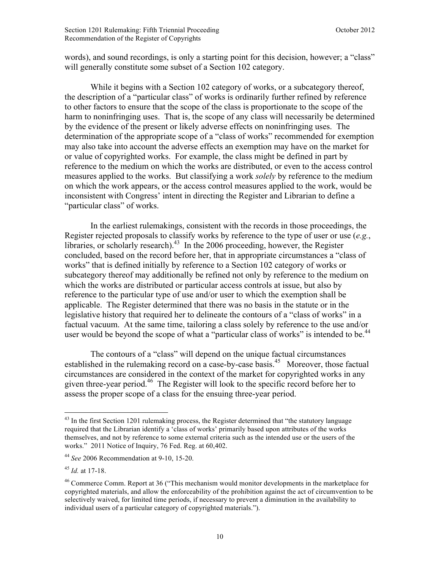words), and sound recordings, is only a starting point for this decision, however; a "class" will generally constitute some subset of a Section 102 category.

While it begins with a Section 102 category of works, or a subcategory thereof, the description of a "particular class" of works is ordinarily further refined by reference to other factors to ensure that the scope of the class is proportionate to the scope of the harm to noninfringing uses. That is, the scope of any class will necessarily be determined by the evidence of the present or likely adverse effects on noninfringing uses. The determination of the appropriate scope of a "class of works" recommended for exemption may also take into account the adverse effects an exemption may have on the market for or value of copyrighted works. For example, the class might be defined in part by reference to the medium on which the works are distributed, or even to the access control measures applied to the works. But classifying a work *solely* by reference to the medium on which the work appears, or the access control measures applied to the work, would be inconsistent with Congress' intent in directing the Register and Librarian to define a "particular class" of works.

In the earliest rulemakings, consistent with the records in those proceedings, the Register rejected proposals to classify works by reference to the type of user or use (*e.g.*, libraries, or scholarly research).<sup>43</sup> In the 2006 proceeding, however, the Register concluded, based on the record before her, that in appropriate circumstances a "class of works" that is defined initially by reference to a Section 102 category of works or subcategory thereof may additionally be refined not only by reference to the medium on which the works are distributed or particular access controls at issue, but also by reference to the particular type of use and/or user to which the exemption shall be applicable. The Register determined that there was no basis in the statute or in the legislative history that required her to delineate the contours of a "class of works" in a factual vacuum. At the same time, tailoring a class solely by reference to the use and/or user would be beyond the scope of what a "particular class of works" is intended to be.<sup>44</sup>

The contours of a "class" will depend on the unique factual circumstances established in the rulemaking record on a case-by-case basis.<sup>45</sup> Moreover, those factual circumstances are considered in the context of the market for copyrighted works in any given three-year period.46 The Register will look to the specific record before her to assess the proper scope of a class for the ensuing three-year period.

<sup>&</sup>lt;sup>43</sup> In the first Section 1201 rulemaking process, the Register determined that "the statutory language required that the Librarian identify a 'class of works' primarily based upon attributes of the works themselves, and not by reference to some external criteria such as the intended use or the users of the works." 2011 Notice of Inquiry, 76 Fed. Reg. at 60,402.

<sup>44</sup> *See* 2006 Recommendation at 9-10, 15-20.

<sup>45</sup> *Id.* at 17-18.

<sup>&</sup>lt;sup>46</sup> Commerce Comm. Report at 36 ("This mechanism would monitor developments in the marketplace for copyrighted materials, and allow the enforceability of the prohibition against the act of circumvention to be selectively waived, for limited time periods, if necessary to prevent a diminution in the availability to individual users of a particular category of copyrighted materials.").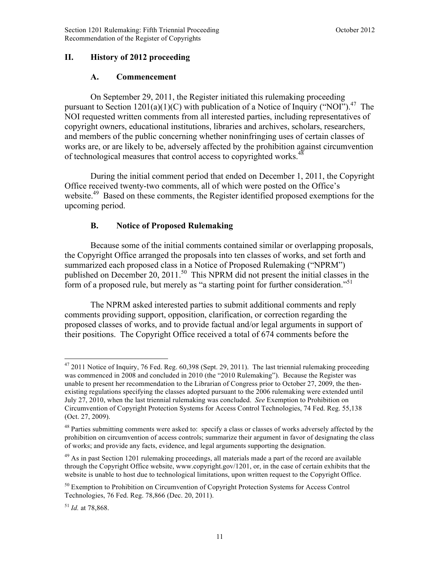# <span id="page-13-0"></span>**II. History of 2012 proceeding**

#### **A. Commencement**

On September 29, 2011, the Register initiated this rulemaking proceeding pursuant to Section 1201(a)(1)(C) with publication of a Notice of Inquiry ("NOI").<sup>47</sup> The NOI requested written comments from all interested parties, including representatives of copyright owners, educational institutions, libraries and archives, scholars, researchers, and members of the public concerning whether noninfringing uses of certain classes of works are, or are likely to be, adversely affected by the prohibition against circumvention of technological measures that control access to copyrighted works.<sup>48</sup>

During the initial comment period that ended on December 1, 2011, the Copyright Office received twenty-two comments, all of which were posted on the Office's website.<sup>49</sup> Based on these comments, the Register identified proposed exemptions for the upcoming period.

# **B. Notice of Proposed Rulemaking**

Because some of the initial comments contained similar or overlapping proposals, the Copyright Office arranged the proposals into ten classes of works, and set forth and summarized each proposed class in a Notice of Proposed Rulemaking ("NPRM") published on December 20, 2011.<sup>50</sup> This NPRM did not present the initial classes in the form of a proposed rule, but merely as "a starting point for further consideration."<sup>51</sup>

The NPRM asked interested parties to submit additional comments and reply comments providing support, opposition, clarification, or correction regarding the proposed classes of works, and to provide factual and/or legal arguments in support of their positions. The Copyright Office received a total of 674 comments before the

<sup>51</sup> *Id.* at 78,868.

 $47$  2011 Notice of Inquiry, 76 Fed. Reg. 60,398 (Sept. 29, 2011). The last triennial rulemaking proceeding was commenced in 2008 and concluded in 2010 (the "2010 Rulemaking"). Because the Register was unable to present her recommendation to the Librarian of Congress prior to October 27, 2009, the thenexisting regulations specifying the classes adopted pursuant to the 2006 rulemaking were extended until July 27, 2010, when the last triennial rulemaking was concluded. *See* Exemption to Prohibition on Circumvention of Copyright Protection Systems for Access Control Technologies, 74 Fed. Reg. 55,138 (Oct. 27, 2009).

<sup>&</sup>lt;sup>48</sup> Parties submitting comments were asked to: specify a class or classes of works adversely affected by the prohibition on circumvention of access controls; summarize their argument in favor of designating the class of works; and provide any facts, evidence, and legal arguments supporting the designation.

 $^{49}$  As in past Section 1201 rulemaking proceedings, all materials made a part of the record are available through the Copyright Office website, www.copyright.gov/1201, or, in the case of certain exhibits that the website is unable to host due to technological limitations, upon written request to the Copyright Office.

<sup>&</sup>lt;sup>50</sup> Exemption to Prohibition on Circumvention of Copyright Protection Systems for Access Control Technologies, 76 Fed. Reg. 78,866 (Dec. 20, 2011).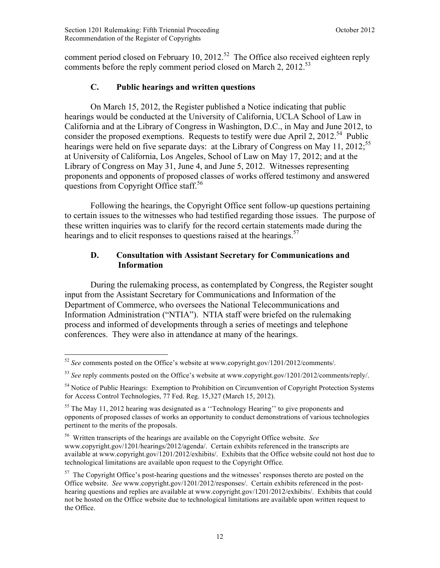<span id="page-14-0"></span>comment period closed on February 10, 2012.<sup>52</sup> The Office also received eighteen reply comments before the reply comment period closed on March 2, 2012.<sup>53</sup>

#### **C. Public hearings and written questions**

On March 15, 2012, the Register published a Notice indicating that public hearings would be conducted at the University of California, UCLA School of Law in California and at the Library of Congress in Washington, D.C., in May and June 2012, to consider the proposed exemptions. Requests to testify were due April 2, 2012.<sup>54</sup> Public hearings were held on five separate days: at the Library of Congress on May 11, 2012;<sup>55</sup> at University of California, Los Angeles, School of Law on May 17, 2012; and at the Library of Congress on May 31, June 4, and June 5, 2012. Witnesses representing proponents and opponents of proposed classes of works offered testimony and answered questions from Copyright Office staff.<sup>56</sup>

Following the hearings, the Copyright Office sent follow-up questions pertaining to certain issues to the witnesses who had testified regarding those issues. The purpose of these written inquiries was to clarify for the record certain statements made during the hearings and to elicit responses to questions raised at the hearings.<sup>57</sup>

#### **D. Consultation with Assistant Secretary for Communications and Information**

During the rulemaking process, as contemplated by Congress, the Register sought input from the Assistant Secretary for Communications and Information of the Department of Commerce, who oversees the National Telecommunications and Information Administration ("NTIA"). NTIA staff were briefed on the rulemaking process and informed of developments through a series of meetings and telephone conferences. They were also in attendance at many of the hearings.

<sup>&</sup>lt;u>.</u> <sup>52</sup> *See* comments posted on the Office's website at www.copyright.gov/1201/2012/comments/.

<sup>53</sup> *See* reply comments posted on the Office's website at www.copyright.gov/1201/2012/comments/reply/.

<sup>&</sup>lt;sup>54</sup> Notice of Public Hearings: Exemption to Prohibition on Circumvention of Copyright Protection Systems for Access Control Technologies, 77 Fed. Reg. 15,327 (March 15, 2012).

 $55$  The May 11, 2012 hearing was designated as a "Technology Hearing" to give proponents and opponents of proposed classes of works an opportunity to conduct demonstrations of various technologies pertinent to the merits of the proposals.

<sup>56</sup> Written transcripts of the hearings are available on the Copyright Office website. *See*  www.copyright.gov/1201/hearings/2012/agenda/. Certain exhibits referenced in the transcripts are available at www.copyright.gov/1201/2012/exhibits/. Exhibits that the Office website could not host due to technological limitations are available upon request to the Copyright Office.

 $57$  The Copyright Office's post-hearing questions and the witnesses' responses thereto are posted on the Office website. *See* www.copyright.gov/1201/2012/responses/. Certain exhibits referenced in the posthearing questions and replies are available at www.copyright.gov/1201/2012/exhibits/. Exhibits that could not be hosted on the Office website due to technological limitations are available upon written request to the Office.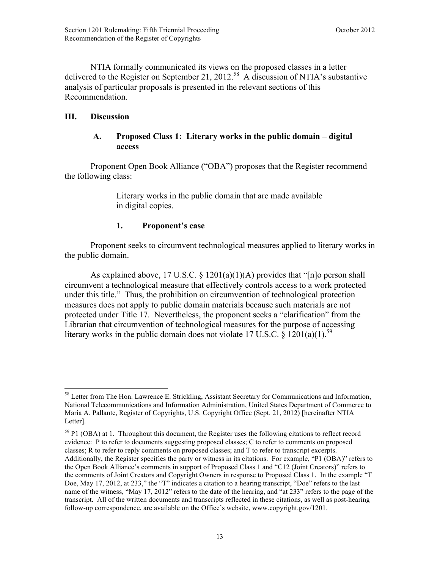<span id="page-15-0"></span>NTIA formally communicated its views on the proposed classes in a letter delivered to the Register on September 21, 2012.<sup>58</sup> A discussion of NTIA's substantive analysis of particular proposals is presented in the relevant sections of this Recommendation.

# **III. Discussion**

# **A. Proposed Class 1: Literary works in the public domain – digital access**

Proponent Open Book Alliance ("OBA") proposes that the Register recommend the following class:

> Literary works in the public domain that are made available in digital copies.

# **1. Proponent's case**

Proponent seeks to circumvent technological measures applied to literary works in the public domain.

As explained above, 17 U.S.C.  $\S$  1201(a)(1)(A) provides that "[n]o person shall circumvent a technological measure that effectively controls access to a work protected under this title." Thus, the prohibition on circumvention of technological protection measures does not apply to public domain materials because such materials are not protected under Title 17. Nevertheless, the proponent seeks a "clarification" from the Librarian that circumvention of technological measures for the purpose of accessing literary works in the public domain does not violate 17 U.S.C. § 1201(a)(1).<sup>59</sup>

 $59$  P1 (OBA) at 1. Throughout this document, the Register uses the following citations to reflect record evidence: P to refer to documents suggesting proposed classes; C to refer to comments on proposed classes; R to refer to reply comments on proposed classes; and T to refer to transcript excerpts. Additionally, the Register specifies the party or witness in its citations. For example, "P1 (OBA)" refers to the Open Book Alliance's comments in support of Proposed Class 1 and "C12 (Joint Creators)" refers to the comments of Joint Creators and Copyright Owners in response to Proposed Class 1. In the example "T Doe, May 17, 2012, at 233," the "T" indicates a citation to a hearing transcript, "Doe" refers to the last name of the witness, "May 17, 2012" refers to the date of the hearing, and "at 233" refers to the page of the transcript. All of the written documents and transcripts reflected in these citations, as well as post-hearing follow-up correspondence, are available on the Office's website, www.copyright.gov/1201.

<sup>1</sup> <sup>58</sup> Letter from The Hon. Lawrence E. Strickling, Assistant Secretary for Communications and Information, National Telecommunications and Information Administration, United States Department of Commerce to Maria A. Pallante, Register of Copyrights, U.S. Copyright Office (Sept. 21, 2012) [hereinafter NTIA Letter].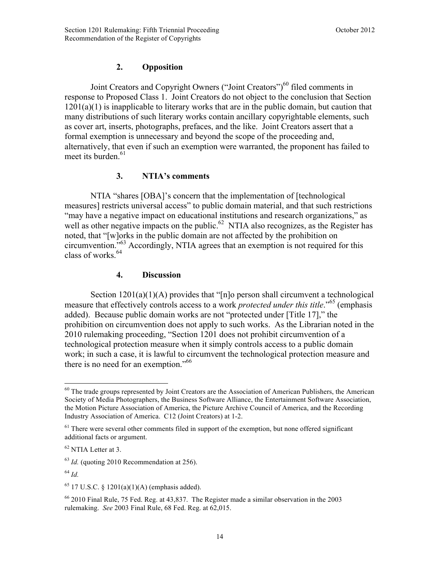# **2. Opposition**

Joint Creators and Copyright Owners ("Joint Creators")<sup>60</sup> filed comments in response to Proposed Class 1. Joint Creators do not object to the conclusion that Section  $1201(a)(1)$  is inapplicable to literary works that are in the public domain, but caution that many distributions of such literary works contain ancillary copyrightable elements, such as cover art, inserts, photographs, prefaces, and the like. Joint Creators assert that a formal exemption is unnecessary and beyond the scope of the proceeding and, alternatively, that even if such an exemption were warranted, the proponent has failed to meet its burden.<sup>61</sup>

# **3. NTIA's comments**

NTIA "shares [OBA]'s concern that the implementation of [technological measures] restricts universal access" to public domain material, and that such restrictions "may have a negative impact on educational institutions and research organizations," as well as other negative impacts on the public.<sup>62</sup> NTIA also recognizes, as the Register has noted, that "[w]orks in the public domain are not affected by the prohibition on circumvention."63 Accordingly, NTIA agrees that an exemption is not required for this class of works.<sup>64</sup>

#### **4. Discussion**

Section 1201(a)(1)(A) provides that "[n]o person shall circumvent a technological measure that effectively controls access to a work *protected under this title*."65 (emphasis added). Because public domain works are not "protected under [Title 17]," the prohibition on circumvention does not apply to such works. As the Librarian noted in the 2010 rulemaking proceeding, "Section 1201 does not prohibit circumvention of a technological protection measure when it simply controls access to a public domain work; in such a case, it is lawful to circumvent the technological protection measure and there is no need for an exemption."66

 $60$  The trade groups represented by Joint Creators are the Association of American Publishers, the American Society of Media Photographers, the Business Software Alliance, the Entertainment Software Association, the Motion Picture Association of America, the Picture Archive Council of America, and the Recording Industry Association of America. C12 (Joint Creators) at 1-2.

 $61$  There were several other comments filed in support of the exemption, but none offered significant additional facts or argument.

<sup>&</sup>lt;sup>62</sup> NTIA Letter at 3.

<sup>63</sup> *Id.* (quoting 2010 Recommendation at 256).

<sup>64</sup> *Id.*

 $65$  17 U.S.C. § 1201(a)(1)(A) (emphasis added).

 $66$  2010 Final Rule, 75 Fed. Reg. at 43,837. The Register made a similar observation in the 2003 rulemaking. *See* 2003 Final Rule, 68 Fed. Reg. at 62,015.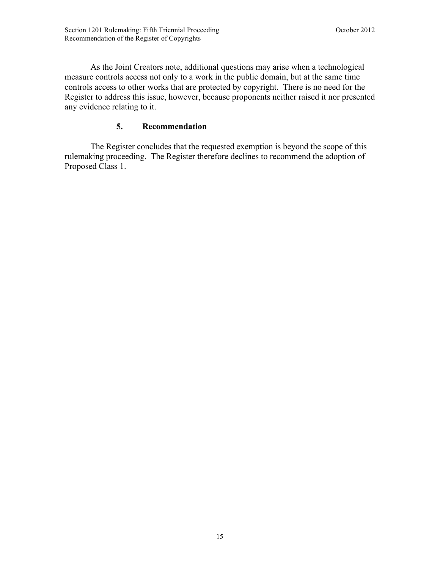As the Joint Creators note, additional questions may arise when a technological measure controls access not only to a work in the public domain, but at the same time controls access to other works that are protected by copyright. There is no need for the Register to address this issue, however, because proponents neither raised it nor presented any evidence relating to it.

# **5. Recommendation**

The Register concludes that the requested exemption is beyond the scope of this rulemaking proceeding. The Register therefore declines to recommend the adoption of Proposed Class 1.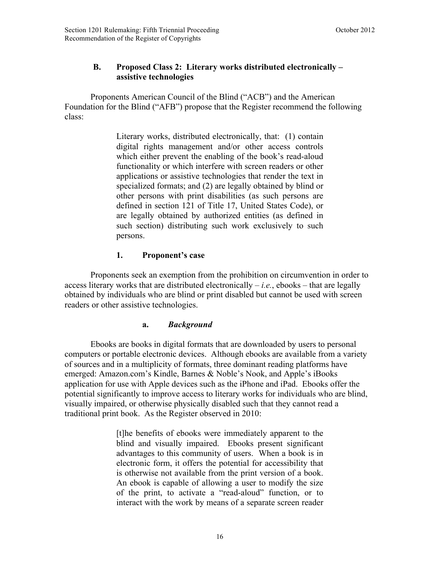# <span id="page-18-0"></span>**B. Proposed Class 2: Literary works distributed electronically – assistive technologies**

Proponents American Council of the Blind ("ACB") and the American Foundation for the Blind ("AFB") propose that the Register recommend the following class:

> Literary works, distributed electronically, that: (1) contain digital rights management and/or other access controls which either prevent the enabling of the book's read-aloud functionality or which interfere with screen readers or other applications or assistive technologies that render the text in specialized formats; and (2) are legally obtained by blind or other persons with print disabilities (as such persons are defined in section 121 of Title 17, United States Code), or are legally obtained by authorized entities (as defined in such section) distributing such work exclusively to such persons.

# **1. Proponent's case**

Proponents seek an exemption from the prohibition on circumvention in order to access literary works that are distributed electronically  $-i.e.,$  ebooks  $-$  that are legally obtained by individuals who are blind or print disabled but cannot be used with screen readers or other assistive technologies.

# **a.** *Background*

Ebooks are books in digital formats that are downloaded by users to personal computers or portable electronic devices. Although ebooks are available from a variety of sources and in a multiplicity of formats, three dominant reading platforms have emerged: Amazon.com's Kindle, Barnes & Noble's Nook, and Apple's iBooks application for use with Apple devices such as the iPhone and iPad. Ebooks offer the potential significantly to improve access to literary works for individuals who are blind, visually impaired, or otherwise physically disabled such that they cannot read a traditional print book. As the Register observed in 2010:

> [t]he benefits of ebooks were immediately apparent to the blind and visually impaired. Ebooks present significant advantages to this community of users. When a book is in electronic form, it offers the potential for accessibility that is otherwise not available from the print version of a book. An ebook is capable of allowing a user to modify the size of the print, to activate a "read-aloud" function, or to interact with the work by means of a separate screen reader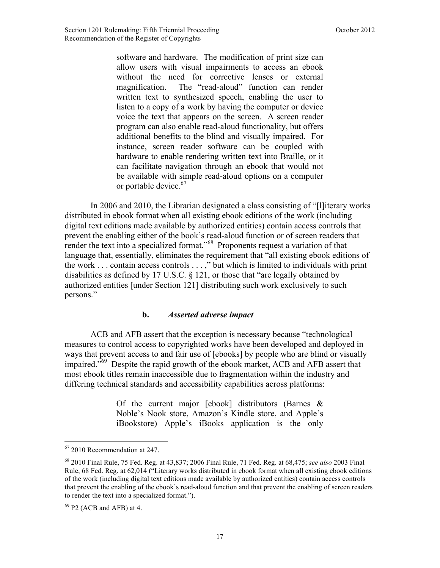software and hardware. The modification of print size can allow users with visual impairments to access an ebook without the need for corrective lenses or external magnification. The "read-aloud" function can render written text to synthesized speech, enabling the user to listen to a copy of a work by having the computer or device voice the text that appears on the screen. A screen reader program can also enable read-aloud functionality, but offers additional benefits to the blind and visually impaired. For instance, screen reader software can be coupled with hardware to enable rendering written text into Braille, or it can facilitate navigation through an ebook that would not be available with simple read-aloud options on a computer or portable device.<sup>67</sup>

In 2006 and 2010, the Librarian designated a class consisting of "[l]iterary works distributed in ebook format when all existing ebook editions of the work (including digital text editions made available by authorized entities) contain access controls that prevent the enabling either of the book's read-aloud function or of screen readers that render the text into a specialized format."<sup>68</sup> Proponents request a variation of that language that, essentially, eliminates the requirement that "all existing ebook editions of the work . . . contain access controls . . . ," but which is limited to individuals with print disabilities as defined by 17 U.S.C. § 121, or those that "are legally obtained by authorized entities [under Section 121] distributing such work exclusively to such persons."

#### **b.** *Asserted adverse impact*

ACB and AFB assert that the exception is necessary because "technological measures to control access to copyrighted works have been developed and deployed in ways that prevent access to and fair use of [ebooks] by people who are blind or visually impaired."69 Despite the rapid growth of the ebook market, ACB and AFB assert that most ebook titles remain inaccessible due to fragmentation within the industry and differing technical standards and accessibility capabilities across platforms:

> Of the current major [ebook] distributors (Barnes & Noble's Nook store, Amazon's Kindle store, and Apple's iBookstore) Apple's iBooks application is the only

<u>.</u>

<sup>67</sup> 2010 Recommendation at 247.

<sup>68</sup> 2010 Final Rule, 75 Fed. Reg. at 43,837; 2006 Final Rule, 71 Fed. Reg. at 68,475; *see also* 2003 Final Rule, 68 Fed. Reg. at 62,014 ("Literary works distributed in ebook format when all existing ebook editions of the work (including digital text editions made available by authorized entities) contain access controls that prevent the enabling of the ebook's read-aloud function and that prevent the enabling of screen readers to render the text into a specialized format.").

 $69$  P2 (ACB and AFB) at 4.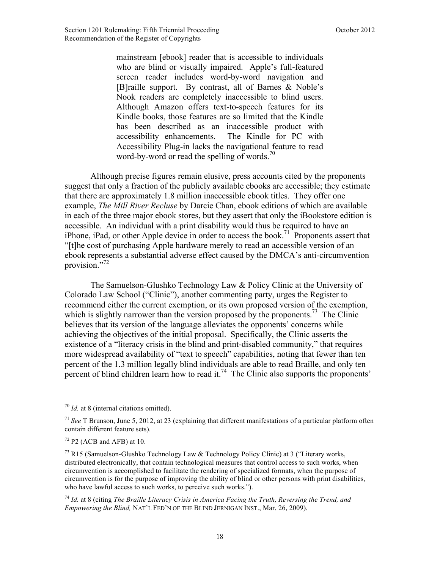mainstream [ebook] reader that is accessible to individuals who are blind or visually impaired. Apple's full-featured screen reader includes word-by-word navigation and [B]raille support. By contrast, all of Barnes & Noble's Nook readers are completely inaccessible to blind users. Although Amazon offers text-to-speech features for its Kindle books, those features are so limited that the Kindle has been described as an inaccessible product with accessibility enhancements. The Kindle for PC with Accessibility Plug-in lacks the navigational feature to read word-by-word or read the spelling of words.<sup>70</sup>

Although precise figures remain elusive, press accounts cited by the proponents suggest that only a fraction of the publicly available ebooks are accessible; they estimate that there are approximately 1.8 million inaccessible ebook titles. They offer one example, *The Mill River Recluse* by Darcie Chan, ebook editions of which are available in each of the three major ebook stores, but they assert that only the iBookstore edition is accessible. An individual with a print disability would thus be required to have an iPhone, iPad, or other Apple device in order to access the book.<sup>71</sup> Proponents assert that "[t]he cost of purchasing Apple hardware merely to read an accessible version of an ebook represents a substantial adverse effect caused by the DMCA's anti-circumvention provision."<sup>72</sup>

The Samuelson-Glushko Technology Law & Policy Clinic at the University of Colorado Law School ("Clinic"), another commenting party, urges the Register to recommend either the current exemption, or its own proposed version of the exemption, which is slightly narrower than the version proposed by the proponents.<sup>73</sup> The Clinic believes that its version of the language alleviates the opponents' concerns while achieving the objectives of the initial proposal. Specifically, the Clinic asserts the existence of a "literacy crisis in the blind and print-disabled community," that requires more widespread availability of "text to speech" capabilities, noting that fewer than ten percent of the 1.3 million legally blind individuals are able to read Braille, and only ten percent of blind children learn how to read it.<sup>74</sup> The Clinic also supports the proponents'

 $\overline{a}$ 

<sup>74</sup> *Id.* at 8 (citing *The Braille Literacy Crisis in America Facing the Truth, Reversing the Trend, and Empowering the Blind,* NAT'L FED'N OF THE BLIND JERNIGAN INST., Mar. 26, 2009).

<sup>70</sup> *Id.* at 8 (internal citations omitted).

<sup>71</sup> *See* T Brunson, June 5, 2012, at 23 (explaining that different manifestations of a particular platform often contain different feature sets).

 $72$  P2 (ACB and AFB) at 10.

<sup>&</sup>lt;sup>73</sup> R15 (Samuelson-Glushko Technology Law & Technology Policy Clinic) at 3 ("Literary works, distributed electronically, that contain technological measures that control access to such works, when circumvention is accomplished to facilitate the rendering of specialized formats, when the purpose of circumvention is for the purpose of improving the ability of blind or other persons with print disabilities, who have lawful access to such works, to perceive such works.").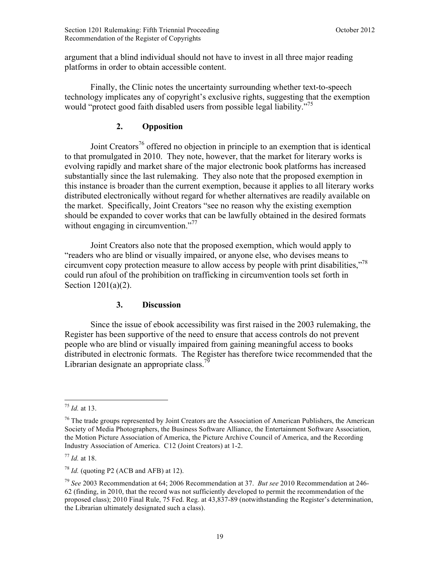argument that a blind individual should not have to invest in all three major reading platforms in order to obtain accessible content.

Finally, the Clinic notes the uncertainty surrounding whether text-to-speech technology implicates any of copyright's exclusive rights, suggesting that the exemption would "protect good faith disabled users from possible legal liability."<sup>75</sup>

# **2. Opposition**

Joint Creators<sup>76</sup> offered no objection in principle to an exemption that is identical to that promulgated in 2010. They note, however, that the market for literary works is evolving rapidly and market share of the major electronic book platforms has increased substantially since the last rulemaking. They also note that the proposed exemption in this instance is broader than the current exemption, because it applies to all literary works distributed electronically without regard for whether alternatives are readily available on the market. Specifically, Joint Creators "see no reason why the existing exemption should be expanded to cover works that can be lawfully obtained in the desired formats without engaging in circumvention."<sup>77</sup>

Joint Creators also note that the proposed exemption, which would apply to "readers who are blind or visually impaired, or anyone else, who devises means to circumvent copy protection measure to allow access by people with print disabilities,"78 could run afoul of the prohibition on trafficking in circumvention tools set forth in Section 1201(a)(2).

#### **3. Discussion**

Since the issue of ebook accessibility was first raised in the 2003 rulemaking, the Register has been supportive of the need to ensure that access controls do not prevent people who are blind or visually impaired from gaining meaningful access to books distributed in electronic formats. The Register has therefore twice recommended that the Librarian designate an appropriate class.<sup>79</sup>

 $\overline{a}$ <sup>75</sup> *Id.* at 13.

<sup>&</sup>lt;sup>76</sup> The trade groups represented by Joint Creators are the Association of American Publishers, the American Society of Media Photographers, the Business Software Alliance, the Entertainment Software Association, the Motion Picture Association of America, the Picture Archive Council of America, and the Recording Industry Association of America. C12 (Joint Creators) at 1-2.

<sup>77</sup> *Id.* at 18.

 $78$  *Id.* (quoting P2 (ACB and AFB) at 12).

<sup>79</sup> *See* 2003 Recommendation at 64; 2006 Recommendation at 37. *But see* 2010 Recommendation at 246- 62 (finding, in 2010, that the record was not sufficiently developed to permit the recommendation of the proposed class); 2010 Final Rule, 75 Fed. Reg. at 43,837-89 (notwithstanding the Register's determination, the Librarian ultimately designated such a class).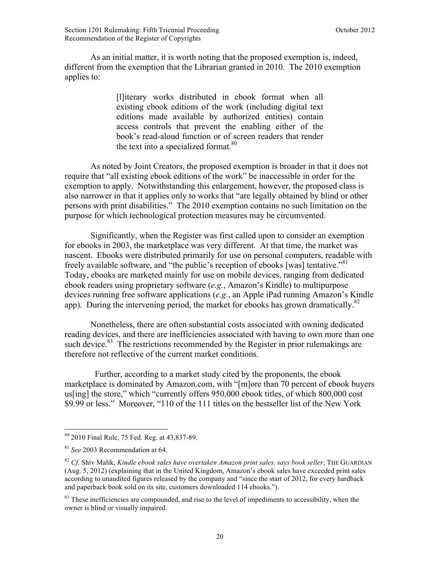As an initial matter, it is worth noting that the proposed exemption is, indeed, different from the exemption that the Librarian granted in 2010. The 2010 exemption applies to:

> [l]iterary works distributed in ebook format when all existing ebook editions of the work (including digital text editions made available by authorized entities) contain access controls that prevent the enabling either of the book's read-aloud function or of screen readers that render the text into a specialized format.<sup>80</sup>

As noted by Joint Creators, the proposed exemption is broader in that it does not require that "all existing ebook editions of the work" be inaccessible in order for the exemption to apply. Notwithstanding this enlargement, however, the proposed class is also narrower in that it applies only to works that "are legally obtained by blind or other persons with print disabilities." The 2010 exemption contains no such limitation on the purpose for which technological protection measures may be circumvented.

Significantly, when the Register was first called upon to consider an exemption for ebooks in 2003, the marketplace was very different. At that time, the market was nascent. Ebooks were distributed primarily for use on personal computers, readable with freely available software, and "the public's reception of ebooks [was] tentative."81 Today, ebooks are marketed mainly for use on mobile devices, ranging from dedicated ebook readers using proprietary software (*e.g.*, Amazon's Kindle) to multipurpose devices running free software applications (*e.g.*, an Apple iPad running Amazon's Kindle app). During the intervening period, the market for ebooks has grown dramatically.<sup>82</sup>

Nonetheless, there are often substantial costs associated with owning dedicated reading devices, and there are inefficiencies associated with having to own more than one such device. $83$  The restrictions recommended by the Register in prior rulemakings are therefore not reflective of the current market conditions.

 Further, according to a market study cited by the proponents, the ebook marketplace is dominated by Amazon.com, with "[m]ore than 70 percent of ebook buyers us[ing] the store," which "currently offers 950,000 ebook titles, of which 800,000 cost \$9.99 or less." Moreover, "110 of the 111 titles on the bestseller list of the New York

<sup>80</sup> 2010 Final Rule, 75 Fed. Reg. at 43,837-89.

<sup>81</sup> *See* 2003 Recommendation at 64.

<sup>82</sup> *Cf.* Shiv Malik, *Kindle ebook sales have overtaken Amazon print sales, says book seller*, THE GUARDIAN (Aug. 5, 2012) (explaining that in the United Kingdom, Amazon's ebook sales have exceeded print sales according to unaudited figures released by the company and "since the start of 2012, for every hardback and paperback book sold on its site, customers downloaded 114 ebooks.").

 $83$  These inefficiencies are compounded, and rise to the level of impediments to accessibility, when the owner is blind or visually impaired.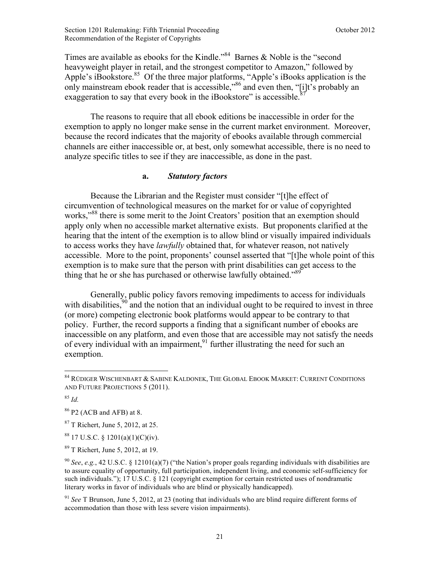Times are available as ebooks for the Kindle."84 Barnes & Noble is the "second heavyweight player in retail, and the strongest competitor to Amazon," followed by Apple's iBookstore.<sup>85</sup> Of the three major platforms, "Apple's iBooks application is the only mainstream ebook reader that is accessible,"86 and even then, "[i]t's probably an exaggeration to say that every book in the iBookstore" is accessible.

The reasons to require that all ebook editions be inaccessible in order for the exemption to apply no longer make sense in the current market environment. Moreover, because the record indicates that the majority of ebooks available through commercial channels are either inaccessible or, at best, only somewhat accessible, there is no need to analyze specific titles to see if they are inaccessible, as done in the past.

#### **a.** *Statutory factors*

Because the Librarian and the Register must consider "[t]he effect of circumvention of technological measures on the market for or value of copyrighted works,"<sup>88</sup> there is some merit to the Joint Creators' position that an exemption should apply only when no accessible market alternative exists. But proponents clarified at the hearing that the intent of the exemption is to allow blind or visually impaired individuals to access works they have *lawfully* obtained that, for whatever reason, not natively accessible. More to the point, proponents' counsel asserted that "[t]he whole point of this exemption is to make sure that the person with print disabilities can get access to the thing that he or she has purchased or otherwise lawfully obtained."<sup>89</sup>

Generally, public policy favors removing impediments to access for individuals with disabilities,  $90$  and the notion that an individual ought to be required to invest in three (or more) competing electronic book platforms would appear to be contrary to that policy. Further, the record supports a finding that a significant number of ebooks are inaccessible on any platform, and even those that are accessible may not satisfy the needs of every individual with an impairment,  $91$  further illustrating the need for such an exemption.

1

<sup>84</sup> RÜDIGER WISCHENBART & SABINE KALDONEK, THE GLOBAL EBOOK MARKET: CURRENT CONDITIONS AND FUTURE PROJECTIONS 5 (2011).

<sup>85</sup> *Id.*

<sup>86</sup> P2 (ACB and AFB) at 8.

<sup>87</sup> T Richert, June 5, 2012, at 25.

 $8817$  U.S.C. § 1201(a)(1)(C)(iv).

<sup>89</sup> T Richert, June 5, 2012, at 19.

<sup>90</sup> *See*, *e.g.*, 42 U.S.C. § 12101(a)(7) ("the Nation's proper goals regarding individuals with disabilities are to assure equality of opportunity, full participation, independent living, and economic self-sufficiency for such individuals."); 17 U.S.C. § 121 (copyright exemption for certain restricted uses of nondramatic literary works in favor of individuals who are blind or physically handicapped).

<sup>91</sup> *See* T Brunson, June 5, 2012, at 23 (noting that individuals who are blind require different forms of accommodation than those with less severe vision impairments).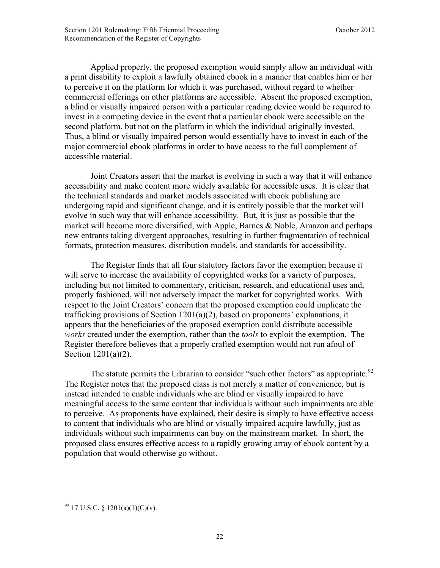Applied properly, the proposed exemption would simply allow an individual with a print disability to exploit a lawfully obtained ebook in a manner that enables him or her to perceive it on the platform for which it was purchased, without regard to whether commercial offerings on other platforms are accessible. Absent the proposed exemption, a blind or visually impaired person with a particular reading device would be required to invest in a competing device in the event that a particular ebook were accessible on the second platform, but not on the platform in which the individual originally invested. Thus, a blind or visually impaired person would essentially have to invest in each of the major commercial ebook platforms in order to have access to the full complement of accessible material.

Joint Creators assert that the market is evolving in such a way that it will enhance accessibility and make content more widely available for accessible uses. It is clear that the technical standards and market models associated with ebook publishing are undergoing rapid and significant change, and it is entirely possible that the market will evolve in such way that will enhance accessibility. But, it is just as possible that the market will become more diversified, with Apple, Barnes & Noble, Amazon and perhaps new entrants taking divergent approaches, resulting in further fragmentation of technical formats, protection measures, distribution models, and standards for accessibility.

The Register finds that all four statutory factors favor the exemption because it will serve to increase the availability of copyrighted works for a variety of purposes, including but not limited to commentary, criticism, research, and educational uses and, properly fashioned, will not adversely impact the market for copyrighted works. With respect to the Joint Creators' concern that the proposed exemption could implicate the trafficking provisions of Section 1201(a)(2), based on proponents' explanations, it appears that the beneficiaries of the proposed exemption could distribute accessible *works* created under the exemption, rather than the *tools* to exploit the exemption. The Register therefore believes that a properly crafted exemption would not run afoul of Section 1201(a)(2).

The statute permits the Librarian to consider "such other factors" as appropriate.<sup>92</sup> The Register notes that the proposed class is not merely a matter of convenience, but is instead intended to enable individuals who are blind or visually impaired to have meaningful access to the same content that individuals without such impairments are able to perceive. As proponents have explained, their desire is simply to have effective access to content that individuals who are blind or visually impaired acquire lawfully, just as individuals without such impairments can buy on the mainstream market. In short, the proposed class ensures effective access to a rapidly growing array of ebook content by a population that would otherwise go without.

<sup>1</sup>  $92$  17 U.S.C. § 1201(a)(1)(C)(v).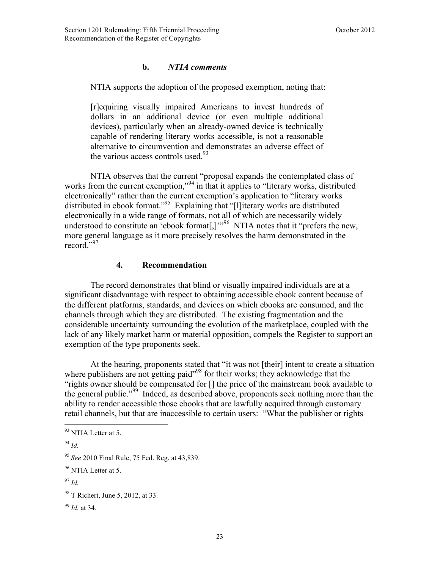#### **b.** *NTIA comments*

NTIA supports the adoption of the proposed exemption, noting that:

[r]equiring visually impaired Americans to invest hundreds of dollars in an additional device (or even multiple additional devices), particularly when an already-owned device is technically capable of rendering literary works accessible, is not a reasonable alternative to circumvention and demonstrates an adverse effect of the various access controls used. $93$ 

NTIA observes that the current "proposal expands the contemplated class of works from the current exemption,"<sup>94</sup> in that it applies to "literary works, distributed electronically" rather than the current exemption's application to "literary works distributed in ebook format."95 Explaining that "[l]iterary works are distributed electronically in a wide range of formats, not all of which are necessarily widely understood to constitute an 'ebook format<sup>[1]',96</sup> NTIA notes that it "prefers the new, more general language as it more precisely resolves the harm demonstrated in the record."<sup>97</sup>

#### **4. Recommendation**

The record demonstrates that blind or visually impaired individuals are at a significant disadvantage with respect to obtaining accessible ebook content because of the different platforms, standards, and devices on which ebooks are consumed, and the channels through which they are distributed. The existing fragmentation and the considerable uncertainty surrounding the evolution of the marketplace, coupled with the lack of any likely market harm or material opposition, compels the Register to support an exemption of the type proponents seek.

At the hearing, proponents stated that "it was not [their] intent to create a situation where publishers are not getting paid"<sup>98</sup> for their works; they acknowledge that the "rights owner should be compensated for [] the price of the mainstream book available to the general public."99 Indeed, as described above, proponents seek nothing more than the ability to render accessible those ebooks that are lawfully acquired through customary retail channels, but that are inaccessible to certain users: "What the publisher or rights

<sup>&</sup>lt;sup>93</sup> NTIA Letter at 5.

<sup>94</sup> *Id.*

<sup>95</sup> *See* 2010 Final Rule, 75 Fed. Reg. at 43,839.

<sup>&</sup>lt;sup>96</sup> NTIA Letter at 5.

<sup>97</sup> *Id.*

<sup>&</sup>lt;sup>98</sup> T Richert, June 5, 2012, at 33.

<sup>99</sup> *Id.* at 34.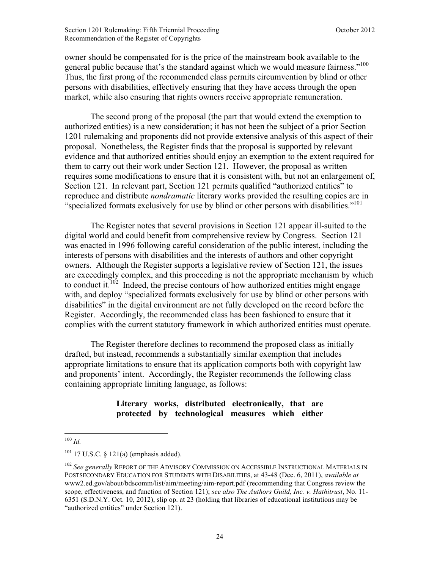owner should be compensated for is the price of the mainstream book available to the general public because that's the standard against which we would measure fairness."<sup>100</sup> Thus, the first prong of the recommended class permits circumvention by blind or other persons with disabilities, effectively ensuring that they have access through the open market, while also ensuring that rights owners receive appropriate remuneration.

 The second prong of the proposal (the part that would extend the exemption to authorized entities) is a new consideration; it has not been the subject of a prior Section 1201 rulemaking and proponents did not provide extensive analysis of this aspect of their proposal. Nonetheless, the Register finds that the proposal is supported by relevant evidence and that authorized entities should enjoy an exemption to the extent required for them to carry out their work under Section 121. However, the proposal as written requires some modifications to ensure that it is consistent with, but not an enlargement of, Section 121. In relevant part, Section 121 permits qualified "authorized entities" to reproduce and distribute *nondramatic* literary works provided the resulting copies are in "specialized formats exclusively for use by blind or other persons with disabilities."<sup>101</sup>

 The Register notes that several provisions in Section 121 appear ill-suited to the digital world and could benefit from comprehensive review by Congress. Section 121 was enacted in 1996 following careful consideration of the public interest, including the interests of persons with disabilities and the interests of authors and other copyright owners. Although the Register supports a legislative review of Section 121, the issues are exceedingly complex, and this proceeding is not the appropriate mechanism by which to conduct it.<sup> $102$ </sup> Indeed, the precise contours of how authorized entities might engage with, and deploy "specialized formats exclusively for use by blind or other persons with disabilities" in the digital environment are not fully developed on the record before the Register. Accordingly, the recommended class has been fashioned to ensure that it complies with the current statutory framework in which authorized entities must operate.

The Register therefore declines to recommend the proposed class as initially drafted, but instead, recommends a substantially similar exemption that includes appropriate limitations to ensure that its application comports both with copyright law and proponents' intent. Accordingly, the Register recommends the following class containing appropriate limiting language, as follows:

#### **Literary works, distributed electronically, that are protected by technological measures which either**

<sup>100</sup> *Id.*

 $101$  17 U.S.C. § 121(a) (emphasis added).

<sup>&</sup>lt;sup>102</sup> See generally REPORT OF THE ADVISORY COMMISSION ON ACCESSIBLE INSTRUCTIONAL MATERIALS IN POSTSECONDARY EDUCATION FOR STUDENTS WITH DISABILITIES, at 43-48 (Dec. 6, 2011), *available at* www2.ed.gov/about/bdscomm/list/aim/meeting/aim-report.pdf (recommending that Congress review the scope, effectiveness, and function of Section 121); *see also The Authors Guild, Inc. v. Hathitrust*, No. 11- 6351 (S.D.N.Y. Oct. 10, 2012), slip op. at 23 (holding that libraries of educational institutions may be "authorized entities" under Section 121).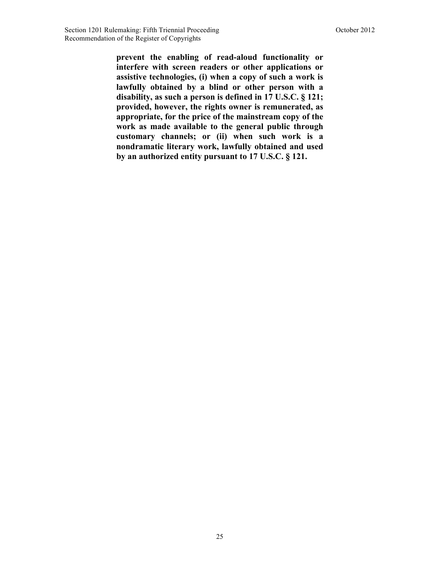**prevent the enabling of read-aloud functionality or interfere with screen readers or other applications or assistive technologies, (i) when a copy of such a work is lawfully obtained by a blind or other person with a disability, as such a person is defined in 17 U.S.C. § 121; provided, however, the rights owner is remunerated, as appropriate, for the price of the mainstream copy of the work as made available to the general public through customary channels; or (ii) when such work is a nondramatic literary work, lawfully obtained and used by an authorized entity pursuant to 17 U.S.C. § 121.**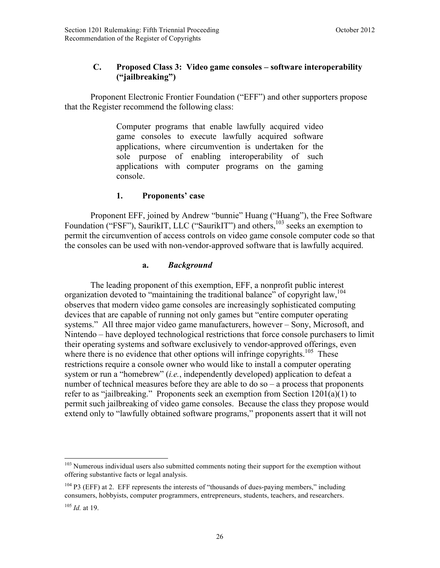# <span id="page-28-0"></span>**C. Proposed Class 3: Video game consoles – software interoperability ("jailbreaking")**

Proponent Electronic Frontier Foundation ("EFF") and other supporters propose that the Register recommend the following class:

> Computer programs that enable lawfully acquired video game consoles to execute lawfully acquired software applications, where circumvention is undertaken for the sole purpose of enabling interoperability of such applications with computer programs on the gaming console.

#### **1. Proponents' case**

Proponent EFF, joined by Andrew "bunnie" Huang ("Huang"), the Free Software Foundation ("FSF"), SaurikIT, LLC ("SaurikIT") and others,<sup>103</sup> seeks an exemption to permit the circumvention of access controls on video game console computer code so that the consoles can be used with non-vendor-approved software that is lawfully acquired.

#### **a.** *Background*

The leading proponent of this exemption, EFF, a nonprofit public interest organization devoted to "maintaining the traditional balance" of copyright law,  $104$ observes that modern video game consoles are increasingly sophisticated computing devices that are capable of running not only games but "entire computer operating systems." All three major video game manufacturers, however – Sony, Microsoft, and Nintendo – have deployed technological restrictions that force console purchasers to limit their operating systems and software exclusively to vendor-approved offerings, even where there is no evidence that other options will infringe copyrights.<sup>105</sup> These restrictions require a console owner who would like to install a computer operating system or run a "homebrew" (*i.e.*, independently developed) application to defeat a number of technical measures before they are able to do so – a process that proponents refer to as "jailbreaking." Proponents seek an exemption from Section 1201(a)(1) to permit such jailbreaking of video game consoles. Because the class they propose would extend only to "lawfully obtained software programs," proponents assert that it will not

 $\overline{a}$  $103$  Numerous individual users also submitted comments noting their support for the exemption without offering substantive facts or legal analysis.

<sup>&</sup>lt;sup>104</sup> P3 (EFF) at 2. EFF represents the interests of "thousands of dues-paying members," including consumers, hobbyists, computer programmers, entrepreneurs, students, teachers, and researchers.

<sup>105</sup> *Id.* at 19.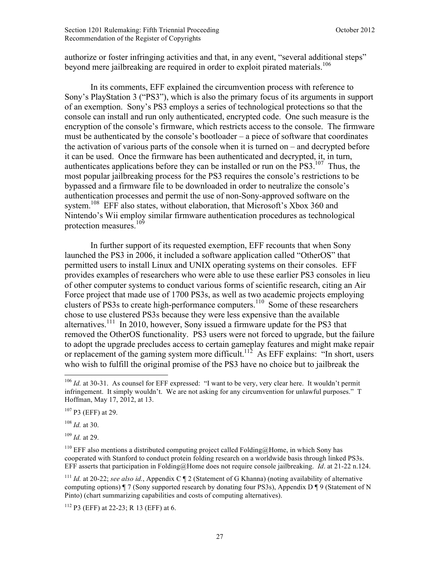authorize or foster infringing activities and that, in any event, "several additional steps" beyond mere jailbreaking are required in order to exploit pirated materials.<sup>106</sup>

In its comments, EFF explained the circumvention process with reference to Sony's PlayStation 3 ("PS3"), which is also the primary focus of its arguments in support of an exemption. Sony's PS3 employs a series of technological protections so that the console can install and run only authenticated, encrypted code. One such measure is the encryption of the console's firmware, which restricts access to the console. The firmware must be authenticated by the console's bootloader – a piece of software that coordinates the activation of various parts of the console when it is turned on – and decrypted before it can be used. Once the firmware has been authenticated and decrypted, it, in turn, authenticates applications before they can be installed or run on the  $PS3$ .<sup>107</sup> Thus, the most popular jailbreaking process for the PS3 requires the console's restrictions to be bypassed and a firmware file to be downloaded in order to neutralize the console's authentication processes and permit the use of non-Sony-approved software on the system.<sup>108</sup> EFF also states, without elaboration, that Microsoft's Xbox 360 and Nintendo's Wii employ similar firmware authentication procedures as technological protection measures.<sup>109</sup>

In further support of its requested exemption, EFF recounts that when Sony launched the PS3 in 2006, it included a software application called "OtherOS" that permitted users to install Linux and UNIX operating systems on their consoles. EFF provides examples of researchers who were able to use these earlier PS3 consoles in lieu of other computer systems to conduct various forms of scientific research, citing an Air Force project that made use of 1700 PS3s, as well as two academic projects employing clusters of PS3s to create high-performance computers.<sup>110</sup> Some of these researchers chose to use clustered PS3s because they were less expensive than the available alternatives.<sup>111</sup> In 2010, however, Sony issued a firmware update for the PS3 that removed the OtherOS functionality. PS3 users were not forced to upgrade, but the failure to adopt the upgrade precludes access to certain gameplay features and might make repair or replacement of the gaming system more difficult.<sup>112</sup> As EFF explains: "In short, users who wish to fulfill the original promise of the PS3 have no choice but to jailbreak the

 $107$  P3 (EFF) at 29.

<sup>108</sup> *Id.* at 30.

 $\overline{a}$ 

<sup>109</sup> *Id.* at 29.

 $112$  P3 (EFF) at 22-23; R 13 (EFF) at 6.

<sup>&</sup>lt;sup>106</sup> *Id.* at 30-31. As counsel for EFF expressed: "I want to be very, very clear here. It wouldn't permit infringement. It simply wouldn't. We are not asking for any circumvention for unlawful purposes." T Hoffman, May 17, 2012, at 13.

<sup>&</sup>lt;sup>110</sup> EFF also mentions a distributed computing project called Folding@Home, in which Sony has cooperated with Stanford to conduct protein folding research on a worldwide basis through linked PS3s. EFF asserts that participation in Folding@Home does not require console jailbreaking. *Id*. at 21-22 n.124.

<sup>&</sup>lt;sup>111</sup> *Id.* at 20-22; *see also id.*, Appendix C  $\P$  2 (Statement of G Khanna) (noting availability of alternative computing options)  $\P$  7 (Sony supported research by donating four PS3s), Appendix D  $\P$  9 (Statement of N Pinto) (chart summarizing capabilities and costs of computing alternatives).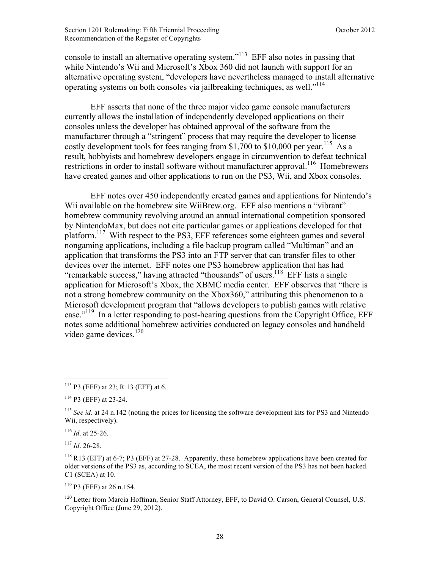console to install an alternative operating system."113 EFF also notes in passing that while Nintendo's Wii and Microsoft's Xbox 360 did not launch with support for an alternative operating system, "developers have nevertheless managed to install alternative operating systems on both consoles via jailbreaking techniques, as well."<sup>114</sup>

EFF asserts that none of the three major video game console manufacturers currently allows the installation of independently developed applications on their consoles unless the developer has obtained approval of the software from the manufacturer through a "stringent" process that may require the developer to license costly development tools for fees ranging from \$1,700 to \$10,000 per year.<sup>115</sup> As a result, hobbyists and homebrew developers engage in circumvention to defeat technical restrictions in order to install software without manufacturer approval.<sup>116</sup> Homebrewers have created games and other applications to run on the PS3, Wii, and Xbox consoles.

EFF notes over 450 independently created games and applications for Nintendo's Wii available on the homebrew site WiiBrew.org. EFF also mentions a "vibrant" homebrew community revolving around an annual international competition sponsored by NintendoMax, but does not cite particular games or applications developed for that platform.<sup>117</sup> With respect to the PS3, EFF references some eighteen games and several nongaming applications, including a file backup program called "Multiman" and an application that transforms the PS3 into an FTP server that can transfer files to other devices over the internet. EFF notes one PS3 homebrew application that has had "remarkable success," having attracted "thousands" of users.<sup>118</sup> EFF lists a single application for Microsoft's Xbox, the XBMC media center. EFF observes that "there is not a strong homebrew community on the Xbox360," attributing this phenomenon to a Microsoft development program that "allows developers to publish games with relative ease."<sup>119</sup> In a letter responding to post-hearing questions from the Copyright Office, EFF notes some additional homebrew activities conducted on legacy consoles and handheld video game devices. $120$ 

<sup>117</sup> *Id*. 26-28.

<u>.</u>

 $119$  P3 (EFF) at 26 n.154.

<sup>120</sup> Letter from Marcia Hoffman, Senior Staff Attorney, EFF, to David O. Carson, General Counsel, U.S. Copyright Office (June 29, 2012).

<sup>113</sup> P3 (EFF) at 23; R 13 (EFF) at 6.

<sup>114</sup> P3 (EFF) at 23-24.

<sup>&</sup>lt;sup>115</sup> *See id.* at 24 n.142 (noting the prices for licensing the software development kits for PS3 and Nintendo Wii, respectively).

<sup>116</sup> *Id*. at 25-26.

 $^{118}$  R13 (EFF) at 6-7; P3 (EFF) at 27-28. Apparently, these homebrew applications have been created for older versions of the PS3 as, according to SCEA, the most recent version of the PS3 has not been hacked. C1 (SCEA) at 10.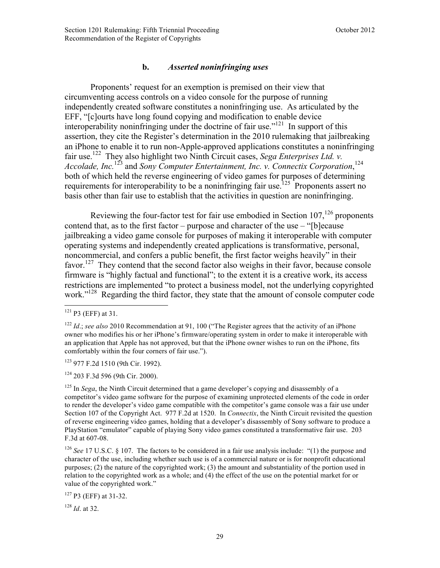#### **b.** *Asserted noninfringing uses*

Proponents' request for an exemption is premised on their view that circumventing access controls on a video console for the purpose of running independently created software constitutes a noninfringing use. As articulated by the EFF, "[c]ourts have long found copying and modification to enable device interoperability noninfringing under the doctrine of fair use."121 In support of this assertion, they cite the Register's determination in the 2010 rulemaking that jailbreaking an iPhone to enable it to run non-Apple-approved applications constitutes a noninfringing fair use.<sup>122</sup> They also highlight two Ninth Circuit cases, *Sega Enterprises Ltd. v.* Accolade, Inc.<sup>123</sup> and *Sony Computer Entertainment, Inc. v. Connectix Corporation*,<sup>124</sup> both of which held the reverse engineering of video games for purposes of determining requirements for interoperability to be a noninfringing fair use.<sup>125</sup> Proponents assert no basis other than fair use to establish that the activities in question are noninfringing.

Reviewing the four-factor test for fair use embodied in Section  $107$ ,<sup>126</sup> proponents contend that, as to the first factor – purpose and character of the use – "[b]ecause jailbreaking a video game console for purposes of making it interoperable with computer operating systems and independently created applications is transformative, personal, noncommercial, and confers a public benefit, the first factor weighs heavily" in their favor.<sup>127</sup> They contend that the second factor also weighs in their favor, because console firmware is "highly factual and functional"; to the extent it is a creative work, its access restrictions are implemented "to protect a business model, not the underlying copyrighted work."<sup>128</sup> Regarding the third factor, they state that the amount of console computer code

 $\overline{a}$ 

<sup>123</sup> 977 F.2d 1510 (9th Cir. 1992).

<sup>124</sup> 203 F.3d 596 (9th Cir. 2000).

<sup>127</sup> P3 (EFF) at 31-32.

<sup>128</sup> *Id*. at 32.

 $121$  P3 (EFF) at 31.

<sup>&</sup>lt;sup>122</sup> *Id.; see also* 2010 Recommendation at 91, 100 ("The Register agrees that the activity of an iPhone owner who modifies his or her iPhone's firmware/operating system in order to make it interoperable with an application that Apple has not approved, but that the iPhone owner wishes to run on the iPhone, fits comfortably within the four corners of fair use.").

<sup>&</sup>lt;sup>125</sup> In *Sega*, the Ninth Circuit determined that a game developer's copying and disassembly of a competitor's video game software for the purpose of examining unprotected elements of the code in order to render the developer's video game compatible with the competitor's game console was a fair use under Section 107 of the Copyright Act. 977 F.2d at 1520. In *Connectix*, the Ninth Circuit revisited the question of reverse engineering video games, holding that a developer's disassembly of Sony software to produce a PlayStation "emulator" capable of playing Sony video games constituted a transformative fair use. 203 F.3d at 607-08.

<sup>&</sup>lt;sup>126</sup> *See* 17 U.S.C. § 107. The factors to be considered in a fair use analysis include: "(1) the purpose and character of the use, including whether such use is of a commercial nature or is for nonprofit educational purposes; (2) the nature of the copyrighted work; (3) the amount and substantiality of the portion used in relation to the copyrighted work as a whole; and (4) the effect of the use on the potential market for or value of the copyrighted work."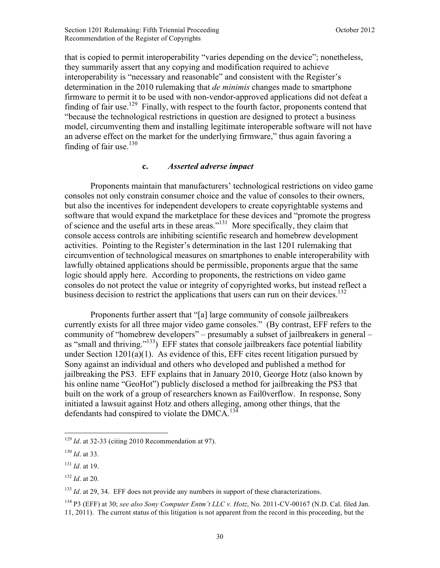that is copied to permit interoperability "varies depending on the device"; nonetheless, they summarily assert that any copying and modification required to achieve interoperability is "necessary and reasonable" and consistent with the Register's determination in the 2010 rulemaking that *de minimis* changes made to smartphone firmware to permit it to be used with non-vendor-approved applications did not defeat a finding of fair use.<sup>129</sup> Finally, with respect to the fourth factor, proponents contend that "because the technological restrictions in question are designed to protect a business model, circumventing them and installing legitimate interoperable software will not have an adverse effect on the market for the underlying firmware," thus again favoring a finding of fair use.<sup>130</sup>

#### **c.** *Asserted adverse impact*

Proponents maintain that manufacturers' technological restrictions on video game consoles not only constrain consumer choice and the value of consoles to their owners, but also the incentives for independent developers to create copyrightable systems and software that would expand the marketplace for these devices and "promote the progress of science and the useful arts in these areas."131 More specifically, they claim that console access controls are inhibiting scientific research and homebrew development activities. Pointing to the Register's determination in the last 1201 rulemaking that circumvention of technological measures on smartphones to enable interoperability with lawfully obtained applications should be permissible, proponents argue that the same logic should apply here. According to proponents, the restrictions on video game consoles do not protect the value or integrity of copyrighted works, but instead reflect a business decision to restrict the applications that users can run on their devices.<sup>132</sup>

Proponents further assert that "[a] large community of console jailbreakers currently exists for all three major video game consoles." (By contrast, EFF refers to the community of "homebrew developers" – presumably a subset of jailbreakers in general – as "small and thriving."<sup>133</sup>) EFF states that console jailbreakers face potential liability under Section 1201(a)(1). As evidence of this, EFF cites recent litigation pursued by Sony against an individual and others who developed and published a method for jailbreaking the PS3. EFF explains that in January 2010, George Hotz (also known by his online name "GeoHot") publicly disclosed a method for jailbreaking the PS3 that built on the work of a group of researchers known as Fail0verflow. In response, Sony initiated a lawsuit against Hotz and others alleging, among other things, that the defendants had conspired to violate the DMCA.<sup>134</sup>

<sup>133</sup> *Id.* at 29, 34. EFF does not provide any numbers in support of these characterizations.

<sup>134</sup> P3 (EFF) at 30; *see also Sony Computer Entm't LLC v. Hotz*, No. 2011-CV-00167 (N.D. Cal. filed Jan. 11, 2011). The current status of this litigation is not apparent from the record in this proceeding, but the

<sup>&</sup>lt;u>.</u> <sup>129</sup> *Id.* at 32-33 (citing 2010 Recommendation at 97).

<sup>130</sup> *Id*. at 33.

<sup>131</sup> *Id*. at 19.

<sup>132</sup> *Id*. at 20.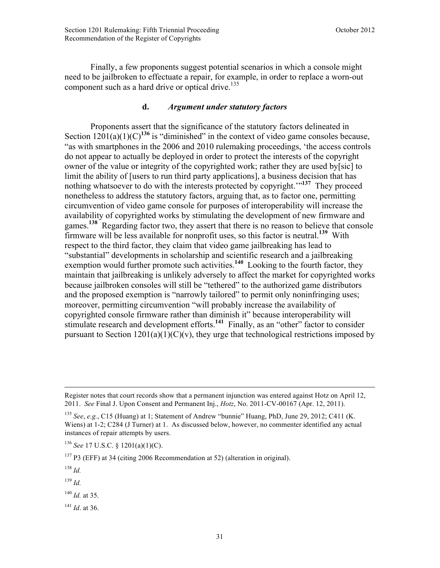Finally, a few proponents suggest potential scenarios in which a console might need to be jailbroken to effectuate a repair, for example, in order to replace a worn-out component such as a hard drive or optical drive.<sup>135</sup>

# **d.** *Argument under statutory factors*

Proponents assert that the significance of the statutory factors delineated in Section  $1201(a)(1)(C)^{136}$  is "diminished" in the context of video game consoles because, "as with smartphones in the 2006 and 2010 rulemaking proceedings, 'the access controls do not appear to actually be deployed in order to protect the interests of the copyright owner of the value or integrity of the copyrighted work; rather they are used by[sic] to limit the ability of [users to run third party applications], a business decision that has nothing whatsoever to do with the interests protected by copyright.'"**<sup>137</sup>** They proceed nonetheless to address the statutory factors, arguing that, as to factor one, permitting circumvention of video game console for purposes of interoperability will increase the availability of copyrighted works by stimulating the development of new firmware and games.**<sup>138</sup>** Regarding factor two, they assert that there is no reason to believe that console firmware will be less available for nonprofit uses, so this factor is neutral.**<sup>139</sup>** With respect to the third factor, they claim that video game jailbreaking has lead to "substantial" developments in scholarship and scientific research and a jailbreaking exemption would further promote such activities.<sup>140</sup> Looking to the fourth factor, they maintain that jailbreaking is unlikely adversely to affect the market for copyrighted works because jailbroken consoles will still be "tethered" to the authorized game distributors and the proposed exemption is "narrowly tailored" to permit only noninfringing uses; moreover, permitting circumvention "will probably increase the availability of copyrighted console firmware rather than diminish it" because interoperability will stimulate research and development efforts.<sup>141</sup> Finally, as an "other" factor to consider pursuant to Section  $1201(a)(1)(C)(v)$ , they urge that technological restrictions imposed by

<sup>138</sup> *Id.*

 $\overline{a}$ 

<sup>139</sup> *Id.*

<sup>140</sup> *Id.* at 35.

<sup>141</sup> *Id*. at 36.

Register notes that court records show that a permanent injunction was entered against Hotz on April 12, 2011. *See* Final J. Upon Consent and Permanent Inj., *Hotz*, No. 2011-CV-00167 (Apr. 12, 2011).

<sup>135</sup> *See*, *e.g.*, C15 (Huang) at 1; Statement of Andrew "bunnie" Huang, PhD, June 29, 2012; C411 (K. Wiens) at 1-2; C284 (J Turner) at 1. As discussed below, however, no commenter identified any actual instances of repair attempts by users.

<sup>136</sup> *See* 17 U.S.C. § 1201(a)(1)(C).

<sup>137</sup> P3 (EFF) at 34 (citing 2006 Recommendation at 52) (alteration in original).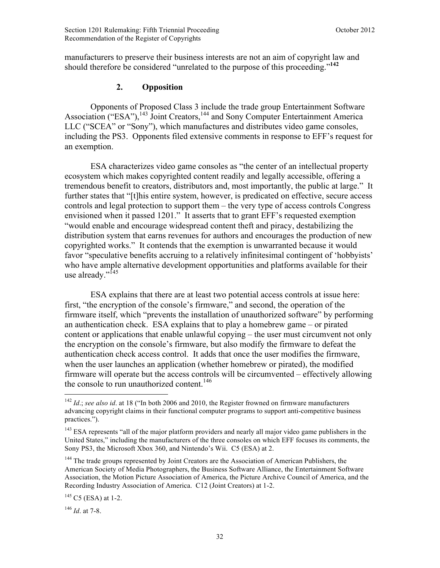manufacturers to preserve their business interests are not an aim of copyright law and should therefore be considered "unrelated to the purpose of this proceeding."**<sup>142</sup>**

#### **2. Opposition**

Opponents of Proposed Class 3 include the trade group Entertainment Software Association ("ESA"),<sup>143</sup> Joint Creators,<sup>144</sup> and Sony Computer Entertainment America LLC ("SCEA" or "Sony"), which manufactures and distributes video game consoles, including the PS3. Opponents filed extensive comments in response to EFF's request for an exemption.

ESA characterizes video game consoles as "the center of an intellectual property ecosystem which makes copyrighted content readily and legally accessible, offering a tremendous benefit to creators, distributors and, most importantly, the public at large." It further states that "[t]his entire system, however, is predicated on effective, secure access controls and legal protection to support them – the very type of access controls Congress envisioned when it passed 1201." It asserts that to grant EFF's requested exemption "would enable and encourage widespread content theft and piracy, destabilizing the distribution system that earns revenues for authors and encourages the production of new copyrighted works." It contends that the exemption is unwarranted because it would favor "speculative benefits accruing to a relatively infinitesimal contingent of 'hobbyists' who have ample alternative development opportunities and platforms available for their use already."<sup>145</sup>

ESA explains that there are at least two potential access controls at issue here: first, "the encryption of the console's firmware," and second, the operation of the firmware itself, which "prevents the installation of unauthorized software" by performing an authentication check. ESA explains that to play a homebrew game – or pirated content or applications that enable unlawful copying – the user must circumvent not only the encryption on the console's firmware, but also modify the firmware to defeat the authentication check access control. It adds that once the user modifies the firmware, when the user launches an application (whether homebrew or pirated), the modified firmware will operate but the access controls will be circumvented – effectively allowing the console to run unauthorized content.<sup>146</sup>

<sup>146</sup> *Id*. at 7-8.

1

<sup>&</sup>lt;sup>142</sup> *Id.*; *see also id.* at 18 ("In both 2006 and 2010, the Register frowned on firmware manufacturers advancing copyright claims in their functional computer programs to support anti-competitive business practices.").

<sup>&</sup>lt;sup>143</sup> ESA represents "all of the major platform providers and nearly all major video game publishers in the United States," including the manufacturers of the three consoles on which EFF focuses its comments, the Sony PS3, the Microsoft Xbox 360, and Nintendo's Wii. C5 (ESA) at 2.

<sup>&</sup>lt;sup>144</sup> The trade groups represented by Joint Creators are the Association of American Publishers, the American Society of Media Photographers, the Business Software Alliance, the Entertainment Software Association, the Motion Picture Association of America, the Picture Archive Council of America, and the Recording Industry Association of America. C12 (Joint Creators) at 1-2.

<sup>&</sup>lt;sup>145</sup> C5 (ESA) at 1-2.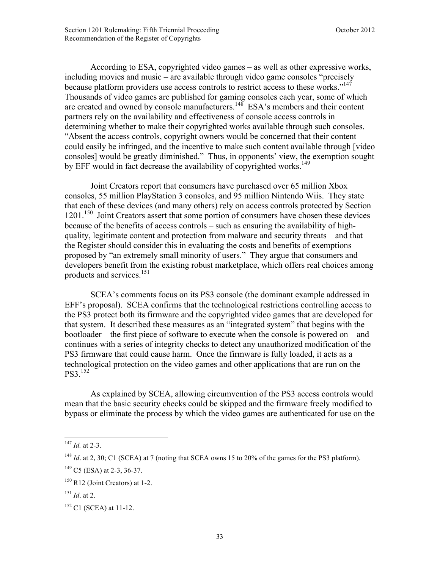According to ESA, copyrighted video games – as well as other expressive works, including movies and music – are available through video game consoles "precisely because platform providers use access controls to restrict access to these works."<sup>147</sup> Thousands of video games are published for gaming consoles each year, some of which are created and owned by console manufacturers.<sup>148</sup> ESA's members and their content partners rely on the availability and effectiveness of console access controls in determining whether to make their copyrighted works available through such consoles. "Absent the access controls, copyright owners would be concerned that their content could easily be infringed, and the incentive to make such content available through [video consoles] would be greatly diminished." Thus, in opponents' view, the exemption sought by EFF would in fact decrease the availability of copyrighted works.<sup>149</sup>

Joint Creators report that consumers have purchased over 65 million Xbox consoles, 55 million PlayStation 3 consoles, and 95 million Nintendo Wiis. They state that each of these devices (and many others) rely on access controls protected by Section 1201.<sup>150</sup> Joint Creators assert that some portion of consumers have chosen these devices because of the benefits of access controls – such as ensuring the availability of highquality, legitimate content and protection from malware and security threats – and that the Register should consider this in evaluating the costs and benefits of exemptions proposed by "an extremely small minority of users." They argue that consumers and developers benefit from the existing robust marketplace, which offers real choices among products and services.<sup>151</sup>

SCEA's comments focus on its PS3 console (the dominant example addressed in EFF's proposal). SCEA confirms that the technological restrictions controlling access to the PS3 protect both its firmware and the copyrighted video games that are developed for that system. It described these measures as an "integrated system" that begins with the bootloader – the first piece of software to execute when the console is powered on – and continues with a series of integrity checks to detect any unauthorized modification of the PS3 firmware that could cause harm. Once the firmware is fully loaded, it acts as a technological protection on the video games and other applications that are run on the PS3.152

As explained by SCEA, allowing circumvention of the PS3 access controls would mean that the basic security checks could be skipped and the firmware freely modified to bypass or eliminate the process by which the video games are authenticated for use on the

 $\overline{a}$ <sup>147</sup> *Id.* at 2-3.

<sup>&</sup>lt;sup>148</sup> *Id.* at 2, 30; C1 (SCEA) at 7 (noting that SCEA owns 15 to 20% of the games for the PS3 platform).

<sup>149</sup> C5 (ESA) at 2-3, 36-37.

<sup>150</sup> R12 (Joint Creators) at 1-2.

<sup>151</sup> *Id*. at 2.

<sup>&</sup>lt;sup>152</sup> C1 (SCEA) at 11-12.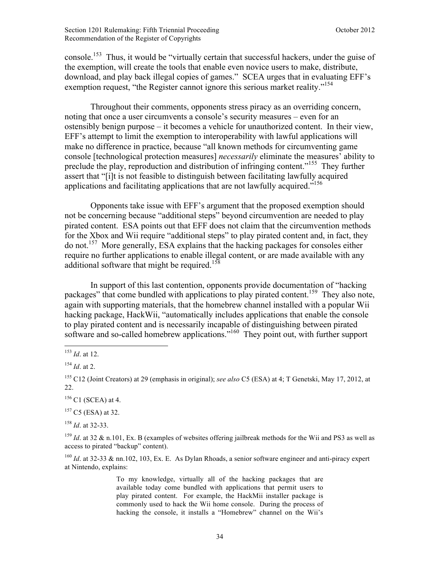console.<sup>153</sup> Thus, it would be "virtually certain that successful hackers, under the guise of the exemption, will create the tools that enable even novice users to make, distribute, download, and play back illegal copies of games." SCEA urges that in evaluating EFF's exemption request, "the Register cannot ignore this serious market reality."<sup>154</sup>

Throughout their comments, opponents stress piracy as an overriding concern, noting that once a user circumvents a console's security measures – even for an ostensibly benign purpose – it becomes a vehicle for unauthorized content. In their view, EFF's attempt to limit the exemption to interoperability with lawful applications will make no difference in practice, because "all known methods for circumventing game console [technological protection measures] *necessarily* eliminate the measures' ability to preclude the play, reproduction and distribution of infringing content."<sup>155</sup> They further assert that "[i]t is not feasible to distinguish between facilitating lawfully acquired applications and facilitating applications that are not lawfully acquired.<sup> $156$ </sup>

Opponents take issue with EFF's argument that the proposed exemption should not be concerning because "additional steps" beyond circumvention are needed to play pirated content. ESA points out that EFF does not claim that the circumvention methods for the Xbox and Wii require "additional steps" to play pirated content and, in fact, they do not.157 More generally, ESA explains that the hacking packages for consoles either require no further applications to enable illegal content, or are made available with any additional software that might be required.<sup>158</sup>

In support of this last contention, opponents provide documentation of "hacking packages" that come bundled with applications to play pirated content.<sup>159</sup> They also note, again with supporting materials, that the homebrew channel installed with a popular Wii hacking package, HackWii, "automatically includes applications that enable the console to play pirated content and is necessarily incapable of distinguishing between pirated software and so-called homebrew applications."<sup>160</sup> They point out, with further support

 $\overline{a}$ 

 $156$  C1 (SCEA) at 4.

 $157 \text{ C}5 \text{ (ESA)}$  at 32.

<sup>158</sup> *Id*. at 32-33.

To my knowledge, virtually all of the hacking packages that are available today come bundled with applications that permit users to play pirated content. For example, the HackMii installer package is commonly used to hack the Wii home console. During the process of hacking the console, it installs a "Homebrew" channel on the Wii's

<sup>153</sup> *Id*. at 12.

<sup>154</sup> *Id*. at 2.

<sup>155</sup> C12 (Joint Creators) at 29 (emphasis in original); *see also* C5 (ESA) at 4; T Genetski, May 17, 2012, at 22.

<sup>&</sup>lt;sup>159</sup> *Id.* at 32 & n.101, Ex. B (examples of websites offering jailbreak methods for the Wii and PS3 as well as access to pirated "backup" content).

<sup>&</sup>lt;sup>160</sup> *Id.* at 32-33 & nn.102, 103, Ex. E. As Dylan Rhoads, a senior software engineer and anti-piracy expert at Nintendo, explains: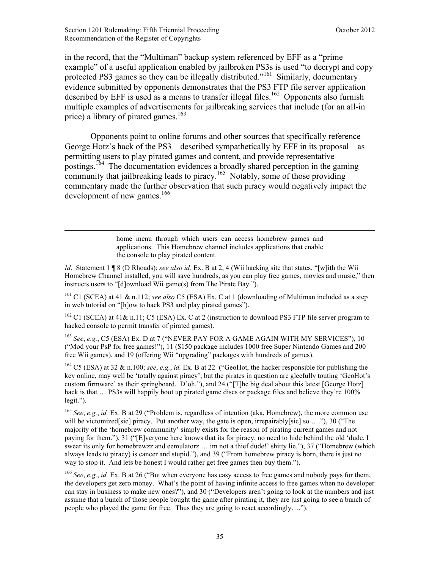in the record, that the "Multiman" backup system referenced by EFF as a "prime example" of a useful application enabled by jailbroken PS3s is used "to decrypt and copy protected PS3 games so they can be illegally distributed."<sup>161</sup> Similarly, documentary evidence submitted by opponents demonstrates that the PS3 FTP file server application described by EFF is used as a means to transfer illegal files.<sup>162</sup> Opponents also furnish multiple examples of advertisements for jailbreaking services that include (for an all-in price) a library of pirated games.<sup>163</sup>

Opponents point to online forums and other sources that specifically reference George Hotz's hack of the PS3 – described sympathetically by EFF in its proposal – as permitting users to play pirated games and content, and provide representative postings.164 The documentation evidences a broadly shared perception in the gaming community that jailbreaking leads to piracy.<sup>165</sup> Notably, some of those providing commentary made the further observation that such piracy would negatively impact the development of new games.<sup>166</sup>

> home menu through which users can access homebrew games and applications. This Homebrew channel includes applications that enable the console to play pirated content.

*Id*. Statement 1 ¶ 8 (D Rhoads); *see also id.* Ex. B at 2, 4 (Wii hacking site that states, "[w]ith the Wii Homebrew Channel installed, you will save hundreds, as you can play free games, movies and music," then instructs users to "[d]ownload Wii game(s) from The Pirate Bay.").

<sup>161</sup> C1 (SCEA) at 41 & n.112; *see also* C5 (ESA) Ex. C at 1 (downloading of Multiman included as a step in web tutorial on "[h]ow to hack PS3 and play pirated games").

 $162$  C1 (SCEA) at 41& n.11; C5 (ESA) Ex. C at 2 (instruction to download PS3 FTP file server program to hacked console to permit transfer of pirated games).

<sup>163</sup> *See*, *e.g.*, C5 (ESA) Ex. D at 7 ("NEVER PAY FOR A GAME AGAIN WITH MY SERVICES"), 10 ("Mod your PsP for free games!"), 11 (\$150 package includes 1000 free Super Nintendo Games and 200 free Wii games), and 19 (offering Wii "upgrading" packages with hundreds of games).

<sup>164</sup> C5 (ESA) at 32 & n.100; *see*, *e.g.*, *id.* Ex. B at 22 ("GeoHot, the hacker responsible for publishing the key online, may well be 'totally against piracy', but the pirates in question are gleefully touting 'GeoHot's custom firmware' as their springboard. D'oh."), and 24 ("[T]he big deal about this latest [George Hotz] hack is that ... PS3s will happily boot up pirated game discs or package files and believe they're 100% legit.").

<sup>165</sup> *See*, *e.g.*, *id.* Ex. B at 29 ("Problem is, regardless of intention (aka, Homebrew), the more common use will be victomized[sic] piracy. Put another way, the gate is open, irrepairably[sic] so ...."), 30 ("The majority of the 'homebrew community' simply exists for the reason of pirating current games and not paying for them."), 31 ("[E]veryone here knows that its for piracy, no need to hide behind the old 'dude, I swear its only for homebrewzz and eemulatorz … im not a thief dude!' shitty lie."), 37 ("Homebrew (which always leads to piracy) is cancer and stupid."), and 39 ("From homebrew piracy is born, there is just no way to stop it. And lets be honest I would rather get free games then buy them.").

<sup>166</sup> *See*, *e.g.*, *id.* Ex. B at 26 ("But when everyone has easy access to free games and nobody pays for them, the developers get zero money. What's the point of having infinite access to free games when no developer can stay in business to make new ones?"), and 30 ("Developers aren't going to look at the numbers and just assume that a bunch of those people bought the game after pirating it, they are just going to see a bunch of people who played the game for free. Thus they are going to react accordingly….").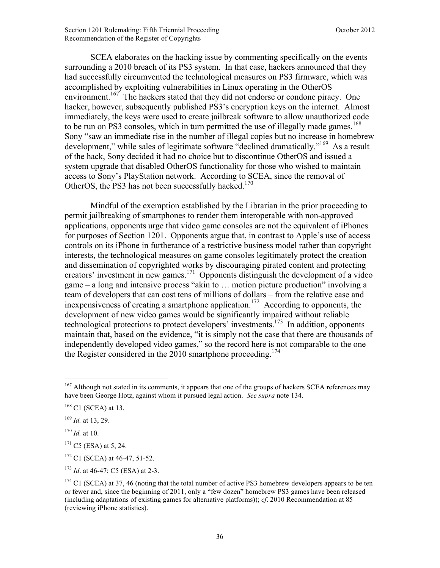SCEA elaborates on the hacking issue by commenting specifically on the events surrounding a 2010 breach of its PS3 system. In that case, hackers announced that they had successfully circumvented the technological measures on PS3 firmware, which was accomplished by exploiting vulnerabilities in Linux operating in the OtherOS environment.<sup>167</sup> The hackers stated that they did not endorse or condone piracy. One hacker, however, subsequently published PS3's encryption keys on the internet. Almost immediately, the keys were used to create jailbreak software to allow unauthorized code to be run on PS3 consoles, which in turn permitted the use of illegally made games.<sup>168</sup> Sony "saw an immediate rise in the number of illegal copies but no increase in homebrew development," while sales of legitimate software "declined dramatically."<sup>169</sup> As a result of the hack, Sony decided it had no choice but to discontinue OtherOS and issued a system upgrade that disabled OtherOS functionality for those who wished to maintain access to Sony's PlayStation network. According to SCEA, since the removal of OtherOS, the PS3 has not been successfully hacked.<sup>170</sup>

Mindful of the exemption established by the Librarian in the prior proceeding to permit jailbreaking of smartphones to render them interoperable with non-approved applications, opponents urge that video game consoles are not the equivalent of iPhones for purposes of Section 1201. Opponents argue that, in contrast to Apple's use of access controls on its iPhone in furtherance of a restrictive business model rather than copyright interests, the technological measures on game consoles legitimately protect the creation and dissemination of copyrighted works by discouraging pirated content and protecting creators' investment in new games.171 Opponents distinguish the development of a video game – a long and intensive process "akin to … motion picture production" involving a team of developers that can cost tens of millions of dollars – from the relative ease and inexpensiveness of creating a smartphone application.<sup>172</sup> According to opponents, the development of new video games would be significantly impaired without reliable technological protections to protect developers' investments.173 In addition, opponents maintain that, based on the evidence, "it is simply not the case that there are thousands of independently developed video games," so the record here is not comparable to the one the Register considered in the 2010 smartphone proceeding.<sup>174</sup>

 $\overline{a}$ <sup>167</sup> Although not stated in its comments, it appears that one of the groups of hackers SCEA references may have been George Hotz, against whom it pursued legal action. *See supra* [note 134.](#page-32-0) 

 $168$  C1 (SCEA) at 13.

<sup>169</sup> *Id.* at 13, 29.

<sup>170</sup> *Id.* at 10.

 $171 \text{ C5}$  (ESA) at 5, 24.

 $172$  C1 (SCEA) at 46-47, 51-52.

<sup>173</sup> *Id*. at 46-47; C5 (ESA) at 2-3.

 $174$  C1 (SCEA) at 37, 46 (noting that the total number of active PS3 homebrew developers appears to be ten or fewer and, since the beginning of 2011, only a "few dozen" homebrew PS3 games have been released (including adaptations of existing games for alternative platforms)); *cf*. 2010 Recommendation at 85 (reviewing iPhone statistics).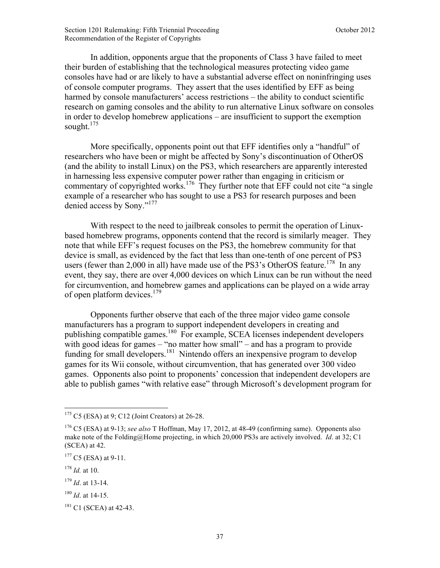In addition, opponents argue that the proponents of Class 3 have failed to meet their burden of establishing that the technological measures protecting video game consoles have had or are likely to have a substantial adverse effect on noninfringing uses of console computer programs. They assert that the uses identified by EFF as being harmed by console manufacturers' access restrictions – the ability to conduct scientific research on gaming consoles and the ability to run alternative Linux software on consoles in order to develop homebrew applications – are insufficient to support the exemption sought.<sup>175</sup>

More specifically, opponents point out that EFF identifies only a "handful" of researchers who have been or might be affected by Sony's discontinuation of OtherOS (and the ability to install Linux) on the PS3, which researchers are apparently interested in harnessing less expensive computer power rather than engaging in criticism or commentary of copyrighted works.<sup>176</sup> They further note that EFF could not cite "a single" example of a researcher who has sought to use a PS3 for research purposes and been denied access by Sony."177

With respect to the need to jailbreak consoles to permit the operation of Linuxbased homebrew programs, opponents contend that the record is similarly meager. They note that while EFF's request focuses on the PS3, the homebrew community for that device is small, as evidenced by the fact that less than one-tenth of one percent of PS3 users (fewer than 2,000 in all) have made use of the PS3's OtherOS feature.<sup>178</sup> In any event, they say, there are over 4,000 devices on which Linux can be run without the need for circumvention, and homebrew games and applications can be played on a wide array of open platform devices.<sup>179</sup>

Opponents further observe that each of the three major video game console manufacturers has a program to support independent developers in creating and publishing compatible games.<sup>180</sup> For example, SCEA licenses independent developers with good ideas for games – "no matter how small" – and has a program to provide funding for small developers.<sup>181</sup> Nintendo offers an inexpensive program to develop games for its Wii console, without circumvention, that has generated over 300 video games. Opponents also point to proponents' concession that independent developers are able to publish games "with relative ease" through Microsoft's development program for

1

 $175$  C5 (ESA) at 9; C12 (Joint Creators) at 26-28.

<sup>176</sup> C5 (ESA) at 9-13; *see also* T Hoffman, May 17, 2012, at 48-49 (confirming same). Opponents also make note of the Folding@Home projecting, in which 20,000 PS3s are actively involved. *Id*. at 32; C1 (SCEA) at 42.

 $177 \text{ C5}$  (ESA) at 9-11.

<sup>178</sup> *Id.* at 10.

<sup>179</sup> *Id*. at 13-14.

<sup>180</sup> *Id*. at 14-15.

<sup>&</sup>lt;sup>181</sup> C1 (SCEA) at 42-43.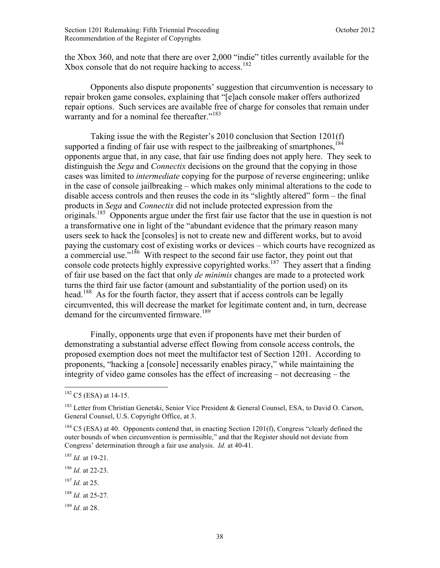the Xbox 360, and note that there are over 2,000 "indie" titles currently available for the Xbox console that do not require hacking to access.<sup>182</sup>

Opponents also dispute proponents' suggestion that circumvention is necessary to repair broken game consoles, explaining that "[e]ach console maker offers authorized repair options. Such services are available free of charge for consoles that remain under warranty and for a nominal fee thereafter."<sup>183</sup>

Taking issue the with the Register's 2010 conclusion that Section 1201(f) supported a finding of fair use with respect to the jailbreaking of smartphones,  $184$ opponents argue that, in any case, that fair use finding does not apply here. They seek to distinguish the *Sega* and *Connectix* decisions on the ground that the copying in those cases was limited to *intermediate* copying for the purpose of reverse engineering; unlike in the case of console jailbreaking – which makes only minimal alterations to the code to disable access controls and then reuses the code in its "slightly altered" form – the final products in *Sega* and *Connectix* did not include protected expression from the originals.<sup>185</sup> Opponents argue under the first fair use factor that the use in question is not a transformative one in light of the "abundant evidence that the primary reason many users seek to hack the [consoles] is not to create new and different works, but to avoid paying the customary cost of existing works or devices – which courts have recognized as a commercial use." $186$  With respect to the second fair use factor, they point out that console code protects highly expressive copyrighted works.<sup>187</sup> They assert that a finding of fair use based on the fact that only *de minimis* changes are made to a protected work turns the third fair use factor (amount and substantiality of the portion used) on its head.<sup>188</sup> As for the fourth factor, they assert that if access controls can be legally circumvented, this will decrease the market for legitimate content and, in turn, decrease demand for the circumvented firmware.<sup>189</sup>

Finally, opponents urge that even if proponents have met their burden of demonstrating a substantial adverse effect flowing from console access controls, the proposed exemption does not meet the multifactor test of Section 1201. According to proponents, "hacking a [console] necessarily enables piracy," while maintaining the integrity of video game consoles has the effect of increasing – not decreasing – the

<u>.</u>

<sup>187</sup> *Id.* at 25.

 $182 \text{ C5}$  (ESA) at 14-15.

<sup>&</sup>lt;sup>183</sup> Letter from Christian Genetski, Senior Vice President & General Counsel, ESA, to David O. Carson, General Counsel, U.S. Copyright Office, at 3.

<sup>&</sup>lt;sup>184</sup> C5 (ESA) at 40. Opponents contend that, in enacting Section 1201(f), Congress "clearly defined the outer bounds of when circumvention is permissible," and that the Register should not deviate from Congress' determination through a fair use analysis. *Id.* at 40-41.

<sup>185</sup> *Id.* at 19-21.

<sup>186</sup> *Id.* at 22-23.

<sup>188</sup> *Id.* at 25-27.

<sup>189</sup> *Id.* at 28.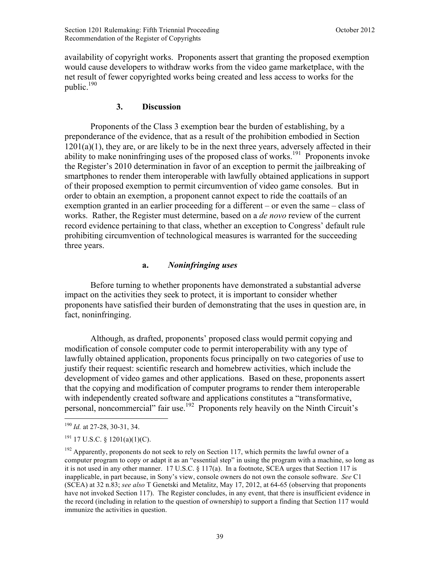availability of copyright works. Proponents assert that granting the proposed exemption would cause developers to withdraw works from the video game marketplace, with the net result of fewer copyrighted works being created and less access to works for the public. $190$ 

## **3. Discussion**

 Proponents of the Class 3 exemption bear the burden of establishing, by a preponderance of the evidence, that as a result of the prohibition embodied in Section  $1201(a)(1)$ , they are, or are likely to be in the next three years, adversely affected in their ability to make noninfringing uses of the proposed class of works.<sup>191</sup> Proponents invoke the Register's 2010 determination in favor of an exception to permit the jailbreaking of smartphones to render them interoperable with lawfully obtained applications in support of their proposed exemption to permit circumvention of video game consoles. But in order to obtain an exemption, a proponent cannot expect to ride the coattails of an exemption granted in an earlier proceeding for a different – or even the same – class of works. Rather, the Register must determine, based on a *de novo* review of the current record evidence pertaining to that class, whether an exception to Congress' default rule prohibiting circumvention of technological measures is warranted for the succeeding three years.

## **a.** *Noninfringing uses*

 Before turning to whether proponents have demonstrated a substantial adverse impact on the activities they seek to protect, it is important to consider whether proponents have satisfied their burden of demonstrating that the uses in question are, in fact, noninfringing.

Although, as drafted, proponents' proposed class would permit copying and modification of console computer code to permit interoperability with any type of lawfully obtained application, proponents focus principally on two categories of use to justify their request: scientific research and homebrew activities, which include the development of video games and other applications. Based on these, proponents assert that the copying and modification of computer programs to render them interoperable with independently created software and applications constitutes a "transformative, personal, noncommercial" fair use.<sup>192</sup> Proponents rely heavily on the Ninth Circuit's

<sup>190</sup> *Id.* at 27-28, 30-31, 34.

 $191$  17 U.S.C. § 1201(a)(1)(C).

 $192$  Apparently, proponents do not seek to rely on Section 117, which permits the lawful owner of a computer program to copy or adapt it as an "essential step" in using the program with a machine, so long as it is not used in any other manner. 17 U.S.C. § 117(a). In a footnote, SCEA urges that Section 117 is inapplicable, in part because, in Sony's view, console owners do not own the console software. *See* C1 (SCEA) at 32 n.83; *see also* T Genetski and Metalitz, May 17, 2012, at 64-65 (observing that proponents have not invoked Section 117). The Register concludes, in any event, that there is insufficient evidence in the record (including in relation to the question of ownership) to support a finding that Section 117 would immunize the activities in question.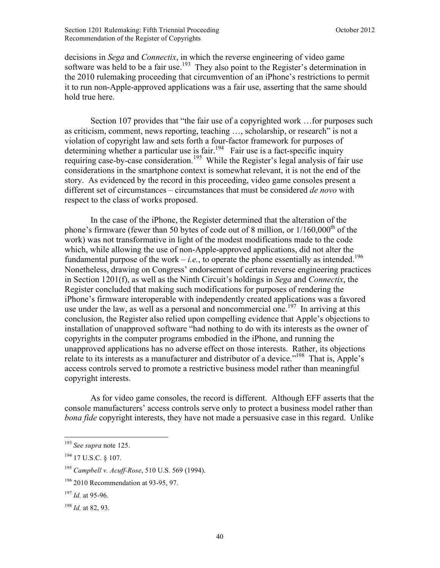decisions in *Sega* and *Connectix*, in which the reverse engineering of video game software was held to be a fair use.<sup>193</sup> They also point to the Register's determination in the 2010 rulemaking proceeding that circumvention of an iPhone's restrictions to permit it to run non-Apple-approved applications was a fair use, asserting that the same should hold true here.

 Section 107 provides that "the fair use of a copyrighted work …for purposes such as criticism, comment, news reporting, teaching …, scholarship, or research" is not a violation of copyright law and sets forth a four-factor framework for purposes of determining whether a particular use is fair.<sup>194</sup> Fair use is a fact-specific inquiry requiring case-by-case consideration.<sup>195</sup> While the Register's legal analysis of fair use considerations in the smartphone context is somewhat relevant, it is not the end of the story. As evidenced by the record in this proceeding, video game consoles present a different set of circumstances – circumstances that must be considered *de novo* with respect to the class of works proposed.

 In the case of the iPhone, the Register determined that the alteration of the phone's firmware (fewer than 50 bytes of code out of 8 million, or  $1/160,000<sup>th</sup>$  of the work) was not transformative in light of the modest modifications made to the code which, while allowing the use of non-Apple-approved applications, did not alter the fundamental purpose of the work – *i.e.*, to operate the phone essentially as intended.<sup>196</sup> Nonetheless, drawing on Congress' endorsement of certain reverse engineering practices in Section 1201(f), as well as the Ninth Circuit's holdings in *Sega* and *Connectix*, the Register concluded that making such modifications for purposes of rendering the iPhone's firmware interoperable with independently created applications was a favored use under the law, as well as a personal and noncommercial one.<sup>197</sup> In arriving at this conclusion, the Register also relied upon compelling evidence that Apple's objections to installation of unapproved software "had nothing to do with its interests as the owner of copyrights in the computer programs embodied in the iPhone, and running the unapproved applications has no adverse effect on those interests. Rather, its objections relate to its interests as a manufacturer and distributor of a device."<sup>198</sup> That is, Apple's access controls served to promote a restrictive business model rather than meaningful copyright interests.

 As for video game consoles, the record is different. Although EFF asserts that the console manufacturers' access controls serve only to protect a business model rather than *bona fide* copyright interests, they have not made a persuasive case in this regard. Unlike

1

<sup>193</sup> *See supra* [note 125.](#page-31-0) 

<sup>194</sup> 17 U.S.C. § 107.

<sup>195</sup> *Campbell v. Acuff-Rose*, 510 U.S. 569 (1994).

<sup>196</sup> 2010 Recommendation at 93-95, 97.

<sup>197</sup> *Id.* at 95-96.

<sup>198</sup> *Id.* at 82, 93.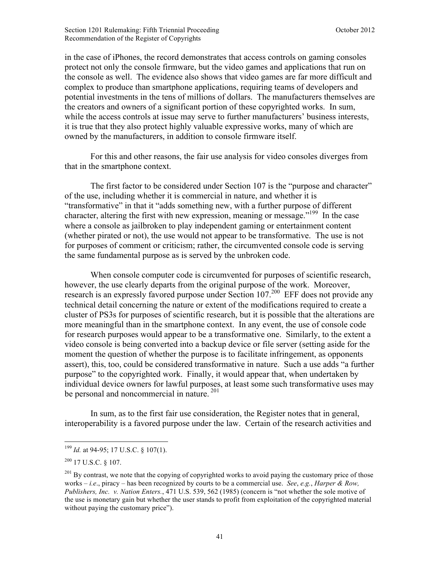in the case of iPhones, the record demonstrates that access controls on gaming consoles protect not only the console firmware, but the video games and applications that run on the console as well. The evidence also shows that video games are far more difficult and complex to produce than smartphone applications, requiring teams of developers and potential investments in the tens of millions of dollars. The manufacturers themselves are the creators and owners of a significant portion of these copyrighted works. In sum, while the access controls at issue may serve to further manufacturers' business interests, it is true that they also protect highly valuable expressive works, many of which are owned by the manufacturers, in addition to console firmware itself.

 For this and other reasons, the fair use analysis for video consoles diverges from that in the smartphone context.

 The first factor to be considered under Section 107 is the "purpose and character" of the use, including whether it is commercial in nature, and whether it is "transformative" in that it "adds something new, with a further purpose of different character, altering the first with new expression, meaning or message.<sup> $199$ </sup> In the case where a console as jailbroken to play independent gaming or entertainment content (whether pirated or not), the use would not appear to be transformative. The use is not for purposes of comment or criticism; rather, the circumvented console code is serving the same fundamental purpose as is served by the unbroken code.

When console computer code is circumvented for purposes of scientific research, however, the use clearly departs from the original purpose of the work. Moreover, research is an expressly favored purpose under Section  $107<sup>200</sup>$  EFF does not provide any technical detail concerning the nature or extent of the modifications required to create a cluster of PS3s for purposes of scientific research, but it is possible that the alterations are more meaningful than in the smartphone context. In any event, the use of console code for research purposes would appear to be a transformative one. Similarly, to the extent a video console is being converted into a backup device or file server (setting aside for the moment the question of whether the purpose is to facilitate infringement, as opponents assert), this, too, could be considered transformative in nature. Such a use adds "a further purpose" to the copyrighted work. Finally, it would appear that, when undertaken by individual device owners for lawful purposes, at least some such transformative uses may be personal and noncommercial in nature.<sup>201</sup>

 In sum, as to the first fair use consideration, the Register notes that in general, interoperability is a favored purpose under the law. Certain of the research activities and

<sup>199</sup> *Id.* at 94-95; 17 U.S.C. § 107(1).

 $^{200}$  17 U.S.C. 8 107.

 $^{201}$  By contrast, we note that the copying of copyrighted works to avoid paying the customary price of those works – *i.e*., piracy – has been recognized by courts to be a commercial use. *See*, *e.g.*, *Harper & Row, Publishers, Inc. v. Nation Enters.*, 471 U.S. 539, 562 (1985) (concern is "not whether the sole motive of the use is monetary gain but whether the user stands to profit from exploitation of the copyrighted material without paying the customary price").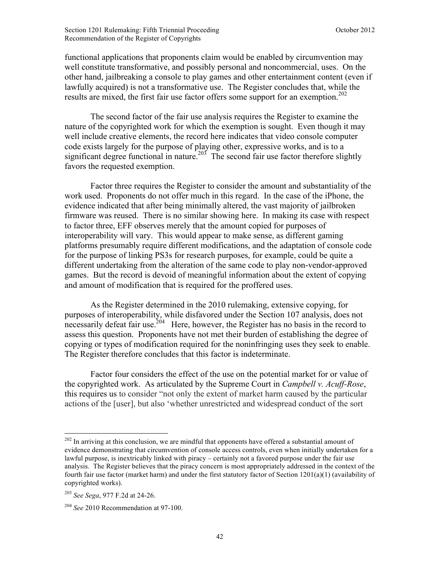functional applications that proponents claim would be enabled by circumvention may well constitute transformative, and possibly personal and noncommercial, uses. On the other hand, jailbreaking a console to play games and other entertainment content (even if lawfully acquired) is not a transformative use. The Register concludes that, while the results are mixed, the first fair use factor offers some support for an exemption.<sup>202</sup>

 The second factor of the fair use analysis requires the Register to examine the nature of the copyrighted work for which the exemption is sought. Even though it may well include creative elements, the record here indicates that video console computer code exists largely for the purpose of playing other, expressive works, and is to a significant degree functional in nature.<sup>203</sup> The second fair use factor therefore slightly favors the requested exemption.

 Factor three requires the Register to consider the amount and substantiality of the work used. Proponents do not offer much in this regard. In the case of the iPhone, the evidence indicated that after being minimally altered, the vast majority of jailbroken firmware was reused. There is no similar showing here. In making its case with respect to factor three, EFF observes merely that the amount copied for purposes of interoperability will vary. This would appear to make sense, as different gaming platforms presumably require different modifications, and the adaptation of console code for the purpose of linking PS3s for research purposes, for example, could be quite a different undertaking from the alteration of the same code to play non-vendor-approved games. But the record is devoid of meaningful information about the extent of copying and amount of modification that is required for the proffered uses.

 As the Register determined in the 2010 rulemaking, extensive copying, for purposes of interoperability, while disfavored under the Section 107 analysis, does not necessarily defeat fair use.<sup>204</sup> Here, however, the Register has no basis in the record to assess this question. Proponents have not met their burden of establishing the degree of copying or types of modification required for the noninfringing uses they seek to enable. The Register therefore concludes that this factor is indeterminate.

 Factor four considers the effect of the use on the potential market for or value of the copyrighted work. As articulated by the Supreme Court in *Campbell v. Acuff-Rose*, this requires us to consider "not only the extent of market harm caused by the particular actions of the [user], but also 'whether unrestricted and widespread conduct of the sort

<sup>&</sup>lt;sup>202</sup> In arriving at this conclusion, we are mindful that opponents have offered a substantial amount of evidence demonstrating that circumvention of console access controls, even when initially undertaken for a lawful purpose, is inextricably linked with piracy – certainly not a favored purpose under the fair use analysis. The Register believes that the piracy concern is most appropriately addressed in the context of the fourth fair use factor (market harm) and under the first statutory factor of Section 1201(a)(1) (availability of copyrighted works).

<sup>203</sup> *See Sega*, 977 F.2d at 24-26.

<sup>204</sup> *See* 2010 Recommendation at 97-100.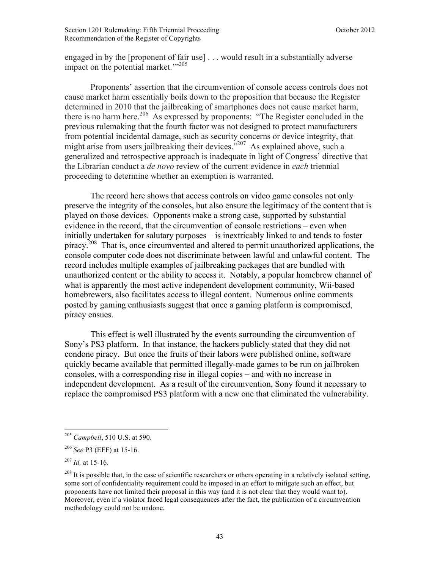engaged in by the [proponent of fair use] . . . would result in a substantially adverse impact on the potential market.'"<sup>205</sup>

 Proponents' assertion that the circumvention of console access controls does not cause market harm essentially boils down to the proposition that because the Register determined in 2010 that the jailbreaking of smartphones does not cause market harm, there is no harm here.<sup>206</sup> As expressed by proponents: "The Register concluded in the previous rulemaking that the fourth factor was not designed to protect manufacturers from potential incidental damage, such as security concerns or device integrity, that might arise from users jailbreaking their devices.<sup>5,207</sup> As explained above, such a generalized and retrospective approach is inadequate in light of Congress' directive that the Librarian conduct a *de novo* review of the current evidence in *each* triennial proceeding to determine whether an exemption is warranted.

 The record here shows that access controls on video game consoles not only preserve the integrity of the consoles, but also ensure the legitimacy of the content that is played on those devices. Opponents make a strong case, supported by substantial evidence in the record, that the circumvention of console restrictions – even when initially undertaken for salutary purposes – is inextricably linked to and tends to foster piracy.<sup>208</sup> That is, once circumvented and altered to permit unauthorized applications, the console computer code does not discriminate between lawful and unlawful content. The record includes multiple examples of jailbreaking packages that are bundled with unauthorized content or the ability to access it. Notably, a popular homebrew channel of what is apparently the most active independent development community, Wii-based homebrewers, also facilitates access to illegal content. Numerous online comments posted by gaming enthusiasts suggest that once a gaming platform is compromised, piracy ensues.

 This effect is well illustrated by the events surrounding the circumvention of Sony's PS3 platform. In that instance, the hackers publicly stated that they did not condone piracy. But once the fruits of their labors were published online, software quickly became available that permitted illegally-made games to be run on jailbroken consoles, with a corresponding rise in illegal copies – and with no increase in independent development. As a result of the circumvention, Sony found it necessary to replace the compromised PS3 platform with a new one that eliminated the vulnerability.

1

<sup>205</sup> *Campbell*, 510 U.S. at 590.

<sup>206</sup> *See* P3 (EFF) at 15-16.

 $^{207}$  *Id.* at 15-16.

<sup>&</sup>lt;sup>208</sup> It is possible that, in the case of scientific researchers or others operating in a relatively isolated setting, some sort of confidentiality requirement could be imposed in an effort to mitigate such an effect, but proponents have not limited their proposal in this way (and it is not clear that they would want to). Moreover, even if a violator faced legal consequences after the fact, the publication of a circumvention methodology could not be undone.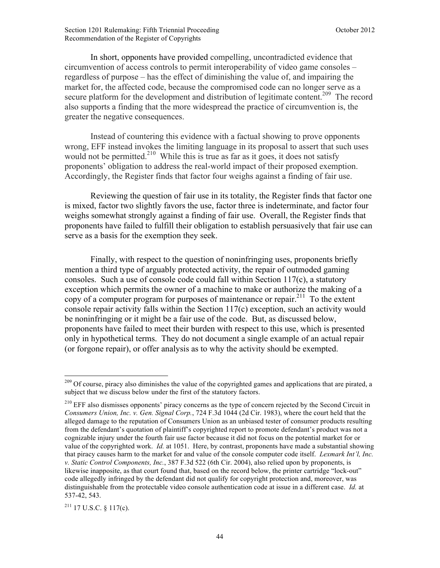In short, opponents have provided compelling, uncontradicted evidence that circumvention of access controls to permit interoperability of video game consoles – regardless of purpose – has the effect of diminishing the value of, and impairing the market for, the affected code, because the compromised code can no longer serve as a secure platform for the development and distribution of legitimate content.<sup>209</sup> The record also supports a finding that the more widespread the practice of circumvention is, the greater the negative consequences.

 Instead of countering this evidence with a factual showing to prove opponents wrong, EFF instead invokes the limiting language in its proposal to assert that such uses would not be permitted.<sup>210</sup> While this is true as far as it goes, it does not satisfy proponents' obligation to address the real-world impact of their proposed exemption. Accordingly, the Register finds that factor four weighs against a finding of fair use.

Reviewing the question of fair use in its totality, the Register finds that factor one is mixed, factor two slightly favors the use, factor three is indeterminate, and factor four weighs somewhat strongly against a finding of fair use. Overall, the Register finds that proponents have failed to fulfill their obligation to establish persuasively that fair use can serve as a basis for the exemption they seek.

Finally, with respect to the question of noninfringing uses, proponents briefly mention a third type of arguably protected activity, the repair of outmoded gaming consoles. Such a use of console code could fall within Section 117(c), a statutory exception which permits the owner of a machine to make or authorize the making of a copy of a computer program for purposes of maintenance or repair.<sup>211</sup> To the extent console repair activity falls within the Section 117(c) exception, such an activity would be noninfringing or it might be a fair use of the code. But, as discussed below, proponents have failed to meet their burden with respect to this use, which is presented only in hypothetical terms. They do not document a single example of an actual repair (or forgone repair), or offer analysis as to why the activity should be exempted.

 $^{211}$  17 U.S.C. § 117(c).

<u>.</u>

<sup>&</sup>lt;sup>209</sup> Of course, piracy also diminishes the value of the copyrighted games and applications that are pirated, a subject that we discuss below under the first of the statutory factors.

<sup>&</sup>lt;sup>210</sup> EFF also dismisses opponents' piracy concerns as the type of concern rejected by the Second Circuit in *Consumers Union, Inc. v. Gen. Signal Corp.*, 724 F.3d 1044 (2d Cir. 1983), where the court held that the alleged damage to the reputation of Consumers Union as an unbiased tester of consumer products resulting from the defendant's quotation of plaintiff's copyrighted report to promote defendant's product was not a cognizable injury under the fourth fair use factor because it did not focus on the potential market for or value of the copyrighted work. *Id.* at 1051. Here, by contrast, proponents have made a substantial showing that piracy causes harm to the market for and value of the console computer code itself. *Lexmark Int'l, Inc. v. Static Control Components, Inc.*, 387 F.3d 522 (6th Cir. 2004), also relied upon by proponents, is likewise inapposite, as that court found that, based on the record below, the printer cartridge "lock-out" code allegedly infringed by the defendant did not qualify for copyright protection and, moreover, was distinguishable from the protectable video console authentication code at issue in a different case. *Id.* at 537-42, 543.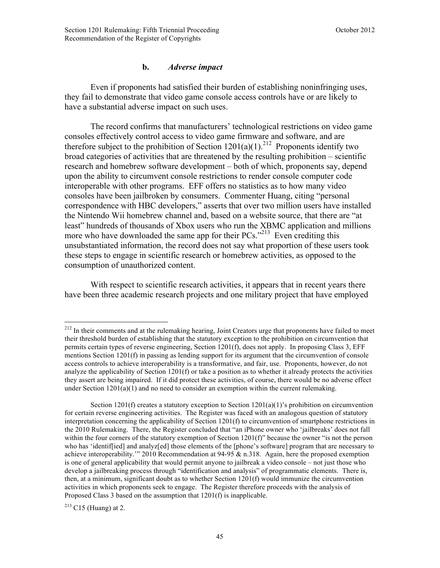### **b.** *Adverse impact*

Even if proponents had satisfied their burden of establishing noninfringing uses, they fail to demonstrate that video game console access controls have or are likely to have a substantial adverse impact on such uses.

The record confirms that manufacturers' technological restrictions on video game consoles effectively control access to video game firmware and software, and are therefore subject to the prohibition of Section  $1201(a)(1)$ <sup>212</sup> Proponents identify two broad categories of activities that are threatened by the resulting prohibition – scientific research and homebrew software development – both of which, proponents say, depend upon the ability to circumvent console restrictions to render console computer code interoperable with other programs. EFF offers no statistics as to how many video consoles have been jailbroken by consumers. Commenter Huang, citing "personal correspondence with HBC developers," asserts that over two million users have installed the Nintendo Wii homebrew channel and, based on a website source, that there are "at least" hundreds of thousands of Xbox users who run the XBMC application and millions more who have downloaded the same app for their  $PCs$ .<sup> $213$ </sup> Even crediting this unsubstantiated information, the record does not say what proportion of these users took these steps to engage in scientific research or homebrew activities, as opposed to the consumption of unauthorized content.

With respect to scientific research activities, it appears that in recent years there have been three academic research projects and one military project that have employed

 $213$  C15 (Huang) at 2.

<u>.</u>

<sup>&</sup>lt;sup>212</sup> In their comments and at the rulemaking hearing, Joint Creators urge that proponents have failed to meet their threshold burden of establishing that the statutory exception to the prohibition on circumvention that permits certain types of reverse engineering, Section 1201(f), does not apply. In proposing Class 3, EFF mentions Section 1201(f) in passing as lending support for its argument that the circumvention of console access controls to achieve interoperability is a transformative, and fair, use. Proponents, however, do not analyze the applicability of Section  $1201(f)$  or take a position as to whether it already protects the activities they assert are being impaired. If it did protect these activities, of course, there would be no adverse effect under Section  $1201(a)(1)$  and no need to consider an exemption within the current rulemaking.

Section 1201(f) creates a statutory exception to Section 1201(a)(1)'s prohibition on circumvention for certain reverse engineering activities. The Register was faced with an analogous question of statutory interpretation concerning the applicability of Section 1201(f) to circumvention of smartphone restrictions in the 2010 Rulemaking. There, the Register concluded that "an iPhone owner who 'jailbreaks' does not fall within the four corners of the statutory exemption of Section 1201(f)" because the owner "is not the person who has 'identif[ied] and analyz[ed] those elements of the [phone's software] program that are necessary to achieve interoperability." 2010 Recommendation at 94-95 & n.318. Again, here the proposed exemption is one of general applicability that would permit anyone to jailbreak a video console – not just those who develop a jailbreaking process through "identification and analysis" of programmatic elements. There is, then, at a minimum, significant doubt as to whether Section 1201(f) would immunize the circumvention activities in which proponents seek to engage. The Register therefore proceeds with the analysis of Proposed Class 3 based on the assumption that 1201(f) is inapplicable.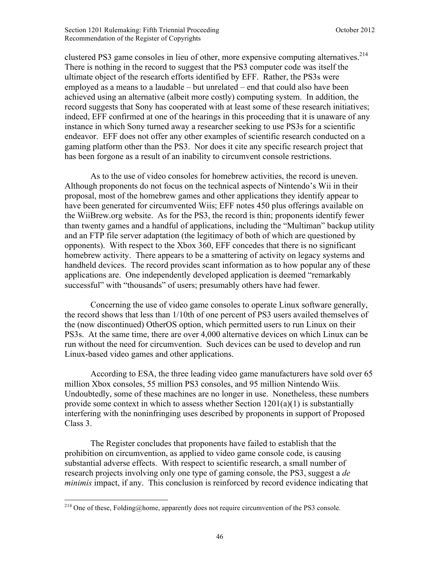clustered PS3 game consoles in lieu of other, more expensive computing alternatives.<sup>214</sup> There is nothing in the record to suggest that the PS3 computer code was itself the ultimate object of the research efforts identified by EFF. Rather, the PS3s were employed as a means to a laudable – but unrelated – end that could also have been achieved using an alternative (albeit more costly) computing system. In addition, the record suggests that Sony has cooperated with at least some of these research initiatives; indeed, EFF confirmed at one of the hearings in this proceeding that it is unaware of any instance in which Sony turned away a researcher seeking to use PS3s for a scientific endeavor. EFF does not offer any other examples of scientific research conducted on a gaming platform other than the PS3. Nor does it cite any specific research project that has been forgone as a result of an inability to circumvent console restrictions.

As to the use of video consoles for homebrew activities, the record is uneven. Although proponents do not focus on the technical aspects of Nintendo's Wii in their proposal, most of the homebrew games and other applications they identify appear to have been generated for circumvented Wiis; EFF notes 450 plus offerings available on the WiiBrew.org website. As for the PS3, the record is thin; proponents identify fewer than twenty games and a handful of applications, including the "Multiman" backup utility and an FTP file server adaptation (the legitimacy of both of which are questioned by opponents). With respect to the Xbox 360, EFF concedes that there is no significant homebrew activity. There appears to be a smattering of activity on legacy systems and handheld devices. The record provides scant information as to how popular any of these applications are. One independently developed application is deemed "remarkably successful" with "thousands" of users; presumably others have had fewer.

 Concerning the use of video game consoles to operate Linux software generally, the record shows that less than 1/10th of one percent of PS3 users availed themselves of the (now discontinued) OtherOS option, which permitted users to run Linux on their PS3s. At the same time, there are over 4,000 alternative devices on which Linux can be run without the need for circumvention. Such devices can be used to develop and run Linux-based video games and other applications.

According to ESA, the three leading video game manufacturers have sold over 65 million Xbox consoles, 55 million PS3 consoles, and 95 million Nintendo Wiis. Undoubtedly, some of these machines are no longer in use. Nonetheless, these numbers provide some context in which to assess whether Section 1201(a)(1) is substantially interfering with the noninfringing uses described by proponents in support of Proposed Class 3.

The Register concludes that proponents have failed to establish that the prohibition on circumvention, as applied to video game console code, is causing substantial adverse effects. With respect to scientific research, a small number of research projects involving only one type of gaming console, the PS3, suggest a *de minimis* impact, if any. This conclusion is reinforced by record evidence indicating that

<sup>&</sup>lt;sup>214</sup> One of these, Folding@home, apparently does not require circumvention of the PS3 console.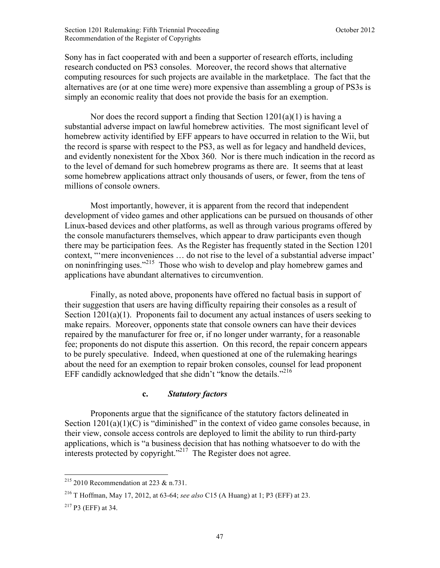Sony has in fact cooperated with and been a supporter of research efforts, including research conducted on PS3 consoles. Moreover, the record shows that alternative computing resources for such projects are available in the marketplace. The fact that the alternatives are (or at one time were) more expensive than assembling a group of PS3s is simply an economic reality that does not provide the basis for an exemption.

Nor does the record support a finding that Section  $1201(a)(1)$  is having a substantial adverse impact on lawful homebrew activities. The most significant level of homebrew activity identified by EFF appears to have occurred in relation to the Wii, but the record is sparse with respect to the PS3, as well as for legacy and handheld devices, and evidently nonexistent for the Xbox 360. Nor is there much indication in the record as to the level of demand for such homebrew programs as there are. It seems that at least some homebrew applications attract only thousands of users, or fewer, from the tens of millions of console owners.

Most importantly, however, it is apparent from the record that independent development of video games and other applications can be pursued on thousands of other Linux-based devices and other platforms, as well as through various programs offered by the console manufacturers themselves, which appear to draw participants even though there may be participation fees. As the Register has frequently stated in the Section 1201 context, "'mere inconveniences … do not rise to the level of a substantial adverse impact' on noninfringing uses."215 Those who wish to develop and play homebrew games and applications have abundant alternatives to circumvention.

Finally, as noted above, proponents have offered no factual basis in support of their suggestion that users are having difficulty repairing their consoles as a result of Section 1201(a)(1). Proponents fail to document any actual instances of users seeking to make repairs. Moreover, opponents state that console owners can have their devices repaired by the manufacturer for free or, if no longer under warranty, for a reasonable fee; proponents do not dispute this assertion. On this record, the repair concern appears to be purely speculative. Indeed, when questioned at one of the rulemaking hearings about the need for an exemption to repair broken consoles, counsel for lead proponent EFF candidly acknowledged that she didn't "know the details."<sup>216</sup>

#### **c.** *Statutory factors*

 Proponents argue that the significance of the statutory factors delineated in Section  $1201(a)(1)(C)$  is "diminished" in the context of video game consoles because, in their view, console access controls are deployed to limit the ability to run third-party applications, which is "a business decision that has nothing whatsoever to do with the interests protected by copyright."217 The Register does not agree.

 $\overline{a}$  $2^{15}$  2010 Recommendation at 223 & n.731.

<sup>216</sup> T Hoffman, May 17, 2012, at 63-64; *see also* C15 (A Huang) at 1; P3 (EFF) at 23.

 $217$  P3 (EFF) at 34.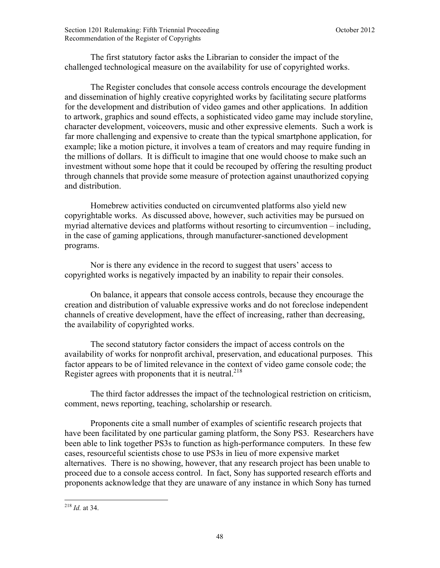The first statutory factor asks the Librarian to consider the impact of the challenged technological measure on the availability for use of copyrighted works.

 The Register concludes that console access controls encourage the development and dissemination of highly creative copyrighted works by facilitating secure platforms for the development and distribution of video games and other applications. In addition to artwork, graphics and sound effects, a sophisticated video game may include storyline, character development, voiceovers, music and other expressive elements. Such a work is far more challenging and expensive to create than the typical smartphone application, for example; like a motion picture, it involves a team of creators and may require funding in the millions of dollars. It is difficult to imagine that one would choose to make such an investment without some hope that it could be recouped by offering the resulting product through channels that provide some measure of protection against unauthorized copying and distribution.

 Homebrew activities conducted on circumvented platforms also yield new copyrightable works. As discussed above, however, such activities may be pursued on myriad alternative devices and platforms without resorting to circumvention – including, in the case of gaming applications, through manufacturer-sanctioned development programs.

 Nor is there any evidence in the record to suggest that users' access to copyrighted works is negatively impacted by an inability to repair their consoles.

 On balance, it appears that console access controls, because they encourage the creation and distribution of valuable expressive works and do not foreclose independent channels of creative development, have the effect of increasing, rather than decreasing, the availability of copyrighted works.

 The second statutory factor considers the impact of access controls on the availability of works for nonprofit archival, preservation, and educational purposes. This factor appears to be of limited relevance in the context of video game console code; the Register agrees with proponents that it is neutral. $^{218}$ 

 The third factor addresses the impact of the technological restriction on criticism, comment, news reporting, teaching, scholarship or research.

 Proponents cite a small number of examples of scientific research projects that have been facilitated by one particular gaming platform, the Sony PS3. Researchers have been able to link together PS3s to function as high-performance computers. In these few cases, resourceful scientists chose to use PS3s in lieu of more expensive market alternatives. There is no showing, however, that any research project has been unable to proceed due to a console access control. In fact, Sony has supported research efforts and proponents acknowledge that they are unaware of any instance in which Sony has turned

<sup>218</sup> *Id.* at 34.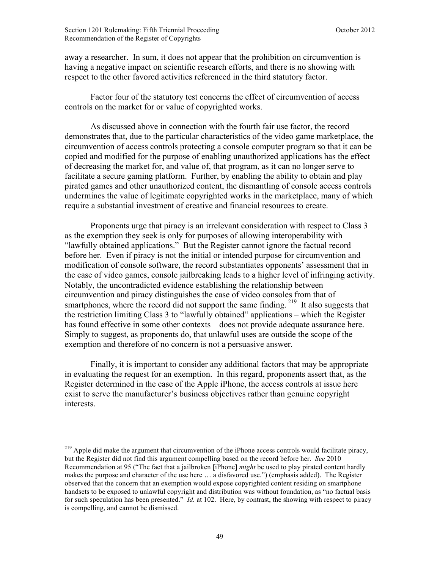1

away a researcher. In sum, it does not appear that the prohibition on circumvention is having a negative impact on scientific research efforts, and there is no showing with respect to the other favored activities referenced in the third statutory factor.

 Factor four of the statutory test concerns the effect of circumvention of access controls on the market for or value of copyrighted works.

 As discussed above in connection with the fourth fair use factor, the record demonstrates that, due to the particular characteristics of the video game marketplace, the circumvention of access controls protecting a console computer program so that it can be copied and modified for the purpose of enabling unauthorized applications has the effect of decreasing the market for, and value of, that program, as it can no longer serve to facilitate a secure gaming platform. Further, by enabling the ability to obtain and play pirated games and other unauthorized content, the dismantling of console access controls undermines the value of legitimate copyrighted works in the marketplace, many of which require a substantial investment of creative and financial resources to create.

 Proponents urge that piracy is an irrelevant consideration with respect to Class 3 as the exemption they seek is only for purposes of allowing interoperability with "lawfully obtained applications." But the Register cannot ignore the factual record before her. Even if piracy is not the initial or intended purpose for circumvention and modification of console software, the record substantiates opponents' assessment that in the case of video games, console jailbreaking leads to a higher level of infringing activity. Notably, the uncontradicted evidence establishing the relationship between circumvention and piracy distinguishes the case of video consoles from that of smartphones, where the record did not support the same finding.<sup>219</sup> It also suggests that the restriction limiting Class 3 to "lawfully obtained" applications – which the Register has found effective in some other contexts – does not provide adequate assurance here. Simply to suggest, as proponents do, that unlawful uses are outside the scope of the exemption and therefore of no concern is not a persuasive answer.

 Finally, it is important to consider any additional factors that may be appropriate in evaluating the request for an exemption. In this regard, proponents assert that, as the Register determined in the case of the Apple iPhone, the access controls at issue here exist to serve the manufacturer's business objectives rather than genuine copyright interests.

<sup>&</sup>lt;sup>219</sup> Apple did make the argument that circumvention of the iPhone access controls would facilitate piracy, but the Register did not find this argument compelling based on the record before her. *See* 2010 Recommendation at 95 ("The fact that a jailbroken [iPhone] *might* be used to play pirated content hardly makes the purpose and character of the use here … a disfavored use.") (emphasis added). The Register observed that the concern that an exemption would expose copyrighted content residing on smartphone handsets to be exposed to unlawful copyright and distribution was without foundation, as "no factual basis for such speculation has been presented." *Id.* at 102. Here, by contrast, the showing with respect to piracy is compelling, and cannot be dismissed.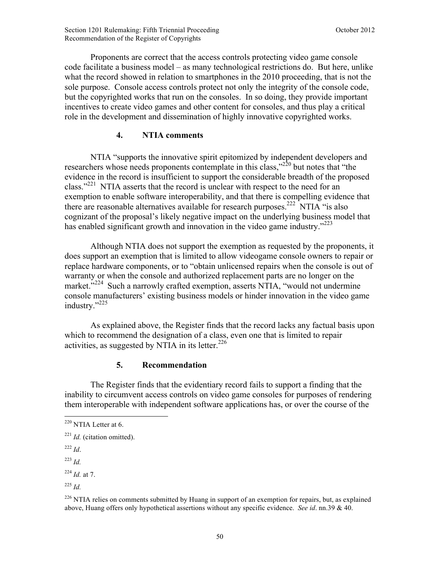Proponents are correct that the access controls protecting video game console code facilitate a business model – as many technological restrictions do. But here, unlike what the record showed in relation to smartphones in the 2010 proceeding, that is not the sole purpose. Console access controls protect not only the integrity of the console code, but the copyrighted works that run on the consoles. In so doing, they provide important incentives to create video games and other content for consoles, and thus play a critical role in the development and dissemination of highly innovative copyrighted works.

### **4. NTIA comments**

NTIA "supports the innovative spirit epitomized by independent developers and researchers whose needs proponents contemplate in this class,"220 but notes that "the evidence in the record is insufficient to support the considerable breadth of the proposed class."221 NTIA asserts that the record is unclear with respect to the need for an exemption to enable software interoperability, and that there is compelling evidence that there are reasonable alternatives available for research purposes.<sup>222</sup> NTIA "is also cognizant of the proposal's likely negative impact on the underlying business model that has enabled significant growth and innovation in the video game industry.<sup> $223$ </sup>

Although NTIA does not support the exemption as requested by the proponents, it does support an exemption that is limited to allow videogame console owners to repair or replace hardware components, or to "obtain unlicensed repairs when the console is out of warranty or when the console and authorized replacement parts are no longer on the market."<sup>224</sup> Such a narrowly crafted exemption, asserts NTIA, "would not undermine console manufacturers' existing business models or hinder innovation in the video game industry."<sup>225</sup>

As explained above, the Register finds that the record lacks any factual basis upon which to recommend the designation of a class, even one that is limited to repair activities, as suggested by NTIA in its letter. $226$ 

# **5. Recommendation**

 The Register finds that the evidentiary record fails to support a finding that the inability to circumvent access controls on video game consoles for purposes of rendering them interoperable with independent software applications has, or over the course of the

 $^{222}$  *Id*.

1

<sup>223</sup> *Id.*

<sup>224</sup> *Id.* at 7.

<sup>225</sup> *Id.*

 $220$  NTIA Letter at 6.

<sup>221</sup> *Id.* (citation omitted).

 $226$  NTIA relies on comments submitted by Huang in support of an exemption for repairs, but, as explained above, Huang offers only hypothetical assertions without any specific evidence. *See id*. nn.39 & 40.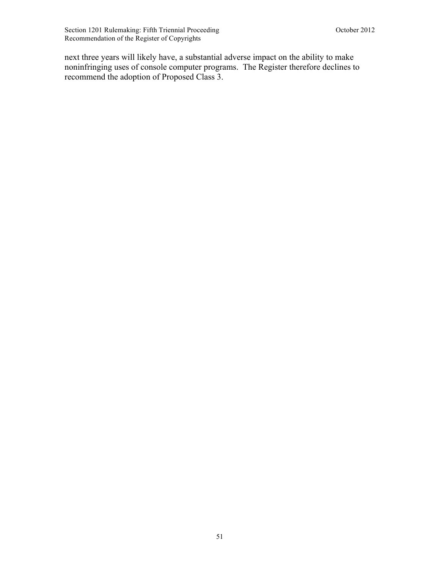next three years will likely have, a substantial adverse impact on the ability to make noninfringing uses of console computer programs. The Register therefore declines to recommend the adoption of Proposed Class 3.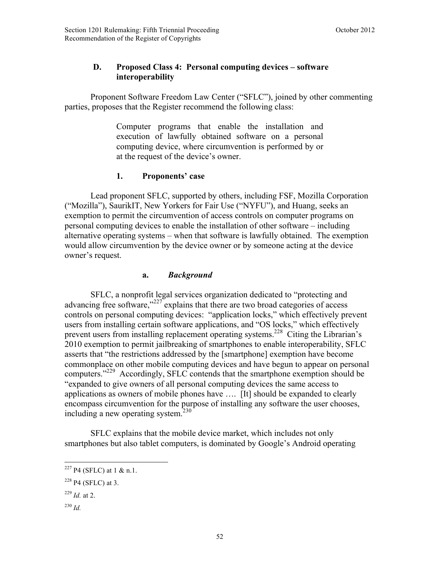# **D. Proposed Class 4: Personal computing devices – software interoperability**

Proponent Software Freedom Law Center ("SFLC"), joined by other commenting parties, proposes that the Register recommend the following class:

> Computer programs that enable the installation and execution of lawfully obtained software on a personal computing device, where circumvention is performed by or at the request of the device's owner.

# **1. Proponents' case**

Lead proponent SFLC, supported by others, including FSF, Mozilla Corporation ("Mozilla"), SaurikIT, New Yorkers for Fair Use ("NYFU"), and Huang, seeks an exemption to permit the circumvention of access controls on computer programs on personal computing devices to enable the installation of other software – including alternative operating systems – when that software is lawfully obtained. The exemption would allow circumvention by the device owner or by someone acting at the device owner's request.

# **a.** *Background*

SFLC, a nonprofit legal services organization dedicated to "protecting and advancing free software,"<sup>227</sup> explains that there are two broad categories of access controls on personal computing devices: "application locks," which effectively prevent users from installing certain software applications, and "OS locks," which effectively prevent users from installing replacement operating systems.<sup>228</sup> Citing the Librarian's 2010 exemption to permit jailbreaking of smartphones to enable interoperability, SFLC asserts that "the restrictions addressed by the [smartphone] exemption have become commonplace on other mobile computing devices and have begun to appear on personal computers."<sup>229</sup> Accordingly, SFLC contends that the smartphone exemption should be "expanded to give owners of all personal computing devices the same access to applications as owners of mobile phones have …. [It] should be expanded to clearly encompass circumvention for the purpose of installing any software the user chooses, including a new operating system. $230$ 

SFLC explains that the mobile device market, which includes not only smartphones but also tablet computers, is dominated by Google's Android operating

- $^{229}$  *Id.* at 2.
- <sup>230</sup> *Id.*

 $227$  P4 (SFLC) at 1 & n.1.

 $228$  P4 (SFLC) at 3.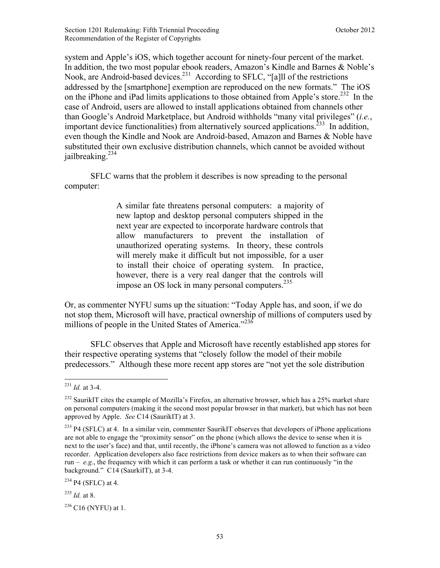system and Apple's iOS, which together account for ninety-four percent of the market. In addition, the two most popular ebook readers, Amazon's Kindle and Barnes & Noble's Nook, are Android-based devices.<sup>231</sup> According to SFLC, "[a]ll of the restrictions addressed by the [smartphone] exemption are reproduced on the new formats." The iOS on the iPhone and iPad limits applications to those obtained from Apple's store.<sup>232</sup> In the case of Android, users are allowed to install applications obtained from channels other than Google's Android Marketplace, but Android withholds "many vital privileges" (*i.e.*, important device functionalities) from alternatively sourced applications.<sup>233</sup> In addition, even though the Kindle and Nook are Android-based, Amazon and Barnes & Noble have substituted their own exclusive distribution channels, which cannot be avoided without jailbreaking. $^{234}$ 

SFLC warns that the problem it describes is now spreading to the personal computer:

> A similar fate threatens personal computers: a majority of new laptop and desktop personal computers shipped in the next year are expected to incorporate hardware controls that allow manufacturers to prevent the installation of unauthorized operating systems. In theory, these controls will merely make it difficult but not impossible, for a user to install their choice of operating system. In practice, however, there is a very real danger that the controls will impose an OS lock in many personal computers. $^{235}$

Or, as commenter NYFU sums up the situation: "Today Apple has, and soon, if we do not stop them, Microsoft will have, practical ownership of millions of computers used by millions of people in the United States of America."<sup>236</sup>

SFLC observes that Apple and Microsoft have recently established app stores for their respective operating systems that "closely follow the model of their mobile predecessors." Although these more recent app stores are "not yet the sole distribution

1

 $234$  P4 (SFLC) at 4.

 $^{235}$  *Id.* at 8.

 $236$  C16 (NYFU) at 1.

 $^{231}$  *Id.* at 3-4.

<sup>&</sup>lt;sup>232</sup> SaurikIT cites the example of Mozilla's Firefox, an alternative browser, which has a 25% market share on personal computers (making it the second most popular browser in that market), but which has not been approved by Apple. *See* C14 (SaurikIT) at 3.

 $^{233}$  P4 (SFLC) at 4. In a similar vein, commenter SaurikIT observes that developers of iPhone applications are not able to engage the "proximity sensor" on the phone (which allows the device to sense when it is next to the user's face) and that, until recently, the iPhone's camera was not allowed to function as a video recorder. Application developers also face restrictions from device makers as to when their software can run – *e.g*., the frequency with which it can perform a task or whether it can run continuously "in the background." C14 (SaurkiIT), at 3-4.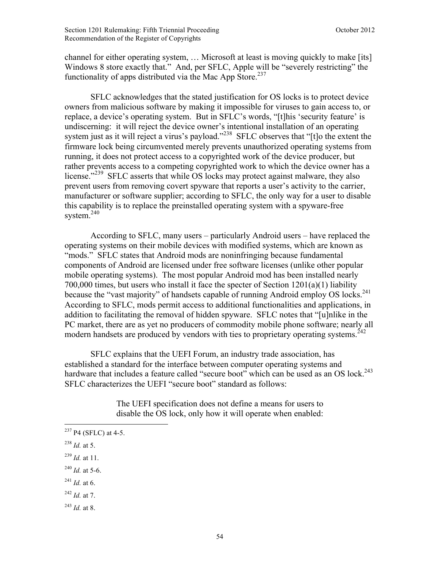channel for either operating system, … Microsoft at least is moving quickly to make [its] Windows 8 store exactly that." And, per SFLC, Apple will be "severely restricting" the functionality of apps distributed via the Mac App Store.<sup>237</sup>

SFLC acknowledges that the stated justification for OS locks is to protect device owners from malicious software by making it impossible for viruses to gain access to, or replace, a device's operating system. But in SFLC's words, "[t]his 'security feature' is undiscerning: it will reject the device owner's intentional installation of an operating system just as it will reject a virus's payload."<sup>238</sup> SFLC observes that "[t]o the extent the firmware lock being circumvented merely prevents unauthorized operating systems from running, it does not protect access to a copyrighted work of the device producer, but rather prevents access to a competing copyrighted work to which the device owner has a license."<sup>239</sup> SFLC asserts that while OS locks may protect against malware, they also prevent users from removing covert spyware that reports a user's activity to the carrier, manufacturer or software supplier; according to SFLC, the only way for a user to disable this capability is to replace the preinstalled operating system with a spyware-free system. $240$ 

According to SFLC, many users – particularly Android users – have replaced the operating systems on their mobile devices with modified systems, which are known as "mods." SFLC states that Android mods are noninfringing because fundamental components of Android are licensed under free software licenses (unlike other popular mobile operating systems). The most popular Android mod has been installed nearly 700,000 times, but users who install it face the specter of Section 1201(a)(1) liability because the "vast majority" of handsets capable of running Android employ OS locks.<sup>241</sup> According to SFLC, mods permit access to additional functionalities and applications, in addition to facilitating the removal of hidden spyware. SFLC notes that "[u]nlike in the PC market, there are as yet no producers of commodity mobile phone software; nearly all modern handsets are produced by vendors with ties to proprietary operating systems.<sup>242</sup>

SFLC explains that the UEFI Forum, an industry trade association, has established a standard for the interface between computer operating systems and hardware that includes a feature called "secure boot" which can be used as an OS lock.<sup>243</sup> SFLC characterizes the UEFI "secure boot" standard as follows:

> The UEFI specification does not define a means for users to disable the OS lock, only how it will operate when enabled:

 $^{238}$  *Id.* at 5.

<u>.</u>

- <sup>239</sup> *Id.* at 11.
- <sup>240</sup> *Id.* at 5-6.
- $^{241}$  *Id.* at 6.
- <sup>242</sup> *Id.* at 7.
- $^{243}$  *Id.* at 8.

 $^{237}$  P4 (SFLC) at 4-5.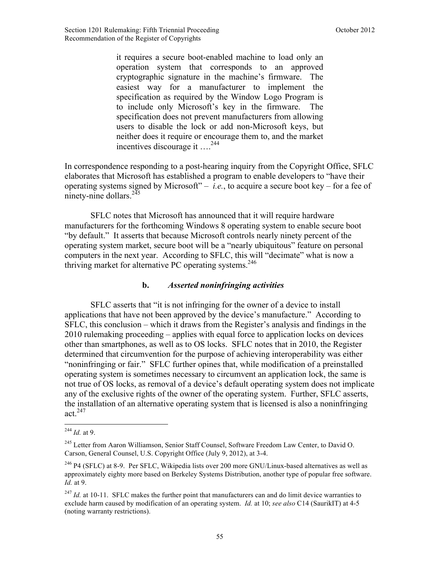it requires a secure boot-enabled machine to load only an operation system that corresponds to an approved cryptographic signature in the machine's firmware. The easiest way for a manufacturer to implement the specification as required by the Window Logo Program is to include only Microsoft's key in the firmware. The specification does not prevent manufacturers from allowing users to disable the lock or add non-Microsoft keys, but neither does it require or encourage them to, and the market incentives discourage it ….244

In correspondence responding to a post-hearing inquiry from the Copyright Office, SFLC elaborates that Microsoft has established a program to enable developers to "have their operating systems signed by Microsoft" – *i.e.*, to acquire a secure boot key – for a fee of ninety-nine dollars. $245$ 

SFLC notes that Microsoft has announced that it will require hardware manufacturers for the forthcoming Windows 8 operating system to enable secure boot "by default." It asserts that because Microsoft controls nearly ninety percent of the operating system market, secure boot will be a "nearly ubiquitous" feature on personal computers in the next year. According to SFLC, this will "decimate" what is now a thriving market for alternative PC operating systems.<sup>246</sup>

### **b.** *Asserted noninfringing activities*

SFLC asserts that "it is not infringing for the owner of a device to install applications that have not been approved by the device's manufacture." According to SFLC, this conclusion – which it draws from the Register's analysis and findings in the 2010 rulemaking proceeding – applies with equal force to application locks on devices other than smartphones, as well as to OS locks. SFLC notes that in 2010, the Register determined that circumvention for the purpose of achieving interoperability was either "noninfringing or fair." SFLC further opines that, while modification of a preinstalled operating system is sometimes necessary to circumvent an application lock, the same is not true of OS locks, as removal of a device's default operating system does not implicate any of the exclusive rights of the owner of the operating system. Further, SFLC asserts, the installation of an alternative operating system that is licensed is also a noninfringing act. $247$ 

<sup>1</sup> <sup>244</sup> *Id.* at 9.

<sup>&</sup>lt;sup>245</sup> Letter from Aaron Williamson, Senior Staff Counsel, Software Freedom Law Center, to David O. Carson, General Counsel, U.S. Copyright Office (July 9, 2012), at 3-4.

<sup>&</sup>lt;sup>246</sup> P4 (SFLC) at 8-9. Per SFLC, Wikipedia lists over 200 more GNU/Linux-based alternatives as well as approximately eighty more based on Berkeley Systems Distribution, another type of popular free software. *Id.* at 9.

<sup>&</sup>lt;sup>247</sup> *Id.* at 10-11. SFLC makes the further point that manufacturers can and do limit device warranties to exclude harm caused by modification of an operating system. *Id.* at 10; *see also* C14 (SaurikIT) at 4-5 (noting warranty restrictions).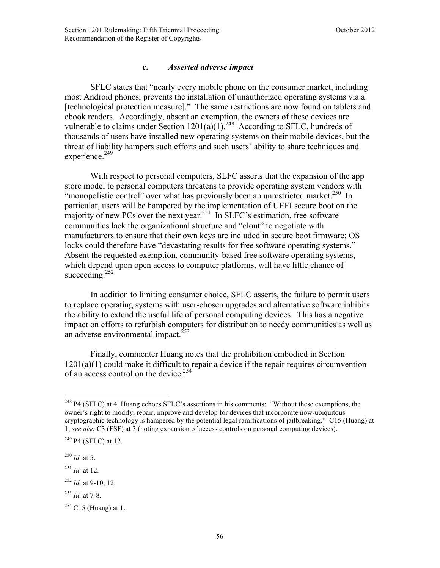## **c.** *Asserted adverse impact*

SFLC states that "nearly every mobile phone on the consumer market, including most Android phones, prevents the installation of unauthorized operating systems via a [technological protection measure]." The same restrictions are now found on tablets and ebook readers. Accordingly, absent an exemption, the owners of these devices are vulnerable to claims under Section  $1201(a)(1)$ <sup>248</sup> According to SFLC, hundreds of thousands of users have installed new operating systems on their mobile devices, but the threat of liability hampers such efforts and such users' ability to share techniques and experience.<sup>249</sup>

With respect to personal computers, SLFC asserts that the expansion of the app store model to personal computers threatens to provide operating system vendors with "monopolistic control" over what has previously been an unrestricted market.<sup>250</sup> In particular, users will be hampered by the implementation of UEFI secure boot on the majority of new PCs over the next year.<sup>251</sup> In SLFC's estimation, free software communities lack the organizational structure and "clout" to negotiate with manufacturers to ensure that their own keys are included in secure boot firmware; OS locks could therefore have "devastating results for free software operating systems." Absent the requested exemption, community-based free software operating systems, which depend upon open access to computer platforms, will have little chance of succeeding. $252$ 

In addition to limiting consumer choice, SFLC asserts, the failure to permit users to replace operating systems with user-chosen upgrades and alternative software inhibits the ability to extend the useful life of personal computing devices. This has a negative impact on efforts to refurbish computers for distribution to needy communities as well as an adverse environmental impact. $^{253}$ 

Finally, commenter Huang notes that the prohibition embodied in Section 1201(a)(1) could make it difficult to repair a device if the repair requires circumvention of an access control on the device.<sup>254</sup>

<u>.</u>

<sup>&</sup>lt;sup>248</sup> P4 (SFLC) at 4. Huang echoes SFLC's assertions in his comments: "Without these exemptions, the owner's right to modify, repair, improve and develop for devices that incorporate now-ubiquitous cryptographic technology is hampered by the potential legal ramifications of jailbreaking." C15 (Huang) at 1; *see also* C3 (FSF) at 3 (noting expansion of access controls on personal computing devices).

<sup>249</sup> P4 (SFLC) at 12.

<sup>250</sup> *Id.* at 5.

<sup>251</sup> *Id.* at 12.

 $^{252}$  *Id.* at 9-10, 12.

<sup>253</sup> *Id.* at 7-8.

 $254$  C15 (Huang) at 1.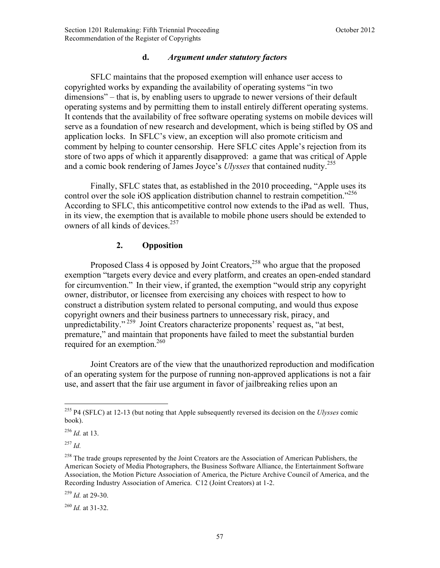#### **d.** *Argument under statutory factors*

SFLC maintains that the proposed exemption will enhance user access to copyrighted works by expanding the availability of operating systems "in two dimensions" – that is, by enabling users to upgrade to newer versions of their default operating systems and by permitting them to install entirely different operating systems. It contends that the availability of free software operating systems on mobile devices will serve as a foundation of new research and development, which is being stifled by OS and application locks. In SFLC's view, an exception will also promote criticism and comment by helping to counter censorship. Here SFLC cites Apple's rejection from its store of two apps of which it apparently disapproved: a game that was critical of Apple and a comic book rendering of James Joyce's *Ulysses* that contained nudity.<sup>255</sup>

Finally, SFLC states that, as established in the 2010 proceeding, "Apple uses its control over the sole iOS application distribution channel to restrain competition.<sup>3256</sup> According to SFLC, this anticompetitive control now extends to the iPad as well. Thus, in its view, the exemption that is available to mobile phone users should be extended to owners of all kinds of devices.<sup>257</sup>

### **2. Opposition**

Proposed Class 4 is opposed by Joint Creators, $^{258}$  who argue that the proposed exemption "targets every device and every platform, and creates an open-ended standard for circumvention." In their view, if granted, the exemption "would strip any copyright owner, distributor, or licensee from exercising any choices with respect to how to construct a distribution system related to personal computing, and would thus expose copyright owners and their business partners to unnecessary risk, piracy, and unpredictability."<sup>259</sup> Joint Creators characterize proponents' request as, "at best, premature," and maintain that proponents have failed to meet the substantial burden required for an exemption.<sup>260</sup>

Joint Creators are of the view that the unauthorized reproduction and modification of an operating system for the purpose of running non-approved applications is not a fair use, and assert that the fair use argument in favor of jailbreaking relies upon an

 $\overline{a}$ 

<sup>259</sup> *Id.* at 29-30.

<sup>260</sup> *Id.* at 31-32.

<sup>255</sup> P4 (SFLC) at 12-13 (but noting that Apple subsequently reversed its decision on the *Ulysses* comic book).

<sup>256</sup> *Id.* at 13.

<sup>257</sup> *Id.*

<sup>&</sup>lt;sup>258</sup> The trade groups represented by the Joint Creators are the Association of American Publishers, the American Society of Media Photographers, the Business Software Alliance, the Entertainment Software Association, the Motion Picture Association of America, the Picture Archive Council of America, and the Recording Industry Association of America. C12 (Joint Creators) at 1-2.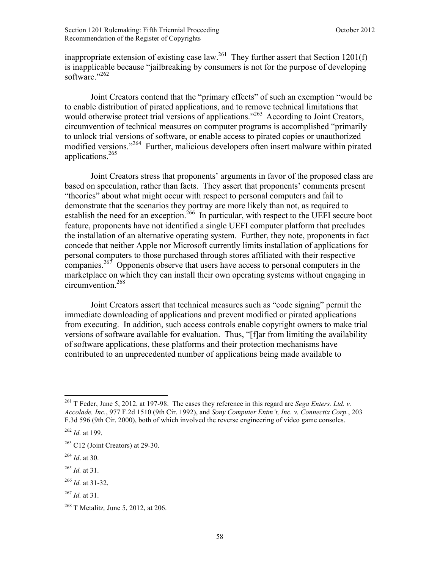inappropriate extension of existing case law.<sup>261</sup> They further assert that Section 1201(f) is inapplicable because "jailbreaking by consumers is not for the purpose of developing software."262

Joint Creators contend that the "primary effects" of such an exemption "would be to enable distribution of pirated applications, and to remove technical limitations that would otherwise protect trial versions of applications.<sup>263</sup> According to Joint Creators, circumvention of technical measures on computer programs is accomplished "primarily to unlock trial versions of software, or enable access to pirated copies or unauthorized modified versions."264 Further, malicious developers often insert malware within pirated applications.265

Joint Creators stress that proponents' arguments in favor of the proposed class are based on speculation, rather than facts. They assert that proponents' comments present "theories" about what might occur with respect to personal computers and fail to demonstrate that the scenarios they portray are more likely than not, as required to establish the need for an exception.<sup>266</sup> In particular, with respect to the UEFI secure boot feature, proponents have not identified a single UEFI computer platform that precludes the installation of an alternative operating system. Further, they note, proponents in fact concede that neither Apple nor Microsoft currently limits installation of applications for personal computers to those purchased through stores affiliated with their respective companies.<sup>267</sup> Opponents observe that users have access to personal computers in the marketplace on which they can install their own operating systems without engaging in circumvention.268

Joint Creators assert that technical measures such as "code signing" permit the immediate downloading of applications and prevent modified or pirated applications from executing. In addition, such access controls enable copyright owners to make trial versions of software available for evaluation. Thus, "[f]ar from limiting the availability of software applications, these platforms and their protection mechanisms have contributed to an unprecedented number of applications being made available to

<u>.</u>

<sup>261</sup> T Feder, June 5, 2012, at 197-98. The cases they reference in this regard are *Sega Enters. Ltd. v. Accolade, Inc.*, 977 F.2d 1510 (9th Cir. 1992), and *Sony Computer Entm't, Inc. v. Connectix Corp.*, 203 F.3d 596 (9th Cir. 2000), both of which involved the reverse engineering of video game consoles.

<sup>262</sup> *Id.* at 199.

 $263$  C12 (Joint Creators) at 29-30.

<sup>264</sup> *Id*. at 30.

<sup>265</sup> *Id.* at 31.

<sup>266</sup> *Id.* at 31-32.

<sup>267</sup> *Id.* at 31.

<sup>268</sup> T Metalitz*,* June 5, 2012, at 206.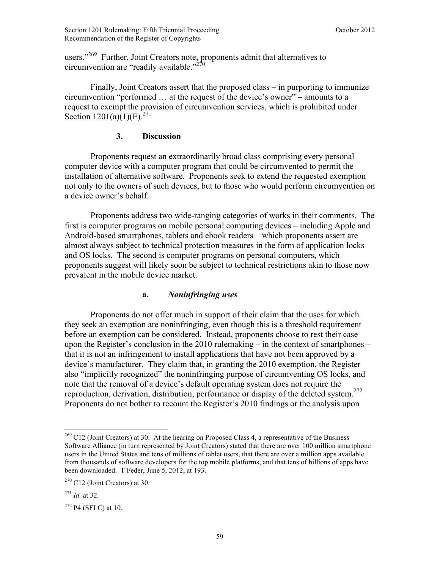users."<sup>269</sup> Further, Joint Creators note, proponents admit that alternatives to circumvention are "readily available." $^{270}$ 

Finally, Joint Creators assert that the proposed class – in purporting to immunize circumvention "performed … at the request of the device's owner" – amounts to a request to exempt the provision of circumvention services, which is prohibited under Section  $1201(a)(1)(E)^{271}$ 

## **3. Discussion**

Proponents request an extraordinarily broad class comprising every personal computer device with a computer program that could be circumvented to permit the installation of alternative software. Proponents seek to extend the requested exemption not only to the owners of such devices, but to those who would perform circumvention on a device owner's behalf.

 Proponents address two wide-ranging categories of works in their comments. The first is computer programs on mobile personal computing devices – including Apple and Android-based smartphones, tablets and ebook readers – which proponents assert are almost always subject to technical protection measures in the form of application locks and OS locks. The second is computer programs on personal computers, which proponents suggest will likely soon be subject to technical restrictions akin to those now prevalent in the mobile device market.

### **a.** *Noninfringing uses*

Proponents do not offer much in support of their claim that the uses for which they seek an exemption are noninfringing, even though this is a threshold requirement before an exemption can be considered. Instead, proponents choose to rest their case upon the Register's conclusion in the 2010 rulemaking – in the context of smartphones – that it is not an infringement to install applications that have not been approved by a device's manufacturer. They claim that, in granting the 2010 exemption, the Register also "implicitly recognized" the noninfringing purpose of circumventing OS locks, and note that the removal of a device's default operating system does not require the reproduction, derivation, distribution, performance or display of the deleted system.272 Proponents do not bother to recount the Register's 2010 findings or the analysis upon

1

 $^{269}$  C12 (Joint Creators) at 30. At the hearing on Proposed Class 4, a representative of the Business Software Alliance (in turn represented by Joint Creators) stated that there are over 100 million smartphone users in the United States and tens of millions of tablet users, that there are over a million apps available from thousands of software developers for the top mobile platforms, and that tens of billions of apps have been downloaded. T Feder, June 5, 2012, at 193.

<sup>270</sup> C12 (Joint Creators) at 30.

<sup>271</sup> *Id.* at 32.

 $272$  P4 (SFLC) at 10.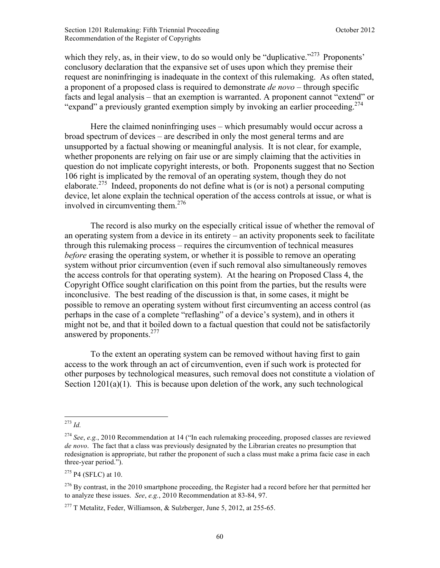which they rely, as, in their view, to do so would only be "duplicative."<sup>273</sup> Proponents' conclusory declaration that the expansive set of uses upon which they premise their request are noninfringing is inadequate in the context of this rulemaking. As often stated, a proponent of a proposed class is required to demonstrate *de novo* – through specific facts and legal analysis – that an exemption is warranted. A proponent cannot "extend" or "expand" a previously granted exemption simply by invoking an earlier proceeding.<sup>274</sup>

Here the claimed noninfringing uses – which presumably would occur across a broad spectrum of devices – are described in only the most general terms and are unsupported by a factual showing or meaningful analysis. It is not clear, for example, whether proponents are relying on fair use or are simply claiming that the activities in question do not implicate copyright interests, or both. Proponents suggest that no Section 106 right is implicated by the removal of an operating system, though they do not elaborate.275 Indeed, proponents do not define what is (or is not) a personal computing device, let alone explain the technical operation of the access controls at issue, or what is involved in circumventing them. $276$ 

The record is also murky on the especially critical issue of whether the removal of an operating system from a device in its entirety – an activity proponents seek to facilitate through this rulemaking process – requires the circumvention of technical measures *before* erasing the operating system, or whether it is possible to remove an operating system without prior circumvention (even if such removal also simultaneously removes the access controls for that operating system). At the hearing on Proposed Class 4, the Copyright Office sought clarification on this point from the parties, but the results were inconclusive. The best reading of the discussion is that, in some cases, it might be possible to remove an operating system without first circumventing an access control (as perhaps in the case of a complete "reflashing" of a device's system), and in others it might not be, and that it boiled down to a factual question that could not be satisfactorily answered by proponents.<sup>277</sup>

To the extent an operating system can be removed without having first to gain access to the work through an act of circumvention, even if such work is protected for other purposes by technological measures, such removal does not constitute a violation of Section  $1201(a)(1)$ . This is because upon deletion of the work, any such technological

1

 $275$  P4 (SFLC) at 10.

<sup>273</sup> *Id.*

<sup>274</sup> *See*, *e.g.*, 2010 Recommendation at 14 ("In each rulemaking proceeding, proposed classes are reviewed *de novo*. The fact that a class was previously designated by the Librarian creates no presumption that redesignation is appropriate, but rather the proponent of such a class must make a prima facie case in each three-year period.").

 $^{276}$  By contrast, in the 2010 smartphone proceeding, the Register had a record before her that permitted her to analyze these issues. *See*, *e.g.*, 2010 Recommendation at 83-84, 97.

<sup>&</sup>lt;sup>277</sup> T Metalitz, Feder, Williamson, & Sulzberger, June 5, 2012, at 255-65.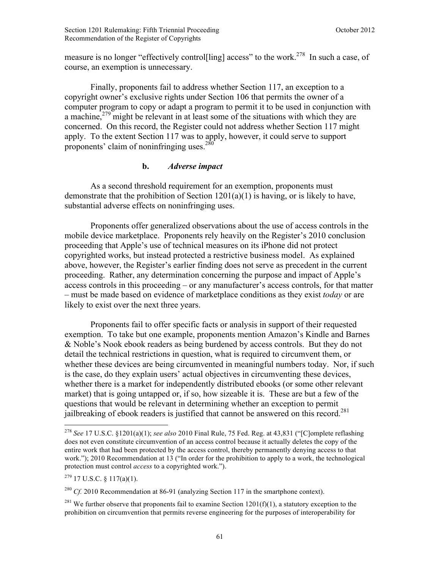measure is no longer "effectively control[ling] access" to the work.<sup>278</sup> In such a case, of course, an exemption is unnecessary.

Finally, proponents fail to address whether Section 117, an exception to a copyright owner's exclusive rights under Section 106 that permits the owner of a computer program to copy or adapt a program to permit it to be used in conjunction with a machine,  $279$  might be relevant in at least some of the situations with which they are concerned. On this record, the Register could not address whether Section 117 might apply. To the extent Section 117 was to apply, however, it could serve to support proponents' claim of noninfringing uses. $280$ 

## **b.** *Adverse impact*

As a second threshold requirement for an exemption, proponents must demonstrate that the prohibition of Section 1201(a)(1) is having, or is likely to have, substantial adverse effects on noninfringing uses.

Proponents offer generalized observations about the use of access controls in the mobile device marketplace. Proponents rely heavily on the Register's 2010 conclusion proceeding that Apple's use of technical measures on its iPhone did not protect copyrighted works, but instead protected a restrictive business model. As explained above, however, the Register's earlier finding does not serve as precedent in the current proceeding. Rather, any determination concerning the purpose and impact of Apple's access controls in this proceeding – or any manufacturer's access controls, for that matter – must be made based on evidence of marketplace conditions as they exist *today* or are likely to exist over the next three years.

 Proponents fail to offer specific facts or analysis in support of their requested exemption. To take but one example, proponents mention Amazon's Kindle and Barnes & Noble's Nook ebook readers as being burdened by access controls. But they do not detail the technical restrictions in question, what is required to circumvent them, or whether these devices are being circumvented in meaningful numbers today. Nor, if such is the case, do they explain users' actual objectives in circumventing these devices, whether there is a market for independently distributed ebooks (or some other relevant market) that is going untapped or, if so, how sizeable it is. These are but a few of the questions that would be relevant in determining whether an exception to permit jailbreaking of ebook readers is justified that cannot be answered on this record.<sup>281</sup>

 $^{279}$  17 U.S.C. § 117(a)(1).

<sup>278</sup> *See* 17 U.S.C. §1201(a)(1); *see also* 2010 Final Rule, 75 Fed. Reg. at 43,831 ("[C]omplete reflashing does not even constitute circumvention of an access control because it actually deletes the copy of the entire work that had been protected by the access control, thereby permanently denying access to that work."); 2010 Recommendation at 13 ("In order for the prohibition to apply to a work, the technological protection must control *access* to a copyrighted work.").

<sup>&</sup>lt;sup>280</sup> *Cf.* 2010 Recommendation at 86-91 (analyzing Section 117 in the smartphone context).

<sup>&</sup>lt;sup>281</sup> We further observe that proponents fail to examine Section 1201(f)(1), a statutory exception to the prohibition on circumvention that permits reverse engineering for the purposes of interoperability for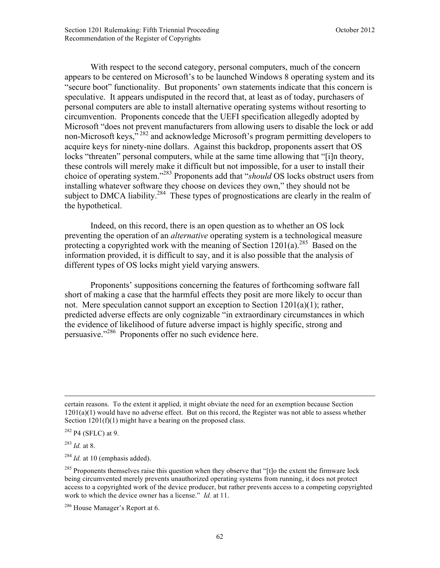With respect to the second category, personal computers, much of the concern appears to be centered on Microsoft's to be launched Windows 8 operating system and its "secure boot" functionality. But proponents' own statements indicate that this concern is speculative. It appears undisputed in the record that, at least as of today, purchasers of personal computers are able to install alternative operating systems without resorting to circumvention. Proponents concede that the UEFI specification allegedly adopted by Microsoft "does not prevent manufacturers from allowing users to disable the lock or add non-Microsoft keys,<sup>7282</sup> and acknowledge Microsoft's program permitting developers to acquire keys for ninety-nine dollars. Against this backdrop, proponents assert that OS locks "threaten" personal computers, while at the same time allowing that "[i]n theory, these controls will merely make it difficult but not impossible, for a user to install their choice of operating system."283 Proponents add that "*should* OS locks obstruct users from installing whatever software they choose on devices they own," they should not be subject to DMCA liability.<sup>284</sup> These types of prognostications are clearly in the realm of the hypothetical.

Indeed, on this record, there is an open question as to whether an OS lock preventing the operation of an *alternative* operating system is a technological measure protecting a copyrighted work with the meaning of Section 1201(a).<sup>285</sup> Based on the information provided, it is difficult to say, and it is also possible that the analysis of different types of OS locks might yield varying answers.

Proponents' suppositions concerning the features of forthcoming software fall short of making a case that the harmful effects they posit are more likely to occur than not. Mere speculation cannot support an exception to Section 1201(a)(1); rather, predicted adverse effects are only cognizable "in extraordinary circumstances in which the evidence of likelihood of future adverse impact is highly specific, strong and persuasive."286 Proponents offer no such evidence here.

<u>.</u>

certain reasons. To the extent it applied, it might obviate the need for an exemption because Section  $1201(a)(1)$  would have no adverse effect. But on this record, the Register was not able to assess whether Section  $1201(f)(1)$  might have a bearing on the proposed class.

 $282$  P4 (SFLC) at 9.

<sup>283</sup> *Id.* at 8.

 $^{284}$  *Id.* at 10 (emphasis added).

 $^{285}$  Proponents themselves raise this question when they observe that "[t]o the extent the firmware lock being circumvented merely prevents unauthorized operating systems from running, it does not protect access to a copyrighted work of the device producer, but rather prevents access to a competing copyrighted work to which the device owner has a license." *Id.* at 11.

<sup>&</sup>lt;sup>286</sup> House Manager's Report at 6.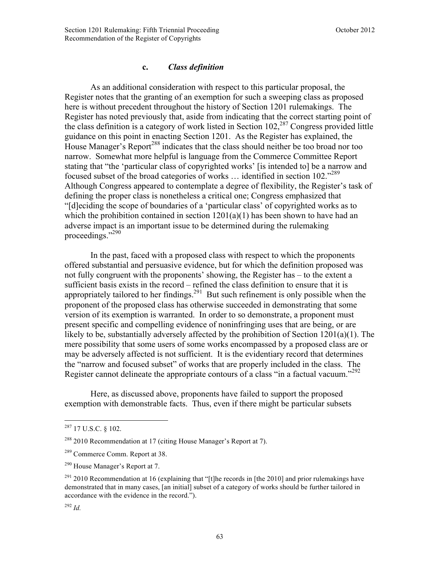#### **c.** *Class definition*

As an additional consideration with respect to this particular proposal, the Register notes that the granting of an exemption for such a sweeping class as proposed here is without precedent throughout the history of Section 1201 rulemakings. The Register has noted previously that, aside from indicating that the correct starting point of the class definition is a category of work listed in Section  $102<sup>287</sup>$  Congress provided little guidance on this point in enacting Section 1201. As the Register has explained, the House Manager's Report<sup>288</sup> indicates that the class should neither be too broad nor too narrow. Somewhat more helpful is language from the Commerce Committee Report stating that "the 'particular class of copyrighted works' [is intended to] be a narrow and focused subset of the broad categories of works … identified in section 102."289 Although Congress appeared to contemplate a degree of flexibility, the Register's task of defining the proper class is nonetheless a critical one; Congress emphasized that "[d]eciding the scope of boundaries of a 'particular class' of copyrighted works as to which the prohibition contained in section  $1201(a)(1)$  has been shown to have had an adverse impact is an important issue to be determined during the rulemaking proceedings."290

 In the past, faced with a proposed class with respect to which the proponents offered substantial and persuasive evidence, but for which the definition proposed was not fully congruent with the proponents' showing, the Register has – to the extent a sufficient basis exists in the record – refined the class definition to ensure that it is appropriately tailored to her findings.<sup>291</sup> But such refinement is only possible when the proponent of the proposed class has otherwise succeeded in demonstrating that some version of its exemption is warranted. In order to so demonstrate, a proponent must present specific and compelling evidence of noninfringing uses that are being, or are likely to be, substantially adversely affected by the prohibition of Section 1201(a)(1). The mere possibility that some users of some works encompassed by a proposed class are or may be adversely affected is not sufficient. It is the evidentiary record that determines the "narrow and focused subset" of works that are properly included in the class. The Register cannot delineate the appropriate contours of a class "in a factual vacuum."<sup>292</sup>

 Here, as discussed above, proponents have failed to support the proposed exemption with demonstrable facts. Thus, even if there might be particular subsets

1

 $287$  17 U.S.C. § 102.

 $288$  2010 Recommendation at 17 (citing House Manager's Report at 7).

<sup>289</sup> Commerce Comm. Report at 38.

<sup>290</sup> House Manager's Report at 7.

 $291$  2010 Recommendation at 16 (explaining that "[t]he records in [the 2010] and prior rulemakings have demonstrated that in many cases, [an initial] subset of a category of works should be further tailored in accordance with the evidence in the record.").

<sup>292</sup> *Id.*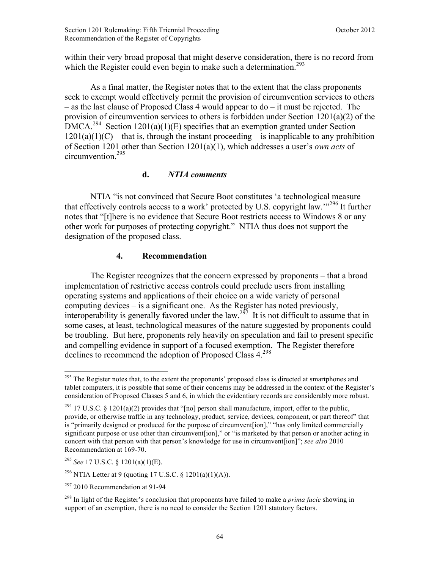within their very broad proposal that might deserve consideration, there is no record from which the Register could even begin to make such a determination.<sup>293</sup>

As a final matter, the Register notes that to the extent that the class proponents seek to exempt would effectively permit the provision of circumvention services to others – as the last clause of Proposed Class 4 would appear to do – it must be rejected. The provision of circumvention services to others is forbidden under Section 1201(a)(2) of the  $DMCA<sup>294</sup>$  Section 1201(a)(1)(E) specifies that an exemption granted under Section  $1201(a)(1)(C)$  – that is, through the instant proceeding – is inapplicable to any prohibition of Section 1201 other than Section 1201(a)(1), which addresses a user's *own acts* of circumvention.295

### **d.** *NTIA comments*

NTIA "is not convinced that Secure Boot constitutes 'a technological measure that effectively controls access to a work' protected by U.S. copyright law.<sup> $296$ </sup> It further notes that "[t]here is no evidence that Secure Boot restricts access to Windows 8 or any other work for purposes of protecting copyright." NTIA thus does not support the designation of the proposed class.

### **4. Recommendation**

The Register recognizes that the concern expressed by proponents – that a broad implementation of restrictive access controls could preclude users from installing operating systems and applications of their choice on a wide variety of personal computing devices – is a significant one. As the Register has noted previously, interoperability is generally favored under the law.<sup>297</sup> It is not difficult to assume that in some cases, at least, technological measures of the nature suggested by proponents could be troubling. But here, proponents rely heavily on speculation and fail to present specific and compelling evidence in support of a focused exemption. The Register therefore declines to recommend the adoption of Proposed Class  $4.298$ 

 $\overline{a}$ <sup>293</sup> The Register notes that, to the extent the proponents' proposed class is directed at smartphones and tablet computers, it is possible that some of their concerns may be addressed in the context of the Register's consideration of Proposed Classes 5 and 6, in which the evidentiary records are considerably more robust.

<sup>&</sup>lt;sup>294</sup> 17 U.S.C. § 1201(a)(2) provides that "[no] person shall manufacture, import, offer to the public, provide, or otherwise traffic in any technology, product, service, devices, component, or part thereof" that is "primarily designed or produced for the purpose of circumvent[ion]," "has only limited commercially significant purpose or use other than circumvent[ion]," or "is marketed by that person or another acting in concert with that person with that person's knowledge for use in circumvent[ion]"; *see also* 2010 Recommendation at 169-70.

<sup>295</sup> *See* 17 U.S.C. § 1201(a)(1)(E).

<sup>&</sup>lt;sup>296</sup> NTIA Letter at 9 (quoting 17 U.S.C. § 1201(a)(1)(A)).

 $297$  2010 Recommendation at 91-94

<sup>298</sup> In light of the Register's conclusion that proponents have failed to make a *prima facie* showing in support of an exemption, there is no need to consider the Section 1201 statutory factors.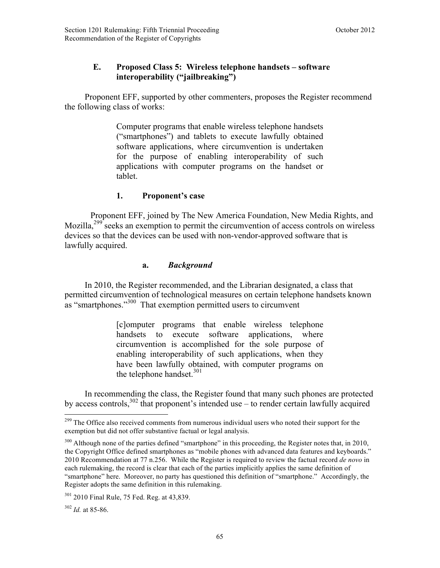# **E. Proposed Class 5: Wireless telephone handsets – software interoperability ("jailbreaking")**

 Proponent EFF, supported by other commenters, proposes the Register recommend the following class of works:

> Computer programs that enable wireless telephone handsets ("smartphones") and tablets to execute lawfully obtained software applications, where circumvention is undertaken for the purpose of enabling interoperability of such applications with computer programs on the handset or tablet.

### **1. Proponent's case**

Proponent EFF, joined by The New America Foundation, New Media Rights, and Mozilla,<sup>299</sup> seeks an exemption to permit the circumvention of access controls on wireless devices so that the devices can be used with non-vendor-approved software that is lawfully acquired.

### **a.** *Background*

 In 2010, the Register recommended, and the Librarian designated, a class that permitted circumvention of technological measures on certain telephone handsets known as "smartphones."<sup>300</sup> That exemption permitted users to circumvent

> [c]omputer programs that enable wireless telephone handsets to execute software applications, where circumvention is accomplished for the sole purpose of enabling interoperability of such applications, when they have been lawfully obtained, with computer programs on the telephone handset. $301$

 In recommending the class, the Register found that many such phones are protected by access controls,  $302$  that proponent's intended use – to render certain lawfully acquired

<sup>&</sup>lt;sup>299</sup> The Office also received comments from numerous individual users who noted their support for the exemption but did not offer substantive factual or legal analysis.

<sup>&</sup>lt;sup>300</sup> Although none of the parties defined "smartphone" in this proceeding, the Register notes that, in 2010, the Copyright Office defined smartphones as "mobile phones with advanced data features and keyboards." 2010 Recommendation at 77 n.256. While the Register is required to review the factual record *de novo* in each rulemaking, the record is clear that each of the parties implicitly applies the same definition of "smartphone" here. Moreover, no party has questioned this definition of "smartphone." Accordingly, the Register adopts the same definition in this rulemaking.

<sup>&</sup>lt;sup>301</sup> 2010 Final Rule, 75 Fed. Reg. at 43,839.

<sup>302</sup> *Id.* at 85-86.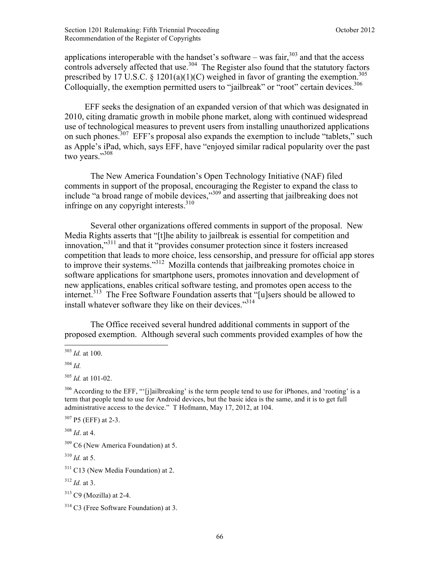applications interoperable with the handset's software – was fair, $303$  and that the access controls adversely affected that use.<sup>304</sup> The Register also found that the statutory factors prescribed by 17 U.S.C. § 1201(a)(1)(C) weighed in favor of granting the exemption.<sup>305</sup> Colloquially, the exemption permitted users to "jailbreak" or "root" certain devices.<sup>306</sup>

 EFF seeks the designation of an expanded version of that which was designated in 2010, citing dramatic growth in mobile phone market, along with continued widespread use of technological measures to prevent users from installing unauthorized applications on such phones.<sup>307</sup> EFF's proposal also expands the exemption to include "tablets," such as Apple's iPad, which, says EFF, have "enjoyed similar radical popularity over the past two years."<sup>308</sup>

The New America Foundation's Open Technology Initiative (NAF) filed comments in support of the proposal, encouraging the Register to expand the class to include "a broad range of mobile devices,"309 and asserting that jailbreaking does not infringe on any copyright interests.<sup>310</sup>

Several other organizations offered comments in support of the proposal. New Media Rights asserts that "[t]he ability to jailbreak is essential for competition and innovation,"311 and that it "provides consumer protection since it fosters increased competition that leads to more choice, less censorship, and pressure for official app stores to improve their systems."<sup>312</sup> Mozilla contends that jailbreaking promotes choice in software applications for smartphone users, promotes innovation and development of new applications, enables critical software testing, and promotes open access to the internet.<sup>313</sup> The Free Software Foundation asserts that "[u]sers should be allowed to install whatever software they like on their devices."<sup>314</sup>

The Office received several hundred additional comments in support of the proposed exemption. Although several such comments provided examples of how the

<sup>307</sup> P5 (EFF) at 2-3.

<sup>308</sup> *Id*. at 4.

 $310$  *Id.* at 5.

 $\overline{a}$ <sup>303</sup> *Id.* at 100.

<sup>304</sup> *Id.*

<sup>305</sup> *Id.* at 101-02.

<sup>&</sup>lt;sup>306</sup> According to the EFF, "'[j]ailbreaking' is the term people tend to use for iPhones, and 'rooting' is a term that people tend to use for Android devices, but the basic idea is the same, and it is to get full administrative access to the device." T Hofmann, May 17, 2012, at 104.

 $309$  C6 (New America Foundation) at 5.

<sup>&</sup>lt;sup>311</sup> C13 (New Media Foundation) at 2.

 $3^{12}$  *Id.* at 3.

 $313$  C9 (Mozilla) at 2-4.

<sup>314</sup> C3 (Free Software Foundation) at 3.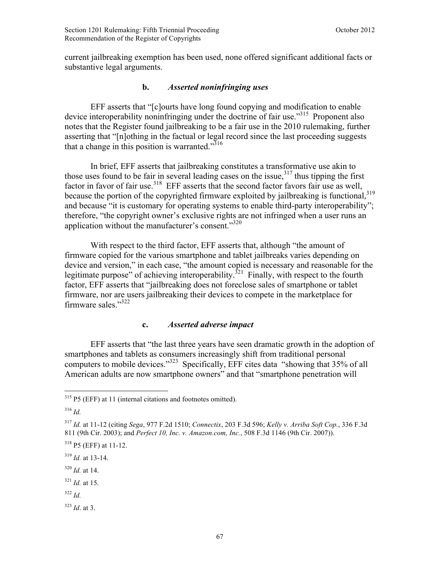current jailbreaking exemption has been used, none offered significant additional facts or substantive legal arguments.

### **b.** *Asserted noninfringing uses*

EFF asserts that "[c]ourts have long found copying and modification to enable device interoperability noninfringing under the doctrine of fair use.<sup>315</sup> Proponent also notes that the Register found jailbreaking to be a fair use in the 2010 rulemaking, further asserting that "[n]othing in the factual or legal record since the last proceeding suggests that a change in this position is warranted." $316$ 

In brief, EFF asserts that jailbreaking constitutes a transformative use akin to those uses found to be fair in several leading cases on the issue,  $317$  thus tipping the first factor in favor of fair use.<sup>318</sup> EFF asserts that the second factor favors fair use as well, because the portion of the copyrighted firmware exploited by jailbreaking is functional,<sup>319</sup> and because "it is customary for operating systems to enable third-party interoperability"; therefore, "the copyright owner's exclusive rights are not infringed when a user runs an application without the manufacturer's consent."<sup>320</sup>

With respect to the third factor, EFF asserts that, although "the amount of firmware copied for the various smartphone and tablet jailbreaks varies depending on device and version," in each case, "the amount copied is necessary and reasonable for the legitimate purpose" of achieving interoperability.<sup>321</sup> Finally, with respect to the fourth factor, EFF asserts that "jailbreaking does not foreclose sales of smartphone or tablet firmware, nor are users jailbreaking their devices to compete in the marketplace for firmware sales."<sup>322</sup>

#### **c.** *Asserted adverse impact*

EFF asserts that "the last three years have seen dramatic growth in the adoption of smartphones and tablets as consumers increasingly shift from traditional personal computers to mobile devices."323 Specifically, EFF cites data "showing that 35% of all American adults are now smartphone owners" and that "smartphone penetration will

 $\overline{a}$ 

<sup>320</sup> *Id.* at 14.

<sup>322</sup> *Id.*

<sup>323</sup> *Id*. at 3.

 $315$  P5 (EFF) at 11 (internal citations and footnotes omitted).

<sup>316</sup> *Id.*

<sup>317</sup> *Id.* at 11-12 (citing *Sega*, 977 F.2d 1510; *Connectix*, 203 F.3d 596; *Kelly v. Arriba Soft Cop.*, 336 F.3d 811 (9th Cir. 2003); and *Perfect 10, Inc. v. Amazon.com, Inc.*, 508 F.3d 1146 (9th Cir. 2007)).

<sup>318</sup> P5 (EFF) at 11-12.

<sup>319</sup> *Id.* at 13-14.

 $321$  *Id.* at 15.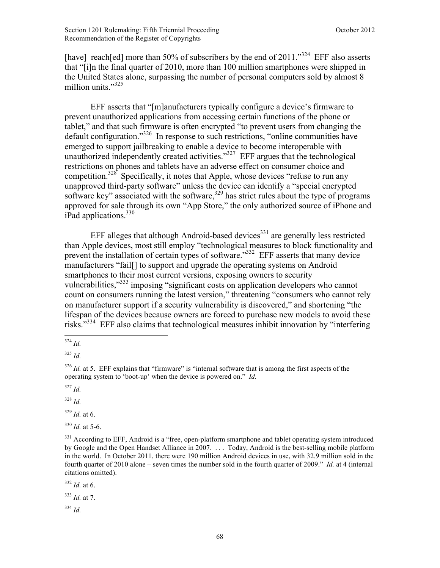[have] reach[ed] more than 50% of subscribers by the end of 2011."<sup>324</sup> EFF also asserts that "[i]n the final quarter of 2010, more than 100 million smartphones were shipped in the United States alone, surpassing the number of personal computers sold by almost 8 million units."<sup>325</sup>

EFF asserts that "[m]anufacturers typically configure a device's firmware to prevent unauthorized applications from accessing certain functions of the phone or tablet," and that such firmware is often encrypted "to prevent users from changing the default configuration."<sup>326</sup> In response to such restrictions, "online communities have emerged to support jailbreaking to enable a device to become interoperable with unauthorized independently created activities."<sup>327</sup> EFF argues that the technological restrictions on phones and tablets have an adverse effect on consumer choice and competition.<sup>328</sup> Specifically, it notes that Apple, whose devices "refuse to run any unapproved third-party software" unless the device can identify a "special encrypted software key" associated with the software, $329$  has strict rules about the type of programs approved for sale through its own "App Store," the only authorized source of iPhone and iPad applications. $330$ 

EFF alleges that although Android-based devices $331$  are generally less restricted than Apple devices, most still employ "technological measures to block functionality and prevent the installation of certain types of software."<sup>332</sup> EFF asserts that many device manufacturers "fail[] to support and upgrade the operating systems on Android smartphones to their most current versions, exposing owners to security vulnerabilities,"333 imposing "significant costs on application developers who cannot count on consumers running the latest version," threatening "consumers who cannot rely on manufacturer support if a security vulnerability is discovered," and shortening "the lifespan of the devices because owners are forced to purchase new models to avoid these risks."334 EFF also claims that technological measures inhibit innovation by "interfering  $\overline{a}$ 

<sup>329</sup> *Id.* at 6.

 $330$  *Id.* at 5-6.

<sup>332</sup> *Id.* at 6.

<sup>333</sup> *Id.* at 7.

<sup>334</sup> *Id.*

<sup>324</sup> *Id.*

<sup>325</sup> *Id.*

<sup>&</sup>lt;sup>326</sup> *Id.* at 5. EFF explains that "firmware" is "internal software that is among the first aspects of the operating system to 'boot-up' when the device is powered on." *Id.*

<sup>327</sup> *Id.*

<sup>328</sup> *Id.*

<sup>&</sup>lt;sup>331</sup> According to EFF, Android is a "free, open-platform smartphone and tablet operating system introduced by Google and the Open Handset Alliance in 2007. . . . Today, Android is the best-selling mobile platform in the world. In October 2011, there were 190 million Android devices in use, with 32.9 million sold in the fourth quarter of 2010 alone – seven times the number sold in the fourth quarter of 2009." *Id.* at 4 (internal citations omitted).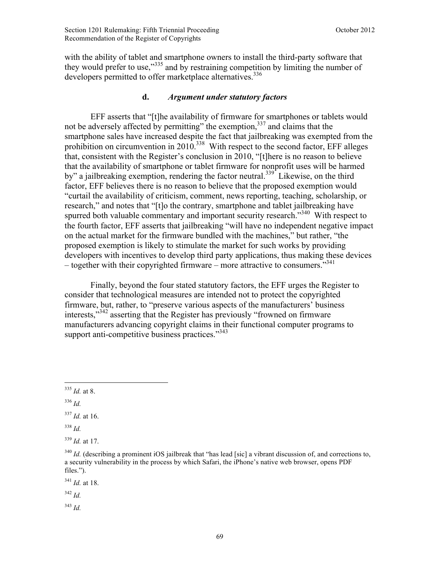with the ability of tablet and smartphone owners to install the third-party software that they would prefer to use,"335 and by restraining competition by limiting the number of developers permitted to offer marketplace alternatives.<sup>336</sup>

#### **d.** *Argument under statutory factors*

EFF asserts that "[t]he availability of firmware for smartphones or tablets would not be adversely affected by permitting" the exemption,<sup>337</sup> and claims that the smartphone sales have increased despite the fact that jailbreaking was exempted from the prohibition on circumvention in  $2010^{338}$  With respect to the second factor, EFF alleges that, consistent with the Register's conclusion in 2010, "[t]here is no reason to believe that the availability of smartphone or tablet firmware for nonprofit uses will be harmed by" a jailbreaking exemption, rendering the factor neutral.<sup>339</sup> Likewise, on the third factor, EFF believes there is no reason to believe that the proposed exemption would "curtail the availability of criticism, comment, news reporting, teaching, scholarship, or research," and notes that "[t]o the contrary, smartphone and tablet jailbreaking have spurred both valuable commentary and important security research.<sup>340</sup> With respect to the fourth factor, EFF asserts that jailbreaking "will have no independent negative impact on the actual market for the firmware bundled with the machines," but rather, "the proposed exemption is likely to stimulate the market for such works by providing developers with incentives to develop third party applications, thus making these devices – together with their copyrighted firmware – more attractive to consumers.<sup>341</sup>

Finally, beyond the four stated statutory factors, the EFF urges the Register to consider that technological measures are intended not to protect the copyrighted firmware, but, rather, to "preserve various aspects of the manufacturers' business interests,<sup>3342</sup> asserting that the Register has previously "frowned on firmware" manufacturers advancing copyright claims in their functional computer programs to support anti-competitive business practices."<sup>343</sup>

 $\overline{a}$ 

<sup>341</sup> *Id.* at 18.

<sup>342</sup> *Id.*

<sup>343</sup> *Id.*

<sup>335</sup> *Id.* at 8.

<sup>336</sup> *Id.*

 $337$  *Id.* at 16.

<sup>338</sup> *Id.*

<sup>339</sup> *Id.* at 17.

<sup>&</sup>lt;sup>340</sup> *Id.* (describing a prominent iOS jailbreak that "has lead [sic] a vibrant discussion of, and corrections to, a security vulnerability in the process by which Safari, the iPhone's native web browser, opens PDF files.").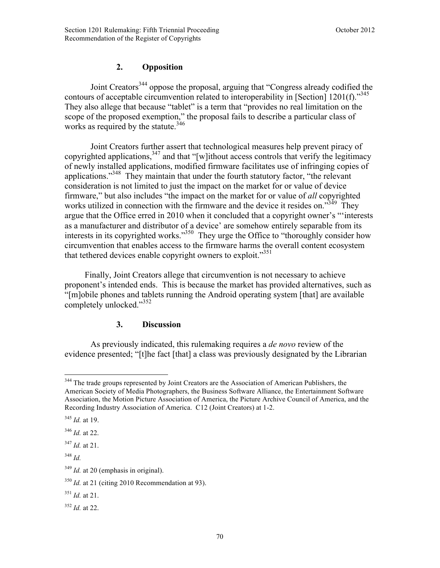# **2. Opposition**

Joint Creators<sup>344</sup> oppose the proposal, arguing that "Congress already codified the contours of acceptable circumvention related to interoperability in [Section] 1201(f)."<sup>345</sup> They also allege that because "tablet" is a term that "provides no real limitation on the scope of the proposed exemption," the proposal fails to describe a particular class of works as required by the statute.<sup>346</sup>

Joint Creators further assert that technological measures help prevent piracy of copyrighted applications,  $347$  and that "[w]ithout access controls that verify the legitimacy of newly installed applications, modified firmware facilitates use of infringing copies of applications."<sup>348</sup> They maintain that under the fourth statutory factor, "the relevant consideration is not limited to just the impact on the market for or value of device firmware," but also includes "the impact on the market for or value of *all* copyrighted works utilized in connection with the firmware and the device it resides on."<sup>349</sup> They argue that the Office erred in 2010 when it concluded that a copyright owner's "'interests as a manufacturer and distributor of a device' are somehow entirely separable from its interests in its copyrighted works."350 They urge the Office to "thoroughly consider how circumvention that enables access to the firmware harms the overall content ecosystem that tethered devices enable copyright owners to exploit."<sup>351</sup>

Finally, Joint Creators allege that circumvention is not necessary to achieve proponent's intended ends. This is because the market has provided alternatives, such as "[m]obile phones and tablets running the Android operating system [that] are available completely unlocked."<sup>352</sup>

### **3. Discussion**

As previously indicated, this rulemaking requires a *de novo* review of the evidence presented; "[t]he fact [that] a class was previously designated by the Librarian

<sup>348</sup> *Id.*

<sup>351</sup> *Id.* at 21.

 $\overline{a}$ <sup>344</sup> The trade groups represented by Joint Creators are the Association of American Publishers, the American Society of Media Photographers, the Business Software Alliance, the Entertainment Software Association, the Motion Picture Association of America, the Picture Archive Council of America, and the Recording Industry Association of America. C12 (Joint Creators) at 1-2.

<sup>345</sup> *Id.* at 19.

<sup>346</sup> *Id.* at 22.

<sup>347</sup> *Id.* at 21.

<sup>&</sup>lt;sup>349</sup> *Id.* at 20 (emphasis in original).

<sup>&</sup>lt;sup>350</sup> *Id.* at 21 (citing 2010 Recommendation at 93).

<sup>352</sup> *Id.* at 22.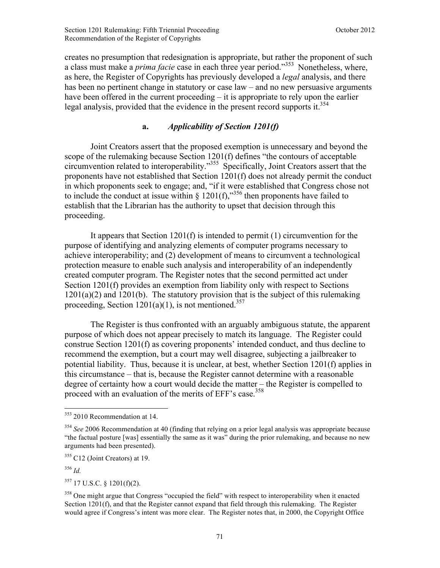creates no presumption that redesignation is appropriate, but rather the proponent of such a class must make a *prima facie* case in each three year period."353 Nonetheless, where, as here, the Register of Copyrights has previously developed a *legal* analysis, and there has been no pertinent change in statutory or case law – and no new persuasive arguments have been offered in the current proceeding – it is appropriate to rely upon the earlier legal analysis, provided that the evidence in the present record supports it.<sup>354</sup>

## **a.** *Applicability of Section 1201(f)*

Joint Creators assert that the proposed exemption is unnecessary and beyond the scope of the rulemaking because Section 1201(f) defines "the contours of acceptable circumvention related to interoperability."355 Specifically, Joint Creators assert that the proponents have not established that Section 1201(f) does not already permit the conduct in which proponents seek to engage; and, "if it were established that Congress chose not to include the conduct at issue within  $\frac{8.1201(f)}{s^{356}}$  then proponents have failed to establish that the Librarian has the authority to upset that decision through this proceeding.

It appears that Section 1201(f) is intended to permit (1) circumvention for the purpose of identifying and analyzing elements of computer programs necessary to achieve interoperability; and (2) development of means to circumvent a technological protection measure to enable such analysis and interoperability of an independently created computer program. The Register notes that the second permitted act under Section 1201(f) provides an exemption from liability only with respect to Sections  $1201(a)(2)$  and  $1201(b)$ . The statutory provision that is the subject of this rulemaking proceeding, Section  $1201(a)(1)$ , is not mentioned.<sup>357</sup>

The Register is thus confronted with an arguably ambiguous statute, the apparent purpose of which does not appear precisely to match its language. The Register could construe Section 1201(f) as covering proponents' intended conduct, and thus decline to recommend the exemption, but a court may well disagree, subjecting a jailbreaker to potential liability. Thus, because it is unclear, at best, whether Section 1201(f) applies in this circumstance – that is, because the Register cannot determine with a reasonable degree of certainty how a court would decide the matter – the Register is compelled to proceed with an evaluation of the merits of EFF's case.<sup>358</sup>

<sup>356</sup> *Id.*

 $\overline{a}$ 

 $357$  17 U.S.C. § 1201(f)(2).

 $353$  2010 Recommendation at 14.

<sup>&</sup>lt;sup>354</sup> See 2006 Recommendation at 40 (finding that relying on a prior legal analysis was appropriate because "the factual posture [was] essentially the same as it was" during the prior rulemaking, and because no new arguments had been presented).

<sup>355</sup> C12 (Joint Creators) at 19.

<sup>&</sup>lt;sup>358</sup> One might argue that Congress "occupied the field" with respect to interoperability when it enacted Section 1201(f), and that the Register cannot expand that field through this rulemaking. The Register would agree if Congress's intent was more clear. The Register notes that, in 2000, the Copyright Office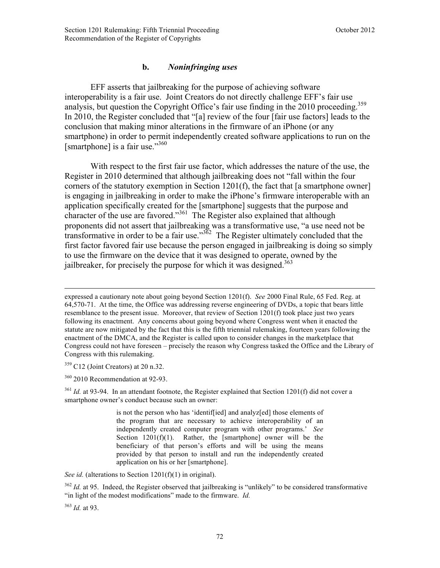## **b.** *Noninfringing uses*

EFF asserts that jailbreaking for the purpose of achieving software interoperability is a fair use. Joint Creators do not directly challenge EFF's fair use analysis, but question the Copyright Office's fair use finding in the 2010 proceeding.<sup>359</sup> In 2010, the Register concluded that "[a] review of the four [fair use factors] leads to the conclusion that making minor alterations in the firmware of an iPhone (or any smartphone) in order to permit independently created software applications to run on the [smartphone] is a fair use." $360$ 

With respect to the first fair use factor, which addresses the nature of the use, the Register in 2010 determined that although jailbreaking does not "fall within the four corners of the statutory exemption in Section 1201(f), the fact that [a smartphone owner] is engaging in jailbreaking in order to make the iPhone's firmware interoperable with an application specifically created for the [smartphone] suggests that the purpose and character of the use are favored."<sup>361</sup> The Register also explained that although proponents did not assert that jailbreaking was a transformative use, "a use need not be transformative in order to be a fair use." $362$  The Register ultimately concluded that the first factor favored fair use because the person engaged in jailbreaking is doing so simply to use the firmware on the device that it was designed to operate, owned by the iailbreaker, for precisely the purpose for which it was designed.<sup>363</sup>

 $359$  C12 (Joint Creators) at 20 n.32.

 $360$  2010 Recommendation at 92-93.

 $361$  *Id.* at 93-94. In an attendant footnote, the Register explained that Section 1201(f) did not cover a smartphone owner's conduct because such an owner:

> is not the person who has 'identif[ied] and analyz[ed] those elements of the program that are necessary to achieve interoperability of an independently created computer program with other programs.' *See*  Section  $1201(f)(1)$ . Rather, the [smartphone] owner will be the beneficiary of that person's efforts and will be using the means provided by that person to install and run the independently created application on his or her [smartphone].

*See id.* (alterations to Section 1201(f)(1) in original).

<sup>362</sup> *Id.* at 95. Indeed, the Register observed that jailbreaking is "unlikely" to be considered transformative "in light of the modest modifications" made to the firmware. *Id.*

<sup>363</sup> *Id.* at 93.

expressed a cautionary note about going beyond Section 1201(f). *See* 2000 Final Rule, 65 Fed. Reg. at 64,570-71. At the time, the Office was addressing reverse engineering of DVDs, a topic that bears little resemblance to the present issue. Moreover, that review of Section 1201(f) took place just two years following its enactment. Any concerns about going beyond where Congress went when it enacted the statute are now mitigated by the fact that this is the fifth triennial rulemaking, fourteen years following the enactment of the DMCA, and the Register is called upon to consider changes in the marketplace that Congress could not have foreseen – precisely the reason why Congress tasked the Office and the Library of Congress with this rulemaking.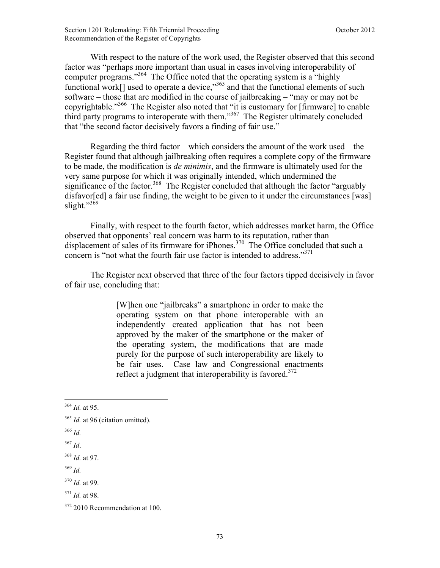With respect to the nature of the work used, the Register observed that this second factor was "perhaps more important than usual in cases involving interoperability of computer programs."364 The Office noted that the operating system is a "highly functional work[] used to operate a device,<sup>365</sup> and that the functional elements of such software – those that are modified in the course of jailbreaking – "may or may not be copyrightable."366 The Register also noted that "it is customary for [firmware] to enable third party programs to interoperate with them."367 The Register ultimately concluded that "the second factor decisively favors a finding of fair use."

Regarding the third factor – which considers the amount of the work used – the Register found that although jailbreaking often requires a complete copy of the firmware to be made, the modification is *de minimis*, and the firmware is ultimately used for the very same purpose for which it was originally intended, which undermined the significance of the factor.<sup>368</sup> The Register concluded that although the factor "arguably" disfavor [ed] a fair use finding, the weight to be given to it under the circumstances [was] slight." $369$ 

Finally, with respect to the fourth factor, which addresses market harm, the Office observed that opponents' real concern was harm to its reputation, rather than displacement of sales of its firmware for iPhones.<sup>370</sup> The Office concluded that such a concern is "not what the fourth fair use factor is intended to address."<sup>371</sup>

The Register next observed that three of the four factors tipped decisively in favor of fair use, concluding that:

> [W]hen one "jailbreaks" a smartphone in order to make the operating system on that phone interoperable with an independently created application that has not been approved by the maker of the smartphone or the maker of the operating system, the modifications that are made purely for the purpose of such interoperability are likely to be fair uses. Case law and Congressional enactments reflect a judgment that interoperability is favored.<sup>372</sup>

<sup>369</sup> *Id.*

<sup>1</sup> <sup>364</sup> *Id.* at 95.

<sup>&</sup>lt;sup>365</sup> *Id.* at 96 (citation omitted).

<sup>366</sup> *Id.*

 $367$  *Id.* 

<sup>368</sup> *Id.* at 97.

<sup>370</sup> *Id.* at 99.

<sup>371</sup> *Id.* at 98.

<sup>372 2010</sup> Recommendation at 100.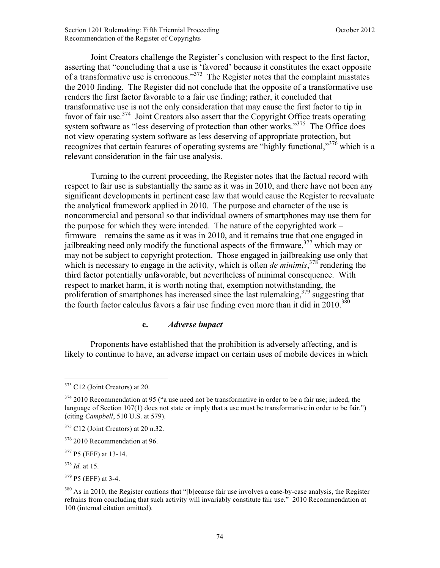Joint Creators challenge the Register's conclusion with respect to the first factor, asserting that "concluding that a use is 'favored' because it constitutes the exact opposite of a transformative use is erroneous."373 The Register notes that the complaint misstates the 2010 finding. The Register did not conclude that the opposite of a transformative use renders the first factor favorable to a fair use finding; rather, it concluded that transformative use is not the only consideration that may cause the first factor to tip in favor of fair use.<sup>374</sup> Joint Creators also assert that the Copyright Office treats operating system software as "less deserving of protection than other works."<sup>375</sup> The Office does not view operating system software as less deserving of appropriate protection, but recognizes that certain features of operating systems are "highly functional."<sup>376</sup> which is a relevant consideration in the fair use analysis.

Turning to the current proceeding, the Register notes that the factual record with respect to fair use is substantially the same as it was in 2010, and there have not been any significant developments in pertinent case law that would cause the Register to reevaluate the analytical framework applied in 2010. The purpose and character of the use is noncommercial and personal so that individual owners of smartphones may use them for the purpose for which they were intended. The nature of the copyrighted work – firmware – remains the same as it was in 2010, and it remains true that one engaged in jailbreaking need only modify the functional aspects of the firmware,  $377$  which may or may not be subject to copyright protection. Those engaged in jailbreaking use only that which is necessary to engage in the activity, which is often *de minimis*,  $378$ <sup>T</sup> rendering the third factor potentially unfavorable, but nevertheless of minimal consequence. With respect to market harm, it is worth noting that, exemption notwithstanding, the proliferation of smartphones has increased since the last rulemaking,  $379$  suggesting that the fourth factor calculus favors a fair use finding even more than it did in  $2010^{380}$ 

#### **c.** *Adverse impact*

Proponents have established that the prohibition is adversely affecting, and is likely to continue to have, an adverse impact on certain uses of mobile devices in which

<sup>&</sup>lt;u>.</u>  $373$  C12 (Joint Creators) at 20.

 $374$  2010 Recommendation at 95 ("a use need not be transformative in order to be a fair use; indeed, the language of Section 107(1) does not state or imply that a use must be transformative in order to be fair.") (citing *Campbell*, 510 U.S. at 579).

 $375$  C12 (Joint Creators) at 20 n.32.

 $376$  2010 Recommendation at 96.

<sup>377</sup> P5 (EFF) at 13-14.

<sup>378</sup> *Id.* at 15.

 $379$  P5 (EFF) at 3-4.

<sup>&</sup>lt;sup>380</sup> As in 2010, the Register cautions that "[b]ecause fair use involves a case-by-case analysis, the Register refrains from concluding that such activity will invariably constitute fair use." 2010 Recommendation at 100 (internal citation omitted).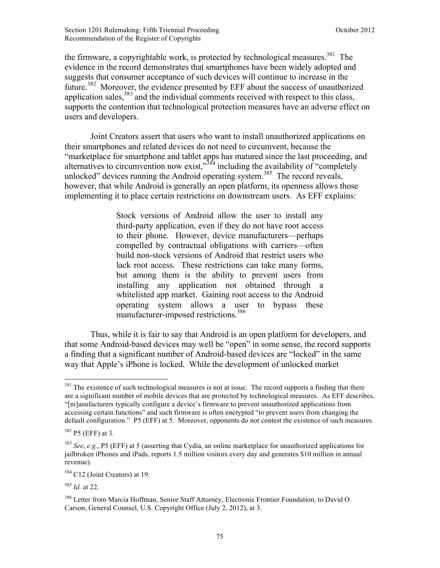the firmware, a copyrightable work, is protected by technological measures.<sup>381</sup> The evidence in the record demonstrates that smartphones have been widely adopted and suggests that consumer acceptance of such devices will continue to increase in the future.<sup>382</sup> Moreover, the evidence presented by EFF about the success of unauthorized application sales, $383$  and the individual comments received with respect to this class, supports the contention that technological protection measures have an adverse effect on users and developers.

Joint Creators assert that users who want to install unauthorized applications on their smartphones and related devices do not need to circumvent, because the "marketplace for smartphone and tablet apps has matured since the last proceeding, and alternatives to circumvention now exist,"<sup>384</sup> including the availability of "completely unlocked" devices running the Android operating system.<sup>385</sup> The record reveals, however, that while Android is generally an open platform, its openness allows those implementing it to place certain restrictions on downstream users. As EFF explains:

> Stock versions of Android allow the user to install any third-party application, even if they do not have root access to their phone. However, device manufacturers—perhaps compelled by contractual obligations with carriers—often build non-stock versions of Android that restrict users who lack root access. These restrictions can take many forms, but among them is the ability to prevent users from installing any application not obtained through a whitelisted app market. Gaining root access to the Android operating system allows a user to bypass these manufacturer-imposed restrictions.<sup>386</sup>

Thus, while it is fair to say that Android is an open platform for developers, and that some Android-based devices may well be "open" in some sense, the record supports a finding that a significant number of Android-based devices are "locked" in the same way that Apple's iPhone is locked. While the development of unlocked market

 $381$  The existence of such technological measures is not at issue. The record supports a finding that there are a significant number of mobile devices that are protected by technological measures. As EFF describes, "[m]anufacturers typically configure a device's firmware to prevent unauthorized applications from accessing certain functions" and such firmware is often encrypted "to prevent users from changing the default configuration." P5 (EFF) at 5. Moreover, opponents do not contest the existence of such measures.

 $382$  P5 (EFF) at 3.

<sup>383</sup> *See*, *e.g.*, P5 (EFF) at 5 (asserting that Cydia, an online marketplace for unauthorized applications for jailbroken iPhones and iPads, reports 1.5 million visitors every day and generates \$10 million in annual revenue).

<sup>&</sup>lt;sup>384</sup> C12 (Joint Creators) at 19.

<sup>385</sup> *Id.* at 22.

<sup>&</sup>lt;sup>386</sup> Letter from Marcia Hoffman, Senior Staff Attorney, Electronic Frontier Foundation, to David O. Carson, General Counsel, U.S. Copyright Office (July 2, 2012), at 3.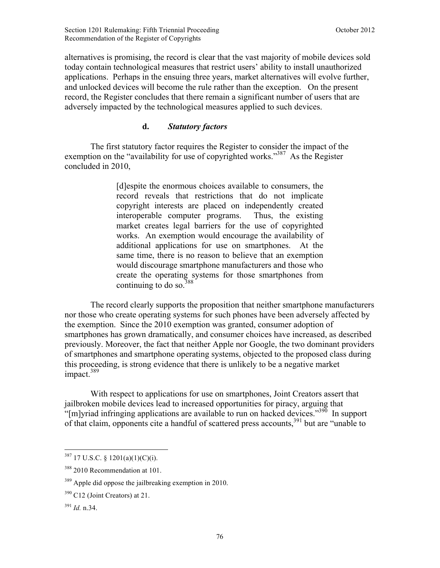alternatives is promising, the record is clear that the vast majority of mobile devices sold today contain technological measures that restrict users' ability to install unauthorized applications. Perhaps in the ensuing three years, market alternatives will evolve further, and unlocked devices will become the rule rather than the exception. On the present record, the Register concludes that there remain a significant number of users that are adversely impacted by the technological measures applied to such devices.

## **d.** *Statutory factors*

The first statutory factor requires the Register to consider the impact of the exemption on the "availability for use of copyrighted works."<sup>387</sup> As the Register concluded in 2010,

> [d]espite the enormous choices available to consumers, the record reveals that restrictions that do not implicate copyright interests are placed on independently created interoperable computer programs. Thus, the existing market creates legal barriers for the use of copyrighted works. An exemption would encourage the availability of additional applications for use on smartphones. At the same time, there is no reason to believe that an exemption would discourage smartphone manufacturers and those who create the operating systems for those smartphones from continuing to do so. $388$

The record clearly supports the proposition that neither smartphone manufacturers nor those who create operating systems for such phones have been adversely affected by the exemption. Since the 2010 exemption was granted, consumer adoption of smartphones has grown dramatically, and consumer choices have increased, as described previously. Moreover, the fact that neither Apple nor Google, the two dominant providers of smartphones and smartphone operating systems, objected to the proposed class during this proceeding, is strong evidence that there is unlikely to be a negative market impact.<sup>389</sup>

With respect to applications for use on smartphones, Joint Creators assert that jailbroken mobile devices lead to increased opportunities for piracy, arguing that "[m]yriad infringing applications are available to run on hacked devices."<sup>390</sup> In support of that claim, opponents cite a handful of scattered press accounts,  $391$  but are "unable to"

 $387$  17 U.S.C. § 1201(a)(1)(C)(i).

<sup>&</sup>lt;sup>388</sup> 2010 Recommendation at 101.

<sup>&</sup>lt;sup>389</sup> Apple did oppose the jailbreaking exemption in 2010.

<sup>390</sup> C12 (Joint Creators) at 21.

 $391$  *Id.* n. 34.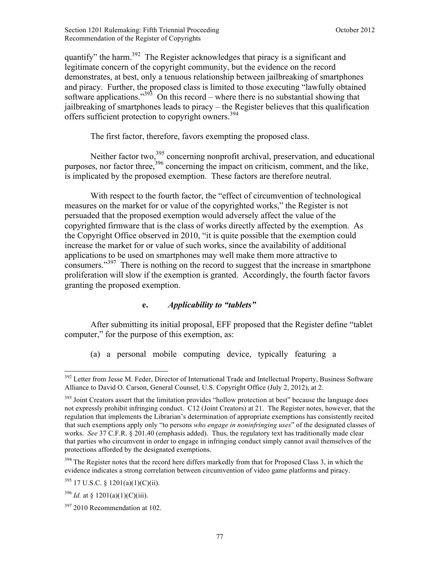quantify" the harm.<sup>392</sup> The Register acknowledges that piracy is a significant and legitimate concern of the copyright community, but the evidence on the record demonstrates, at best, only a tenuous relationship between jailbreaking of smartphones and piracy. Further, the proposed class is limited to those executing "lawfully obtained software applications."<sup>393</sup> On this record – where there is no substantial showing that jailbreaking of smartphones leads to piracy – the Register believes that this qualification offers sufficient protection to copyright owners.<sup>394</sup>

The first factor, therefore, favors exempting the proposed class.

Neither factor two,<sup>395</sup> concerning nonprofit archival, preservation, and educational purposes, nor factor three,<sup>396</sup> concerning the impact on criticism, comment, and the like, is implicated by the proposed exemption. These factors are therefore neutral.

With respect to the fourth factor, the "effect of circumvention of technological measures on the market for or value of the copyrighted works," the Register is not persuaded that the proposed exemption would adversely affect the value of the copyrighted firmware that is the class of works directly affected by the exemption. As the Copyright Office observed in 2010, "it is quite possible that the exemption could increase the market for or value of such works, since the availability of additional applications to be used on smartphones may well make them more attractive to consumers.<sup>397</sup> There is nothing on the record to suggest that the increase in smartphone proliferation will slow if the exemption is granted. Accordingly, the fourth factor favors granting the proposed exemption.

# **e.** *Applicability to "tablets"*

After submitting its initial proposal, EFF proposed that the Register define "tablet computer," for the purpose of this exemption, as:

(a) a personal mobile computing device, typically featuring a

<sup>&</sup>lt;sup>392</sup> Letter from Jesse M. Feder, Director of International Trade and Intellectual Property, Business Software Alliance to David O. Carson, General Counsel, U.S. Copyright Office (July 2, 2012), at 2.

<sup>&</sup>lt;sup>393</sup> Joint Creators assert that the limitation provides "hollow protection at best" because the language does not expressly prohibit infringing conduct. C12 (Joint Creators) at 21. The Register notes, however, that the regulation that implements the Librarian's determination of appropriate exemptions has consistently recited that such exemptions apply only "to persons *who engage in noninfringing uses*" of the designated classes of works. *See* 37 C.F.R. § 201.40 (emphasis added). Thus, the regulatory text has traditionally made clear that parties who circumvent in order to engage in infringing conduct simply cannot avail themselves of the protections afforded by the designated exemptions.

<sup>&</sup>lt;sup>394</sup> The Register notes that the record here differs markedly from that for Proposed Class 3, in which the evidence indicates a strong correlation between circumvention of video game platforms and piracy.

 $395$  17 U.S.C. § 1201(a)(1)(C)(ii).

 $396$  *Id.* at § 1201(a)(1)(C)(iii).

 $397$  2010 Recommendation at 102.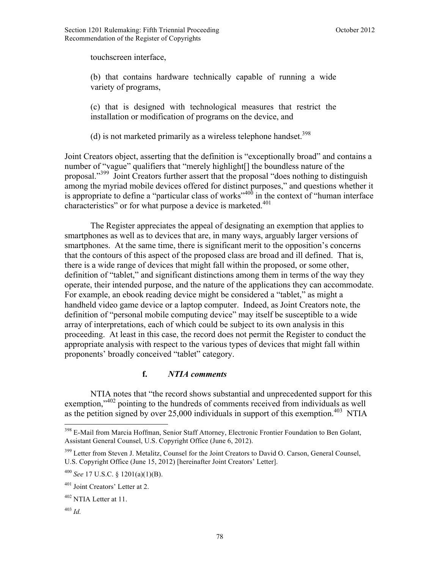touchscreen interface,

(b) that contains hardware technically capable of running a wide variety of programs,

(c) that is designed with technological measures that restrict the installation or modification of programs on the device, and

(d) is not marketed primarily as a wireless telephone handset.<sup>398</sup>

Joint Creators object, asserting that the definition is "exceptionally broad" and contains a number of "vague" qualifiers that "merely highlight[] the boundless nature of the proposal."399 Joint Creators further assert that the proposal "does nothing to distinguish among the myriad mobile devices offered for distinct purposes," and questions whether it is appropriate to define a "particular class of works"<sup>400</sup> in the context of "human interface" characteristics" or for what purpose a device is marketed.<sup>401</sup>

 The Register appreciates the appeal of designating an exemption that applies to smartphones as well as to devices that are, in many ways, arguably larger versions of smartphones. At the same time, there is significant merit to the opposition's concerns that the contours of this aspect of the proposed class are broad and ill defined. That is, there is a wide range of devices that might fall within the proposed, or some other, definition of "tablet," and significant distinctions among them in terms of the way they operate, their intended purpose, and the nature of the applications they can accommodate. For example, an ebook reading device might be considered a "tablet," as might a handheld video game device or a laptop computer. Indeed, as Joint Creators note, the definition of "personal mobile computing device" may itself be susceptible to a wide array of interpretations, each of which could be subject to its own analysis in this proceeding. At least in this case, the record does not permit the Register to conduct the appropriate analysis with respect to the various types of devices that might fall within proponents' broadly conceived "tablet" category.

### **f.** *NTIA comments*

NTIA notes that "the record shows substantial and unprecedented support for this exemption,<sup>"402</sup> pointing to the hundreds of comments received from individuals as well as the petition signed by over 25,000 individuals in support of this exemption.<sup>403</sup> NTIA

 $\overline{a}$ 

<sup>&</sup>lt;sup>398</sup> E-Mail from Marcia Hoffman, Senior Staff Attorney, Electronic Frontier Foundation to Ben Golant, Assistant General Counsel, U.S. Copyright Office (June 6, 2012).

<sup>&</sup>lt;sup>399</sup> Letter from Steven J. Metalitz, Counsel for the Joint Creators to David O. Carson, General Counsel, U.S. Copyright Office (June 15, 2012) [hereinafter Joint Creators' Letter].

<sup>400</sup> *See* 17 U.S.C. § 1201(a)(1)(B).

<sup>401</sup> Joint Creators' Letter at 2.

 $402$  NTIA Letter at 11.

<sup>403</sup> *Id.*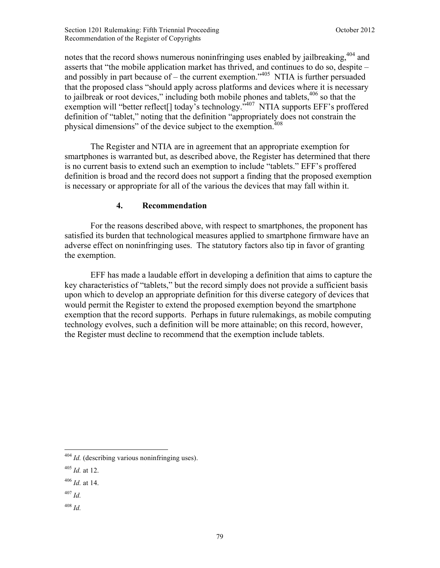notes that the record shows numerous noninfringing uses enabled by jailbreaking,<sup>404</sup> and asserts that "the mobile application market has thrived, and continues to do so, despite – and possibly in part because of – the current exemption.<sup> $1405$ </sup> NTIA is further persuaded that the proposed class "should apply across platforms and devices where it is necessary to jailbreak or root devices," including both mobile phones and tablets,  $406$  so that the exemption will "better reflect<sup>[]</sup> today's technology."<sup>407</sup> NTIA supports EFF's proffered definition of "tablet," noting that the definition "appropriately does not constrain the physical dimensions" of the device subject to the exemption.<sup>408</sup>

The Register and NTIA are in agreement that an appropriate exemption for smartphones is warranted but, as described above, the Register has determined that there is no current basis to extend such an exemption to include "tablets." EFF's proffered definition is broad and the record does not support a finding that the proposed exemption is necessary or appropriate for all of the various the devices that may fall within it.

## **4. Recommendation**

For the reasons described above, with respect to smartphones, the proponent has satisfied its burden that technological measures applied to smartphone firmware have an adverse effect on noninfringing uses. The statutory factors also tip in favor of granting the exemption.

EFF has made a laudable effort in developing a definition that aims to capture the key characteristics of "tablets," but the record simply does not provide a sufficient basis upon which to develop an appropriate definition for this diverse category of devices that would permit the Register to extend the proposed exemption beyond the smartphone exemption that the record supports. Perhaps in future rulemakings, as mobile computing technology evolves, such a definition will be more attainable; on this record, however, the Register must decline to recommend that the exemption include tablets.

 $\overline{a}$ 

<sup>408</sup> *Id.*

<sup>&</sup>lt;sup>404</sup> *Id.* (describing various noninfringing uses).

<sup>405</sup> *Id.* at 12.

<sup>406</sup> *Id.* at 14.

<sup>407</sup> *Id.*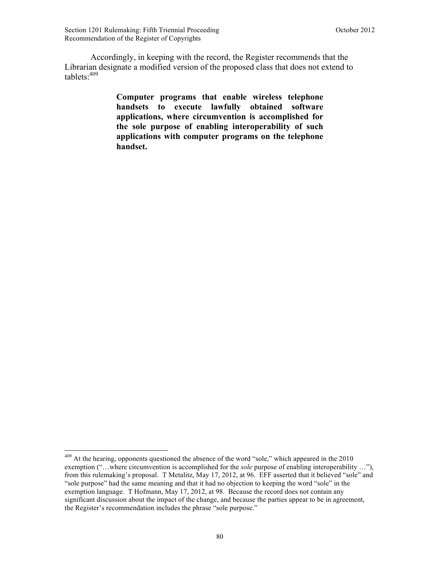$\overline{a}$ 

Accordingly, in keeping with the record, the Register recommends that the Librarian designate a modified version of the proposed class that does not extend to tablets:409

> **Computer programs that enable wireless telephone handsets to execute lawfully obtained software applications, where circumvention is accomplished for the sole purpose of enabling interoperability of such applications with computer programs on the telephone handset.**

 $409$  At the hearing, opponents questioned the absence of the word "sole," which appeared in the 2010 exemption ("…where circumvention is accomplished for the *sole* purpose of enabling interoperability …"), from this rulemaking's proposal. T Metalitz, May 17, 2012, at 96. EFF asserted that it believed "sole" and "sole purpose" had the same meaning and that it had no objection to keeping the word "sole" in the exemption language. T Hofmann, May 17, 2012, at 98. Because the record does not contain any significant discussion about the impact of the change, and because the parties appear to be in agreement, the Register's recommendation includes the phrase "sole purpose."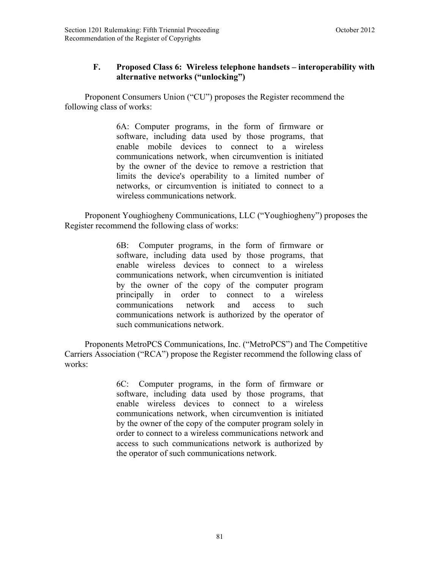# **F. Proposed Class 6: Wireless telephone handsets – interoperability with alternative networks ("unlocking")**

 Proponent Consumers Union ("CU") proposes the Register recommend the following class of works:

> 6A: Computer programs, in the form of firmware or software, including data used by those programs, that enable mobile devices to connect to a wireless communications network, when circumvention is initiated by the owner of the device to remove a restriction that limits the device's operability to a limited number of networks, or circumvention is initiated to connect to a wireless communications network.

 Proponent Youghiogheny Communications, LLC ("Youghiogheny") proposes the Register recommend the following class of works:

> 6B: Computer programs, in the form of firmware or software, including data used by those programs, that enable wireless devices to connect to a wireless communications network, when circumvention is initiated by the owner of the copy of the computer program principally in order to connect to a wireless communications network and access to such communications network is authorized by the operator of such communications network.

 Proponents MetroPCS Communications, Inc. ("MetroPCS") and The Competitive Carriers Association ("RCA") propose the Register recommend the following class of works:

> 6C: Computer programs, in the form of firmware or software, including data used by those programs, that enable wireless devices to connect to a wireless communications network, when circumvention is initiated by the owner of the copy of the computer program solely in order to connect to a wireless communications network and access to such communications network is authorized by the operator of such communications network.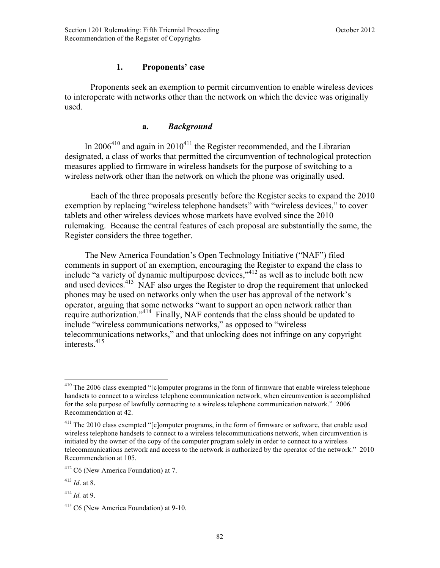### **1. Proponents' case**

 Proponents seek an exemption to permit circumvention to enable wireless devices to interoperate with networks other than the network on which the device was originally used.

#### **a.** *Background*

In  $2006^{410}$  and again in  $2010^{411}$  the Register recommended, and the Librarian designated, a class of works that permitted the circumvention of technological protection measures applied to firmware in wireless handsets for the purpose of switching to a wireless network other than the network on which the phone was originally used.

Each of the three proposals presently before the Register seeks to expand the 2010 exemption by replacing "wireless telephone handsets" with "wireless devices," to cover tablets and other wireless devices whose markets have evolved since the 2010 rulemaking. Because the central features of each proposal are substantially the same, the Register considers the three together.

The New America Foundation's Open Technology Initiative ("NAF") filed comments in support of an exemption, encouraging the Register to expand the class to include "a variety of dynamic multipurpose devices,"412 as well as to include both new and used devices.<sup>413</sup> NAF also urges the Register to drop the requirement that unlocked phones may be used on networks only when the user has approval of the network's operator, arguing that some networks "want to support an open network rather than require authorization."414 Finally, NAF contends that the class should be updated to include "wireless communications networks," as opposed to "wireless telecommunications networks," and that unlocking does not infringe on any copyright interests.415

 $410$  The 2006 class exempted "[c]omputer programs in the form of firmware that enable wireless telephone handsets to connect to a wireless telephone communication network, when circumvention is accomplished for the sole purpose of lawfully connecting to a wireless telephone communication network." 2006 Recommendation at 42.

<sup>&</sup>lt;sup>411</sup> The 2010 class exempted "[c]omputer programs, in the form of firmware or software, that enable used wireless telephone handsets to connect to a wireless telecommunications network, when circumvention is initiated by the owner of the copy of the computer program solely in order to connect to a wireless telecommunications network and access to the network is authorized by the operator of the network." 2010 Recommendation at 105.

<sup>412</sup> C6 (New America Foundation) at 7.

 $4^{13}$  *Id.* at 8.

<sup>414</sup> *Id.* at 9.

<sup>&</sup>lt;sup>415</sup> C6 (New America Foundation) at 9-10.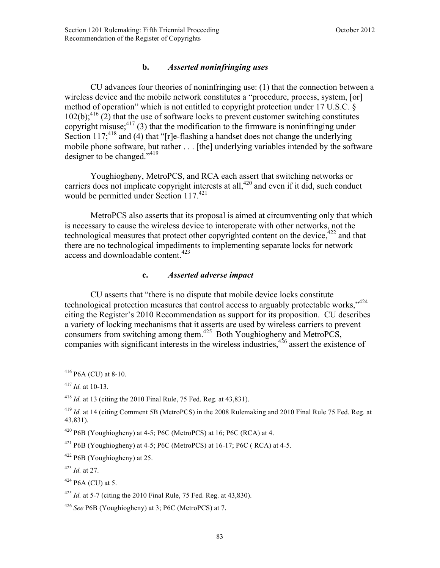### **b.** *Asserted noninfringing uses*

CU advances four theories of noninfringing use: (1) that the connection between a wireless device and the mobile network constitutes a "procedure, process, system, [or] method of operation" which is not entitled to copyright protection under 17 U.S.C. §  $102(b)$ ;<sup>416</sup> (2) that the use of software locks to prevent customer switching constitutes copyright misuse; $417$  (3) that the modification to the firmware is noninfringing under Section 117;<sup>418</sup> and (4) that "[r]e-flashing a handset does not change the underlying mobile phone software, but rather . . . [the] underlying variables intended by the software designer to be changed."419

Youghiogheny, MetroPCS, and RCA each assert that switching networks or carriers does not implicate copyright interests at all,  $420$  and even if it did, such conduct would be permitted under Section 117.<sup>421</sup>

 MetroPCS also asserts that its proposal is aimed at circumventing only that which is necessary to cause the wireless device to interoperate with other networks, not the technological measures that protect other copyrighted content on the device,  $422$  and that there are no technological impediments to implementing separate locks for network access and downloadable content.<sup>423</sup>

#### **c.** *Asserted adverse impact*

CU asserts that "there is no dispute that mobile device locks constitute technological protection measures that control access to arguably protectable works."<sup>424</sup> citing the Register's 2010 Recommendation as support for its proposition. CU describes a variety of locking mechanisms that it asserts are used by wireless carriers to prevent consumers from switching among them.<sup>425</sup> Both Youghiogheny and MetroPCS, companies with significant interests in the wireless industries,  $426$  assert the existence of

 $\overline{a}$ 

 $416$  P6A (CU) at 8-10.

<sup>417</sup> *Id.* at 10-13.

<sup>418</sup> *Id.* at 13 (citing the 2010 Final Rule, 75 Fed. Reg. at 43,831).

<sup>419</sup> *Id.* at 14 (citing Comment 5B (MetroPCS) in the 2008 Rulemaking and 2010 Final Rule 75 Fed. Reg. at 43,831).

 $420$  P6B (Youghiogheny) at 4-5; P6C (MetroPCS) at 16; P6C (RCA) at 4.

<sup>&</sup>lt;sup>421</sup> P6B (Youghiogheny) at 4-5; P6C (MetroPCS) at 16-17; P6C ( RCA) at 4-5.

<sup>422</sup> P6B (Youghiogheny) at 25.

<sup>423</sup> *Id.* at 27.

 $424$  P<sub>6</sub>A (CU) at 5.

<sup>425</sup> *Id.* at 5-7 (citing the 2010 Final Rule, 75 Fed. Reg. at 43,830).

<sup>426</sup> *See* P6B (Youghiogheny) at 3; P6C (MetroPCS) at 7.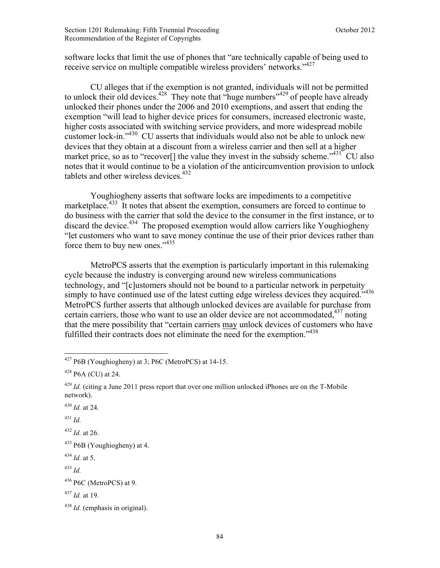software locks that limit the use of phones that "are technically capable of being used to receive service on multiple compatible wireless providers' networks."<sup>427</sup>

CU alleges that if the exemption is not granted, individuals will not be permitted to unlock their old devices.<sup>428</sup> They note that "huge numbers"<sup>429</sup> of people have already unlocked their phones under the 2006 and 2010 exemptions, and assert that ending the exemption "will lead to higher device prices for consumers, increased electronic waste, higher costs associated with switching service providers, and more widespread mobile customer lock-in."<sup>430</sup> CU asserts that individuals would also not be able to unlock new devices that they obtain at a discount from a wireless carrier and then sell at a higher market price, so as to "recover<sup>[]</sup> the value they invest in the subsidy scheme."<sup>431</sup> CU also notes that it would continue to be a violation of the anticircumvention provision to unlock tablets and other wireless devices.<sup>432</sup>

Youghiogheny asserts that software locks are impediments to a competitive marketplace.<sup>433</sup> It notes that absent the exemption, consumers are forced to continue to do business with the carrier that sold the device to the consumer in the first instance, or to discard the device.<sup>434</sup> The proposed exemption would allow carriers like Youghiogheny "let customers who want to save money continue the use of their prior devices rather than force them to buy new ones."<sup>435</sup>

MetroPCS asserts that the exemption is particularly important in this rulemaking cycle because the industry is converging around new wireless communications technology, and "[c]ustomers should not be bound to a particular network in perpetuity simply to have continued use of the latest cutting edge wireless devices they acquired."<sup>436</sup> MetroPCS further asserts that although unlocked devices are available for purchase from certain carriers, those who want to use an older device are not accommodated,  $437$  noting that the mere possibility that "certain carriers may unlock devices of customers who have fulfilled their contracts does not eliminate the need for the exemption."<sup>438</sup>

 $\overline{a}$ 

 $427$  P6B (Youghiogheny) at 3; P6C (MetroPCS) at 14-15.

 $428$  P<sub>6</sub>A (CU) at 24.

<sup>&</sup>lt;sup>429</sup> *Id.* (citing a June 2011 press report that over one million unlocked iPhones are on the T-Mobile network).

<sup>430</sup> *Id.* at 24.

<sup>431</sup> *Id.*

<sup>432</sup> *Id.* at 26.

 $433$  P6B (Youghiogheny) at 4.

 $434$  *Id.* at 5.

<sup>435</sup> *Id.*

 $436$  P6C (MetroPCS) at 9.

<sup>437</sup> *Id.* at 19.

<sup>438</sup> *Id.* (emphasis in original).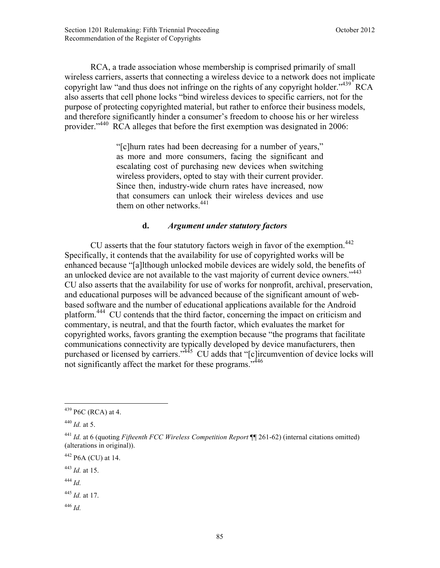RCA, a trade association whose membership is comprised primarily of small wireless carriers, asserts that connecting a wireless device to a network does not implicate copyright law "and thus does not infringe on the rights of any copyright holder."<sup>439</sup> RCA also asserts that cell phone locks "bind wireless devices to specific carriers, not for the purpose of protecting copyrighted material, but rather to enforce their business models, and therefore significantly hinder a consumer's freedom to choose his or her wireless provider."<sup>440</sup> RCA alleges that before the first exemption was designated in 2006:

> "[c]hurn rates had been decreasing for a number of years," as more and more consumers, facing the significant and escalating cost of purchasing new devices when switching wireless providers, opted to stay with their current provider. Since then, industry-wide churn rates have increased, now that consumers can unlock their wireless devices and use them on other networks.<sup>441</sup>

## **d.** *Argument under statutory factors*

CU asserts that the four statutory factors weigh in favor of the exemption.<sup>442</sup> Specifically, it contends that the availability for use of copyrighted works will be enhanced because "[a]lthough unlocked mobile devices are widely sold, the benefits of an unlocked device are not available to the vast majority of current device owners."<sup>443</sup> CU also asserts that the availability for use of works for nonprofit, archival, preservation, and educational purposes will be advanced because of the significant amount of webbased software and the number of educational applications available for the Android platform.<sup>444</sup> CU contends that the third factor, concerning the impact on criticism and commentary, is neutral, and that the fourth factor, which evaluates the market for copyrighted works, favors granting the exemption because "the programs that facilitate communications connectivity are typically developed by device manufacturers, then purchased or licensed by carriers."<sup>445</sup> CU adds that "[c]ircumvention of device locks will not significantly affect the market for these programs.<sup>7446</sup>

1

<sup>446</sup> *Id.*

 $439$  P6C (RCA) at 4.

 $440$  *Id.* at 5.

<sup>441</sup> *Id.* at 6 (quoting *Fifteenth FCC Wireless Competition Report* ¶¶ 261-62) (internal citations omitted) (alterations in original)).

<sup>442</sup> P6A (CU) at 14.

<sup>443</sup> *Id.* at 15.

<sup>444</sup> *Id.*

<sup>445</sup> *Id.* at 17.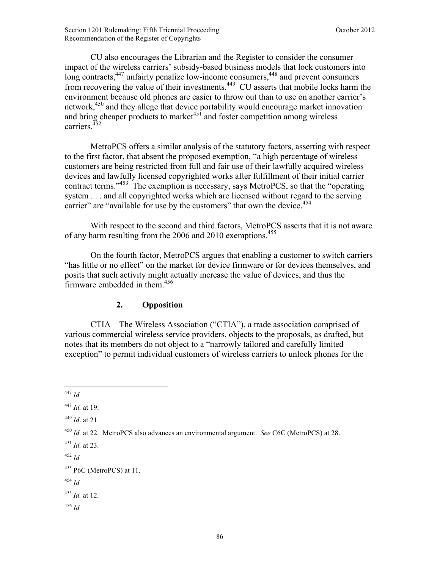Section 1201 Rulemaking: Fifth Triennial Proceeding **Section 1201 Rulemaking: Fifth Triennial Proceeding October 2012** Recommendation of the Register of Copyrights

CU also encourages the Librarian and the Register to consider the consumer impact of the wireless carriers' subsidy-based business models that lock customers into long contracts, $447$  unfairly penalize low-income consumers, $448$  and prevent consumers from recovering the value of their investments.<sup>449</sup> CU asserts that mobile locks harm the environment because old phones are easier to throw out than to use on another carrier's network,<sup>450</sup> and they allege that device portability would encourage market innovation and bring cheaper products to market $45$  and foster competition among wireless carriers. $452$ 

MetroPCS offers a similar analysis of the statutory factors, asserting with respect to the first factor, that absent the proposed exemption, "a high percentage of wireless customers are being restricted from full and fair use of their lawfully acquired wireless devices and lawfully licensed copyrighted works after fulfillment of their initial carrier contract terms."453 The exemption is necessary, says MetroPCS, so that the "operating system . . . and all copyrighted works which are licensed without regard to the serving carrier" are "available for use by the customers" that own the device.<sup>454</sup>

With respect to the second and third factors, MetroPCS asserts that it is not aware of any harm resulting from the 2006 and 2010 exemptions.<sup>455</sup>

 On the fourth factor, MetroPCS argues that enabling a customer to switch carriers "has little or no effect" on the market for device firmware or for devices themselves, and posits that such activity might actually increase the value of devices, and thus the firmware embedded in them. $456$ 

#### **2. Opposition**

CTIA—The Wireless Association ("CTIA"), a trade association comprised of various commercial wireless service providers, objects to the proposals, as drafted, but notes that its members do not object to a "narrowly tailored and carefully limited exception" to permit individual customers of wireless carriers to unlock phones for the

 $\overline{a}$ <sup>447</sup> *Id.*

<sup>448</sup> *Id.* at 19.

<sup>449</sup> *Id*. at 21.

<sup>450</sup> *Id.* at 22. MetroPCS also advances an environmental argument. *See* C6C (MetroPCS) at 28.

<sup>451</sup> *Id.* at 23.

<sup>452</sup> *Id.*

<sup>453</sup> P6C (MetroPCS) at 11.

<sup>454</sup> *Id.*

<sup>455</sup> *Id.* at 12.

<sup>456</sup> *Id.*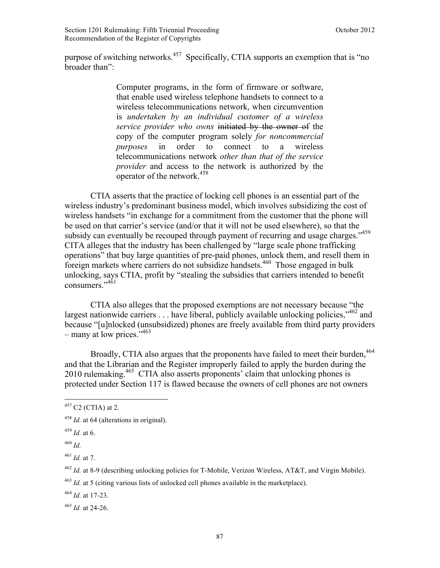purpose of switching networks.457 Specifically, CTIA supports an exemption that is "no broader than":

> Computer programs, in the form of firmware or software, that enable used wireless telephone handsets to connect to a wireless telecommunications network, when circumvention is *undertaken by an individual customer of a wireless service provider who owns* initiated by the owner of the copy of the computer program solely *for noncommercial purposes* in order to connect to a wireless telecommunications network *other than that of the service provider* and access to the network is authorized by the operator of the network.<sup>458</sup>

CTIA asserts that the practice of locking cell phones is an essential part of the wireless industry's predominant business model, which involves subsidizing the cost of wireless handsets "in exchange for a commitment from the customer that the phone will be used on that carrier's service (and/or that it will not be used elsewhere), so that the subsidy can eventually be recouped through payment of recurring and usage charges."<sup>459</sup> CITA alleges that the industry has been challenged by "large scale phone trafficking operations" that buy large quantities of pre-paid phones, unlock them, and resell them in foreign markets where carriers do not subsidize handsets.460 Those engaged in bulk unlocking, says CTIA, profit by "stealing the subsidies that carriers intended to benefit consumers $^{7,451}$ 

CTIA also alleges that the proposed exemptions are not necessary because "the largest nationwide carriers  $\ldots$  have liberal, publicly available unlocking policies,  $^{462}$  and because "[u]nlocked (unsubsidized) phones are freely available from third party providers – many at low prices."<sup>463</sup>

Broadly, CTIA also argues that the proponents have failed to meet their burden,<sup>464</sup> and that the Librarian and the Register improperly failed to apply the burden during the 2010 rulemaking.<sup>465</sup> CTIA also asserts proponents' claim that unlocking phones is protected under Section 117 is flawed because the owners of cell phones are not owners

 $\overline{a}$ 

 $457$  C2 (CTIA) at 2.

<sup>&</sup>lt;sup>458</sup> *Id.* at 64 (alterations in original).

<sup>459</sup> *Id.* at 6.

<sup>460</sup> *Id.*

<sup>461</sup> *Id.* at 7.

<sup>462</sup> *Id.* at 8-9 (describing unlocking policies for T-Mobile, Verizon Wireless, AT&T, and Virgin Mobile).

<sup>463</sup> *Id.* at 5 (citing various lists of unlocked cell phones available in the marketplace).

<sup>464</sup> *Id.* at 17-23.

<sup>465</sup> *Id.* at 24-26.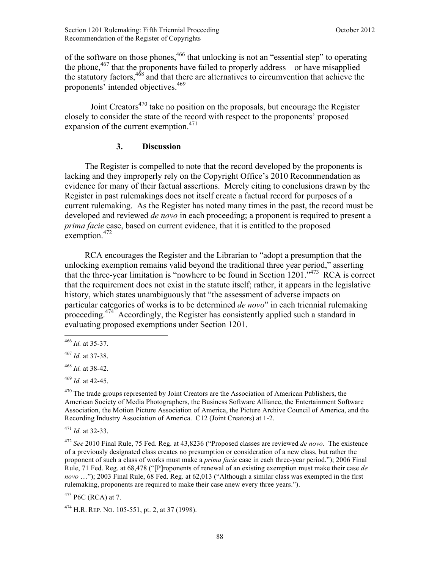of the software on those phones,<sup>466</sup> that unlocking is not an "essential step" to operating the phone,  $467$  that the proponents have failed to properly address – or have misapplied – the statutory factors,  $468$  and that there are alternatives to circumvention that achieve the proponents' intended objectives.<sup>469</sup>

Joint Creators $470$  take no position on the proposals, but encourage the Register closely to consider the state of the record with respect to the proponents' proposed expansion of the current exemption.<sup>471</sup>

## **3. Discussion**

The Register is compelled to note that the record developed by the proponents is lacking and they improperly rely on the Copyright Office's 2010 Recommendation as evidence for many of their factual assertions. Merely citing to conclusions drawn by the Register in past rulemakings does not itself create a factual record for purposes of a current rulemaking. As the Register has noted many times in the past, the record must be developed and reviewed *de novo* in each proceeding; a proponent is required to present a *prima facie* case, based on current evidence, that it is entitled to the proposed exemption. $472$ 

RCA encourages the Register and the Librarian to "adopt a presumption that the unlocking exemption remains valid beyond the traditional three year period," asserting that the three-year limitation is "nowhere to be found in Section 1201."473 RCA is correct that the requirement does not exist in the statute itself; rather, it appears in the legislative history, which states unambiguously that "the assessment of adverse impacts on particular categories of works is to be determined *de novo*" in each triennial rulemaking proceeding.<sup>474</sup> Accordingly, the Register has consistently applied such a standard in evaluating proposed exemptions under Section 1201.

<u>.</u>

<sup>471</sup> *Id.* at 32-33.

<sup>472</sup> *See* 2010 Final Rule, 75 Fed. Reg. at 43,8236 ("Proposed classes are reviewed *de novo*. The existence of a previously designated class creates no presumption or consideration of a new class, but rather the proponent of such a class of works must make a *prima facie* case in each three-year period."); 2006 Final Rule, 71 Fed. Reg. at 68,478 ("[P]roponents of renewal of an existing exemption must make their case *de novo* …"); 2003 Final Rule, 68 Fed. Reg. at 62,013 ("Although a similar class was exempted in the first rulemaking, proponents are required to make their case anew every three years.").

 $473$  P6C (RCA) at 7.

<sup>474</sup> H.R. REP. NO. 105-551, pt. 2, at 37 (1998).

<sup>466</sup> *Id.* at 35-37.

<sup>467</sup> *Id.* at 37-38.

<sup>468</sup> *Id.* at 38-42.

<sup>469</sup> *Id.* at 42-45.

 $470$  The trade groups represented by Joint Creators are the Association of American Publishers, the American Society of Media Photographers, the Business Software Alliance, the Entertainment Software Association, the Motion Picture Association of America, the Picture Archive Council of America, and the Recording Industry Association of America. C12 (Joint Creators) at 1-2.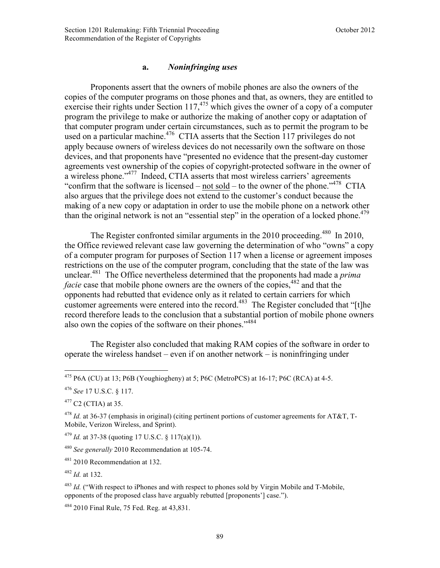## **a.** *Noninfringing uses*

Proponents assert that the owners of mobile phones are also the owners of the copies of the computer programs on those phones and that, as owners, they are entitled to exercise their rights under Section 117,<sup>475</sup> which gives the owner of a copy of a computer program the privilege to make or authorize the making of another copy or adaptation of that computer program under certain circumstances, such as to permit the program to be used on a particular machine.<sup>476</sup> CTIA asserts that the Section 117 privileges do not apply because owners of wireless devices do not necessarily own the software on those devices, and that proponents have "presented no evidence that the present-day customer agreements vest ownership of the copies of copyright-protected software in the owner of a wireless phone."477 Indeed, CTIA asserts that most wireless carriers' agreements "confirm that the software is licensed – not sold – to the owner of the phone."<sup>478</sup> CTIA also argues that the privilege does not extend to the customer's conduct because the making of a new copy or adaptation in order to use the mobile phone on a network other than the original network is not an "essential step" in the operation of a locked phone.<sup>479</sup>

The Register confronted similar arguments in the 2010 proceeding.<sup>480</sup> In 2010, the Office reviewed relevant case law governing the determination of who "owns" a copy of a computer program for purposes of Section 117 when a license or agreement imposes restrictions on the use of the computer program, concluding that the state of the law was unclear.481 The Office nevertheless determined that the proponents had made a *prima facie* case that mobile phone owners are the owners of the copies,<sup>482</sup> and that the opponents had rebutted that evidence only as it related to certain carriers for which customer agreements were entered into the record.<sup>483</sup> The Register concluded that " $[t]$ he record therefore leads to the conclusion that a substantial portion of mobile phone owners also own the copies of the software on their phones."<sup>484</sup>

The Register also concluded that making RAM copies of the software in order to operate the wireless handset – even if on another network – is noninfringing under

 $\overline{a}$ 

<sup>481</sup> 2010 Recommendation at 132.

<sup>&</sup>lt;sup>475</sup> P6A (CU) at 13; P6B (Youghiogheny) at 5; P6C (MetroPCS) at 16-17; P6C (RCA) at 4-5.

<sup>476</sup> *See* 17 U.S.C. § 117.

 $477$  C<sub>2</sub> (C<sub>TIA</sub>) at 35.

<sup>478</sup> *Id.* at 36-37 (emphasis in original) (citing pertinent portions of customer agreements for AT&T, T-Mobile, Verizon Wireless, and Sprint).

 $^{479}$  *Id.* at 37-38 (quoting 17 U.S.C. § 117(a)(1)).

<sup>480</sup> *See generally* 2010 Recommendation at 105-74.

<sup>482</sup> *Id.* at 132.

<sup>&</sup>lt;sup>483</sup> *Id.* ("With respect to iPhones and with respect to phones sold by Virgin Mobile and T-Mobile. opponents of the proposed class have arguably rebutted [proponents'] case.").

<sup>&</sup>lt;sup>484</sup> 2010 Final Rule, 75 Fed. Reg. at 43,831.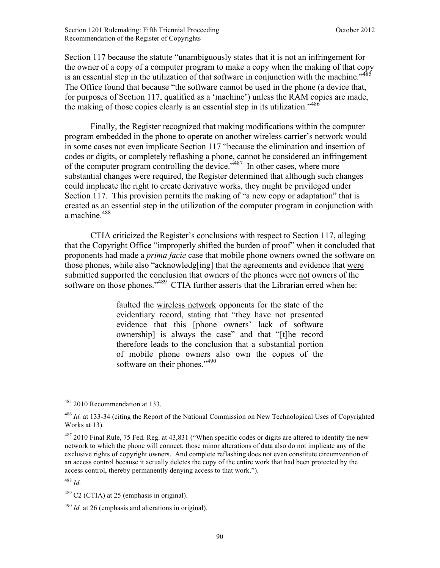Section 117 because the statute "unambiguously states that it is not an infringement for the owner of a copy of a computer program to make a copy when the making of that copy is an essential step in the utilization of that software in conjunction with the machine.<sup>1485</sup> The Office found that because "the software cannot be used in the phone (a device that, for purposes of Section 117, qualified as a 'machine') unless the RAM copies are made, the making of those copies clearly is an essential step in its utilization.<sup>5486</sup>

 Finally, the Register recognized that making modifications within the computer program embedded in the phone to operate on another wireless carrier's network would in some cases not even implicate Section 117 "because the elimination and insertion of codes or digits, or completely reflashing a phone, cannot be considered an infringement of the computer program controlling the device."<sup>487</sup> In other cases, where more substantial changes were required, the Register determined that although such changes could implicate the right to create derivative works, they might be privileged under Section 117. This provision permits the making of "a new copy or adaptation" that is created as an essential step in the utilization of the computer program in conjunction with a machine. $488$ 

 CTIA criticized the Register's conclusions with respect to Section 117, alleging that the Copyright Office "improperly shifted the burden of proof" when it concluded that proponents had made a *prima facie* case that mobile phone owners owned the software on those phones, while also "acknowledg[ing] that the agreements and evidence that were submitted supported the conclusion that owners of the phones were not owners of the software on those phones."<sup>489</sup> CTIA further asserts that the Librarian erred when he:

> faulted the wireless network opponents for the state of the evidentiary record, stating that "they have not presented evidence that this [phone owners' lack of software ownership] is always the case" and that "[t]he record therefore leads to the conclusion that a substantial portion of mobile phone owners also own the copies of the software on their phones."<sup>490</sup>

<u>.</u>

<sup>&</sup>lt;sup>485</sup> 2010 Recommendation at 133.

<sup>486</sup> *Id.* at 133-34 (citing the Report of the National Commission on New Technological Uses of Copyrighted Works at 13).

 $487$  2010 Final Rule, 75 Fed. Reg. at 43,831 ("When specific codes or digits are altered to identify the new network to which the phone will connect, those minor alterations of data also do not implicate any of the exclusive rights of copyright owners. And complete reflashing does not even constitute circumvention of an access control because it actually deletes the copy of the entire work that had been protected by the access control, thereby permanently denying access to that work.").

<sup>488</sup> *Id.*

 $489$  C2 (CTIA) at 25 (emphasis in original).

<sup>&</sup>lt;sup>490</sup> *Id.* at 26 (emphasis and alterations in original).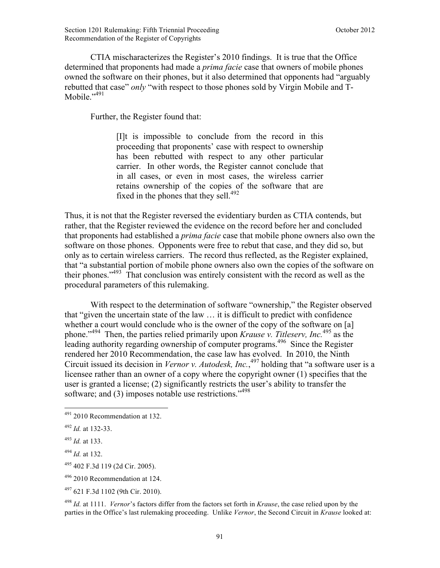CTIA mischaracterizes the Register's 2010 findings. It is true that the Office determined that proponents had made a *prima facie* case that owners of mobile phones owned the software on their phones, but it also determined that opponents had "arguably rebutted that case" *only* "with respect to those phones sold by Virgin Mobile and T-Mobile $^{3,491}$ 

Further, the Register found that:

[I]t is impossible to conclude from the record in this proceeding that proponents' case with respect to ownership has been rebutted with respect to any other particular carrier. In other words, the Register cannot conclude that in all cases, or even in most cases, the wireless carrier retains ownership of the copies of the software that are fixed in the phones that they sell.<sup>492</sup>

Thus, it is not that the Register reversed the evidentiary burden as CTIA contends, but rather, that the Register reviewed the evidence on the record before her and concluded that proponents had established a *prima facie* case that mobile phone owners also own the software on those phones. Opponents were free to rebut that case, and they did so, but only as to certain wireless carriers. The record thus reflected, as the Register explained, that "a substantial portion of mobile phone owners also own the copies of the software on their phones."493 That conclusion was entirely consistent with the record as well as the procedural parameters of this rulemaking.

With respect to the determination of software "ownership," the Register observed that "given the uncertain state of the law … it is difficult to predict with confidence whether a court would conclude who is the owner of the copy of the software on [a] phone."494 Then, the parties relied primarily upon *Krause v. Titleserv, Inc.*495 as the leading authority regarding ownership of computer programs.<sup>496</sup> Since the Register rendered her 2010 Recommendation, the case law has evolved. In 2010, the Ninth Circuit issued its decision in *Vernor v. Autodesk, Inc.*, 497 holding that "a software user is a licensee rather than an owner of a copy where the copyright owner (1) specifies that the user is granted a license; (2) significantly restricts the user's ability to transfer the software; and (3) imposes notable use restrictions."<sup>498</sup>

 $\overline{a}$ 

<sup>498</sup> *Id.* at 1111. *Vernor*'s factors differ from the factors set forth in *Krause*, the case relied upon by the parties in the Office's last rulemaking proceeding. Unlike *Vernor*, the Second Circuit in *Krause* looked at:

 $491$  2010 Recommendation at 132.

<sup>492</sup> *Id.* at 132-33.

<sup>493</sup> *Id.* at 133.

<sup>494</sup> *Id.* at 132.

<sup>495</sup> 402 F.3d 119 (2d Cir. 2005).

<sup>496</sup> 2010 Recommendation at 124.

<sup>497</sup> 621 F.3d 1102 (9th Cir. 2010).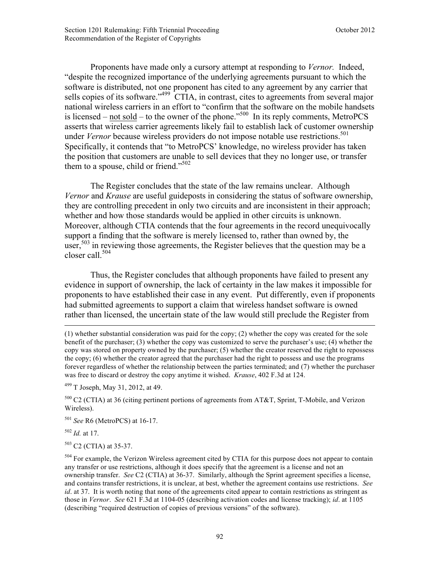Proponents have made only a cursory attempt at responding to *Vernor.* Indeed, "despite the recognized importance of the underlying agreements pursuant to which the software is distributed, not one proponent has cited to any agreement by any carrier that sells copies of its software." $499 \text{ CTIA}$ , in contrast, cites to agreements from several major national wireless carriers in an effort to "confirm that the software on the mobile handsets is licensed – not sold – to the owner of the phone."<sup>500</sup> In its reply comments, MetroPCS asserts that wireless carrier agreements likely fail to establish lack of customer ownership under *Vernor* because wireless providers do not impose notable use restrictions.<sup>501</sup> Specifically, it contends that "to MetroPCS' knowledge, no wireless provider has taken the position that customers are unable to sell devices that they no longer use, or transfer them to a spouse, child or friend." $502$ 

The Register concludes that the state of the law remains unclear. Although *Vernor* and *Krause* are useful guideposts in considering the status of software ownership, they are controlling precedent in only two circuits and are inconsistent in their approach; whether and how those standards would be applied in other circuits is unknown. Moreover, although CTIA contends that the four agreements in the record unequivocally support a finding that the software is merely licensed to, rather than owned by, the user,<sup>503</sup> in reviewing those agreements, the Register believes that the question may be a closer call.<sup>504</sup>

Thus, the Register concludes that although proponents have failed to present any evidence in support of ownership, the lack of certainty in the law makes it impossible for proponents to have established their case in any event. Put differently, even if proponents had submitted agreements to support a claim that wireless handset software is owned rather than licensed, the uncertain state of the law would still preclude the Register from

 $499$  T Joseph, May 31, 2012, at 49.

 $500$  C2 (CTIA) at 36 (citing pertinent portions of agreements from AT&T, Sprint, T-Mobile, and Verizon Wireless).

<sup>501</sup> *See* R6 (MetroPCS) at 16-17.

<sup>502</sup> *Id.* at 17.

 $\overline{a}$ 

 $503$  C2 (CTIA) at 35-37.

<sup>(1)</sup> whether substantial consideration was paid for the copy; (2) whether the copy was created for the sole benefit of the purchaser; (3) whether the copy was customized to serve the purchaser's use; (4) whether the copy was stored on property owned by the purchaser; (5) whether the creator reserved the right to repossess the copy; (6) whether the creator agreed that the purchaser had the right to possess and use the programs forever regardless of whether the relationship between the parties terminated; and (7) whether the purchaser was free to discard or destroy the copy anytime it wished. *Krause*, 402 F.3d at 124.

<sup>&</sup>lt;sup>504</sup> For example, the Verizon Wireless agreement cited by CTIA for this purpose does not appear to contain any transfer or use restrictions, although it does specify that the agreement is a license and not an ownership transfer. *See* C2 (CTIA) at 36-37. Similarly, although the Sprint agreement specifies a license, and contains transfer restrictions, it is unclear, at best, whether the agreement contains use restrictions. *See id*. at 37. It is worth noting that none of the agreements cited appear to contain restrictions as stringent as those in *Vernor*. *See* 621 F.3d at 1104-05 (describing activation codes and license tracking); *id*. at 1105 (describing "required destruction of copies of previous versions" of the software).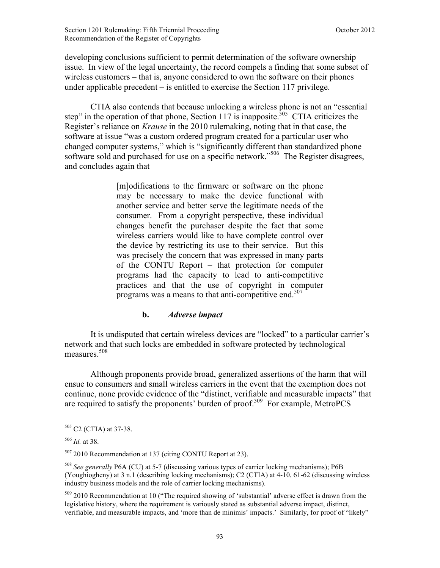developing conclusions sufficient to permit determination of the software ownership issue. In view of the legal uncertainty, the record compels a finding that some subset of wireless customers – that is, anyone considered to own the software on their phones under applicable precedent – is entitled to exercise the Section 117 privilege.

CTIA also contends that because unlocking a wireless phone is not an "essential step" in the operation of that phone, Section 117 is inapposite.<sup>505</sup> CTIA criticizes the Register's reliance on *Krause* in the 2010 rulemaking, noting that in that case, the software at issue "was a custom ordered program created for a particular user who changed computer systems," which is "significantly different than standardized phone software sold and purchased for use on a specific network."<sup>506</sup> The Register disagrees, and concludes again that

> [m]odifications to the firmware or software on the phone may be necessary to make the device functional with another service and better serve the legitimate needs of the consumer. From a copyright perspective, these individual changes benefit the purchaser despite the fact that some wireless carriers would like to have complete control over the device by restricting its use to their service. But this was precisely the concern that was expressed in many parts of the CONTU Report – that protection for computer programs had the capacity to lead to anti-competitive practices and that the use of copyright in computer programs was a means to that anti-competitive end.<sup>507</sup>

### **b.** *Adverse impact*

It is undisputed that certain wireless devices are "locked" to a particular carrier's network and that such locks are embedded in software protected by technological measures.<sup>508</sup>

Although proponents provide broad, generalized assertions of the harm that will ensue to consumers and small wireless carriers in the event that the exemption does not continue, none provide evidence of the "distinct, verifiable and measurable impacts" that are required to satisfy the proponents' burden of proof.<sup>509</sup> For example, MetroPCS

 $505$  C2 (CTIA) at 37-38.

<sup>506</sup> *Id.* at 38.

<sup>507</sup> 2010 Recommendation at 137 (citing CONTU Report at 23).

<sup>508</sup> *See generally* P6A (CU) at 5-7 (discussing various types of carrier locking mechanisms); P6B (Youghiogheny) at 3 n.1 (describing locking mechanisms); C2 (CTIA) at 4-10, 61-62 (discussing wireless industry business models and the role of carrier locking mechanisms).

<sup>&</sup>lt;sup>509</sup> 2010 Recommendation at 10 ("The required showing of 'substantial' adverse effect is drawn from the legislative history, where the requirement is variously stated as substantial adverse impact, distinct, verifiable, and measurable impacts, and 'more than de minimis' impacts.' Similarly, for proof of "likely"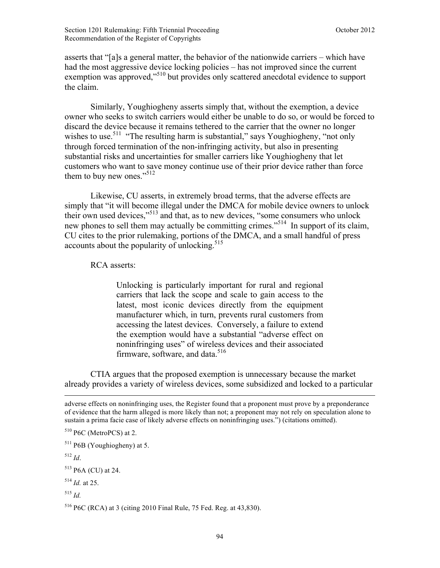asserts that "[a]s a general matter, the behavior of the nationwide carriers – which have had the most aggressive device locking policies – has not improved since the current exemption was approved,"510 but provides only scattered anecdotal evidence to support the claim.

Similarly, Youghiogheny asserts simply that, without the exemption, a device owner who seeks to switch carriers would either be unable to do so, or would be forced to discard the device because it remains tethered to the carrier that the owner no longer wishes to use.<sup>511</sup> "The resulting harm is substantial," says Youghiogheny, "not only through forced termination of the non-infringing activity, but also in presenting substantial risks and uncertainties for smaller carriers like Youghiogheny that let customers who want to save money continue use of their prior device rather than force them to buy new ones."<sup>512</sup>

Likewise, CU asserts, in extremely broad terms, that the adverse effects are simply that "it will become illegal under the DMCA for mobile device owners to unlock their own used devices,"<sup>513</sup> and that, as to new devices, "some consumers who unlock new phones to sell them may actually be committing crimes."514 In support of its claim, CU cites to the prior rulemaking, portions of the DMCA, and a small handful of press accounts about the popularity of unlocking. $515$ 

RCA asserts:

Unlocking is particularly important for rural and regional carriers that lack the scope and scale to gain access to the latest, most iconic devices directly from the equipment manufacturer which, in turn, prevents rural customers from accessing the latest devices. Conversely, a failure to extend the exemption would have a substantial "adverse effect on noninfringing uses" of wireless devices and their associated firmware, software, and data.<sup>516</sup>

 CTIA argues that the proposed exemption is unnecessary because the market already provides a variety of wireless devices, some subsidized and locked to a particular

<u>.</u>

<sup>513</sup> P6A (CU) at 24.

 $5^{14}$  *Id.* at 25.

<sup>516</sup> P6C (RCA) at 3 (citing 2010 Final Rule, 75 Fed. Reg. at 43,830).

adverse effects on noninfringing uses, the Register found that a proponent must prove by a preponderance of evidence that the harm alleged is more likely than not; a proponent may not rely on speculation alone to sustain a prima facie case of likely adverse effects on noninfringing uses.") (citations omitted).

<sup>510</sup> P6C (MetroPCS) at 2.

 $511$  P6B (Youghiogheny) at 5.

<sup>512</sup> *Id*.

<sup>515</sup> *Id.*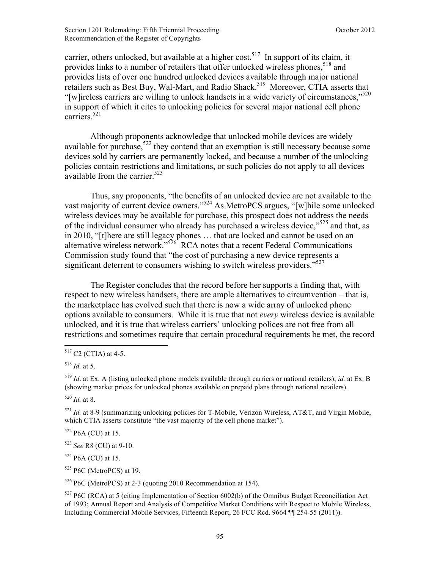carrier, others unlocked, but available at a higher cost.<sup>517</sup> In support of its claim, it provides links to a number of retailers that offer unlocked wireless phones, <sup>518</sup> and provides lists of over one hundred unlocked devices available through major national retailers such as Best Buy, Wal-Mart, and Radio Shack.<sup>519</sup> Moreover, CTIA asserts that "[w]ireless carriers are willing to unlock handsets in a wide variety of circumstances,"<sup>520</sup> in support of which it cites to unlocking policies for several major national cell phone carriers<sup>521</sup>

 Although proponents acknowledge that unlocked mobile devices are widely available for purchase,  $522$  they contend that an exemption is still necessary because some devices sold by carriers are permanently locked, and because a number of the unlocking policies contain restrictions and limitations, or such policies do not apply to all devices available from the carrier. $523$ 

Thus, say proponents, "the benefits of an unlocked device are not available to the vast majority of current device owners."524 As MetroPCS argues, "[w]hile some unlocked wireless devices may be available for purchase, this prospect does not address the needs of the individual consumer who already has purchased a wireless device,<sup> $525$ </sup> and that, as in 2010, "[t]here are still legacy phones … that are locked and cannot be used on an alternative wireless network."<sup>526</sup> RCA notes that a recent Federal Communications Commission study found that "the cost of purchasing a new device represents a significant deterrent to consumers wishing to switch wireless providers."<sup>527</sup>

 The Register concludes that the record before her supports a finding that, with respect to new wireless handsets, there are ample alternatives to circumvention – that is, the marketplace has evolved such that there is now a wide array of unlocked phone options available to consumers. While it is true that not *every* wireless device is available unlocked, and it is true that wireless carriers' unlocking polices are not free from all restrictions and sometimes require that certain procedural requirements be met, the record

<u>.</u>

<sup>520</sup> *Id.* at 8.

 $522$  P6A (CU) at 15.

<sup>523</sup> *See* R8 (CU) at 9-10.

 $524$  P6A (CU) at 15.

 $525$  P6C (MetroPCS) at 19.

<sup>526</sup> P6C (MetroPCS) at 2-3 (quoting 2010 Recommendation at 154).

 $517$  C2 (CTIA) at 4-5.

 $^{518}$  *Id.* at 5.

<sup>519</sup> *Id*. at Ex. A (listing unlocked phone models available through carriers or national retailers); *id.* at Ex. B (showing market prices for unlocked phones available on prepaid plans through national retailers).

 $521$  *Id.* at 8-9 (summarizing unlocking policies for T-Mobile, Verizon Wireless, AT&T, and Virgin Mobile, which CTIA asserts constitute "the vast majority of the cell phone market").

 $527$  P6C (RCA) at 5 (citing Implementation of Section 6002(b) of the Omnibus Budget Reconciliation Act of 1993; Annual Report and Analysis of Competitive Market Conditions with Respect to Mobile Wireless, Including Commercial Mobile Services, Fifteenth Report, 26 FCC Rcd. 9664 ¶¶ 254-55 (2011)).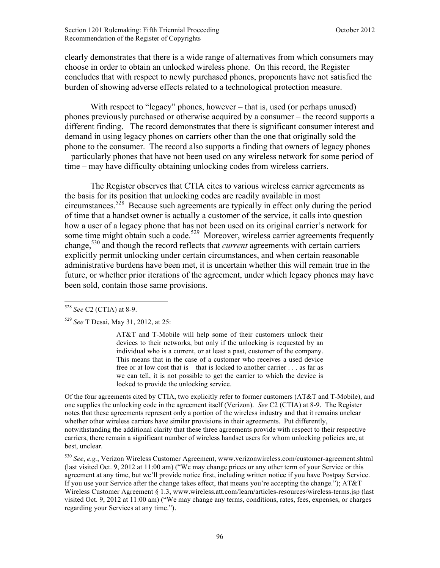clearly demonstrates that there is a wide range of alternatives from which consumers may choose in order to obtain an unlocked wireless phone. On this record, the Register concludes that with respect to newly purchased phones, proponents have not satisfied the burden of showing adverse effects related to a technological protection measure.

With respect to "legacy" phones, however – that is, used (or perhaps unused) phones previously purchased or otherwise acquired by a consumer – the record supports a different finding. The record demonstrates that there is significant consumer interest and demand in using legacy phones on carriers other than the one that originally sold the phone to the consumer. The record also supports a finding that owners of legacy phones – particularly phones that have not been used on any wireless network for some period of time – may have difficulty obtaining unlocking codes from wireless carriers.

The Register observes that CTIA cites to various wireless carrier agreements as the basis for its position that unlocking codes are readily available in most circumstances.<sup>528</sup> Because such agreements are typically in effect only during the period of time that a handset owner is actually a customer of the service, it calls into question how a user of a legacy phone that has not been used on its original carrier's network for some time might obtain such a code.<sup>529</sup> Moreover, wireless carrier agreements frequently change,530 and though the record reflects that *current* agreements with certain carriers explicitly permit unlocking under certain circumstances, and when certain reasonable administrative burdens have been met, it is uncertain whether this will remain true in the future, or whether prior iterations of the agreement, under which legacy phones may have been sold, contain those same provisions.

1

AT&T and T-Mobile will help some of their customers unlock their devices to their networks, but only if the unlocking is requested by an individual who is a current, or at least a past, customer of the company. This means that in the case of a customer who receives a used device free or at low cost that is – that is locked to another carrier . . . as far as we can tell, it is not possible to get the carrier to which the device is locked to provide the unlocking service.

Of the four agreements cited by CTIA, two explicitly refer to former customers (AT&T and T-Mobile), and one supplies the unlocking code in the agreement itself (Verizon). *See* C2 (CTIA) at 8-9. The Register notes that these agreements represent only a portion of the wireless industry and that it remains unclear whether other wireless carriers have similar provisions in their agreements. Put differently, notwithstanding the additional clarity that these three agreements provide with respect to their respective carriers, there remain a significant number of wireless handset users for whom unlocking policies are, at best, unclear.

<sup>530</sup> *See*, *e.g.*, Verizon Wireless Customer Agreement, www.verizonwireless.com/customer-agreement.shtml (last visited Oct. 9, 2012 at 11:00 am) ("We may change prices or any other term of your Service or this agreement at any time, but we'll provide notice first, including written notice if you have Postpay Service. If you use your Service after the change takes effect, that means you're accepting the change."); AT&T Wireless Customer Agreement § 1.3, www.wireless.att.com/learn/articles-resources/wireless-terms.jsp (last visited Oct. 9, 2012 at 11:00 am) ("We may change any terms, conditions, rates, fees, expenses, or charges regarding your Services at any time.").

<sup>528</sup> *See* C2 (CTIA) at 8-9.

<sup>529</sup> *See* T Desai, May 31, 2012, at 25: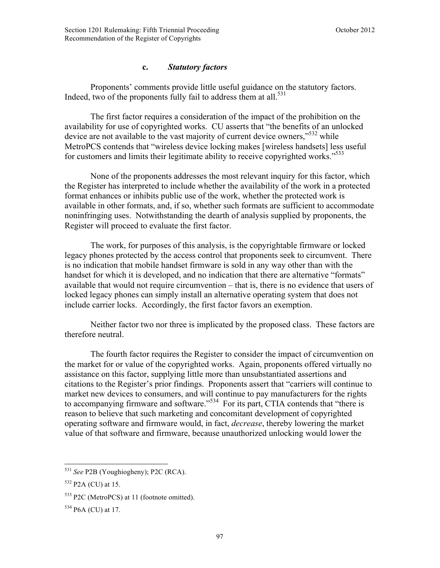## **c.** *Statutory factors*

Proponents' comments provide little useful guidance on the statutory factors. Indeed, two of the proponents fully fail to address them at all.<sup>531</sup>

The first factor requires a consideration of the impact of the prohibition on the availability for use of copyrighted works. CU asserts that "the benefits of an unlocked device are not available to the vast majority of current device owners,<sup>5532</sup> while MetroPCS contends that "wireless device locking makes [wireless handsets] less useful for customers and limits their legitimate ability to receive copyrighted works."<sup>533</sup>

None of the proponents addresses the most relevant inquiry for this factor, which the Register has interpreted to include whether the availability of the work in a protected format enhances or inhibits public use of the work, whether the protected work is available in other formats, and, if so, whether such formats are sufficient to accommodate noninfringing uses. Notwithstanding the dearth of analysis supplied by proponents, the Register will proceed to evaluate the first factor.

The work, for purposes of this analysis, is the copyrightable firmware or locked legacy phones protected by the access control that proponents seek to circumvent. There is no indication that mobile handset firmware is sold in any way other than with the handset for which it is developed, and no indication that there are alternative "formats" available that would not require circumvention – that is, there is no evidence that users of locked legacy phones can simply install an alternative operating system that does not include carrier locks. Accordingly, the first factor favors an exemption.

Neither factor two nor three is implicated by the proposed class. These factors are therefore neutral.

The fourth factor requires the Register to consider the impact of circumvention on the market for or value of the copyrighted works. Again, proponents offered virtually no assistance on this factor, supplying little more than unsubstantiated assertions and citations to the Register's prior findings. Proponents assert that "carriers will continue to market new devices to consumers, and will continue to pay manufacturers for the rights to accompanying firmware and software."<sup>534</sup> For its part, CTIA contends that "there is reason to believe that such marketing and concomitant development of copyrighted operating software and firmware would, in fact, *decrease*, thereby lowering the market value of that software and firmware, because unauthorized unlocking would lower the

<sup>531</sup> *See* P2B (Youghiogheny); P2C (RCA).

 $532$  P<sub>2</sub>A (CU) at 15.

<sup>533</sup> P2C (MetroPCS) at 11 (footnote omitted).

<sup>534</sup> P6A (CU) at 17.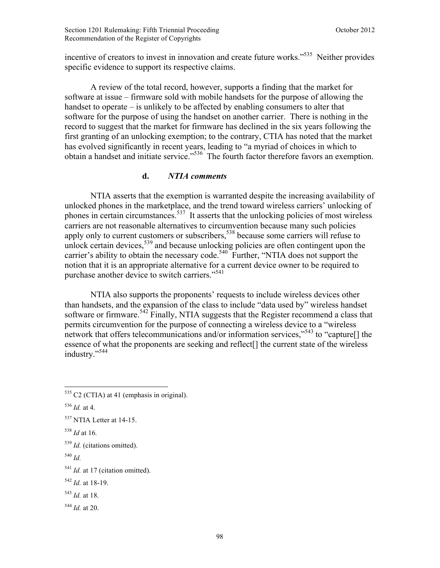incentive of creators to invest in innovation and create future works."<sup>535</sup> Neither provides specific evidence to support its respective claims.

A review of the total record, however, supports a finding that the market for software at issue – firmware sold with mobile handsets for the purpose of allowing the handset to operate – is unlikely to be affected by enabling consumers to alter that software for the purpose of using the handset on another carrier. There is nothing in the record to suggest that the market for firmware has declined in the six years following the first granting of an unlocking exemption; to the contrary, CTIA has noted that the market has evolved significantly in recent years, leading to "a myriad of choices in which to obtain a handset and initiate service."536 The fourth factor therefore favors an exemption.

### **d.** *NTIA comments*

NTIA asserts that the exemption is warranted despite the increasing availability of unlocked phones in the marketplace, and the trend toward wireless carriers' unlocking of phones in certain circumstances.<sup>537</sup> It asserts that the unlocking policies of most wireless carriers are not reasonable alternatives to circumvention because many such policies apply only to current customers or subscribers,<sup>538</sup> because some carriers will refuse to unlock certain devices,  $539$  and because unlocking policies are often contingent upon the carrier's ability to obtain the necessary code.<sup>540</sup> Further, "NTIA does not support the notion that it is an appropriate alternative for a current device owner to be required to purchase another device to switch carriers."<sup>541</sup>

NTIA also supports the proponents' requests to include wireless devices other than handsets, and the expansion of the class to include "data used by" wireless handset software or firmware.<sup>542</sup> Finally, NTIA suggests that the Register recommend a class that permits circumvention for the purpose of connecting a wireless device to a "wireless network that offers telecommunications and/or information services,"<sup>543</sup> to "capture<sup>[]</sup> the essence of what the proponents are seeking and reflect<sup>[]</sup> the current state of the wireless industry."<sup>544</sup>

<u>.</u>

<sup>540</sup> *Id.*

- <sup>542</sup> *Id.* at 18-19.
- <sup>543</sup> *Id.* at 18.
- <sup>544</sup> *Id.* at 20.

 $535$  C2 (CTIA) at 41 (emphasis in original).

 $536$  *Id.* at 4.

<sup>&</sup>lt;sup>537</sup> NTIA Letter at 14-15.

<sup>538</sup> *Id* at 16*.*

<sup>539</sup> *Id.* (citations omitted).

<sup>&</sup>lt;sup>541</sup> *Id.* at 17 (citation omitted).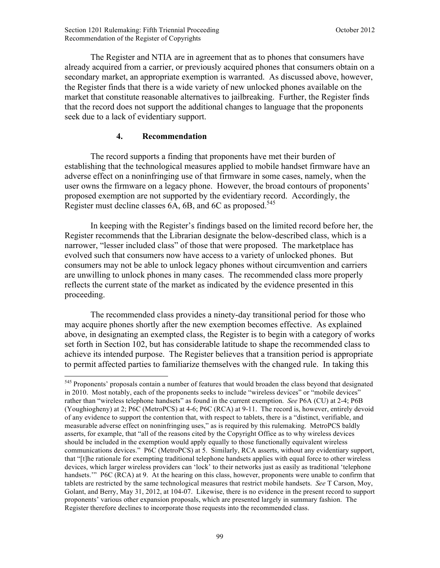The Register and NTIA are in agreement that as to phones that consumers have already acquired from a carrier, or previously acquired phones that consumers obtain on a secondary market, an appropriate exemption is warranted. As discussed above, however, the Register finds that there is a wide variety of new unlocked phones available on the market that constitute reasonable alternatives to jailbreaking. Further, the Register finds that the record does not support the additional changes to language that the proponents seek due to a lack of evidentiary support.

## **4. Recommendation**

 $\overline{a}$ 

The record supports a finding that proponents have met their burden of establishing that the technological measures applied to mobile handset firmware have an adverse effect on a noninfringing use of that firmware in some cases, namely, when the user owns the firmware on a legacy phone. However, the broad contours of proponents' proposed exemption are not supported by the evidentiary record. Accordingly, the Register must decline classes  $6A$ ,  $6B$ , and  $6C$  as proposed.<sup>545</sup>

In keeping with the Register's findings based on the limited record before her, the Register recommends that the Librarian designate the below-described class, which is a narrower, "lesser included class" of those that were proposed. The marketplace has evolved such that consumers now have access to a variety of unlocked phones. But consumers may not be able to unlock legacy phones without circumvention and carriers are unwilling to unlock phones in many cases. The recommended class more properly reflects the current state of the market as indicated by the evidence presented in this proceeding.

The recommended class provides a ninety-day transitional period for those who may acquire phones shortly after the new exemption becomes effective. As explained above, in designating an exempted class, the Register is to begin with a category of works set forth in Section 102, but has considerable latitude to shape the recommended class to achieve its intended purpose. The Register believes that a transition period is appropriate to permit affected parties to familiarize themselves with the changed rule. In taking this

<sup>&</sup>lt;sup>545</sup> Proponents' proposals contain a number of features that would broaden the class beyond that designated in 2010. Most notably, each of the proponents seeks to include "wireless devices" or "mobile devices" rather than "wireless telephone handsets" as found in the current exemption. *See* P6A (CU) at 2-4; P6B (Youghiogheny) at 2; P6C (MetroPCS) at 4-6; P6C (RCA) at 9-11. The record is, however, entirely devoid of any evidence to support the contention that, with respect to tablets, there is a "distinct, verifiable, and measurable adverse effect on noninfringing uses," as is required by this rulemaking. MetroPCS baldly asserts, for example, that "all of the reasons cited by the Copyright Office as to why wireless devices should be included in the exemption would apply equally to those functionally equivalent wireless communications devices." P6C (MetroPCS) at 5. Similarly, RCA asserts, without any evidentiary support, that "[t]he rationale for exempting traditional telephone handsets applies with equal force to other wireless devices, which larger wireless providers can 'lock' to their networks just as easily as traditional 'telephone handsets." P6C (RCA) at 9. At the hearing on this class, however, proponents were unable to confirm that tablets are restricted by the same technological measures that restrict mobile handsets. *See* T Carson, Moy, Golant, and Berry, May 31, 2012, at 104-07. Likewise, there is no evidence in the present record to support proponents' various other expansion proposals, which are presented largely in summary fashion. The Register therefore declines to incorporate those requests into the recommended class.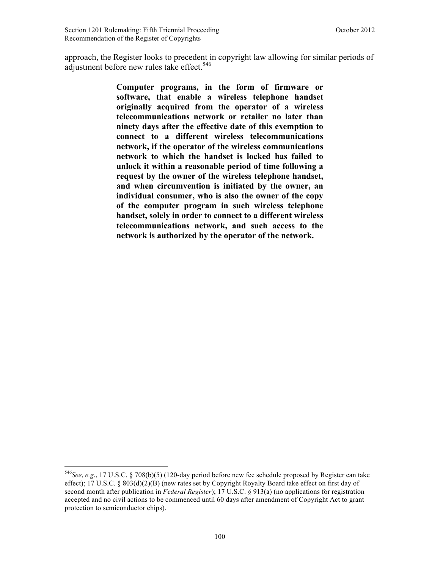approach, the Register looks to precedent in copyright law allowing for similar periods of adjustment before new rules take effect.<sup>546</sup>

> **Computer programs, in the form of firmware or software, that enable a wireless telephone handset originally acquired from the operator of a wireless telecommunications network or retailer no later than ninety days after the effective date of this exemption to connect to a different wireless telecommunications network, if the operator of the wireless communications network to which the handset is locked has failed to unlock it within a reasonable period of time following a request by the owner of the wireless telephone handset, and when circumvention is initiated by the owner, an individual consumer, who is also the owner of the copy of the computer program in such wireless telephone handset, solely in order to connect to a different wireless telecommunications network, and such access to the network is authorized by the operator of the network.**

 $\overline{a}$ 

<sup>546</sup>*See*, *e.g*., 17 U.S.C. § 708(b)(5) (120-day period before new fee schedule proposed by Register can take effect); 17 U.S.C. § 803(d)(2)(B) (new rates set by Copyright Royalty Board take effect on first day of second month after publication in *Federal Register*); 17 U.S.C. § 913(a) (no applications for registration accepted and no civil actions to be commenced until 60 days after amendment of Copyright Act to grant protection to semiconductor chips).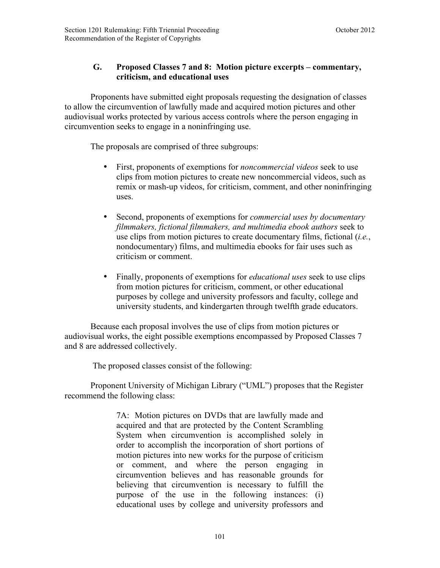# **G. Proposed Classes 7 and 8: Motion picture excerpts – commentary, criticism, and educational uses**

Proponents have submitted eight proposals requesting the designation of classes to allow the circumvention of lawfully made and acquired motion pictures and other audiovisual works protected by various access controls where the person engaging in circumvention seeks to engage in a noninfringing use.

The proposals are comprised of three subgroups:

- First, proponents of exemptions for *noncommercial videos* seek to use clips from motion pictures to create new noncommercial videos, such as remix or mash-up videos, for criticism, comment, and other noninfringing uses.
- Second, proponents of exemptions for *commercial uses by documentary filmmakers, fictional filmmakers, and multimedia ebook authors* seek to use clips from motion pictures to create documentary films, fictional (*i.e.*, nondocumentary) films, and multimedia ebooks for fair uses such as criticism or comment.
- Finally, proponents of exemptions for *educational uses* seek to use clips from motion pictures for criticism, comment, or other educational purposes by college and university professors and faculty, college and university students, and kindergarten through twelfth grade educators.

Because each proposal involves the use of clips from motion pictures or audiovisual works, the eight possible exemptions encompassed by Proposed Classes 7 and 8 are addressed collectively.

The proposed classes consist of the following:

Proponent University of Michigan Library ("UML") proposes that the Register recommend the following class:

> 7A: Motion pictures on DVDs that are lawfully made and acquired and that are protected by the Content Scrambling System when circumvention is accomplished solely in order to accomplish the incorporation of short portions of motion pictures into new works for the purpose of criticism or comment, and where the person engaging in circumvention believes and has reasonable grounds for believing that circumvention is necessary to fulfill the purpose of the use in the following instances: (i) educational uses by college and university professors and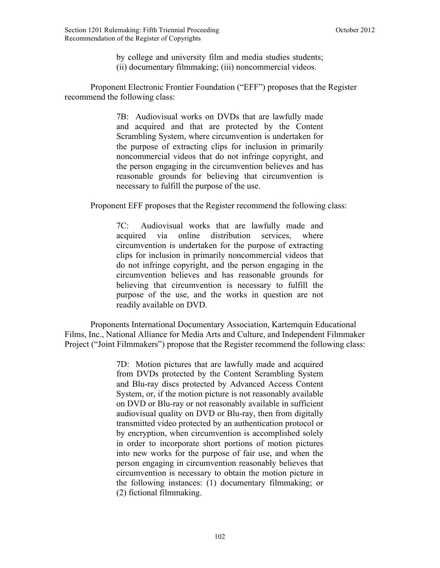by college and university film and media studies students; (ii) documentary filmmaking; (iii) noncommercial videos.

Proponent Electronic Frontier Foundation ("EFF") proposes that the Register recommend the following class:

> 7B: Audiovisual works on DVDs that are lawfully made and acquired and that are protected by the Content Scrambling System, where circumvention is undertaken for the purpose of extracting clips for inclusion in primarily noncommercial videos that do not infringe copyright, and the person engaging in the circumvention believes and has reasonable grounds for believing that circumvention is necessary to fulfill the purpose of the use.

Proponent EFF proposes that the Register recommend the following class:

7C: Audiovisual works that are lawfully made and acquired via online distribution services, where circumvention is undertaken for the purpose of extracting clips for inclusion in primarily noncommercial videos that do not infringe copyright, and the person engaging in the circumvention believes and has reasonable grounds for believing that circumvention is necessary to fulfill the purpose of the use, and the works in question are not readily available on DVD.

Proponents International Documentary Association, Kartemquin Educational Films, Inc., National Alliance for Media Arts and Culture, and Independent Filmmaker Project ("Joint Filmmakers") propose that the Register recommend the following class:

> 7D: Motion pictures that are lawfully made and acquired from DVDs protected by the Content Scrambling System and Blu-ray discs protected by Advanced Access Content System, or, if the motion picture is not reasonably available on DVD or Blu-ray or not reasonably available in sufficient audiovisual quality on DVD or Blu-ray, then from digitally transmitted video protected by an authentication protocol or by encryption, when circumvention is accomplished solely in order to incorporate short portions of motion pictures into new works for the purpose of fair use, and when the person engaging in circumvention reasonably believes that circumvention is necessary to obtain the motion picture in the following instances: (1) documentary filmmaking; or (2) fictional filmmaking.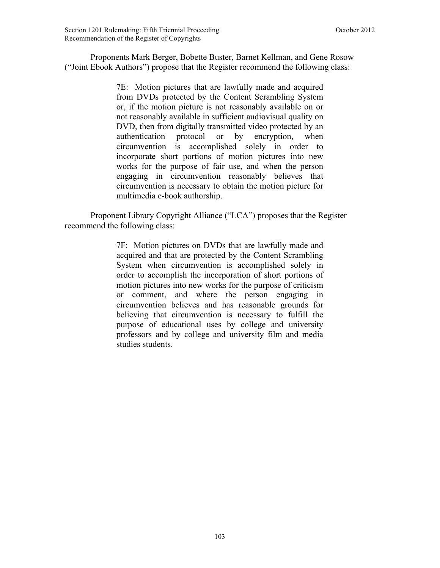Proponents Mark Berger, Bobette Buster, Barnet Kellman, and Gene Rosow ("Joint Ebook Authors") propose that the Register recommend the following class:

> 7E: Motion pictures that are lawfully made and acquired from DVDs protected by the Content Scrambling System or, if the motion picture is not reasonably available on or not reasonably available in sufficient audiovisual quality on DVD, then from digitally transmitted video protected by an authentication protocol or by encryption, when circumvention is accomplished solely in order to incorporate short portions of motion pictures into new works for the purpose of fair use, and when the person engaging in circumvention reasonably believes that circumvention is necessary to obtain the motion picture for multimedia e-book authorship.

Proponent Library Copyright Alliance ("LCA") proposes that the Register recommend the following class:

> 7F: Motion pictures on DVDs that are lawfully made and acquired and that are protected by the Content Scrambling System when circumvention is accomplished solely in order to accomplish the incorporation of short portions of motion pictures into new works for the purpose of criticism or comment, and where the person engaging in circumvention believes and has reasonable grounds for believing that circumvention is necessary to fulfill the purpose of educational uses by college and university professors and by college and university film and media studies students.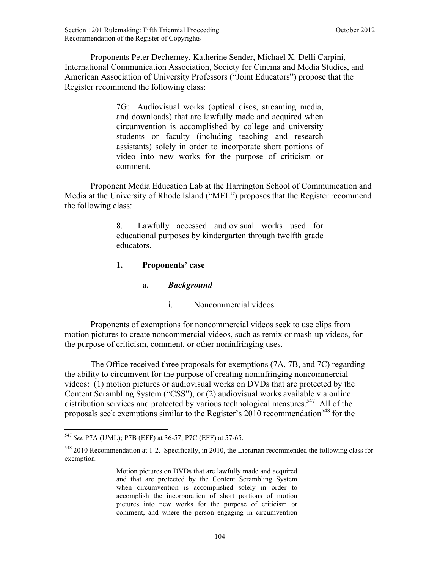Proponents Peter Decherney, Katherine Sender, Michael X. Delli Carpini, International Communication Association, Society for Cinema and Media Studies, and American Association of University Professors ("Joint Educators") propose that the Register recommend the following class:

> 7G: Audiovisual works (optical discs, streaming media, and downloads) that are lawfully made and acquired when circumvention is accomplished by college and university students or faculty (including teaching and research assistants) solely in order to incorporate short portions of video into new works for the purpose of criticism or comment.

Proponent Media Education Lab at the Harrington School of Communication and Media at the University of Rhode Island ("MEL") proposes that the Register recommend the following class:

> 8. Lawfully accessed audiovisual works used for educational purposes by kindergarten through twelfth grade educators.

### **1. Proponents' case**

**a.** *Background*

# i. Noncommercial videos

Proponents of exemptions for noncommercial videos seek to use clips from motion pictures to create noncommercial videos, such as remix or mash-up videos, for the purpose of criticism, comment, or other noninfringing uses.

The Office received three proposals for exemptions (7A, 7B, and 7C) regarding the ability to circumvent for the purpose of creating noninfringing noncommercial videos: (1) motion pictures or audiovisual works on DVDs that are protected by the Content Scrambling System ("CSS"), or (2) audiovisual works available via online distribution services and protected by various technological measures.<sup>547</sup> All of the proposals seek exemptions similar to the Register's  $2010$  recommendation<sup>548</sup> for the

 $\overline{a}$ <sup>547</sup> *See* P7A (UML); P7B (EFF) at 36-57; P7C (EFF) at 57-65.

<sup>548</sup> 2010 Recommendation at 1-2. Specifically, in 2010, the Librarian recommended the following class for exemption:

Motion pictures on DVDs that are lawfully made and acquired and that are protected by the Content Scrambling System when circumvention is accomplished solely in order to accomplish the incorporation of short portions of motion pictures into new works for the purpose of criticism or comment, and where the person engaging in circumvention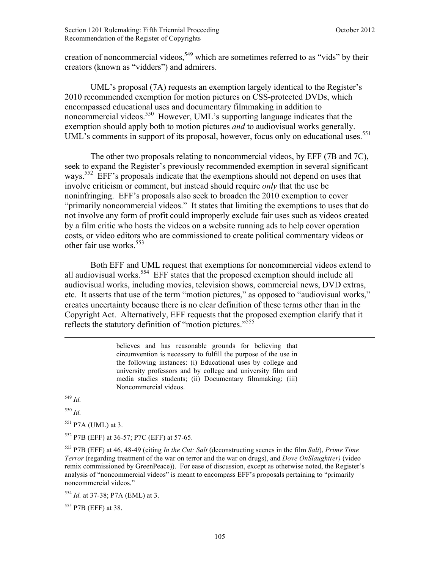creation of noncommercial videos,<sup>549</sup> which are sometimes referred to as "vids" by their creators (known as "vidders") and admirers.

 UML's proposal (7A) requests an exemption largely identical to the Register's 2010 recommended exemption for motion pictures on CSS-protected DVDs, which encompassed educational uses and documentary filmmaking in addition to noncommercial videos.<sup>550</sup> However, UML's supporting language indicates that the exemption should apply both to motion pictures *and* to audiovisual works generally. UML's comments in support of its proposal, however, focus only on educational uses.<sup>551</sup>

The other two proposals relating to noncommercial videos, by EFF (7B and 7C), seek to expand the Register's previously recommended exemption in several significant ways.<sup>552</sup> EFF's proposals indicate that the exemptions should not depend on uses that involve criticism or comment, but instead should require *only* that the use be noninfringing. EFF's proposals also seek to broaden the 2010 exemption to cover "primarily noncommercial videos." It states that limiting the exemptions to uses that do not involve any form of profit could improperly exclude fair uses such as videos created by a film critic who hosts the videos on a website running ads to help cover operation costs, or video editors who are commissioned to create political commentary videos or other fair use works.<sup>553</sup>

Both EFF and UML request that exemptions for noncommercial videos extend to all audiovisual works.<sup>554</sup> EFF states that the proposed exemption should include all audiovisual works, including movies, television shows, commercial news, DVD extras, etc. It asserts that use of the term "motion pictures," as opposed to "audiovisual works," creates uncertainty because there is no clear definition of these terms other than in the Copyright Act. Alternatively, EFF requests that the proposed exemption clarify that it reflects the statutory definition of "motion pictures."<sup>555</sup>

> believes and has reasonable grounds for believing that circumvention is necessary to fulfill the purpose of the use in the following instances: (i) Educational uses by college and university professors and by college and university film and media studies students; (ii) Documentary filmmaking; (iii) Noncommercial videos.

<sup>549</sup> *Id.*

<sup>550</sup> *Id.*

 $551$  P7A (UML) at 3.

<sup>552</sup> P7B (EFF) at 36-57; P7C (EFF) at 57-65.

<sup>553</sup> P7B (EFF) at 46, 48-49 (citing *In the Cut: Salt* (deconstructing scenes in the film *Salt*), *Prime Time Terror* (regarding treatment of the war on terror and the war on drugs), and *Dove OnSlaught(er)* (video remix commissioned by GreenPeace)). For ease of discussion, except as otherwise noted, the Register's analysis of "noncommercial videos" is meant to encompass EFF's proposals pertaining to "primarily noncommercial videos."

<sup>554</sup> *Id.* at 37-38; P7A (EML) at 3.

<sup>555</sup> P7B (EFF) at 38.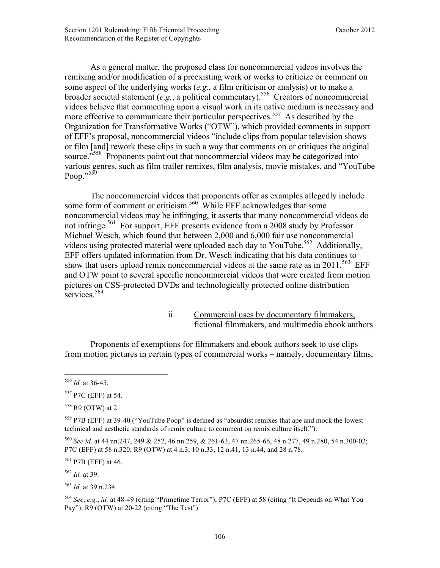As a general matter, the proposed class for noncommercial videos involves the remixing and/or modification of a preexisting work or works to criticize or comment on some aspect of the underlying works (*e.g*., a film criticism or analysis) or to make a broader societal statement (*e.g.*, a political commentary).556 Creators of noncommercial videos believe that commenting upon a visual work in its native medium is necessary and more effective to communicate their particular perspectives.<sup>557</sup> As described by the Organization for Transformative Works ("OTW"), which provided comments in support of EFF's proposal, noncommercial videos "include clips from popular television shows or film [and] rework these clips in such a way that comments on or critiques the original source.<sup>5558</sup> Proponents point out that noncommercial videos may be categorized into various genres, such as film trailer remixes, film analysis, movie mistakes, and "YouTube Poop."<sup>559</sup>

The noncommercial videos that proponents offer as examples allegedly include some form of comment or criticism.<sup>560</sup> While EFF acknowledges that some noncommercial videos may be infringing, it asserts that many noncommercial videos do not infringe.<sup>561</sup> For support, EFF presents evidence from a 2008 study by Professor Michael Wesch, which found that between 2,000 and 6,000 fair use noncommercial videos using protected material were uploaded each day to YouTube.<sup>562</sup> Additionally, EFF offers updated information from Dr. Wesch indicating that his data continues to show that users upload remix noncommercial videos at the same rate as in 2011.<sup>563</sup> EFF and OTW point to several specific noncommercial videos that were created from motion pictures on CSS-protected DVDs and technologically protected online distribution services.<sup>564</sup>

> ii. Commercial uses by documentary filmmakers, fictional filmmakers, and multimedia ebook authors

Proponents of exemptions for filmmakers and ebook authors seek to use clips from motion pictures in certain types of commercial works – namely, documentary films,

 $\overline{a}$ 

<sup>561</sup> P7B (EFF) at 46.

<sup>562</sup> *Id.* at 39.

<sup>556</sup> *Id.* at 36-45.

<sup>557</sup> P7C (EFF) at 54.

 $558$  R9 (OTW) at 2.

<sup>559</sup> P7B (EFF) at 39-40 ("YouTube Poop" is defined as "absurdist remixes that ape and mock the lowest technical and aesthetic standards of remix culture to comment on remix culture itself.").

<sup>560</sup> *See id.* at 44 nn.247, 249 & 252, 46 nn.259, & 261-63, 47 nn.265-66, 48 n.277, 49 n.280, 54 n.300-02; P7C (EFF) at 58 n.320; R9 (OTW) at 4 n.3, 10 n.33, 12 n.41, 13 n.44, and 28 n.78.

<sup>563</sup> *Id.* at 39 n.234.

<sup>564</sup> *See*, *e.g.*, *id.* at 48-49 (citing "Primetime Terror"); P7C (EFF) at 58 (citing "It Depends on What You Pay"); R9 (OTW) at 20-22 (citing "The Test").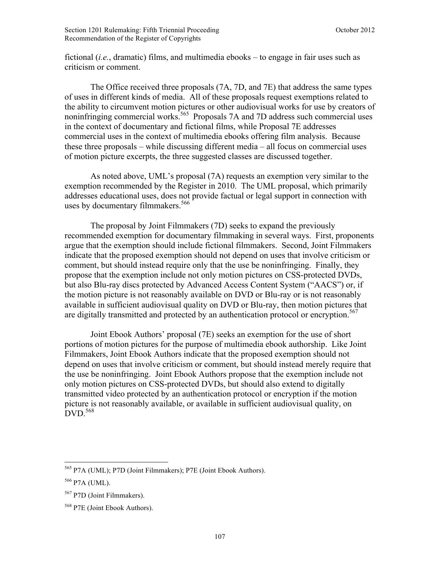fictional (*i.e.*, dramatic) films, and multimedia ebooks – to engage in fair uses such as criticism or comment.

The Office received three proposals (7A, 7D, and 7E) that address the same types of uses in different kinds of media. All of these proposals request exemptions related to the ability to circumvent motion pictures or other audiovisual works for use by creators of noninfringing commercial works.<sup>565</sup> Proposals 7A and 7D address such commercial uses in the context of documentary and fictional films, while Proposal 7E addresses commercial uses in the context of multimedia ebooks offering film analysis. Because these three proposals – while discussing different media – all focus on commercial uses of motion picture excerpts, the three suggested classes are discussed together.

As noted above, UML's proposal (7A) requests an exemption very similar to the exemption recommended by the Register in 2010. The UML proposal, which primarily addresses educational uses, does not provide factual or legal support in connection with uses by documentary filmmakers.<sup>566</sup>

The proposal by Joint Filmmakers (7D) seeks to expand the previously recommended exemption for documentary filmmaking in several ways. First, proponents argue that the exemption should include fictional filmmakers. Second, Joint Filmmakers indicate that the proposed exemption should not depend on uses that involve criticism or comment, but should instead require only that the use be noninfringing. Finally, they propose that the exemption include not only motion pictures on CSS-protected DVDs, but also Blu-ray discs protected by Advanced Access Content System ("AACS") or, if the motion picture is not reasonably available on DVD or Blu-ray or is not reasonably available in sufficient audiovisual quality on DVD or Blu-ray, then motion pictures that are digitally transmitted and protected by an authentication protocol or encryption.<sup>567</sup>

Joint Ebook Authors' proposal (7E) seeks an exemption for the use of short portions of motion pictures for the purpose of multimedia ebook authorship. Like Joint Filmmakers, Joint Ebook Authors indicate that the proposed exemption should not depend on uses that involve criticism or comment, but should instead merely require that the use be noninfringing. Joint Ebook Authors propose that the exemption include not only motion pictures on CSS-protected DVDs, but should also extend to digitally transmitted video protected by an authentication protocol or encryption if the motion picture is not reasonably available, or available in sufficient audiovisual quality, on  $DVD.$ <sup>568</sup>

<u>.</u>

<sup>565</sup> P7A (UML); P7D (Joint Filmmakers); P7E (Joint Ebook Authors).

<sup>566</sup> P7A (UML).

<sup>567</sup> P7D (Joint Filmmakers).

<sup>568</sup> P7E (Joint Ebook Authors).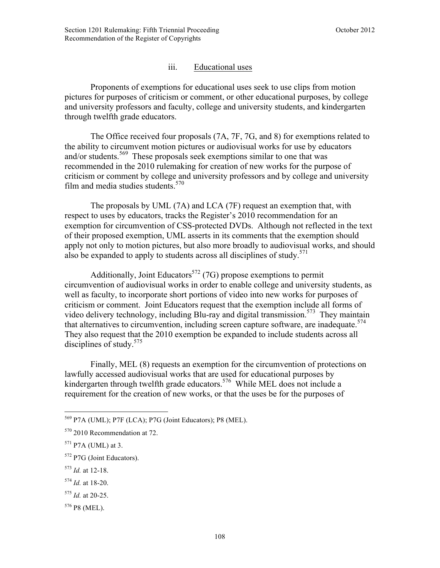# iii. Educational uses

Proponents of exemptions for educational uses seek to use clips from motion pictures for purposes of criticism or comment, or other educational purposes, by college and university professors and faculty, college and university students, and kindergarten through twelfth grade educators.

The Office received four proposals (7A, 7F, 7G, and 8) for exemptions related to the ability to circumvent motion pictures or audiovisual works for use by educators and/or students.<sup>569</sup> These proposals seek exemptions similar to one that was recommended in the 2010 rulemaking for creation of new works for the purpose of criticism or comment by college and university professors and by college and university film and media studies students. $570$ 

The proposals by UML (7A) and LCA (7F) request an exemption that, with respect to uses by educators, tracks the Register's 2010 recommendation for an exemption for circumvention of CSS-protected DVDs. Although not reflected in the text of their proposed exemption, UML asserts in its comments that the exemption should apply not only to motion pictures, but also more broadly to audiovisual works, and should also be expanded to apply to students across all disciplines of study.<sup>571</sup>

Additionally, Joint Educators<sup>572</sup> (7G) propose exemptions to permit circumvention of audiovisual works in order to enable college and university students, as well as faculty, to incorporate short portions of video into new works for purposes of criticism or comment. Joint Educators request that the exemption include all forms of video delivery technology, including Blu-ray and digital transmission.<sup>573</sup> They maintain that alternatives to circumvention, including screen capture software, are inadequate.<sup>574</sup> They also request that the 2010 exemption be expanded to include students across all disciplines of study.<sup>575</sup>

Finally, MEL (8) requests an exemption for the circumvention of protections on lawfully accessed audiovisual works that are used for educational purposes by kindergarten through twelfth grade educators.<sup>576</sup> While MEL does not include a requirement for the creation of new works, or that the uses be for the purposes of

<sup>569</sup> P7A (UML); P7F (LCA); P7G (Joint Educators); P8 (MEL).

<sup>570</sup> 2010 Recommendation at 72.

 $571$  P7A (UML) at 3.

<sup>572</sup> P7G (Joint Educators).

<sup>573</sup> *Id.* at 12-18.

<sup>574</sup> *Id.* at 18-20.

<sup>575</sup> *Id.* at 20-25.

<sup>576</sup> P8 (MEL).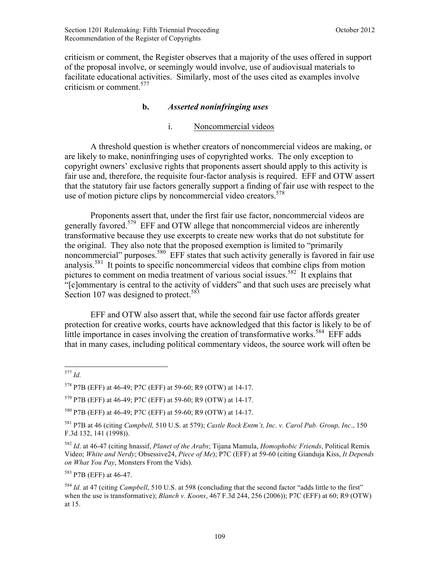criticism or comment, the Register observes that a majority of the uses offered in support of the proposal involve, or seemingly would involve, use of audiovisual materials to facilitate educational activities. Similarly, most of the uses cited as examples involve criticism or comment.<sup>577</sup>

### **b.** *Asserted noninfringing uses*

### i. Noncommercial videos

A threshold question is whether creators of noncommercial videos are making, or are likely to make, noninfringing uses of copyrighted works. The only exception to copyright owners' exclusive rights that proponents assert should apply to this activity is fair use and, therefore, the requisite four-factor analysis is required. EFF and OTW assert that the statutory fair use factors generally support a finding of fair use with respect to the use of motion picture clips by noncommercial video creators.<sup>578</sup>

Proponents assert that, under the first fair use factor, noncommercial videos are generally favored.579 EFF and OTW allege that noncommercial videos are inherently transformative because they use excerpts to create new works that do not substitute for the original. They also note that the proposed exemption is limited to "primarily noncommercial" purposes.<sup>580</sup> EFF states that such activity generally is favored in fair use analysis.581 It points to specific noncommercial videos that combine clips from motion pictures to comment on media treatment of various social issues.<sup>582</sup> It explains that "[c]ommentary is central to the activity of vidders" and that such uses are precisely what Section 107 was designed to protect.<sup>583</sup>

 EFF and OTW also assert that, while the second fair use factor affords greater protection for creative works, courts have acknowledged that this factor is likely to be of little importance in cases involving the creation of transformative works.<sup>584</sup> EFF adds that in many cases, including political commentary videos, the source work will often be

<sup>583</sup> P7B (EFF) at 46-47

<sup>1</sup> <sup>577</sup> *Id.*

<sup>578</sup> P7B (EFF) at 46-49; P7C (EFF) at 59-60; R9 (OTW) at 14-17.

<sup>579</sup> P7B (EFF) at 46-49; P7C (EFF) at 59-60; R9 (OTW) at 14-17.

<sup>580</sup> P7B (EFF) at 46-49; P7C (EFF) at 59-60; R9 (OTW) at 14-17.

<sup>581</sup> P7B at 46 (citing *Campbell,* 510 U.S. at 579); *Castle Rock Entm't, Inc. v. Carol Pub. Group, Inc*., 150 F.3d 132, 141 (1998)).

<sup>582</sup> *Id*. at 46-47 (citing hnassif, *Planet of the Arabs*; Tijana Mamula, *Homophobic Friends*, Political Remix Video; *White and Nerdy*; Obsessive24, *Piece of Me*); P7C (EFF) at 59-60 (citing Gianduja Kiss, *It Depends on What You Pay*, Monsters From the Vids).

<sup>584</sup> *Id.* at 47 (citing *Campbell*, 510 U.S. at 598 (concluding that the second factor "adds little to the first" when the use is transformative); *Blanch v. Koons*, 467 F.3d 244, 256 (2006)); P7C (EFF) at 60; R9 (OTW) at 15.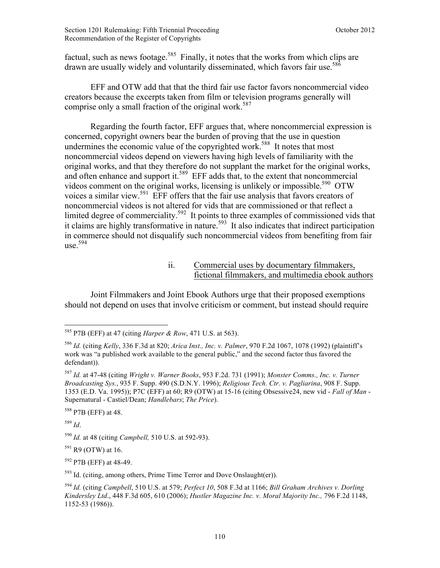factual, such as news footage.<sup>585</sup> Finally, it notes that the works from which clips are drawn are usually widely and voluntarily disseminated, which favors fair use.<sup>586</sup>

EFF and OTW add that that the third fair use factor favors noncommercial video creators because the excerpts taken from film or television programs generally will comprise only a small fraction of the original work.<sup>587</sup>

 Regarding the fourth factor, EFF argues that, where noncommercial expression is concerned, copyright owners bear the burden of proving that the use in question undermines the economic value of the copyrighted work.<sup>588</sup> It notes that most noncommercial videos depend on viewers having high levels of familiarity with the original works, and that they therefore do not supplant the market for the original works, and often enhance and support it.<sup>589</sup> EFF adds that, to the extent that noncommercial videos comment on the original works, licensing is unlikely or impossible.<sup>590</sup> OTW voices a similar view.<sup>591</sup> EFF offers that the fair use analysis that favors creators of noncommercial videos is not altered for vids that are commissioned or that reflect a limited degree of commerciality.<sup>592</sup> It points to three examples of commissioned vids that it claims are highly transformative in nature.<sup>593</sup> It also indicates that indirect participation in commerce should not disqualify such noncommercial videos from benefiting from fair  $use<sup>.594</sup>$ 

> ii. Commercial uses by documentary filmmakers, fictional filmmakers, and multimedia ebook authors

Joint Filmmakers and Joint Ebook Authors urge that their proposed exemptions should not depend on uses that involve criticism or comment, but instead should require

<sup>588</sup> P7B (EFF) at 48.

<sup>589</sup> *Id*.

 $\overline{a}$ 

 $591$  R9 (OTW) at 16.

<sup>592</sup> P7B (EFF) at 48-49.

 $593$  Id. (citing, among others, Prime Time Terror and Dove Onslaught(er)).

<sup>585</sup> P7B (EFF) at 47 (citing *Harper & Row*, 471 U.S. at 563).

<sup>586</sup> *Id.* (citing *Kelly*, 336 F.3d at 820; *Arica Inst., Inc. v. Palmer*, 970 F.2d 1067, 1078 (1992) (plaintiff's work was "a published work available to the general public," and the second factor thus favored the defendant)).

<sup>587</sup> *Id.* at 47-48 (citing *Wright v. Warner Books*, 953 F.2d. 731 (1991); *Monster Comms., Inc. v. Turner Broadcasting Sys.*, 935 F. Supp. 490 (S.D.N.Y. 1996); *Religious Tech. Ctr. v. Pagliarina*, 908 F. Supp. 1353 (E.D. Va. 1995)); P7C (EFF) at 60; R9 (OTW) at 15-16 (citing Obsessive24, new vid - *Fall of Man* - Supernatural - Castiel/Dean; *Handlebars*; *The Price*).

<sup>590</sup> *Id.* at 48 (citing *Campbell,* 510 U.S. at 592-93).

<sup>594</sup> *Id.* (citing *Campbell*, 510 U.S. at 579; *Perfect 10*, 508 F.3d at 1166; *Bill Graham Archives v. Dorling Kindersley Ltd*., 448 F.3d 605, 610 (2006); *Hustler Magazine Inc. v. Moral Majority Inc.,* 796 F.2d 1148, 1152-53 (1986)).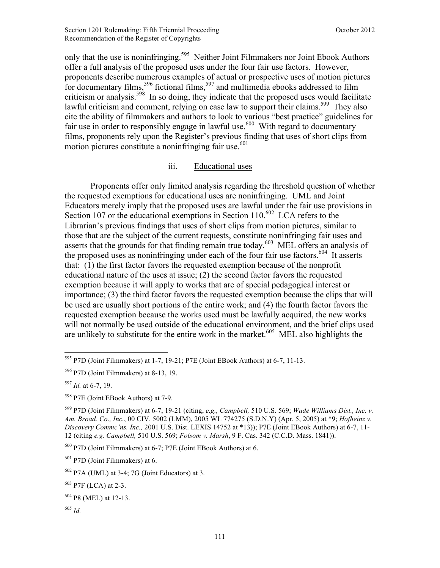only that the use is noninfringing.<sup>595</sup> Neither Joint Filmmakers nor Joint Ebook Authors offer a full analysis of the proposed uses under the four fair use factors. However, proponents describe numerous examples of actual or prospective uses of motion pictures for documentary films,<sup>596</sup> fictional films,<sup>597</sup> and multimedia ebooks addressed to film criticism or analysis.<sup>598</sup> In so doing, they indicate that the proposed uses would facilitate lawful criticism and comment, relying on case law to support their claims.<sup>599</sup> They also cite the ability of filmmakers and authors to look to various "best practice" guidelines for fair use in order to responsibly engage in lawful use.<sup>600</sup> With regard to documentary films, proponents rely upon the Register's previous finding that uses of short clips from motion pictures constitute a noninfringing fair use. $601$ 

### iii. Educational uses

Proponents offer only limited analysis regarding the threshold question of whether the requested exemptions for educational uses are noninfringing. UML and Joint Educators merely imply that the proposed uses are lawful under the fair use provisions in Section 107 or the educational exemptions in Section  $110^{602}$  LCA refers to the Librarian's previous findings that uses of short clips from motion pictures, similar to those that are the subject of the current requests, constitute noninfringing fair uses and asserts that the grounds for that finding remain true today.<sup>603</sup> MEL offers an analysis of the proposed uses as noninfringing under each of the four fair use factors.<sup>604</sup> It asserts that: (1) the first factor favors the requested exemption because of the nonprofit educational nature of the uses at issue; (2) the second factor favors the requested exemption because it will apply to works that are of special pedagogical interest or importance; (3) the third factor favors the requested exemption because the clips that will be used are usually short portions of the entire work; and (4) the fourth factor favors the requested exemption because the works used must be lawfully acquired, the new works will not normally be used outside of the educational environment, and the brief clips used are unlikely to substitute for the entire work in the market.<sup>605</sup> MEL also highlights the

<sup>600</sup> P7D (Joint Filmmakers) at 6-7; P7E (Joint EBook Authors) at 6.

 $601$  P7D (Joint Filmmakers) at 6.

<sup>603</sup> P7F (LCA) at 2-3.

<sup>605</sup> *Id.*

<sup>&</sup>lt;u>.</u> <sup>595</sup> P7D (Joint Filmmakers) at 1-7, 19-21; P7E (Joint EBook Authors) at 6-7, 11-13.

<sup>596</sup> P7D (Joint Filmmakers) at 8-13, 19.

<sup>597</sup> *Id.* at 6-7, 19.

<sup>598</sup> P7E (Joint EBook Authors) at 7-9.

<sup>599</sup> P7D (Joint Filmmakers) at 6-7, 19-21 (citing, *e.g., Campbell,* 510 U.S. 569; *Wade Williams Dist., Inc. v. Am. Broad. Co., Inc.*, 00 CIV. 5002 (LMM), 2005 WL 774275 (S.D.N.Y) (Apr. 5, 2005) at \*9; *Hofheinz v. Discovery Commc'ns, Inc.,* 2001 U.S. Dist. LEXIS 14752 at \*13)); P7E (Joint EBook Authors) at 6-7, 11- 12 (citing *e.g. Campbell,* 510 U.S. 569; *Folsom v. Marsh*, 9 F. Cas. 342 (C.C.D. Mass. 1841)).

 $602$  P7A (UML) at 3-4; 7G (Joint Educators) at 3.

<sup>604</sup> P8 (MEL) at 12-13.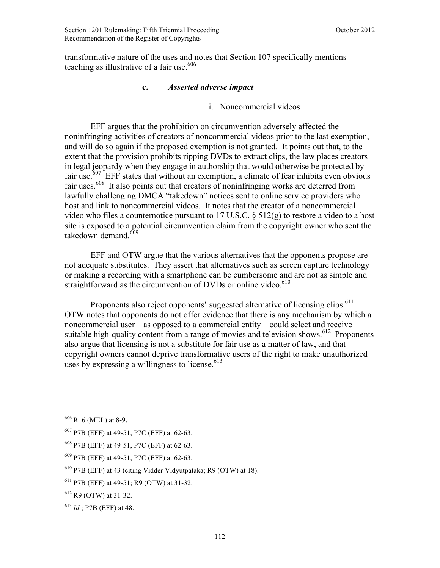transformative nature of the uses and notes that Section 107 specifically mentions teaching as illustrative of a fair use.<sup>606</sup>

# **c.** *Asserted adverse impact*

### i. Noncommercial videos

EFF argues that the prohibition on circumvention adversely affected the noninfringing activities of creators of noncommercial videos prior to the last exemption, and will do so again if the proposed exemption is not granted. It points out that, to the extent that the provision prohibits ripping DVDs to extract clips, the law places creators in legal jeopardy when they engage in authorship that would otherwise be protected by fair use.<sup>607</sup> EFF states that without an exemption, a climate of fear inhibits even obvious fair uses.<sup>608</sup> It also points out that creators of noninfringing works are deterred from lawfully challenging DMCA "takedown" notices sent to online service providers who host and link to noncommercial videos. It notes that the creator of a noncommercial video who files a counternotice pursuant to 17 U.S.C. § 512(g) to restore a video to a host site is exposed to a potential circumvention claim from the copyright owner who sent the takedown demand. $609$ 

EFF and OTW argue that the various alternatives that the opponents propose are not adequate substitutes. They assert that alternatives such as screen capture technology or making a recording with a smartphone can be cumbersome and are not as simple and straightforward as the circumvention of DVDs or online video.<sup>610</sup>

Proponents also reject opponents' suggested alternative of licensing clips.<sup>611</sup> OTW notes that opponents do not offer evidence that there is any mechanism by which a noncommercial user – as opposed to a commercial entity – could select and receive suitable high-quality content from a range of movies and television shows.<sup>612</sup> Proponents also argue that licensing is not a substitute for fair use as a matter of law, and that copyright owners cannot deprive transformative users of the right to make unauthorized uses by expressing a willingness to license.  $613$ 

1

 $606$  R<sub>16</sub> (MEL) at 8-9.

<sup>607</sup> P7B (EFF) at 49-51, P7C (EFF) at 62-63.

<sup>608</sup> P7B (EFF) at 49-51, P7C (EFF) at 62-63.

<sup>609</sup> P7B (EFF) at 49-51, P7C (EFF) at 62-63.

<sup>610</sup> P7B (EFF) at 43 (citing Vidder Vidyutpataka; R9 (OTW) at 18).

<sup>611</sup> P7B (EFF) at 49-51; R9 (OTW) at 31-32.

 $612$  R9 (OTW) at 31-32.

 $^{613}$  *Id.*; P7B (EFF) at 48.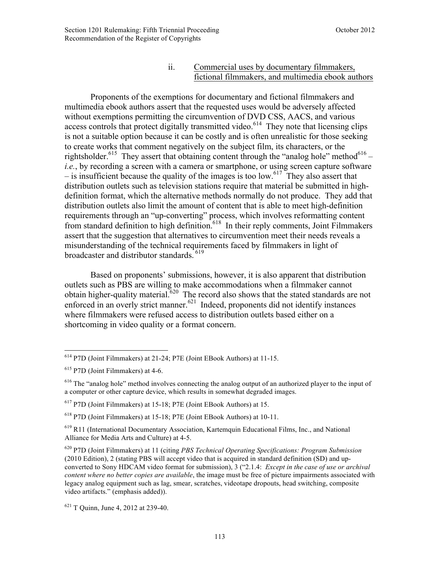#### ii. Commercial uses by documentary filmmakers, fictional filmmakers, and multimedia ebook authors

Proponents of the exemptions for documentary and fictional filmmakers and multimedia ebook authors assert that the requested uses would be adversely affected without exemptions permitting the circumvention of DVD CSS, AACS, and various access controls that protect digitally transmitted video.<sup>614</sup> They note that licensing clips is not a suitable option because it can be costly and is often unrealistic for those seeking to create works that comment negatively on the subject film, its characters, or the rightsholder.<sup>615</sup> They assert that obtaining content through the "analog hole" method<sup>616</sup> – *i.e.*, by recording a screen with a camera or smartphone, or using screen capture software – is insufficient because the quality of the images is too low.<sup>617</sup> They also assert that distribution outlets such as television stations require that material be submitted in highdefinition format, which the alternative methods normally do not produce. They add that distribution outlets also limit the amount of content that is able to meet high-definition requirements through an "up-converting" process, which involves reformatting content from standard definition to high definition.<sup>618</sup> In their reply comments, Joint Filmmakers assert that the suggestion that alternatives to circumvention meet their needs reveals a misunderstanding of the technical requirements faced by filmmakers in light of broadcaster and distributor standards.<sup>619</sup>

Based on proponents' submissions, however, it is also apparent that distribution outlets such as PBS are willing to make accommodations when a filmmaker cannot obtain higher-quality material.<sup>620</sup> The record also shows that the stated standards are not enforced in an overly strict manner.<sup>621</sup> Indeed, proponents did not identify instances where filmmakers were refused access to distribution outlets based either on a shortcoming in video quality or a format concern.

<sup>614</sup> P7D (Joint Filmmakers) at 21-24; P7E (Joint EBook Authors) at 11-15.

<sup>615</sup> P7D (Joint Filmmakers) at 4-6.

<sup>&</sup>lt;sup>616</sup> The "analog hole" method involves connecting the analog output of an authorized player to the input of a computer or other capture device, which results in somewhat degraded images.

<sup>617</sup> P7D (Joint Filmmakers) at 15-18; P7E (Joint EBook Authors) at 15.

<sup>618</sup> P7D (Joint Filmmakers) at 15-18; P7E (Joint EBook Authors) at 10-11.

 $619$  R11 (International Documentary Association, Kartemquin Educational Films, Inc., and National Alliance for Media Arts and Culture) at 4-5.

<sup>620</sup> P7D (Joint Filmmakers) at 11 (citing *PBS Technical Operating Specifications: Program Submission*  (2010 Edition), 2 (stating PBS will accept video that is acquired in standard definition (SD) and upconverted to Sony HDCAM video format for submission), 3 ("2.1.4: *Except in the case of use or archival content where no better copies are available*, the image must be free of picture impairments associated with legacy analog equipment such as lag, smear, scratches, videotape dropouts, head switching, composite video artifacts." (emphasis added)).

 $621$  T Quinn, June 4, 2012 at 239-40.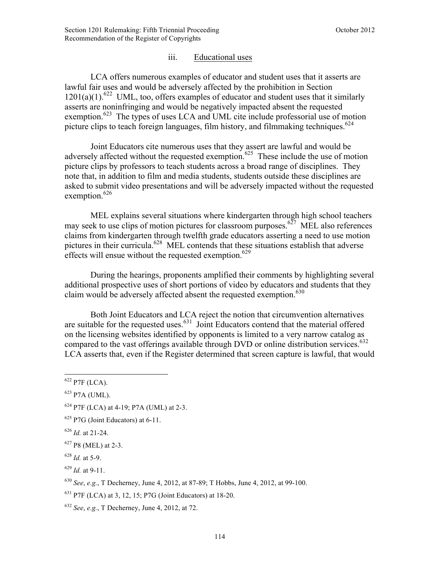### iii. Educational uses

LCA offers numerous examples of educator and student uses that it asserts are lawful fair uses and would be adversely affected by the prohibition in Section  $1201(a)(1)$ <sup>622</sup> UML, too, offers examples of educator and student uses that it similarly asserts are noninfringing and would be negatively impacted absent the requested exemption.<sup>623</sup> The types of uses LCA and UML cite include professorial use of motion picture clips to teach foreign languages, film history, and filmmaking techniques.<sup>624</sup>

Joint Educators cite numerous uses that they assert are lawful and would be adversely affected without the requested exemption.<sup>625</sup> These include the use of motion picture clips by professors to teach students across a broad range of disciplines. They note that, in addition to film and media students, students outside these disciplines are asked to submit video presentations and will be adversely impacted without the requested exemption.<sup>626</sup>

MEL explains several situations where kindergarten through high school teachers may seek to use clips of motion pictures for classroom purposes.<sup>627</sup> MEL also references claims from kindergarten through twelfth grade educators asserting a need to use motion pictures in their curricula.<sup>628</sup> MEL contends that these situations establish that adverse effects will ensue without the requested exemption.<sup>629</sup>

During the hearings, proponents amplified their comments by highlighting several additional prospective uses of short portions of video by educators and students that they claim would be adversely affected absent the requested exemption.<sup>630</sup>

Both Joint Educators and LCA reject the notion that circumvention alternatives are suitable for the requested uses.<sup>631</sup> Joint Educators contend that the material offered on the licensing websites identified by opponents is limited to a very narrow catalog as compared to the vast offerings available through DVD or online distribution services.<sup>632</sup> LCA asserts that, even if the Register determined that screen capture is lawful, that would

 $622$  P7F (LCA).

 $623$  P7A (UML).

 $624$  P7F (LCA) at 4-19; P7A (UML) at 2-3.

<sup>625</sup> P7G (Joint Educators) at 6-11.

<sup>626</sup> *Id.* at 21-24.

<sup>627</sup> P8 (MEL) at 2-3.

<sup>628</sup> *Id.* at 5-9.

<sup>629</sup> *Id.* at 9-11.

<sup>630</sup> *See*, *e.g.*, T Decherney, June 4, 2012, at 87-89; T Hobbs, June 4, 2012, at 99-100.

<sup>631</sup> P7F (LCA) at 3, 12, 15; P7G (Joint Educators) at 18-20.

<sup>632</sup> *See*, *e.g.*, T Decherney, June 4, 2012, at 72.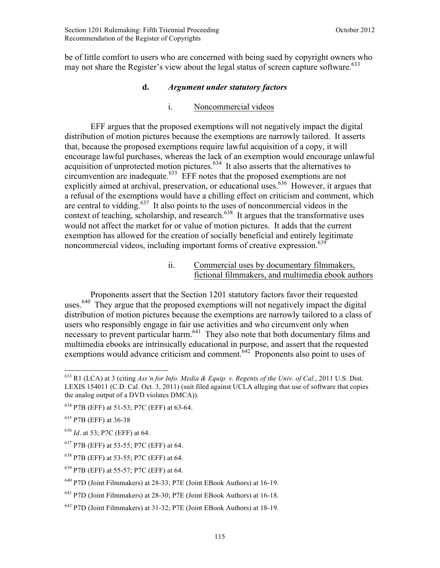be of little comfort to users who are concerned with being sued by copyright owners who may not share the Register's view about the legal status of screen capture software.<sup>633</sup>

#### **d.** *Argument under statutory factors*

#### i. Noncommercial videos

EFF argues that the proposed exemptions will not negatively impact the digital distribution of motion pictures because the exemptions are narrowly tailored. It asserts that, because the proposed exemptions require lawful acquisition of a copy, it will encourage lawful purchases, whereas the lack of an exemption would encourage unlawful acquisition of unprotected motion pictures.<sup>634</sup> It also asserts that the alternatives to circumvention are inadequate.<sup>635</sup> EFF notes that the proposed exemptions are not explicitly aimed at archival, preservation, or educational uses.<sup>636</sup> However, it argues that a refusal of the exemptions would have a chilling effect on criticism and comment, which are central to vidding.<sup>637</sup> It also points to the uses of noncommercial videos in the context of teaching, scholarship, and research. $638$  It argues that the transformative uses would not affect the market for or value of motion pictures. It adds that the current exemption has allowed for the creation of socially beneficial and entirely legitimate noncommercial videos, including important forms of creative expression.<sup>639</sup>

> ii. Commercial uses by documentary filmmakers, fictional filmmakers, and multimedia ebook authors

Proponents assert that the Section 1201 statutory factors favor their requested uses.<sup>640</sup> They argue that the proposed exemptions will not negatively impact the digital distribution of motion pictures because the exemptions are narrowly tailored to a class of users who responsibly engage in fair use activities and who circumvent only when necessary to prevent particular harm.<sup>641</sup> They also note that both documentary films and multimedia ebooks are intrinsically educational in purpose, and assert that the requested exemptions would advance criticism and comment.<sup>642</sup> Proponents also point to uses of

<u>.</u>

<sup>633</sup> R1 (LCA) at 3 (citing *Ass'n for Info. Media & Equip. v. Regents of the Univ. of Cal.*, 2011 U.S. Dist. LEXIS 154011 (C.D. Cal. Oct. 3, 2011) (suit filed against UCLA alleging that use of software that copies the analog output of a DVD violates DMCA)).

<sup>634</sup> P7B (EFF) at 51-53; P7C (EFF) at 63-64.

<sup>635</sup> P7B (EFF) at 36-38

<sup>636</sup> *Id*. at 53; P7C (EFF) at 64.

<sup>637</sup> P7B (EFF) at 53-55; P7C (EFF) at 64.

<sup>638</sup> P7B (EFF) at 53-55; P7C (EFF) at 64.

<sup>639</sup> P7B (EFF) at 55-57; P7C (EFF) at 64.

<sup>640</sup> P7D (Joint Filmmakers) at 28-33; P7E (Joint EBook Authors) at 16-19.

<sup>641</sup> P7D (Joint Filmmakers) at 28-30; P7E (Joint EBook Authors) at 16-18.

 $642$  P7D (Joint Filmmakers) at 31-32; P7E (Joint EBook Authors) at 18-19.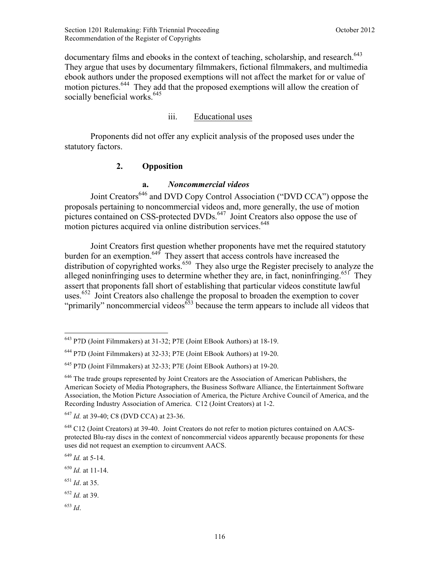documentary films and ebooks in the context of teaching, scholarship, and research.<sup>643</sup> They argue that uses by documentary filmmakers, fictional filmmakers, and multimedia ebook authors under the proposed exemptions will not affect the market for or value of motion pictures.<sup>644</sup> They add that the proposed exemptions will allow the creation of socially beneficial works.<sup>645</sup>

### iii. Educational uses

Proponents did not offer any explicit analysis of the proposed uses under the statutory factors.

# **2. Opposition**

### **a.** *Noncommercial videos*

Joint Creators<sup>646</sup> and DVD Copy Control Association ("DVD CCA") oppose the proposals pertaining to noncommercial videos and, more generally, the use of motion pictures contained on CSS-protected DVDs.<sup>647</sup> Joint Creators also oppose the use of motion pictures acquired via online distribution services.<sup>648</sup>

Joint Creators first question whether proponents have met the required statutory burden for an exemption.<sup>649</sup> They assert that access controls have increased the distribution of copyrighted works.<sup>650</sup> They also urge the Register precisely to analyze the alleged noninfringing uses to determine whether they are, in fact, noninfringing.<sup>651</sup> They assert that proponents fall short of establishing that particular videos constitute lawful uses.<sup>652</sup> Joint Creators also challenge the proposal to broaden the exemption to cover "primarily" noncommercial videos<sup> $653$ </sup> because the term appears to include all videos that

<sup>647</sup> *Id.* at 39-40; C8 (DVD CCA) at 23-36.

<sup>649</sup> *Id.* at 5-14.

<sup>650</sup> *Id.* at 11-14.

<sup>651</sup> *Id*. at 35.

<sup>652</sup> *Id.* at 39.

<sup>653</sup> *Id*.

<u>.</u>

<sup>643</sup> P7D (Joint Filmmakers) at 31-32; P7E (Joint EBook Authors) at 18-19.

<sup>644</sup> P7D (Joint Filmmakers) at 32-33; P7E (Joint EBook Authors) at 19-20.

<sup>645</sup> P7D (Joint Filmmakers) at 32-33; P7E (Joint EBook Authors) at 19-20.

 $646$  The trade groups represented by Joint Creators are the Association of American Publishers, the American Society of Media Photographers, the Business Software Alliance, the Entertainment Software Association, the Motion Picture Association of America, the Picture Archive Council of America, and the Recording Industry Association of America. C12 (Joint Creators) at 1-2.

<sup>&</sup>lt;sup>648</sup> C12 (Joint Creators) at 39-40. Joint Creators do not refer to motion pictures contained on AACSprotected Blu-ray discs in the context of noncommercial videos apparently because proponents for these uses did not request an exemption to circumvent AACS.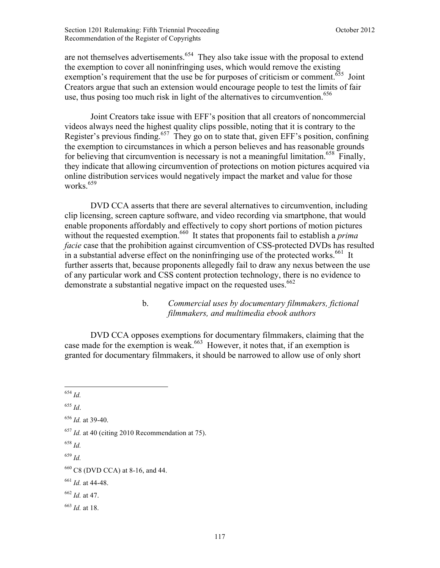are not themselves advertisements.<sup>654</sup> They also take issue with the proposal to extend the exemption to cover all noninfringing uses, which would remove the existing exemption's requirement that the use be for purposes of criticism or comment.<sup>655</sup> Joint Creators argue that such an extension would encourage people to test the limits of fair use, thus posing too much risk in light of the alternatives to circumvention.<sup>656</sup>

Joint Creators take issue with EFF's position that all creators of noncommercial videos always need the highest quality clips possible, noting that it is contrary to the Register's previous finding.<sup>657</sup> They go on to state that, given EFF's position, confining the exemption to circumstances in which a person believes and has reasonable grounds for believing that circumvention is necessary is not a meaningful limitation.<sup>658</sup> Finally, they indicate that allowing circumvention of protections on motion pictures acquired via online distribution services would negatively impact the market and value for those works. $659$ 

DVD CCA asserts that there are several alternatives to circumvention, including clip licensing, screen capture software, and video recording via smartphone, that would enable proponents affordably and effectively to copy short portions of motion pictures without the requested exemption.<sup>660</sup> It states that proponents fail to establish a *prima facie* case that the prohibition against circumvention of CSS-protected DVDs has resulted in a substantial adverse effect on the noninfringing use of the protected works.<sup>661</sup> It further asserts that, because proponents allegedly fail to draw any nexus between the use of any particular work and CSS content protection technology, there is no evidence to demonstrate a substantial negative impact on the requested uses.<sup>662</sup>

# b. *Commercial uses by documentary filmmakers, fictional filmmakers, and multimedia ebook authors*

DVD CCA opposes exemptions for documentary filmmakers, claiming that the case made for the exemption is weak.<sup>663</sup> However, it notes that, if an exemption is granted for documentary filmmakers, it should be narrowed to allow use of only short

<sup>655</sup> *Id*.

- <sup>658</sup> *Id.*
- <sup>659</sup> *Id.*

 $\overline{a}$ <sup>654</sup> *Id.*

<sup>656</sup> *Id.* at 39-40.

<sup>657</sup> *Id.* at 40 (citing 2010 Recommendation at 75).

<sup>660</sup> C8 (DVD CCA) at 8-16, and 44.

<sup>661</sup> *Id.* at 44-48.

<sup>662</sup> *Id.* at 47.

<sup>663</sup> *Id.* at 18.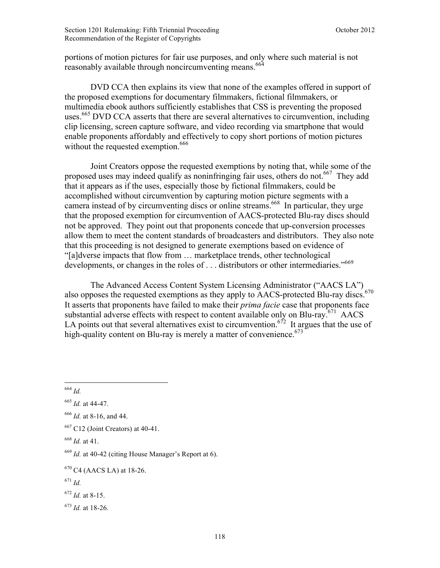portions of motion pictures for fair use purposes, and only where such material is not reasonably available through noncircumventing means.<sup>664</sup>

DVD CCA then explains its view that none of the examples offered in support of the proposed exemptions for documentary filmmakers, fictional filmmakers, or multimedia ebook authors sufficiently establishes that CSS is preventing the proposed uses.<sup>665</sup> DVD CCA asserts that there are several alternatives to circumvention, including clip licensing, screen capture software, and video recording via smartphone that would enable proponents affordably and effectively to copy short portions of motion pictures without the requested exemption.<sup>666</sup>

Joint Creators oppose the requested exemptions by noting that, while some of the proposed uses may indeed qualify as noninfringing fair uses, others do not.<sup>667</sup> They add that it appears as if the uses, especially those by fictional filmmakers, could be accomplished without circumvention by capturing motion picture segments with a camera instead of by circumventing discs or online streams.<sup>668</sup> In particular, they urge that the proposed exemption for circumvention of AACS-protected Blu-ray discs should not be approved. They point out that proponents concede that up-conversion processes allow them to meet the content standards of broadcasters and distributors. They also note that this proceeding is not designed to generate exemptions based on evidence of "[a]dverse impacts that flow from … marketplace trends, other technological developments, or changes in the roles of . . . distributors or other intermediaries."<sup>669</sup>

 The Advanced Access Content System Licensing Administrator ("AACS LA") also opposes the requested exemptions as they apply to AACS-protected Blu-ray discs.<sup>670</sup> It asserts that proponents have failed to make their *prima facie* case that proponents face substantial adverse effects with respect to content available only on Blu-ray.<sup>671</sup> AACS LA points out that several alternatives exist to circumvention.<sup>672</sup> It argues that the use of high-quality content on Blu-ray is merely a matter of convenience.<sup> $673$ </sup>

<sup>664</sup> *Id.*

<sup>665</sup> *Id.* at 44-47.

<sup>666</sup> *Id.* at 8-16, and 44.

 $667$  C12 (Joint Creators) at 40-41.

<sup>668</sup> *Id.* at 41.

<sup>669</sup> *Id.* at 40-42 (citing House Manager's Report at 6).

 $670$  C4 (AACS LA) at 18-26.

<sup>671</sup> *Id.*

<sup>672</sup> *Id.* at 8-15.

<sup>673</sup> *Id.* at 18-26.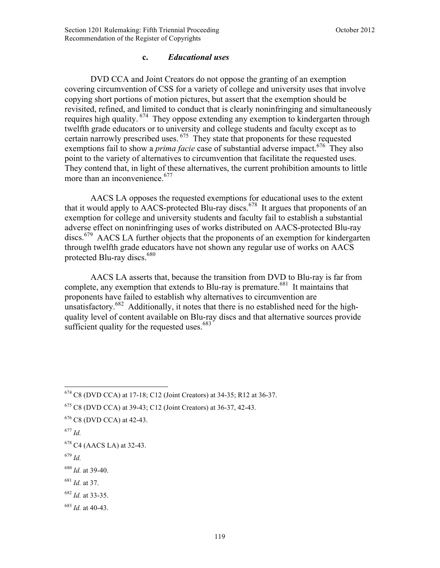#### **c.** *Educational uses*

DVD CCA and Joint Creators do not oppose the granting of an exemption covering circumvention of CSS for a variety of college and university uses that involve copying short portions of motion pictures, but assert that the exemption should be revisited, refined, and limited to conduct that is clearly noninfringing and simultaneously requires high quality. <sup>674</sup> They oppose extending any exemption to kindergarten through twelfth grade educators or to university and college students and faculty except as to certain narrowly prescribed uses. 675 They state that proponents for these requested exemptions fail to show a *prima facie* case of substantial adverse impact.<sup>676</sup> They also point to the variety of alternatives to circumvention that facilitate the requested uses. They contend that, in light of these alternatives, the current prohibition amounts to little more than an inconvenience.<sup>677</sup>

AACS LA opposes the requested exemptions for educational uses to the extent that it would apply to AACS-protected Blu-ray discs.<sup>678</sup> It argues that proponents of an exemption for college and university students and faculty fail to establish a substantial adverse effect on noninfringing uses of works distributed on AACS-protected Blu-ray discs.<sup>679</sup> AACS LA further objects that the proponents of an exemption for kindergarten through twelfth grade educators have not shown any regular use of works on AACS protected Blu-ray discs. $680$ 

AACS LA asserts that, because the transition from DVD to Blu-ray is far from complete, any exemption that extends to Blu-ray is premature.<sup>681</sup> It maintains that proponents have failed to establish why alternatives to circumvention are unsatisfactory.<sup>682</sup> Additionally, it notes that there is no established need for the highquality level of content available on Blu-ray discs and that alternative sources provide sufficient quality for the requested uses. $683$ 

<sup>677</sup> *Id.*

<u>.</u>

<sup>679</sup> *Id.*

<sup>681</sup> *Id.* at 37.

<sup>674</sup> C8 (DVD CCA) at 17-18; C12 (Joint Creators) at 34-35; R12 at 36-37.

<sup>675</sup> C8 (DVD CCA) at 39-43; C12 (Joint Creators) at 36-37, 42-43.

 $676$  C8 (DVD CCA) at 42-43.

 $678$  C4 (AACS LA) at 32-43.

<sup>680</sup> *Id.* at 39-40.

<sup>682</sup> *Id.* at 33-35.

<sup>683</sup> *Id.* at 40-43.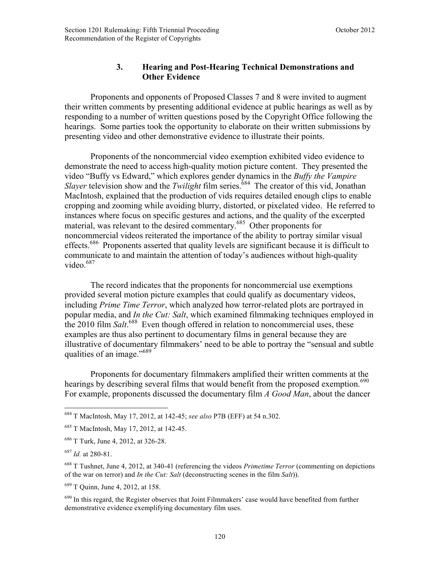# **3. Hearing and Post-Hearing Technical Demonstrations and Other Evidence**

Proponents and opponents of Proposed Classes 7 and 8 were invited to augment their written comments by presenting additional evidence at public hearings as well as by responding to a number of written questions posed by the Copyright Office following the hearings. Some parties took the opportunity to elaborate on their written submissions by presenting video and other demonstrative evidence to illustrate their points.

Proponents of the noncommercial video exemption exhibited video evidence to demonstrate the need to access high-quality motion picture content. They presented the video "Buffy vs Edward," which explores gender dynamics in the *Buffy the Vampire Slayer* television show and the *Twilight* film series.<sup>684</sup> The creator of this vid, Jonathan MacIntosh, explained that the production of vids requires detailed enough clips to enable cropping and zooming while avoiding blurry, distorted, or pixelated video. He referred to instances where focus on specific gestures and actions, and the quality of the excerpted material, was relevant to the desired commentary.<sup>685</sup> Other proponents for noncommercial videos reiterated the importance of the ability to portray similar visual effects.<sup>686</sup> Proponents asserted that quality levels are significant because it is difficult to communicate to and maintain the attention of today's audiences without high-quality video. $687$ 

The record indicates that the proponents for noncommercial use exemptions provided several motion picture examples that could qualify as documentary videos, including *Prime Time Terror*, which analyzed how terror-related plots are portrayed in popular media, and *In the Cut: Salt*, which examined filmmaking techniques employed in the 2010 film *Salt*. 688 Even though offered in relation to noncommercial uses, these examples are thus also pertinent to documentary films in general because they are illustrative of documentary filmmakers' need to be able to portray the "sensual and subtle qualities of an image."<sup>689</sup>

Proponents for documentary filmmakers amplified their written comments at the hearings by describing several films that would benefit from the proposed exemption.<sup>690</sup> For example, proponents discussed the documentary film *A Good Man*, about the dancer

1

<sup>684</sup> T MacIntosh, May 17, 2012, at 142-45; *see also* P7B (EFF) at 54 n.302.

<sup>685</sup> T MacIntosh, May 17, 2012, at 142-45.

<sup>686</sup> T Turk, June 4, 2012, at 326-28.

<sup>687</sup> *Id.* at 280-81.

<sup>688</sup> T Tushnet, June 4, 2012, at 340-41 (referencing the videos *Primetime Terror* (commenting on depictions of the war on terror) and *In the Cut: Salt* (deconstructing scenes in the film *Salt*)).

<sup>689</sup> T Quinn, June 4, 2012, at 158.

<sup>&</sup>lt;sup>690</sup> In this regard, the Register observes that Joint Filmmakers' case would have benefited from further demonstrative evidence exemplifying documentary film uses.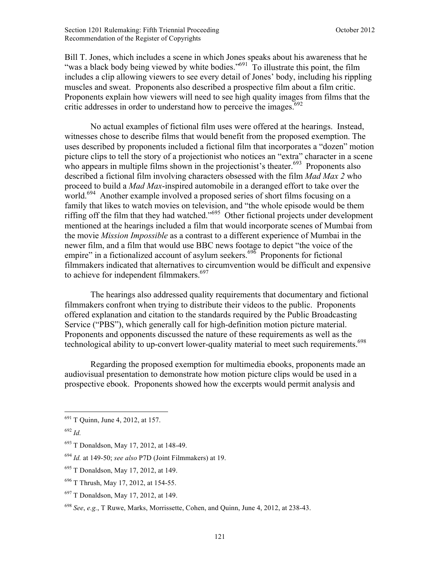Section 1201 Rulemaking: Fifth Triennial Proceeding **Section 1201 Rulemaking: Fifth Triennial Proceeding October 2012** Recommendation of the Register of Copyrights

Bill T. Jones, which includes a scene in which Jones speaks about his awareness that he "was a black body being viewed by white bodies."<sup>691</sup> To illustrate this point, the film includes a clip allowing viewers to see every detail of Jones' body, including his rippling muscles and sweat. Proponents also described a prospective film about a film critic. Proponents explain how viewers will need to see high quality images from films that the critic addresses in order to understand how to perceive the images.<sup>692</sup>

No actual examples of fictional film uses were offered at the hearings. Instead, witnesses chose to describe films that would benefit from the proposed exemption. The uses described by proponents included a fictional film that incorporates a "dozen" motion picture clips to tell the story of a projectionist who notices an "extra" character in a scene who appears in multiple films shown in the projectionist's theater.<sup> $693$ </sup> Proponents also described a fictional film involving characters obsessed with the film *Mad Max 2* who proceed to build a *Mad Max*-inspired automobile in a deranged effort to take over the world.<sup>694</sup> Another example involved a proposed series of short films focusing on a family that likes to watch movies on television, and "the whole episode would be them riffing off the film that they had watched."<sup>695</sup> Other fictional projects under development mentioned at the hearings included a film that would incorporate scenes of Mumbai from the movie *Mission Impossible* as a contrast to a different experience of Mumbai in the newer film, and a film that would use BBC news footage to depict "the voice of the empire" in a fictionalized account of asylum seekers.<sup>696</sup> Proponents for fictional filmmakers indicated that alternatives to circumvention would be difficult and expensive to achieve for independent filmmakers.<sup>697</sup>

The hearings also addressed quality requirements that documentary and fictional filmmakers confront when trying to distribute their videos to the public. Proponents offered explanation and citation to the standards required by the Public Broadcasting Service ("PBS"), which generally call for high-definition motion picture material. Proponents and opponents discussed the nature of these requirements as well as the technological ability to up-convert lower-quality material to meet such requirements.<sup>698</sup>

Regarding the proposed exemption for multimedia ebooks, proponents made an audiovisual presentation to demonstrate how motion picture clips would be used in a prospective ebook. Proponents showed how the excerpts would permit analysis and

<sup>691</sup> T Quinn, June 4, 2012, at 157.

<sup>692</sup> *Id.*

<sup>693</sup> T Donaldson, May 17, 2012, at 148-49.

<sup>694</sup> *Id.* at 149-50; *see also* P7D (Joint Filmmakers) at 19.

<sup>695</sup> T Donaldson, May 17, 2012, at 149.

<sup>696</sup> T Thrush, May 17, 2012, at 154-55.

<sup>697</sup> T Donaldson, May 17, 2012, at 149.

<sup>698</sup> *See*, *e.g.*, T Ruwe, Marks, Morrissette, Cohen, and Quinn, June 4, 2012, at 238-43.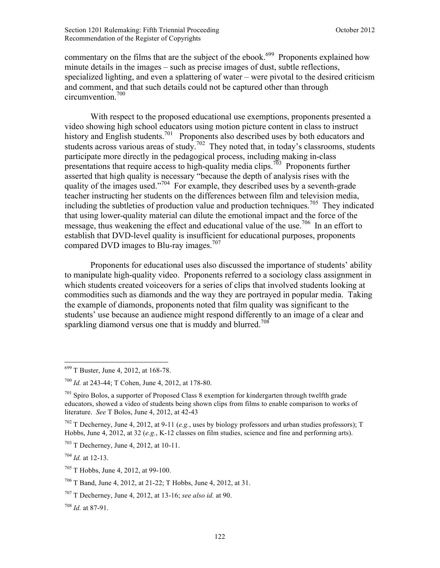commentary on the films that are the subject of the ebook.<sup>699</sup> Proponents explained how minute details in the images – such as precise images of dust, subtle reflections, specialized lighting, and even a splattering of water – were pivotal to the desired criticism and comment, and that such details could not be captured other than through circumvention $100$ 

With respect to the proposed educational use exemptions, proponents presented a video showing high school educators using motion picture content in class to instruct history and English students.<sup>701</sup> Proponents also described uses by both educators and students across various areas of study.<sup>702</sup> They noted that, in today's classrooms, students participate more directly in the pedagogical process, including making in-class presentations that require access to high-quality media clips.<sup>703</sup> Proponents further asserted that high quality is necessary "because the depth of analysis rises with the quality of the images used."704 For example, they described uses by a seventh-grade teacher instructing her students on the differences between film and television media, including the subtleties of production value and production techniques.<sup>705</sup> They indicated that using lower-quality material can dilute the emotional impact and the force of the message, thus weakening the effect and educational value of the use.<sup>706</sup> In an effort to establish that DVD-level quality is insufficient for educational purposes, proponents compared DVD images to Blu-ray images.<sup>707</sup>

Proponents for educational uses also discussed the importance of students' ability to manipulate high-quality video. Proponents referred to a sociology class assignment in which students created voiceovers for a series of clips that involved students looking at commodities such as diamonds and the way they are portrayed in popular media. Taking the example of diamonds, proponents noted that film quality was significant to the students' use because an audience might respond differently to an image of a clear and sparkling diamond versus one that is muddy and blurred.<sup>708</sup>

<sup>&</sup>lt;sup>699</sup> T Buster, June 4, 2012, at 168-78.

<sup>700</sup> *Id.* at 243-44; T Cohen, June 4, 2012, at 178-80.

 $701$  Spiro Bolos, a supporter of Proposed Class 8 exemption for kindergarten through twelfth grade educators, showed a video of students being shown clips from films to enable comparison to works of literature. *See* T Bolos, June 4, 2012, at 42-43

<sup>702</sup> T Decherney, June 4, 2012, at 9-11 (*e.g.*, uses by biology professors and urban studies professors); T Hobbs, June 4, 2012, at 32 (*e.g.*, K-12 classes on film studies, science and fine and performing arts).

<sup>703</sup> T Decherney, June 4, 2012, at 10-11.

<sup>704</sup> *Id.* at 12-13.

<sup>705</sup> T Hobbs, June 4, 2012, at 99-100.

<sup>706</sup> T Band, June 4, 2012, at 21-22; T Hobbs, June 4, 2012, at 31.

<sup>707</sup> T Decherney, June 4, 2012, at 13-16; *see also id.* at 90.

<sup>708</sup> *Id.* at 87-91.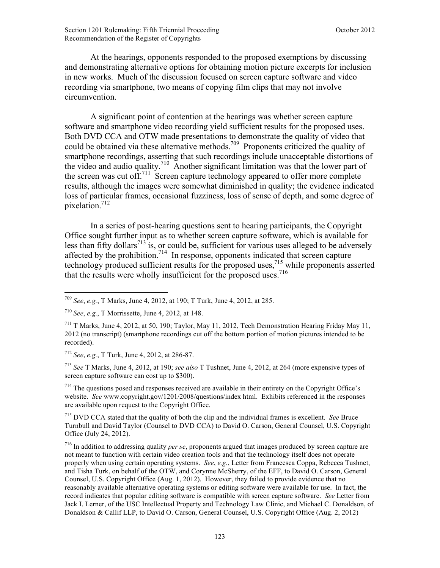At the hearings, opponents responded to the proposed exemptions by discussing and demonstrating alternative options for obtaining motion picture excerpts for inclusion in new works. Much of the discussion focused on screen capture software and video recording via smartphone, two means of copying film clips that may not involve circumvention.

A significant point of contention at the hearings was whether screen capture software and smartphone video recording yield sufficient results for the proposed uses. Both DVD CCA and OTW made presentations to demonstrate the quality of video that could be obtained via these alternative methods.709Proponents criticized the quality of smartphone recordings, asserting that such recordings include unacceptable distortions of the video and audio quality.<sup>710</sup> Another significant limitation was that the lower part of the screen was cut off.<sup>711</sup> Screen capture technology appeared to offer more complete results, although the images were somewhat diminished in quality; the evidence indicated loss of particular frames, occasional fuzziness, loss of sense of depth, and some degree of pixelation.<sup>712</sup>

In a series of post-hearing questions sent to hearing participants, the Copyright Office sought further input as to whether screen capture software, which is available for less than fifty dollars<sup> $713$ </sup> is, or could be, sufficient for various uses alleged to be adversely affected by the prohibition.<sup>714</sup> In response, opponents indicated that screen capture technology produced sufficient results for the proposed uses,<sup>715</sup> while proponents asserted that the results were wholly insufficient for the proposed uses.<sup>716</sup>

 $\overline{a}$ 

<sup>713</sup> *See* T Marks, June 4, 2012, at 190; *see also* T Tushnet, June 4, 2012, at 264 (more expensive types of screen capture software can cost up to \$300).

<sup>714</sup> The questions posed and responses received are available in their entirety on the Copyright Office's website. *See* www.copyright.gov/1201/2008/questions/index html. Exhibits referenced in the responses are available upon request to the Copyright Office.

<sup>715</sup> DVD CCA stated that the quality of both the clip and the individual frames is excellent. *See* Bruce Turnbull and David Taylor (Counsel to DVD CCA) to David O. Carson, General Counsel, U.S. Copyright Office (July 24, 2012).

<sup>716</sup> In addition to addressing quality *per se*, proponents argued that images produced by screen capture are not meant to function with certain video creation tools and that the technology itself does not operate properly when using certain operating systems. *See*, *e.g.*, Letter from Francesca Coppa, Rebecca Tushnet, and Tisha Turk, on behalf of the OTW, and Corynne McSherry, of the EFF, to David O. Carson, General Counsel, U.S. Copyright Office (Aug. 1, 2012). However, they failed to provide evidence that no reasonably available alternative operating systems or editing software were available for use. In fact, the record indicates that popular editing software is compatible with screen capture software. *See* Letter from Jack I. Lerner, of the USC Intellectual Property and Technology Law Clinic, and Michael C. Donaldson, of Donaldson & Callif LLP, to David O. Carson, General Counsel, U.S. Copyright Office (Aug. 2, 2012)

<sup>709</sup> *See*, *e.g.*, T Marks, June 4, 2012, at 190; T Turk, June 4, 2012, at 285.

<sup>710</sup> *See*, *e.g.*, T Morrissette, June 4, 2012, at 148.

 $^{711}$  T Marks, June 4, 2012, at 50, 190; Taylor, May 11, 2012, Tech Demonstration Hearing Friday May 11, 2012 (no transcript) (smartphone recordings cut off the bottom portion of motion pictures intended to be recorded).

<sup>712</sup> *See*, *e.g.*, T Turk, June 4, 2012, at 286-87.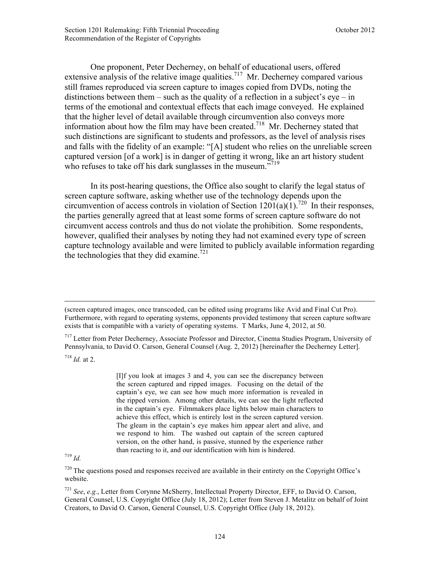One proponent, Peter Decherney, on behalf of educational users, offered extensive analysis of the relative image qualities.<sup>717</sup> Mr. Decherney compared various still frames reproduced via screen capture to images copied from DVDs, noting the distinctions between them – such as the quality of a reflection in a subject's eye – in terms of the emotional and contextual effects that each image conveyed. He explained that the higher level of detail available through circumvention also conveys more information about how the film may have been created.718 Mr. Decherney stated that such distinctions are significant to students and professors, as the level of analysis rises and falls with the fidelity of an example: "[A] student who relies on the unreliable screen captured version [of a work] is in danger of getting it wrong, like an art history student who refuses to take off his dark sunglasses in the museum."<sup>719</sup>

In its post-hearing questions, the Office also sought to clarify the legal status of screen capture software, asking whether use of the technology depends upon the circumvention of access controls in violation of Section  $1201(a)(1)$ .<sup>720</sup> In their responses, the parties generally agreed that at least some forms of screen capture software do not circumvent access controls and thus do not violate the prohibition. Some respondents, however, qualified their analyses by noting they had not examined every type of screen capture technology available and were limited to publicly available information regarding the technologies that they did examine.<sup>721</sup>

<sup>717</sup> Letter from Peter Decherney, Associate Professor and Director, Cinema Studies Program, University of Pennsylvania, to David O. Carson, General Counsel (Aug. 2, 2012) [hereinafter the Decherney Letter].

 $^{718}$  *Id.* at 2.

 $\overline{a}$ 

[I]f you look at images 3 and 4, you can see the discrepancy between the screen captured and ripped images. Focusing on the detail of the captain's eye, we can see how much more information is revealed in the ripped version. Among other details, we can see the light reflected in the captain's eye. Filmmakers place lights below main characters to achieve this effect, which is entirely lost in the screen captured version. The gleam in the captain's eye makes him appear alert and alive, and we respond to him. The washed out captain of the screen captured version, on the other hand, is passive, stunned by the experience rather than reacting to it, and our identification with him is hindered. <sup>719</sup> *Id.*

 $720$  The questions posed and responses received are available in their entirety on the Copyright Office's website.

<sup>721</sup> *See*, *e.g.*, Letter from Corynne McSherry, Intellectual Property Director, EFF, to David O. Carson, General Counsel, U.S. Copyright Office (July 18, 2012); Letter from Steven J. Metalitz on behalf of Joint Creators, to David O. Carson, General Counsel, U.S. Copyright Office (July 18, 2012).

<sup>(</sup>screen captured images, once transcoded, can be edited using programs like Avid and Final Cut Pro). Furthermore, with regard to operating systems, opponents provided testimony that screen capture software exists that is compatible with a variety of operating systems. T Marks, June 4, 2012, at 50.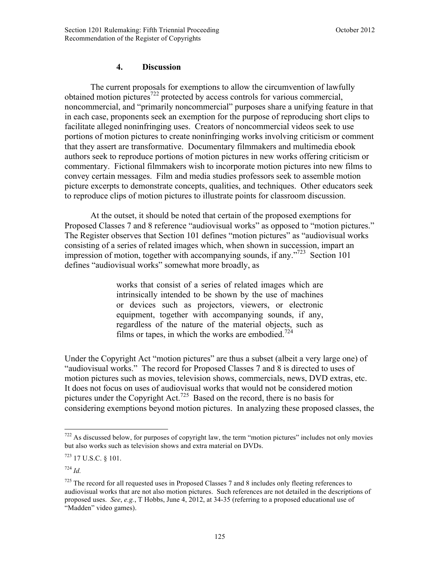# **4. Discussion**

The current proposals for exemptions to allow the circumvention of lawfully obtained motion pictures<sup>722</sup> protected by access controls for various commercial, noncommercial, and "primarily noncommercial" purposes share a unifying feature in that in each case, proponents seek an exemption for the purpose of reproducing short clips to facilitate alleged noninfringing uses. Creators of noncommercial videos seek to use portions of motion pictures to create noninfringing works involving criticism or comment that they assert are transformative. Documentary filmmakers and multimedia ebook authors seek to reproduce portions of motion pictures in new works offering criticism or commentary. Fictional filmmakers wish to incorporate motion pictures into new films to convey certain messages. Film and media studies professors seek to assemble motion picture excerpts to demonstrate concepts, qualities, and techniques. Other educators seek to reproduce clips of motion pictures to illustrate points for classroom discussion.

At the outset, it should be noted that certain of the proposed exemptions for Proposed Classes 7 and 8 reference "audiovisual works" as opposed to "motion pictures." The Register observes that Section 101 defines "motion pictures" as "audiovisual works consisting of a series of related images which, when shown in succession, impart an impression of motion, together with accompanying sounds, if any."<sup>723</sup> Section 101 defines "audiovisual works" somewhat more broadly, as

> works that consist of a series of related images which are intrinsically intended to be shown by the use of machines or devices such as projectors, viewers, or electronic equipment, together with accompanying sounds, if any, regardless of the nature of the material objects, such as films or tapes, in which the works are embodied.<sup>724</sup>

Under the Copyright Act "motion pictures" are thus a subset (albeit a very large one) of "audiovisual works." The record for Proposed Classes 7 and 8 is directed to uses of motion pictures such as movies, television shows, commercials, news, DVD extras, etc. It does not focus on uses of audiovisual works that would not be considered motion pictures under the Copyright Act.<sup>725</sup> Based on the record, there is no basis for considering exemptions beyond motion pictures. In analyzing these proposed classes, the

1

 $722$  As discussed below, for purposes of copyright law, the term "motion pictures" includes not only movies but also works such as television shows and extra material on DVDs.

<sup>723</sup> 17 U.S.C. § 101.

<sup>724</sup> *Id.*

<sup>725</sup> The record for all requested uses in Proposed Classes 7 and 8 includes only fleeting references to audiovisual works that are not also motion pictures. Such references are not detailed in the descriptions of proposed uses. *See*, *e.g.*, T Hobbs, June 4, 2012, at 34-35 (referring to a proposed educational use of "Madden" video games).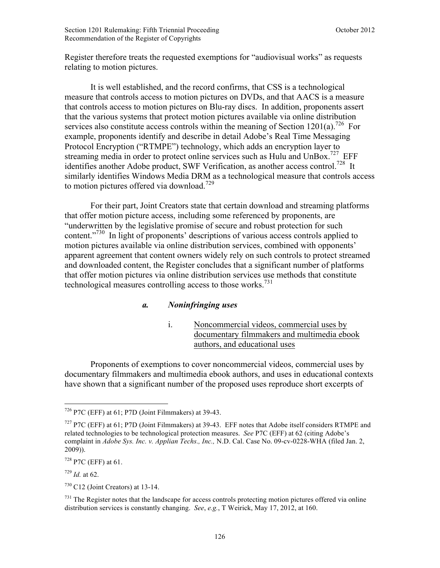Register therefore treats the requested exemptions for "audiovisual works" as requests relating to motion pictures.

It is well established, and the record confirms, that CSS is a technological measure that controls access to motion pictures on DVDs, and that AACS is a measure that controls access to motion pictures on Blu-ray discs. In addition, proponents assert that the various systems that protect motion pictures available via online distribution services also constitute access controls within the meaning of Section 1201(a).<sup>726</sup> For example, proponents identify and describe in detail Adobe's Real Time Messaging Protocol Encryption ("RTMPE") technology, which adds an encryption layer to streaming media in order to protect online services such as Hulu and UnBox.<sup>727</sup> EFF identifies another Adobe product, SWF Verification, as another access control.<sup>728</sup> It similarly identifies Windows Media DRM as a technological measure that controls access to motion pictures offered via download.<sup>729</sup>

For their part, Joint Creators state that certain download and streaming platforms that offer motion picture access, including some referenced by proponents, are "underwritten by the legislative promise of secure and robust protection for such content."<sup>730</sup> In light of proponents' descriptions of various access controls applied to motion pictures available via online distribution services, combined with opponents' apparent agreement that content owners widely rely on such controls to protect streamed and downloaded content, the Register concludes that a significant number of platforms that offer motion pictures via online distribution services use methods that constitute technological measures controlling access to those works.<sup>731</sup>

# *a. Noninfringing uses*

i. Noncommercial videos, commercial uses by documentary filmmakers and multimedia ebook authors, and educational uses

Proponents of exemptions to cover noncommercial videos, commercial uses by documentary filmmakers and multimedia ebook authors, and uses in educational contexts have shown that a significant number of the proposed uses reproduce short excerpts of

 $728$  P7C (EFF) at 61.

<sup>729</sup> *Id.* at 62.

 $726$  P7C (EFF) at 61; P7D (Joint Filmmakers) at 39-43.

<sup>727</sup> P7C (EFF) at 61; P7D (Joint Filmmakers) at 39-43. EFF notes that Adobe itself considers RTMPE and related technologies to be technological protection measures. *See* P7C (EFF) at 62 (citing Adobe's complaint in *Adobe Sys. Inc. v. Applian Techs., Inc.,* N.D. Cal. Case No. 09-cv-0228-WHA (filed Jan. 2, 2009)).

 $730$  C12 (Joint Creators) at 13-14.

 $731$  The Register notes that the landscape for access controls protecting motion pictures offered via online distribution services is constantly changing. *See*, *e.g.*, T Weirick, May 17, 2012, at 160.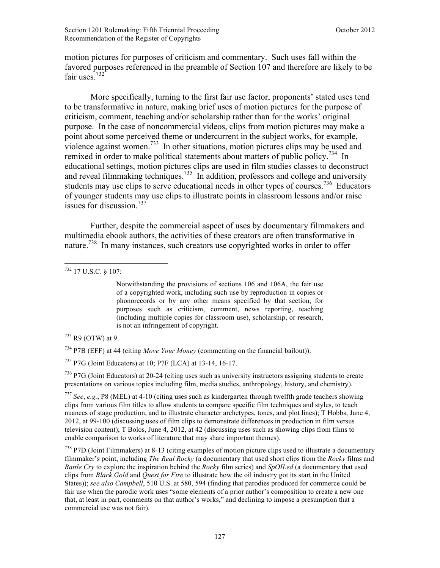motion pictures for purposes of criticism and commentary. Such uses fall within the favored purposes referenced in the preamble of Section 107 and therefore are likely to be fair uses<sup>732</sup>

More specifically, turning to the first fair use factor, proponents' stated uses tend to be transformative in nature, making brief uses of motion pictures for the purpose of criticism, comment, teaching and/or scholarship rather than for the works' original purpose. In the case of noncommercial videos, clips from motion pictures may make a point about some perceived theme or undercurrent in the subject works, for example, violence against women.733 In other situations, motion pictures clips may be used and remixed in order to make political statements about matters of public policy.<sup>734</sup> In educational settings, motion pictures clips are used in film studies classes to deconstruct and reveal filmmaking techniques.<sup>735</sup> In addition, professors and college and university students may use clips to serve educational needs in other types of courses.<sup>736</sup> Educators of younger students may use clips to illustrate points in classroom lessons and/or raise issues for discussion.<sup>737</sup>

Further, despite the commercial aspect of uses by documentary filmmakers and multimedia ebook authors, the activities of these creators are often transformative in nature.738 In many instances, such creators use copyrighted works in order to offer

1

Notwithstanding the provisions of sections 106 and 106A, the fair use of a copyrighted work, including such use by reproduction in copies or phonorecords or by any other means specified by that section, for purposes such as criticism, comment, news reporting, teaching (including multiple copies for classroom use), scholarship, or research, is not an infringement of copyright.

 $733$  R9 (OTW) at 9.

<sup>734</sup> P7B (EFF) at 44 (citing *Move Your Money* (commenting on the financial bailout)).

<sup>735</sup> P7G (Joint Educators) at 10; P7F (LCA) at 13-14, 16-17.

<sup>736</sup> P7G (Joint Educators) at 20-24 (citing uses such as university instructors assigning students to create presentations on various topics including film, media studies, anthropology, history, and chemistry).

<sup>737</sup> *See*, *e.g.*, P8 (MEL) at 4-10 (citing uses such as kindergarten through twelfth grade teachers showing clips from various film titles to allow students to compare specific film techniques and styles, to teach nuances of stage production, and to illustrate character archetypes, tones, and plot lines); T Hobbs, June 4, 2012, at 99-100 (discussing uses of film clips to demonstrate differences in production in film versus television content); T Bolos, June 4, 2012, at 42 (discussing uses such as showing clips from films to enable comparison to works of literature that may share important themes).

<sup>738</sup> P7D (Joint Filmmakers) at 8-13 (citing examples of motion picture clips used to illustrate a documentary filmmaker's point, including *The Real Rocky* (a documentary that used short clips from the *Rocky* films and *Battle Cry* to explore the inspiration behind the *Rocky* film series) and *SpOILed* (a documentary that used clips from *Black Gold* and *Quest for Fire* to illustrate how the oil industry got its start in the United States)); *see also Campbell*, 510 U.S. at 580, 594 (finding that parodies produced for commerce could be fair use when the parodic work uses "some elements of a prior author's composition to create a new one that, at least in part, comments on that author's works," and declining to impose a presumption that a commercial use was not fair).

<sup>732</sup> 17 U.S.C. § 107: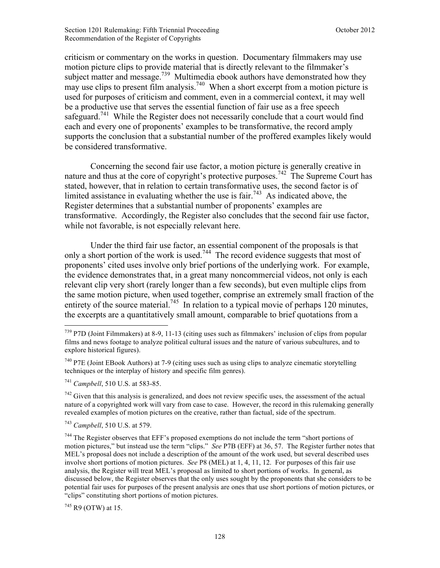criticism or commentary on the works in question. Documentary filmmakers may use motion picture clips to provide material that is directly relevant to the filmmaker's subject matter and message.<sup>739</sup> Multimedia ebook authors have demonstrated how they may use clips to present film analysis.<sup>740</sup> When a short excerpt from a motion picture is used for purposes of criticism and comment, even in a commercial context, it may well be a productive use that serves the essential function of fair use as a free speech safeguard.<sup>741</sup> While the Register does not necessarily conclude that a court would find each and every one of proponents' examples to be transformative, the record amply supports the conclusion that a substantial number of the proffered examples likely would be considered transformative.

Concerning the second fair use factor, a motion picture is generally creative in nature and thus at the core of copyright's protective purposes.<sup>742</sup> The Supreme Court has stated, however, that in relation to certain transformative uses, the second factor is of limited assistance in evaluating whether the use is fair.<sup>743</sup> As indicated above, the Register determines that a substantial number of proponents' examples are transformative. Accordingly, the Register also concludes that the second fair use factor, while not favorable, is not especially relevant here.

Under the third fair use factor, an essential component of the proposals is that only a short portion of the work is used.<sup>744</sup> The record evidence suggests that most of proponents' cited uses involve only brief portions of the underlying work. For example, the evidence demonstrates that, in a great many noncommercial videos, not only is each relevant clip very short (rarely longer than a few seconds), but even multiple clips from the same motion picture, when used together, comprise an extremely small fraction of the entirety of the source material.<sup>745</sup> In relation to a typical movie of perhaps 120 minutes, the excerpts are a quantitatively small amount, comparable to brief quotations from a

 $742$  Given that this analysis is generalized, and does not review specific uses, the assessment of the actual nature of a copyrighted work will vary from case to case. However, the record in this rulemaking generally revealed examples of motion pictures on the creative, rather than factual, side of the spectrum.

<sup>743</sup> *Campbell*, 510 U.S. at 579.

 $745$  R9 (OTW) at 15.

 $\overline{a}$  $739$  P7D (Joint Filmmakers) at 8-9, 11-13 (citing uses such as filmmakers' inclusion of clips from popular films and news footage to analyze political cultural issues and the nature of various subcultures, and to explore historical figures).

 $740$  P7E (Joint EBook Authors) at 7-9 (citing uses such as using clips to analyze cinematic storytelling techniques or the interplay of history and specific film genres).

<sup>741</sup> *Campbell*, 510 U.S. at 583-85.

<sup>&</sup>lt;sup>744</sup> The Register observes that EFF's proposed exemptions do not include the term "short portions of motion pictures," but instead use the term "clips." *See* P7B (EFF) at 36, 57. The Register further notes that MEL's proposal does not include a description of the amount of the work used, but several described uses involve short portions of motion pictures. *See* P8 (MEL) at 1, 4, 11, 12. For purposes of this fair use analysis, the Register will treat MEL's proposal as limited to short portions of works. In general, as discussed below, the Register observes that the only uses sought by the proponents that she considers to be potential fair uses for purposes of the present analysis are ones that use short portions of motion pictures, or "clips" constituting short portions of motion pictures.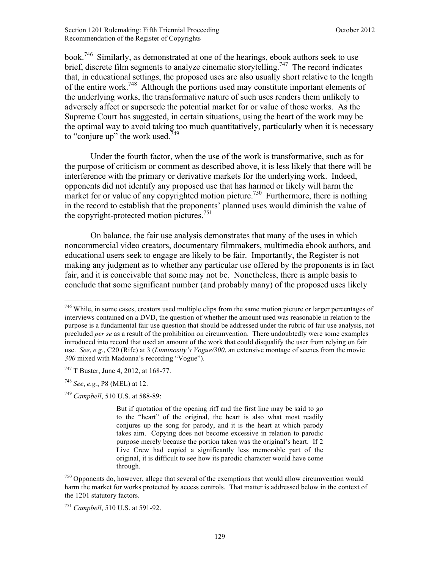Section 1201 Rulemaking: Fifth Triennial Proceeding **Section 1201** October 2012 Recommendation of the Register of Copyrights

book.746 Similarly, as demonstrated at one of the hearings, ebook authors seek to use brief, discrete film segments to analyze cinematic storytelling.<sup>747</sup> The record indicates that, in educational settings, the proposed uses are also usually short relative to the length of the entire work.<sup>748</sup> Although the portions used may constitute important elements of the underlying works, the transformative nature of such uses renders them unlikely to adversely affect or supersede the potential market for or value of those works. As the Supreme Court has suggested, in certain situations, using the heart of the work may be the optimal way to avoid taking too much quantitatively, particularly when it is necessary to "conjure up" the work used. $749$ 

Under the fourth factor, when the use of the work is transformative, such as for the purpose of criticism or comment as described above, it is less likely that there will be interference with the primary or derivative markets for the underlying work. Indeed, opponents did not identify any proposed use that has harmed or likely will harm the market for or value of any copyrighted motion picture.<sup>750</sup> Furthermore, there is nothing in the record to establish that the proponents' planned uses would diminish the value of the copyright-protected motion pictures.<sup>751</sup>

On balance, the fair use analysis demonstrates that many of the uses in which noncommercial video creators, documentary filmmakers, multimedia ebook authors, and educational users seek to engage are likely to be fair. Importantly, the Register is not making any judgment as to whether any particular use offered by the proponents is in fact fair, and it is conceivable that some may not be. Nonetheless, there is ample basis to conclude that some significant number (and probably many) of the proposed uses likely

<sup>&</sup>lt;sup>746</sup> While, in some cases, creators used multiple clips from the same motion picture or larger percentages of interviews contained on a DVD, the question of whether the amount used was reasonable in relation to the purpose is a fundamental fair use question that should be addressed under the rubric of fair use analysis, not precluded *per se* as a result of the prohibition on circumvention. There undoubtedly were some examples introduced into record that used an amount of the work that could disqualify the user from relying on fair use. *See*, *e.g.*, C20 (Rife) at 3 (*Luminosity's Vogue/300*, an extensive montage of scenes from the movie *300* mixed with Madonna's recording "Vogue").

<sup>747</sup> T Buster, June 4, 2012, at 168-77.

<sup>748</sup> *See*, *e.g.*, P8 (MEL) at 12.

<sup>749</sup> *Campbell*, 510 U.S. at 588-89:

But if quotation of the opening riff and the first line may be said to go to the "heart" of the original, the heart is also what most readily conjures up the song for parody, and it is the heart at which parody takes aim. Copying does not become excessive in relation to parodic purpose merely because the portion taken was the original's heart. If 2 Live Crew had copied a significantly less memorable part of the original, it is difficult to see how its parodic character would have come through.

<sup>750</sup> Opponents do, however, allege that several of the exemptions that would allow circumvention would harm the market for works protected by access controls. That matter is addressed below in the context of the 1201 statutory factors.

<sup>751</sup> *Campbell*, 510 U.S. at 591-92.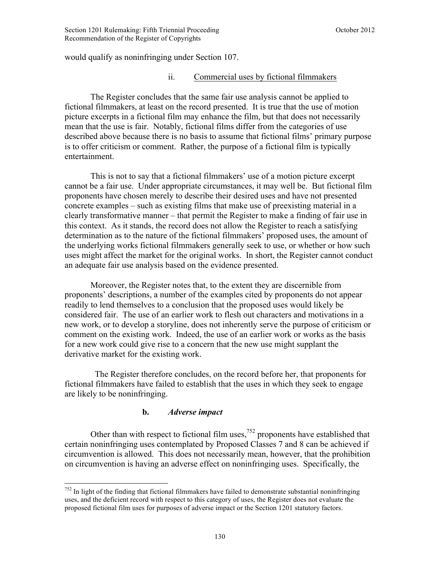would qualify as noninfringing under Section 107.

# ii. Commercial uses by fictional filmmakers

The Register concludes that the same fair use analysis cannot be applied to fictional filmmakers, at least on the record presented. It is true that the use of motion picture excerpts in a fictional film may enhance the film, but that does not necessarily mean that the use is fair. Notably, fictional films differ from the categories of use described above because there is no basis to assume that fictional films' primary purpose is to offer criticism or comment. Rather, the purpose of a fictional film is typically entertainment.

This is not to say that a fictional filmmakers' use of a motion picture excerpt cannot be a fair use. Under appropriate circumstances, it may well be. But fictional film proponents have chosen merely to describe their desired uses and have not presented concrete examples – such as existing films that make use of preexisting material in a clearly transformative manner – that permit the Register to make a finding of fair use in this context. As it stands, the record does not allow the Register to reach a satisfying determination as to the nature of the fictional filmmakers' proposed uses, the amount of the underlying works fictional filmmakers generally seek to use, or whether or how such uses might affect the market for the original works. In short, the Register cannot conduct an adequate fair use analysis based on the evidence presented.

Moreover, the Register notes that, to the extent they are discernible from proponents' descriptions, a number of the examples cited by proponents do not appear readily to lend themselves to a conclusion that the proposed uses would likely be considered fair. The use of an earlier work to flesh out characters and motivations in a new work, or to develop a storyline, does not inherently serve the purpose of criticism or comment on the existing work. Indeed, the use of an earlier work or works as the basis for a new work could give rise to a concern that the new use might supplant the derivative market for the existing work.

 The Register therefore concludes, on the record before her, that proponents for fictional filmmakers have failed to establish that the uses in which they seek to engage are likely to be noninfringing.

### **b.** *Adverse impact*

Other than with respect to fictional film uses,<sup>752</sup> proponents have established that certain noninfringing uses contemplated by Proposed Classes 7 and 8 can be achieved if circumvention is allowed. This does not necessarily mean, however, that the prohibition on circumvention is having an adverse effect on noninfringing uses. Specifically, the

 $\overline{a}$  $752$  In light of the finding that fictional filmmakers have failed to demonstrate substantial noninfringing uses, and the deficient record with respect to this category of uses, the Register does not evaluate the proposed fictional film uses for purposes of adverse impact or the Section 1201 statutory factors.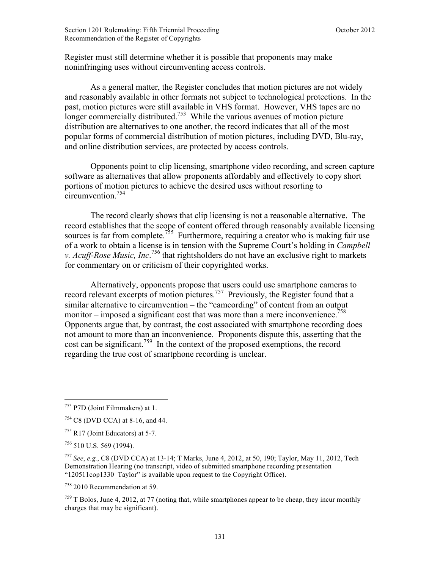Register must still determine whether it is possible that proponents may make noninfringing uses without circumventing access controls.

As a general matter, the Register concludes that motion pictures are not widely and reasonably available in other formats not subject to technological protections. In the past, motion pictures were still available in VHS format. However, VHS tapes are no longer commercially distributed.<sup>753</sup> While the various avenues of motion picture distribution are alternatives to one another, the record indicates that all of the most popular forms of commercial distribution of motion pictures, including DVD, Blu-ray, and online distribution services, are protected by access controls.

Opponents point to clip licensing, smartphone video recording, and screen capture software as alternatives that allow proponents affordably and effectively to copy short portions of motion pictures to achieve the desired uses without resorting to  $circumvention<sup>754</sup>$ 

The record clearly shows that clip licensing is not a reasonable alternative. The record establishes that the scope of content offered through reasonably available licensing sources is far from complete.<sup>755</sup> Furthermore, requiring a creator who is making fair use of a work to obtain a license is in tension with the Supreme Court's holding in *Campbell v. Acuff-Rose Music, Inc.*<sup>756</sup> that rightsholders do not have an exclusive right to markets for commentary on or criticism of their copyrighted works.

 Alternatively, opponents propose that users could use smartphone cameras to record relevant excerpts of motion pictures.<sup>757</sup> Previously, the Register found that a similar alternative to circumvention – the "camcording" of content from an output monitor – imposed a significant cost that was more than a mere inconvenience.<sup>758</sup> Opponents argue that, by contrast, the cost associated with smartphone recording does not amount to more than an inconvenience. Proponents dispute this, asserting that the cost can be significant.<sup>759</sup> In the context of the proposed exemptions, the record regarding the true cost of smartphone recording is unclear.

 $\overline{a}$ 

<sup>758</sup> 2010 Recommendation at 59.

 $759$  T Bolos, June 4, 2012, at 77 (noting that, while smartphones appear to be cheap, they incur monthly charges that may be significant).

<sup>753</sup> P7D (Joint Filmmakers) at 1.

<sup>754</sup> C8 (DVD CCA) at 8-16, and 44.

 $755$  R17 (Joint Educators) at 5-7.

 $756$  510 U.S. 569 (1994).

<sup>757</sup> *See*, *e.g.*, C8 (DVD CCA) at 13-14; T Marks, June 4, 2012, at 50, 190; Taylor, May 11, 2012, Tech Demonstration Hearing (no transcript, video of submitted smartphone recording presentation "120511cop1330\_Taylor" is available upon request to the Copyright Office).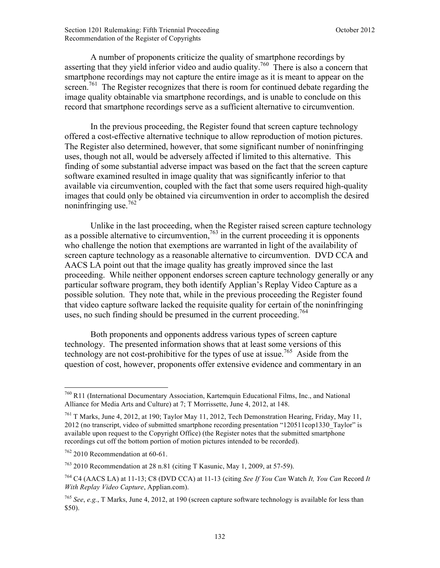A number of proponents criticize the quality of smartphone recordings by asserting that they yield inferior video and audio quality.<sup>760</sup> There is also a concern that smartphone recordings may not capture the entire image as it is meant to appear on the screen.<sup>761</sup> The Register recognizes that there is room for continued debate regarding the image quality obtainable via smartphone recordings, and is unable to conclude on this record that smartphone recordings serve as a sufficient alternative to circumvention.

In the previous proceeding, the Register found that screen capture technology offered a cost-effective alternative technique to allow reproduction of motion pictures. The Register also determined, however, that some significant number of noninfringing uses, though not all, would be adversely affected if limited to this alternative. This finding of some substantial adverse impact was based on the fact that the screen capture software examined resulted in image quality that was significantly inferior to that available via circumvention, coupled with the fact that some users required high-quality images that could only be obtained via circumvention in order to accomplish the desired noninfringing use.<sup>762</sup>

Unlike in the last proceeding, when the Register raised screen capture technology as a possible alternative to circumvention,  $763$  in the current proceeding it is opponents who challenge the notion that exemptions are warranted in light of the availability of screen capture technology as a reasonable alternative to circumvention. DVD CCA and AACS LA point out that the image quality has greatly improved since the last proceeding. While neither opponent endorses screen capture technology generally or any particular software program, they both identify Applian's Replay Video Capture as a possible solution. They note that, while in the previous proceeding the Register found that video capture software lacked the requisite quality for certain of the noninfringing uses, no such finding should be presumed in the current proceeding.<sup>764</sup>

Both proponents and opponents address various types of screen capture technology. The presented information shows that at least some versions of this technology are not cost-prohibitive for the types of use at issue.<sup>765</sup> Aside from the question of cost, however, proponents offer extensive evidence and commentary in an

 $\overline{a}$ <sup>760</sup> R11 (International Documentary Association, Kartemquin Educational Films, Inc., and National Alliance for Media Arts and Culture) at 7; T Morrissette, June 4, 2012, at 148.

<sup>761</sup> T Marks, June 4, 2012, at 190; Taylor May 11, 2012, Tech Demonstration Hearing, Friday, May 11, 2012 (no transcript, video of submitted smartphone recording presentation "120511cop1330\_Taylor" is available upon request to the Copyright Office) (the Register notes that the submitted smartphone recordings cut off the bottom portion of motion pictures intended to be recorded).

 $762$  2010 Recommendation at 60-61.

 $763$  2010 Recommendation at 28 n.81 (citing T Kasunic, May 1, 2009, at 57-59).

<sup>764</sup> C4 (AACS LA) at 11-13; C8 (DVD CCA) at 11-13 (citing *See If You Can* Watch *It, You Can* Record *It With Replay Video Capture*, Applian.com).

<sup>765</sup> *See*, *e.g.*, T Marks, June 4, 2012, at 190 (screen capture software technology is available for less than \$50).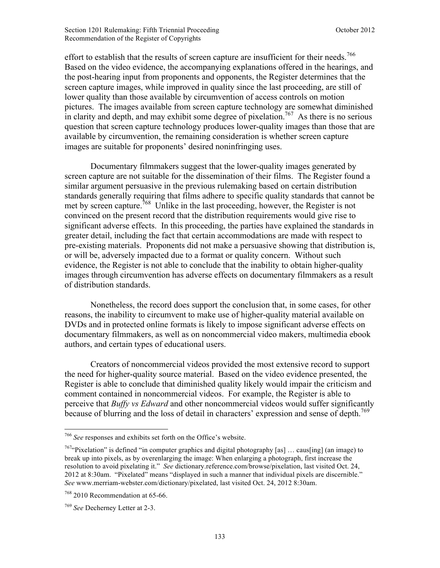effort to establish that the results of screen capture are insufficient for their needs.<sup>766</sup> Based on the video evidence, the accompanying explanations offered in the hearings, and the post-hearing input from proponents and opponents, the Register determines that the screen capture images, while improved in quality since the last proceeding, are still of lower quality than those available by circumvention of access controls on motion pictures. The images available from screen capture technology are somewhat diminished in clarity and depth, and may exhibit some degree of pixelation.<sup>767</sup> As there is no serious question that screen capture technology produces lower-quality images than those that are available by circumvention, the remaining consideration is whether screen capture images are suitable for proponents' desired noninfringing uses.

Documentary filmmakers suggest that the lower-quality images generated by screen capture are not suitable for the dissemination of their films. The Register found a similar argument persuasive in the previous rulemaking based on certain distribution standards generally requiring that films adhere to specific quality standards that cannot be met by screen capture.<sup>768</sup> Unlike in the last proceeding, however, the Register is not convinced on the present record that the distribution requirements would give rise to significant adverse effects. In this proceeding, the parties have explained the standards in greater detail, including the fact that certain accommodations are made with respect to pre-existing materials. Proponents did not make a persuasive showing that distribution is, or will be, adversely impacted due to a format or quality concern. Without such evidence, the Register is not able to conclude that the inability to obtain higher-quality images through circumvention has adverse effects on documentary filmmakers as a result of distribution standards.

Nonetheless, the record does support the conclusion that, in some cases, for other reasons, the inability to circumvent to make use of higher-quality material available on DVDs and in protected online formats is likely to impose significant adverse effects on documentary filmmakers, as well as on noncommercial video makers, multimedia ebook authors, and certain types of educational users.

Creators of noncommercial videos provided the most extensive record to support the need for higher-quality source material. Based on the video evidence presented, the Register is able to conclude that diminished quality likely would impair the criticism and comment contained in noncommercial videos. For example, the Register is able to perceive that *Buffy vs Edward* and other noncommercial videos would suffer significantly because of blurring and the loss of detail in characters' expression and sense of depth.<sup>769</sup>

<sup>766</sup> *See* responses and exhibits set forth on the Office's website.

 $767$ "Pixelation" is defined "in computer graphics and digital photography [as] ... caus[ing] (an image) to break up into pixels, as by overenlarging the image: When enlarging a photograph, first increase the resolution to avoid pixelating it." *See* dictionary.reference.com/browse/pixelation, last visited Oct. 24, 2012 at 8:30am. "Pixelated" means "displayed in such a manner that individual pixels are discernible." *See* www.merriam-webster.com/dictionary/pixelated, last visited Oct. 24, 2012 8:30am.

<sup>768</sup> 2010 Recommendation at 65-66.

<sup>769</sup> *See* Decherney Letter at 2-3.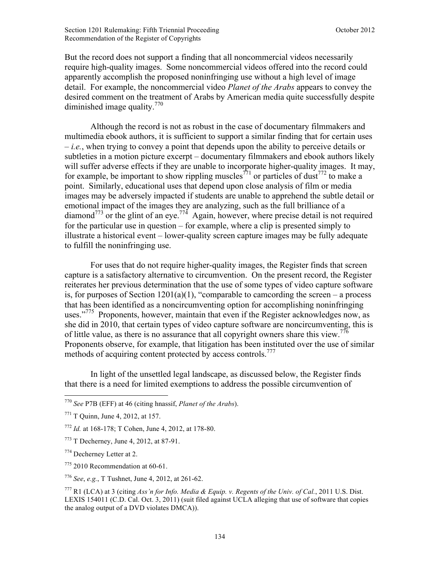But the record does not support a finding that all noncommercial videos necessarily require high-quality images. Some noncommercial videos offered into the record could apparently accomplish the proposed noninfringing use without a high level of image detail. For example, the noncommercial video *Planet of the Arabs* appears to convey the desired comment on the treatment of Arabs by American media quite successfully despite diminished image quality.770

Although the record is not as robust in the case of documentary filmmakers and multimedia ebook authors, it is sufficient to support a similar finding that for certain uses – *i.e.*, when trying to convey a point that depends upon the ability to perceive details or subtleties in a motion picture excerpt – documentary filmmakers and ebook authors likely will suffer adverse effects if they are unable to incorporate higher-quality images. It may, for example, be important to show rippling muscles<sup>771</sup> or particles of dust<sup>772</sup> to make a point. Similarly, educational uses that depend upon close analysis of film or media images may be adversely impacted if students are unable to apprehend the subtle detail or emotional impact of the images they are analyzing, such as the full brilliance of a diamond<sup>773</sup> or the glint of an eye.<sup>774</sup> Again, however, where precise detail is not required for the particular use in question – for example, where a clip is presented simply to illustrate a historical event – lower-quality screen capture images may be fully adequate to fulfill the noninfringing use.

For uses that do not require higher-quality images, the Register finds that screen capture is a satisfactory alternative to circumvention. On the present record, the Register reiterates her previous determination that the use of some types of video capture software is, for purposes of Section  $1201(a)(1)$ , "comparable to camcording the screen – a process that has been identified as a noncircumventing option for accomplishing noninfringing uses."<sup>775</sup> Proponents, however, maintain that even if the Register acknowledges now, as she did in 2010, that certain types of video capture software are noncircumventing, this is of little value, as there is no assurance that all copyright owners share this view.<sup>776</sup> Proponents observe, for example, that litigation has been instituted over the use of similar methods of acquiring content protected by access controls.<sup>777</sup>

In light of the unsettled legal landscape, as discussed below, the Register finds that there is a need for limited exemptions to address the possible circumvention of

<sup>770</sup> *See* P7B (EFF) at 46 (citing hnassif, *Planet of the Arabs*).

<sup>771</sup> T Quinn, June 4, 2012, at 157.

<sup>772</sup> *Id.* at 168-178; T Cohen, June 4, 2012, at 178-80.

<sup>773</sup> T Decherney, June 4, 2012, at 87-91.

<sup>774</sup> Decherney Letter at 2.

<sup>775</sup> 2010 Recommendation at 60-61.

<sup>776</sup> *See*, *e.g.*, T Tushnet, June 4, 2012, at 261-62.

<sup>777</sup> R1 (LCA) at 3 (citing *Ass'n for Info. Media & Equip. v. Regents of the Univ. of Cal.*, 2011 U.S. Dist. LEXIS 154011 (C.D. Cal. Oct. 3, 2011) (suit filed against UCLA alleging that use of software that copies the analog output of a DVD violates DMCA)).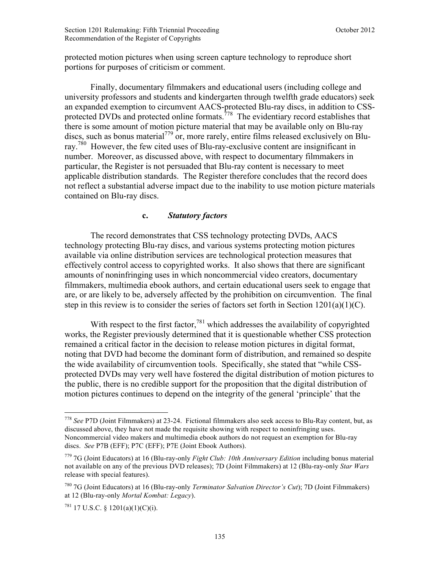protected motion pictures when using screen capture technology to reproduce short portions for purposes of criticism or comment.

Finally, documentary filmmakers and educational users (including college and university professors and students and kindergarten through twelfth grade educators) seek an expanded exemption to circumvent AACS-protected Blu-ray discs, in addition to CSSprotected DVDs and protected online formats.<sup>778</sup> The evidentiary record establishes that there is some amount of motion picture material that may be available only on Blu-ray discs, such as bonus material<sup>779</sup> or, more rarely, entire films released exclusively on Bluray.<sup>780</sup> However, the few cited uses of Blu-ray-exclusive content are insignificant in number. Moreover, as discussed above, with respect to documentary filmmakers in particular, the Register is not persuaded that Blu-ray content is necessary to meet applicable distribution standards. The Register therefore concludes that the record does not reflect a substantial adverse impact due to the inability to use motion picture materials contained on Blu-ray discs.

### **c.** *Statutory factors*

The record demonstrates that CSS technology protecting DVDs, AACS technology protecting Blu-ray discs, and various systems protecting motion pictures available via online distribution services are technological protection measures that effectively control access to copyrighted works. It also shows that there are significant amounts of noninfringing uses in which noncommercial video creators, documentary filmmakers, multimedia ebook authors, and certain educational users seek to engage that are, or are likely to be, adversely affected by the prohibition on circumvention. The final step in this review is to consider the series of factors set forth in Section 1201(a)(1)(C).

With respect to the first factor,<sup>781</sup> which addresses the availability of copyrighted works, the Register previously determined that it is questionable whether CSS protection remained a critical factor in the decision to release motion pictures in digital format, noting that DVD had become the dominant form of distribution, and remained so despite the wide availability of circumvention tools. Specifically, she stated that "while CSSprotected DVDs may very well have fostered the digital distribution of motion pictures to the public, there is no credible support for the proposition that the digital distribution of motion pictures continues to depend on the integrity of the general 'principle' that the

<u>.</u>

<sup>778</sup> *See* P7D (Joint Filmmakers) at 23-24. Fictional filmmakers also seek access to Blu-Ray content, but, as discussed above, they have not made the requisite showing with respect to noninfringing uses. Noncommercial video makers and multimedia ebook authors do not request an exemption for Blu-ray discs. *See* P7B (EFF); P7C (EFF); P7E (Joint Ebook Authors).

<sup>779</sup> 7G (Joint Educators) at 16 (Blu-ray-only *Fight Club: 10th Anniversary Edition* including bonus material not available on any of the previous DVD releases); 7D (Joint Filmmakers) at 12 (Blu-ray-only *Star Wars* release with special features).

<sup>780</sup> 7G (Joint Educators) at 16 (Blu-ray-only *Terminator Salvation Director's Cut*); 7D (Joint Filmmakers) at 12 (Blu-ray-only *Mortal Kombat: Legacy*).

 $^{781}$  17 U.S.C. § 1201(a)(1)(C)(i).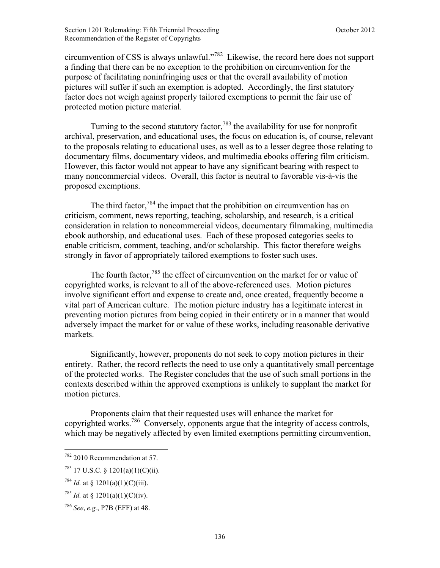circumvention of CSS is always unlawful."782 Likewise, the record here does not support a finding that there can be no exception to the prohibition on circumvention for the purpose of facilitating noninfringing uses or that the overall availability of motion pictures will suffer if such an exemption is adopted. Accordingly, the first statutory factor does not weigh against properly tailored exemptions to permit the fair use of protected motion picture material.

Turning to the second statutory factor,<sup>783</sup> the availability for use for nonprofit archival, preservation, and educational uses, the focus on education is, of course, relevant to the proposals relating to educational uses, as well as to a lesser degree those relating to documentary films, documentary videos, and multimedia ebooks offering film criticism. However, this factor would not appear to have any significant bearing with respect to many noncommercial videos. Overall, this factor is neutral to favorable vis-à-vis the proposed exemptions.

The third factor,  $784$  the impact that the prohibition on circumvention has on criticism, comment, news reporting, teaching, scholarship, and research, is a critical consideration in relation to noncommercial videos, documentary filmmaking, multimedia ebook authorship, and educational uses. Each of these proposed categories seeks to enable criticism, comment, teaching, and/or scholarship. This factor therefore weighs strongly in favor of appropriately tailored exemptions to foster such uses.

The fourth factor,<sup>785</sup> the effect of circumvention on the market for or value of copyrighted works, is relevant to all of the above-referenced uses. Motion pictures involve significant effort and expense to create and, once created, frequently become a vital part of American culture. The motion picture industry has a legitimate interest in preventing motion pictures from being copied in their entirety or in a manner that would adversely impact the market for or value of these works, including reasonable derivative markets.

Significantly, however, proponents do not seek to copy motion pictures in their entirety. Rather, the record reflects the need to use only a quantitatively small percentage of the protected works. The Register concludes that the use of such small portions in the contexts described within the approved exemptions is unlikely to supplant the market for motion pictures.

Proponents claim that their requested uses will enhance the market for copyrighted works.786 Conversely, opponents argue that the integrity of access controls, which may be negatively affected by even limited exemptions permitting circumvention,

1

 $782$  2010 Recommendation at 57.

 $^{783}$  17 U.S.C. § 1201(a)(1)(C)(ii).

<sup>&</sup>lt;sup>784</sup> *Id.* at § 1201(a)(1)(C)(iii).

<sup>&</sup>lt;sup>785</sup> *Id.* at § 1201(a)(1)(C)(iv).

<sup>786</sup> *See*, *e.g.*, P7B (EFF) at 48.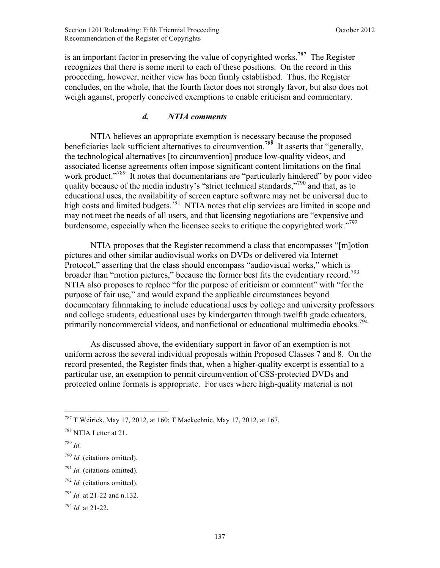is an important factor in preserving the value of copyrighted works.<sup>787</sup> The Register recognizes that there is some merit to each of these positions. On the record in this proceeding, however, neither view has been firmly established. Thus, the Register concludes, on the whole, that the fourth factor does not strongly favor, but also does not weigh against, properly conceived exemptions to enable criticism and commentary.

# *d. NTIA comments*

NTIA believes an appropriate exemption is necessary because the proposed beneficiaries lack sufficient alternatives to circumvention.<sup>788</sup> It asserts that "generally, the technological alternatives [to circumvention] produce low-quality videos, and associated license agreements often impose significant content limitations on the final work product."<sup>789</sup> It notes that documentarians are "particularly hindered" by poor video quality because of the media industry's "strict technical standards,"<sup>790</sup> and that, as to educational uses, the availability of screen capture software may not be universal due to high costs and limited budgets.<sup>791</sup> NTIA notes that clip services are limited in scope and may not meet the needs of all users, and that licensing negotiations are "expensive and burdensome, especially when the licensee seeks to critique the copyrighted work."<sup>792</sup>

NTIA proposes that the Register recommend a class that encompasses "[m]otion pictures and other similar audiovisual works on DVDs or delivered via Internet Protocol," asserting that the class should encompass "audiovisual works," which is broader than "motion pictures," because the former best fits the evidentiary record.<sup>793</sup> NTIA also proposes to replace "for the purpose of criticism or comment" with "for the purpose of fair use," and would expand the applicable circumstances beyond documentary filmmaking to include educational uses by college and university professors and college students, educational uses by kindergarten through twelfth grade educators, primarily noncommercial videos, and nonfictional or educational multimedia ebooks.<sup>794</sup>

As discussed above, the evidentiary support in favor of an exemption is not uniform across the several individual proposals within Proposed Classes 7 and 8. On the record presented, the Register finds that, when a higher-quality excerpt is essential to a particular use, an exemption to permit circumvention of CSS-protected DVDs and protected online formats is appropriate. For uses where high-quality material is not

1

<sup>787</sup> T Weirick, May 17, 2012, at 160; T Mackechnie, May 17, 2012, at 167.

<sup>788</sup> NTIA Letter at 21.

<sup>789</sup> *Id.*

<sup>790</sup> *Id.* (citations omitted).

<sup>791</sup> *Id.* (citations omitted).

<sup>792</sup> *Id.* (citations omitted).

<sup>793</sup> *Id.* at 21-22 and n.132.

<sup>794</sup> *Id.* at 21-22.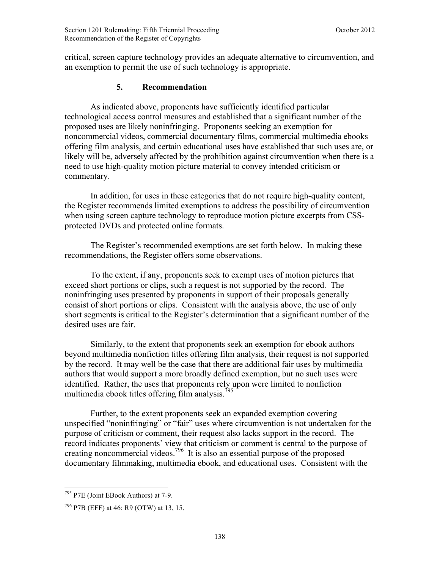critical, screen capture technology provides an adequate alternative to circumvention, and an exemption to permit the use of such technology is appropriate.

# **5. Recommendation**

As indicated above, proponents have sufficiently identified particular technological access control measures and established that a significant number of the proposed uses are likely noninfringing. Proponents seeking an exemption for noncommercial videos, commercial documentary films, commercial multimedia ebooks offering film analysis, and certain educational uses have established that such uses are, or likely will be, adversely affected by the prohibition against circumvention when there is a need to use high-quality motion picture material to convey intended criticism or commentary.

In addition, for uses in these categories that do not require high-quality content, the Register recommends limited exemptions to address the possibility of circumvention when using screen capture technology to reproduce motion picture excerpts from CSSprotected DVDs and protected online formats.

The Register's recommended exemptions are set forth below. In making these recommendations, the Register offers some observations.

To the extent, if any, proponents seek to exempt uses of motion pictures that exceed short portions or clips, such a request is not supported by the record. The noninfringing uses presented by proponents in support of their proposals generally consist of short portions or clips. Consistent with the analysis above, the use of only short segments is critical to the Register's determination that a significant number of the desired uses are fair.

Similarly, to the extent that proponents seek an exemption for ebook authors beyond multimedia nonfiction titles offering film analysis, their request is not supported by the record. It may well be the case that there are additional fair uses by multimedia authors that would support a more broadly defined exemption, but no such uses were identified. Rather, the uses that proponents rely upon were limited to nonfiction multimedia ebook titles offering film analysis.<sup>795</sup>

Further, to the extent proponents seek an expanded exemption covering unspecified "noninfringing" or "fair" uses where circumvention is not undertaken for the purpose of criticism or comment, their request also lacks support in the record. The record indicates proponents' view that criticism or comment is central to the purpose of creating noncommercial videos.<sup>796</sup> It is also an essential purpose of the proposed documentary filmmaking, multimedia ebook, and educational uses. Consistent with the

<sup>1</sup> <sup>795</sup> P7E (Joint EBook Authors) at 7-9.

<sup>796</sup> P7B (EFF) at 46; R9 (OTW) at 13, 15.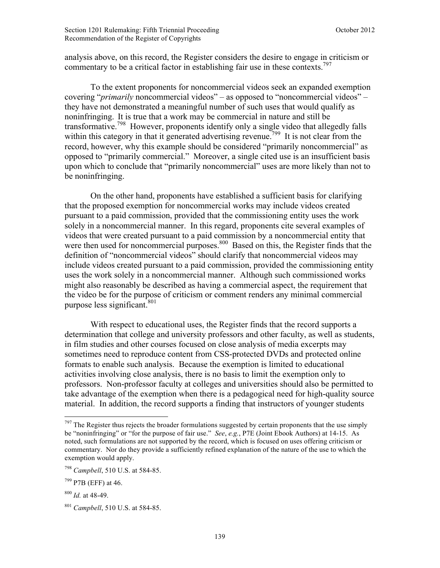analysis above, on this record, the Register considers the desire to engage in criticism or commentary to be a critical factor in establishing fair use in these contexts.<sup>797</sup>

To the extent proponents for noncommercial videos seek an expanded exemption covering "*primarily* noncommercial videos" – as opposed to "noncommercial videos" – they have not demonstrated a meaningful number of such uses that would qualify as noninfringing. It is true that a work may be commercial in nature and still be transformative.798 However, proponents identify only a single video that allegedly falls within this category in that it generated advertising revenue.<sup>799</sup> It is not clear from the record, however, why this example should be considered "primarily noncommercial" as opposed to "primarily commercial." Moreover, a single cited use is an insufficient basis upon which to conclude that "primarily noncommercial" uses are more likely than not to be noninfringing.

On the other hand, proponents have established a sufficient basis for clarifying that the proposed exemption for noncommercial works may include videos created pursuant to a paid commission, provided that the commissioning entity uses the work solely in a noncommercial manner. In this regard, proponents cite several examples of videos that were created pursuant to a paid commission by a noncommercial entity that were then used for noncommercial purposes. $800$  Based on this, the Register finds that the definition of "noncommercial videos" should clarify that noncommercial videos may include videos created pursuant to a paid commission, provided the commissioning entity uses the work solely in a noncommercial manner. Although such commissioned works might also reasonably be described as having a commercial aspect, the requirement that the video be for the purpose of criticism or comment renders any minimal commercial purpose less significant.<sup>801</sup>

With respect to educational uses, the Register finds that the record supports a determination that college and university professors and other faculty, as well as students, in film studies and other courses focused on close analysis of media excerpts may sometimes need to reproduce content from CSS-protected DVDs and protected online formats to enable such analysis. Because the exemption is limited to educational activities involving close analysis, there is no basis to limit the exemption only to professors. Non-professor faculty at colleges and universities should also be permitted to take advantage of the exemption when there is a pedagogical need for high-quality source material. In addition, the record supports a finding that instructors of younger students

1

 $797$  The Register thus rejects the broader formulations suggested by certain proponents that the use simply be "noninfringing" or "for the purpose of fair use." *See*, *e.g.*, P7E (Joint Ebook Authors) at 14-15. As noted, such formulations are not supported by the record, which is focused on uses offering criticism or commentary. Nor do they provide a sufficiently refined explanation of the nature of the use to which the exemption would apply.

<sup>798</sup> *Campbell*, 510 U.S. at 584-85.

<sup>799</sup> P7B (EFF) at 46.

<sup>800</sup> *Id.* at 48-49.

<sup>801</sup> *Campbell*, 510 U.S. at 584-85.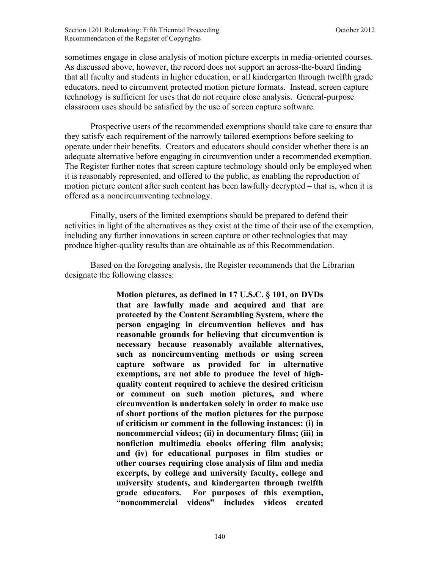sometimes engage in close analysis of motion picture excerpts in media-oriented courses. As discussed above, however, the record does not support an across-the-board finding that all faculty and students in higher education, or all kindergarten through twelfth grade educators, need to circumvent protected motion picture formats. Instead, screen capture technology is sufficient for uses that do not require close analysis. General-purpose classroom uses should be satisfied by the use of screen capture software.

Prospective users of the recommended exemptions should take care to ensure that they satisfy each requirement of the narrowly tailored exemptions before seeking to operate under their benefits. Creators and educators should consider whether there is an adequate alternative before engaging in circumvention under a recommended exemption. The Register further notes that screen capture technology should only be employed when it is reasonably represented, and offered to the public, as enabling the reproduction of motion picture content after such content has been lawfully decrypted – that is, when it is offered as a noncircumventing technology.

Finally, users of the limited exemptions should be prepared to defend their activities in light of the alternatives as they exist at the time of their use of the exemption, including any further innovations in screen capture or other technologies that may produce higher-quality results than are obtainable as of this Recommendation.

Based on the foregoing analysis, the Register recommends that the Librarian designate the following classes:

> **Motion pictures, as defined in 17 U.S.C. § 101, on DVDs that are lawfully made and acquired and that are protected by the Content Scrambling System, where the person engaging in circumvention believes and has reasonable grounds for believing that circumvention is necessary because reasonably available alternatives, such as noncircumventing methods or using screen capture software as provided for in alternative exemptions, are not able to produce the level of highquality content required to achieve the desired criticism or comment on such motion pictures, and where circumvention is undertaken solely in order to make use of short portions of the motion pictures for the purpose of criticism or comment in the following instances: (i) in noncommercial videos; (ii) in documentary films; (iii) in nonfiction multimedia ebooks offering film analysis; and (iv) for educational purposes in film studies or other courses requiring close analysis of film and media excerpts, by college and university faculty, college and university students, and kindergarten through twelfth grade educators. For purposes of this exemption, "noncommercial videos" includes videos created**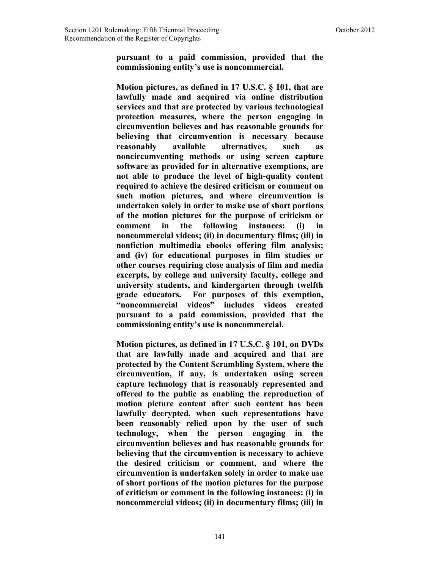**pursuant to a paid commission, provided that the commissioning entity's use is noncommercial.** 

**Motion pictures, as defined in 17 U.S.C. § 101, that are lawfully made and acquired via online distribution services and that are protected by various technological protection measures, where the person engaging in circumvention believes and has reasonable grounds for believing that circumvention is necessary because reasonably available alternatives, such as noncircumventing methods or using screen capture software as provided for in alternative exemptions, are not able to produce the level of high-quality content required to achieve the desired criticism or comment on such motion pictures, and where circumvention is undertaken solely in order to make use of short portions of the motion pictures for the purpose of criticism or comment in the following instances: (i) in noncommercial videos; (ii) in documentary films; (iii) in nonfiction multimedia ebooks offering film analysis; and (iv) for educational purposes in film studies or other courses requiring close analysis of film and media excerpts, by college and university faculty, college and university students, and kindergarten through twelfth grade educators. For purposes of this exemption, "noncommercial videos" includes videos created pursuant to a paid commission, provided that the commissioning entity's use is noncommercial.** 

**Motion pictures, as defined in 17 U.S.C. § 101, on DVDs that are lawfully made and acquired and that are protected by the Content Scrambling System, where the circumvention, if any, is undertaken using screen capture technology that is reasonably represented and offered to the public as enabling the reproduction of motion picture content after such content has been lawfully decrypted, when such representations have been reasonably relied upon by the user of such technology, when the person engaging in the circumvention believes and has reasonable grounds for believing that the circumvention is necessary to achieve the desired criticism or comment, and where the circumvention is undertaken solely in order to make use of short portions of the motion pictures for the purpose of criticism or comment in the following instances: (i) in noncommercial videos; (ii) in documentary films; (iii) in**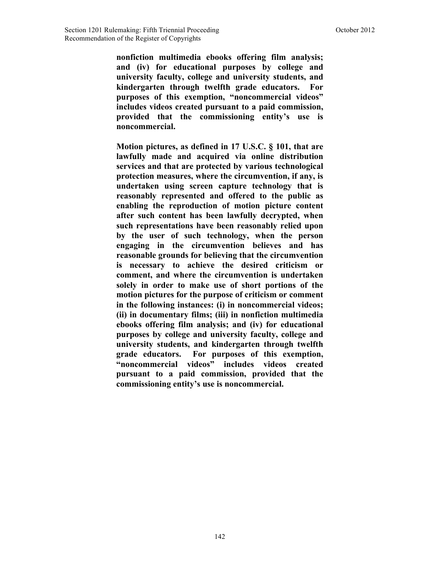**nonfiction multimedia ebooks offering film analysis; and (iv) for educational purposes by college and university faculty, college and university students, and kindergarten through twelfth grade educators. For purposes of this exemption, "noncommercial videos" includes videos created pursuant to a paid commission, provided that the commissioning entity's use is noncommercial.** 

**Motion pictures, as defined in 17 U.S.C. § 101, that are lawfully made and acquired via online distribution services and that are protected by various technological protection measures, where the circumvention, if any, is undertaken using screen capture technology that is reasonably represented and offered to the public as enabling the reproduction of motion picture content after such content has been lawfully decrypted, when such representations have been reasonably relied upon by the user of such technology, when the person engaging in the circumvention believes and has reasonable grounds for believing that the circumvention is necessary to achieve the desired criticism or comment, and where the circumvention is undertaken solely in order to make use of short portions of the motion pictures for the purpose of criticism or comment in the following instances: (i) in noncommercial videos; (ii) in documentary films; (iii) in nonfiction multimedia ebooks offering film analysis; and (iv) for educational purposes by college and university faculty, college and university students, and kindergarten through twelfth grade educators. For purposes of this exemption, "noncommercial videos" includes videos created pursuant to a paid commission, provided that the commissioning entity's use is noncommercial.**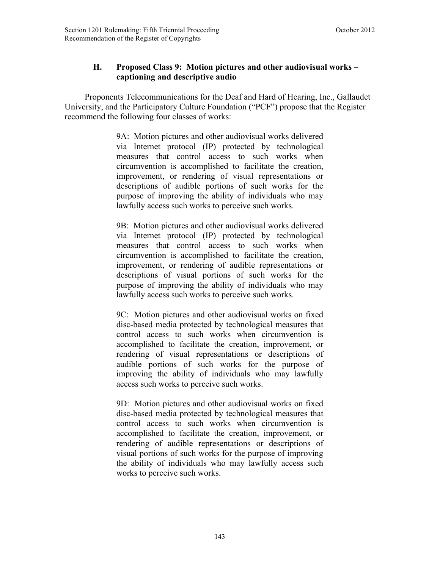# **H. Proposed Class 9: Motion pictures and other audiovisual works – captioning and descriptive audio**

 Proponents Telecommunications for the Deaf and Hard of Hearing, Inc., Gallaudet University, and the Participatory Culture Foundation ("PCF") propose that the Register recommend the following four classes of works:

> 9A: Motion pictures and other audiovisual works delivered via Internet protocol (IP) protected by technological measures that control access to such works when circumvention is accomplished to facilitate the creation, improvement, or rendering of visual representations or descriptions of audible portions of such works for the purpose of improving the ability of individuals who may lawfully access such works to perceive such works.

> 9B: Motion pictures and other audiovisual works delivered via Internet protocol (IP) protected by technological measures that control access to such works when circumvention is accomplished to facilitate the creation, improvement, or rendering of audible representations or descriptions of visual portions of such works for the purpose of improving the ability of individuals who may lawfully access such works to perceive such works.

> 9C: Motion pictures and other audiovisual works on fixed disc-based media protected by technological measures that control access to such works when circumvention is accomplished to facilitate the creation, improvement, or rendering of visual representations or descriptions of audible portions of such works for the purpose of improving the ability of individuals who may lawfully access such works to perceive such works.

> 9D: Motion pictures and other audiovisual works on fixed disc-based media protected by technological measures that control access to such works when circumvention is accomplished to facilitate the creation, improvement, or rendering of audible representations or descriptions of visual portions of such works for the purpose of improving the ability of individuals who may lawfully access such works to perceive such works.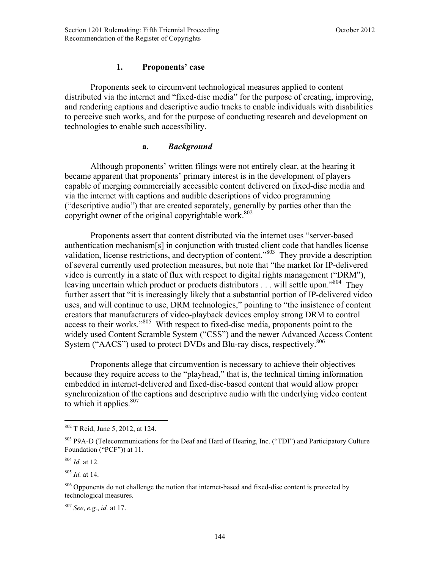# **1. Proponents' case**

Proponents seek to circumvent technological measures applied to content distributed via the internet and "fixed-disc media" for the purpose of creating, improving, and rendering captions and descriptive audio tracks to enable individuals with disabilities to perceive such works, and for the purpose of conducting research and development on technologies to enable such accessibility.

# **a.** *Background*

 Although proponents' written filings were not entirely clear, at the hearing it became apparent that proponents' primary interest is in the development of players capable of merging commercially accessible content delivered on fixed-disc media and via the internet with captions and audible descriptions of video programming ("descriptive audio") that are created separately, generally by parties other than the copyright owner of the original copyrightable work. $802$ 

Proponents assert that content distributed via the internet uses "server-based authentication mechanism[s] in conjunction with trusted client code that handles license validation, license restrictions, and decryption of content."<sup>803</sup> They provide a description of several currently used protection measures, but note that "the market for IP-delivered video is currently in a state of flux with respect to digital rights management ("DRM"), leaving uncertain which product or products distributors . . . will settle upon."<sup>804</sup> They further assert that "it is increasingly likely that a substantial portion of IP-delivered video uses, and will continue to use, DRM technologies," pointing to "the insistence of content creators that manufacturers of video-playback devices employ strong DRM to control access to their works."805 With respect to fixed-disc media, proponents point to the widely used Content Scramble System ("CSS") and the newer Advanced Access Content System ("AACS") used to protect DVDs and Blu-ray discs, respectively.<sup>806</sup>

Proponents allege that circumvention is necessary to achieve their objectives because they require access to the "playhead," that is, the technical timing information embedded in internet-delivered and fixed-disc-based content that would allow proper synchronization of the captions and descriptive audio with the underlying video content to which it applies. $807$ 

1

<sup>802</sup> T Reid, June 5, 2012, at 124.

<sup>&</sup>lt;sup>803</sup> P9A-D (Telecommunications for the Deaf and Hard of Hearing, Inc. ("TDI") and Participatory Culture Foundation ("PCF")) at 11.

<sup>804</sup> *Id.* at 12.

<sup>805</sup> *Id.* at 14.

<sup>&</sup>lt;sup>806</sup> Opponents do not challenge the notion that internet-based and fixed-disc content is protected by technological measures.

<sup>807</sup> *See*, *e.g.*, *id.* at 17.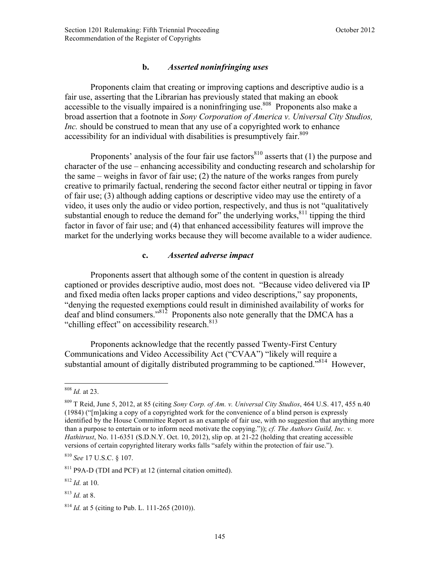# **b.** *Asserted noninfringing uses*

Proponents claim that creating or improving captions and descriptive audio is a fair use, asserting that the Librarian has previously stated that making an ebook accessible to the visually impaired is a noninfringing use.<sup>808</sup> Proponents also make a broad assertion that a footnote in *Sony Corporation of America v. Universal City Studios, Inc.* should be construed to mean that any use of a copyrighted work to enhance accessibility for an individual with disabilities is presumptively fair.<sup>809</sup>

Proponents' analysis of the four fair use factors $810$  asserts that (1) the purpose and character of the use – enhancing accessibility and conducting research and scholarship for the same – weighs in favor of fair use; (2) the nature of the works ranges from purely creative to primarily factual, rendering the second factor either neutral or tipping in favor of fair use; (3) although adding captions or descriptive video may use the entirety of a video, it uses only the audio or video portion, respectively, and thus is not "qualitatively substantial enough to reduce the demand for" the underlying works, $811$  tipping the third factor in favor of fair use; and (4) that enhanced accessibility features will improve the market for the underlying works because they will become available to a wider audience.

#### **c.** *Asserted adverse impact*

Proponents assert that although some of the content in question is already captioned or provides descriptive audio, most does not. "Because video delivered via IP and fixed media often lacks proper captions and video descriptions," say proponents, "denying the requested exemptions could result in diminished availability of works for deaf and blind consumers."812 Proponents also note generally that the DMCA has a "chilling effect" on accessibility research.<sup>813</sup>

Proponents acknowledge that the recently passed Twenty-First Century Communications and Video Accessibility Act ("CVAA") "likely will require a substantial amount of digitally distributed programming to be captioned.<sup>5814</sup> However,

<sup>808</sup> *Id.* at 23.

<sup>809</sup> T Reid, June 5, 2012, at 85 (citing *Sony Corp. of Am. v. Universal City Studios*, 464 U.S. 417, 455 n.40 (1984) ("[m]aking a copy of a copyrighted work for the convenience of a blind person is expressly identified by the House Committee Report as an example of fair use, with no suggestion that anything more than a purpose to entertain or to inform need motivate the copying.")); *cf. The Authors Guild, Inc. v. Hathitrust*, No. 11-6351 (S.D.N.Y. Oct. 10, 2012), slip op. at 21-22 (holding that creating accessible versions of certain copyrighted literary works falls "safely within the protection of fair use.").

<sup>810</sup> *See* 17 U.S.C. § 107.

<sup>811</sup> P9A-D (TDI and PCF) at 12 (internal citation omitted).

 $812$  *Id.* at 10.

<sup>813</sup> *Id.* at 8.

<sup>814</sup> *Id.* at 5 (citing to Pub. L. 111-265 (2010)).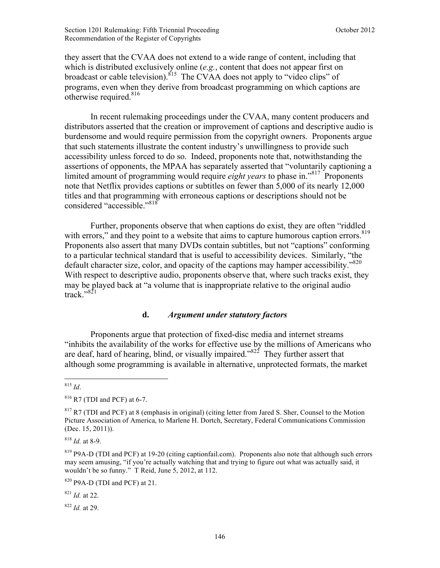they assert that the CVAA does not extend to a wide range of content, including that which is distributed exclusively online (*e.g.*, content that does not appear first on broadcast or cable television).<sup>815</sup> The CVAA does not apply to "video clips" of programs, even when they derive from broadcast programming on which captions are otherwise required.<sup>816</sup>

In recent rulemaking proceedings under the CVAA, many content producers and distributors asserted that the creation or improvement of captions and descriptive audio is burdensome and would require permission from the copyright owners. Proponents argue that such statements illustrate the content industry's unwillingness to provide such accessibility unless forced to do so. Indeed, proponents note that, notwithstanding the assertions of opponents, the MPAA has separately asserted that "voluntarily captioning a limited amount of programming would require *eight years* to phase in.<sup>817</sup> Proponents note that Netflix provides captions or subtitles on fewer than 5,000 of its nearly 12,000 titles and that programming with erroneous captions or descriptions should not be considered "accessible."<sup>818</sup>

Further, proponents observe that when captions do exist, they are often "riddled with errors," and they point to a website that aims to capture humorous caption errors. $819$ Proponents also assert that many DVDs contain subtitles, but not "captions" conforming to a particular technical standard that is useful to accessibility devices. Similarly, "the default character size, color, and opacity of the captions may hamper accessibility."<sup>820</sup> With respect to descriptive audio, proponents observe that, where such tracks exist, they may be played back at "a volume that is inappropriate relative to the original audio  $track. "821"$ 

#### **d.** *Argument under statutory factors*

Proponents argue that protection of fixed-disc media and internet streams "inhibits the availability of the works for effective use by the millions of Americans who are deaf, hard of hearing, blind, or visually impaired."<sup>822</sup> They further assert that although some programming is available in alternative, unprotected formats, the market

<sup>818</sup> *Id.* at 8-9.

<sup>822</sup> *Id.* at 29.

 $\overline{a}$ <sup>815</sup> *Id*.

<sup>816</sup> R7 (TDI and PCF) at 6-7.

<sup>&</sup>lt;sup>817</sup> R7 (TDI and PCF) at 8 (emphasis in original) (citing letter from Jared S. Sher, Counsel to the Motion Picture Association of America, to Marlene H. Dortch, Secretary, Federal Communications Commission (Dec. 15, 2011)).

<sup>819</sup> P9A-D (TDI and PCF) at 19-20 (citing captionfail.com). Proponents also note that although such errors may seem amusing, "if you're actually watching that and trying to figure out what was actually said, it wouldn't be so funny." T Reid, June 5, 2012, at 112.

<sup>820</sup> P9A-D (TDI and PCF) at 21.

<sup>821</sup> *Id.* at 22.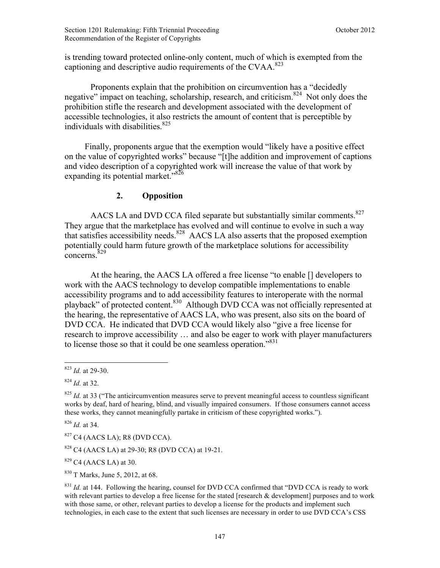is trending toward protected online-only content, much of which is exempted from the captioning and descriptive audio requirements of the CVAA.<sup>823</sup>

Proponents explain that the prohibition on circumvention has a "decidedly negative" impact on teaching, scholarship, research, and criticism.<sup>824</sup> Not only does the prohibition stifle the research and development associated with the development of accessible technologies, it also restricts the amount of content that is perceptible by individuals with disabilities.<sup>825</sup>

Finally, proponents argue that the exemption would "likely have a positive effect on the value of copyrighted works" because "[t]he addition and improvement of captions and video description of a copyrighted work will increase the value of that work by expanding its potential market." $826$ 

## **2. Opposition**

AACS LA and DVD CCA filed separate but substantially similar comments.<sup>827</sup> They argue that the marketplace has evolved and will continue to evolve in such a way that satisfies accessibility needs.<sup>828</sup> AACS LA also asserts that the proposed exemption potentially could harm future growth of the marketplace solutions for accessibility concerns.<sup>829</sup>

At the hearing, the AACS LA offered a free license "to enable [] developers to work with the AACS technology to develop compatible implementations to enable accessibility programs and to add accessibility features to interoperate with the normal playback" of protected content.<sup>830</sup> Although DVD CCA was not officially represented at the hearing, the representative of AACS LA, who was present, also sits on the board of DVD CCA. He indicated that DVD CCA would likely also "give a free license for research to improve accessibility … and also be eager to work with player manufacturers to license those so that it could be one seamless operation."<sup>831</sup>

1

<sup>826</sup> *Id.* at 34.

 $827$  C4 (AACS LA); R8 (DVD CCA).

<sup>828</sup> C4 (AACS LA) at 29-30; R8 (DVD CCA) at 19-21.

 $829$  C4 (AACS LA) at 30.

<sup>830</sup> T Marks, June 5, 2012, at 68.

<sup>823</sup> *Id.* at 29-30.

<sup>824</sup> *Id.* at 32.

<sup>&</sup>lt;sup>825</sup> *Id.* at 33 ("The anticircumvention measures serve to prevent meaningful access to countless significant works by deaf, hard of hearing, blind, and visually impaired consumers. If those consumers cannot access these works, they cannot meaningfully partake in criticism of these copyrighted works.").

<sup>&</sup>lt;sup>831</sup> *Id.* at 144. Following the hearing, counsel for DVD CCA confirmed that "DVD CCA is ready to work with relevant parties to develop a free license for the stated [research & development] purposes and to work with those same, or other, relevant parties to develop a license for the products and implement such technologies, in each case to the extent that such licenses are necessary in order to use DVD CCA's CSS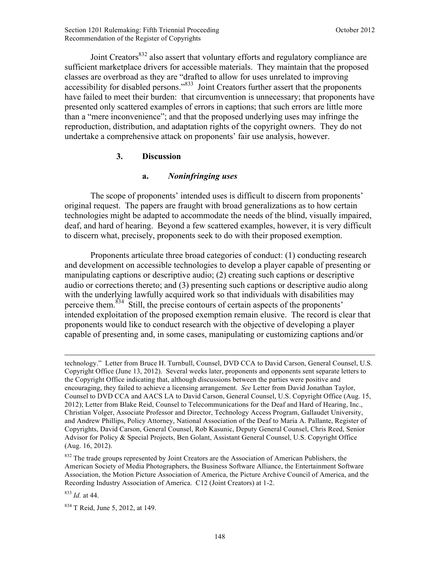Joint Creators<sup>832</sup> also assert that voluntary efforts and regulatory compliance are sufficient marketplace drivers for accessible materials. They maintain that the proposed classes are overbroad as they are "drafted to allow for uses unrelated to improving accessibility for disabled persons."833 Joint Creators further assert that the proponents have failed to meet their burden: that circumvention is unnecessary; that proponents have presented only scattered examples of errors in captions; that such errors are little more than a "mere inconvenience"; and that the proposed underlying uses may infringe the reproduction, distribution, and adaptation rights of the copyright owners. They do not undertake a comprehensive attack on proponents' fair use analysis, however.

## **3. Discussion**

# **a.** *Noninfringing uses*

The scope of proponents' intended uses is difficult to discern from proponents' original request. The papers are fraught with broad generalizations as to how certain technologies might be adapted to accommodate the needs of the blind, visually impaired, deaf, and hard of hearing. Beyond a few scattered examples, however, it is very difficult to discern what, precisely, proponents seek to do with their proposed exemption.

Proponents articulate three broad categories of conduct: (1) conducting research and development on accessible technologies to develop a player capable of presenting or manipulating captions or descriptive audio; (2) creating such captions or descriptive audio or corrections thereto; and (3) presenting such captions or descriptive audio along with the underlying lawfully acquired work so that individuals with disabilities may perceive them.<sup>834</sup> Still, the precise contours of certain aspects of the proponents' intended exploitation of the proposed exemption remain elusive. The record is clear that proponents would like to conduct research with the objective of developing a player capable of presenting and, in some cases, manipulating or customizing captions and/or

<sup>832</sup> The trade groups represented by Joint Creators are the Association of American Publishers, the American Society of Media Photographers, the Business Software Alliance, the Entertainment Software Association, the Motion Picture Association of America, the Picture Archive Council of America, and the Recording Industry Association of America. C12 (Joint Creators) at 1-2.

<sup>833</sup> *Id.* at 44.

1

<sup>834</sup> T Reid, June 5, 2012, at 149.

technology." Letter from Bruce H. Turnbull, Counsel, DVD CCA to David Carson, General Counsel, U.S. Copyright Office (June 13, 2012). Several weeks later, proponents and opponents sent separate letters to the Copyright Office indicating that, although discussions between the parties were positive and encouraging, they failed to achieve a licensing arrangement. *See* Letter from David Jonathan Taylor, Counsel to DVD CCA and AACS LA to David Carson, General Counsel, U.S. Copyright Office (Aug. 15, 2012); Letter from Blake Reid, Counsel to Telecommunications for the Deaf and Hard of Hearing, Inc., Christian Volger, Associate Professor and Director, Technology Access Program, Gallaudet University, and Andrew Phillips, Policy Attorney, National Association of the Deaf to Maria A. Pallante, Register of Copyrights, David Carson, General Counsel, Rob Kasunic, Deputy General Counsel, Chris Reed, Senior Advisor for Policy & Special Projects, Ben Golant, Assistant General Counsel, U.S. Copyright Office (Aug. 16, 2012).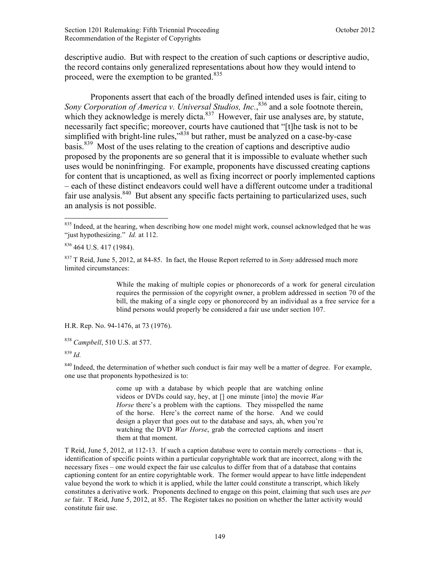descriptive audio. But with respect to the creation of such captions or descriptive audio, the record contains only generalized representations about how they would intend to proceed, were the exemption to be granted.<sup>835</sup>

Proponents assert that each of the broadly defined intended uses is fair, citing to Sony Corporation of America v. Universal Studios, Inc., <sup>836</sup> and a sole footnote therein, which they acknowledge is merely dicta. $837$  However, fair use analyses are, by statute, necessarily fact specific; moreover, courts have cautioned that "[t]he task is not to be simplified with bright-line rules,"<sup>838</sup> but rather, must be analyzed on a case-by-case basis.839 Most of the uses relating to the creation of captions and descriptive audio proposed by the proponents are so general that it is impossible to evaluate whether such uses would be noninfringing. For example, proponents have discussed creating captions for content that is uncaptioned, as well as fixing incorrect or poorly implemented captions – each of these distinct endeavors could well have a different outcome under a traditional fair use analysis. $840$  But absent any specific facts pertaining to particularized uses, such an analysis is not possible.

While the making of multiple copies or phonorecords of a work for general circulation requires the permission of the copyright owner, a problem addressed in section 70 of the bill, the making of a single copy or phonorecord by an individual as a free service for a blind persons would properly be considered a fair use under section 107.

H.R. Rep. No. 94-1476, at 73 (1976).

<sup>839</sup> *Id.*

1

<sup>840</sup> Indeed, the determination of whether such conduct is fair may well be a matter of degree. For example, one use that proponents hypothesized is to:

> come up with a database by which people that are watching online videos or DVDs could say, hey, at [] one minute [into] the movie *War Horse* there's a problem with the captions. They misspelled the name of the horse. Here's the correct name of the horse. And we could design a player that goes out to the database and says, ah, when you're watching the DVD *War Horse*, grab the corrected captions and insert them at that moment.

T Reid, June 5, 2012, at 112-13. If such a caption database were to contain merely corrections – that is, identification of specific points within a particular copyrightable work that are incorrect, along with the necessary fixes – one would expect the fair use calculus to differ from that of a database that contains captioning content for an entire copyrightable work. The former would appear to have little independent value beyond the work to which it is applied, while the latter could constitute a transcript, which likely constitutes a derivative work. Proponents declined to engage on this point, claiming that such uses are *per se* fair. T Reid, June 5, 2012, at 85. The Register takes no position on whether the latter activity would constitute fair use.

<sup>&</sup>lt;sup>835</sup> Indeed, at the hearing, when describing how one model might work, counsel acknowledged that he was "just hypothesizing." *Id.* at 112.

<sup>836</sup> 464 U.S. 417 (1984).

<sup>837</sup> T Reid, June 5, 2012, at 84-85. In fact, the House Report referred to in *Sony* addressed much more limited circumstances:

<sup>838</sup> *Campbell*, 510 U.S. at 577.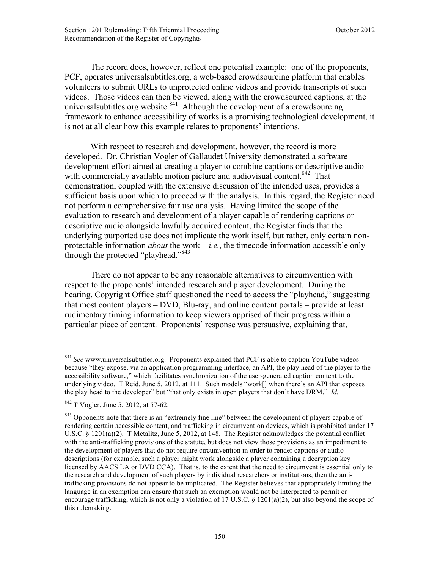The record does, however, reflect one potential example: one of the proponents, PCF, operates universalsubtitles.org, a web-based crowdsourcing platform that enables volunteers to submit URLs to unprotected online videos and provide transcripts of such videos. Those videos can then be viewed, along with the crowdsourced captions, at the universal subtitles.org website.<sup>841</sup> Although the development of a crowdsourcing framework to enhance accessibility of works is a promising technological development, it is not at all clear how this example relates to proponents' intentions.

With respect to research and development, however, the record is more developed. Dr. Christian Vogler of Gallaudet University demonstrated a software development effort aimed at creating a player to combine captions or descriptive audio with commercially available motion picture and audiovisual content.  $842$  That demonstration, coupled with the extensive discussion of the intended uses, provides a sufficient basis upon which to proceed with the analysis. In this regard, the Register need not perform a comprehensive fair use analysis. Having limited the scope of the evaluation to research and development of a player capable of rendering captions or descriptive audio alongside lawfully acquired content, the Register finds that the underlying purported use does not implicate the work itself, but rather, only certain nonprotectable information *about* the work – *i.e.*, the timecode information accessible only through the protected "playhead."<sup>843</sup>

There do not appear to be any reasonable alternatives to circumvention with respect to the proponents' intended research and player development. During the hearing, Copyright Office staff questioned the need to access the "playhead," suggesting that most content players – DVD, Blu-ray, and online content portals – provide at least rudimentary timing information to keep viewers apprised of their progress within a particular piece of content. Proponents' response was persuasive, explaining that,

<sup>841</sup> *See* www.universalsubtitles.org. Proponents explained that PCF is able to caption YouTube videos because "they expose, via an application programming interface, an API, the play head of the player to the accessibility software," which facilitates synchronization of the user-generated caption content to the underlying video. T Reid, June 5, 2012, at 111. Such models "work[] when there's an API that exposes the play head to the developer" but "that only exists in open players that don't have DRM." *Id.*

<sup>842</sup> T Vogler, June 5, 2012, at 57-62.

<sup>&</sup>lt;sup>843</sup> Opponents note that there is an "extremely fine line" between the development of players capable of rendering certain accessible content, and trafficking in circumvention devices, which is prohibited under 17 U.S.C. § 1201(a)(2). T Metalitz, June 5, 2012, at 148. The Register acknowledges the potential conflict with the anti-trafficking provisions of the statute, but does not view those provisions as an impediment to the development of players that do not require circumvention in order to render captions or audio descriptions (for example, such a player might work alongside a player containing a decryption key licensed by AACS LA or DVD CCA). That is, to the extent that the need to circumvent is essential only to the research and development of such players by individual researchers or institutions, then the antitrafficking provisions do not appear to be implicated. The Register believes that appropriately limiting the language in an exemption can ensure that such an exemption would not be interpreted to permit or encourage trafficking, which is not only a violation of 17 U.S.C. § 1201(a)(2), but also beyond the scope of this rulemaking.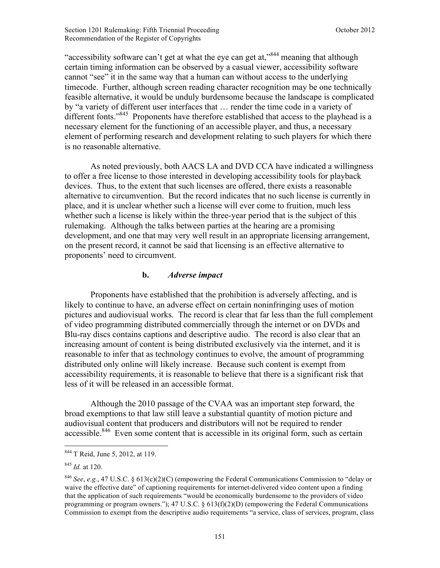"accessibility software can't get at what the eye can get at,"<sup>844</sup> meaning that although certain timing information can be observed by a casual viewer, accessibility software cannot "see" it in the same way that a human can without access to the underlying timecode. Further, although screen reading character recognition may be one technically feasible alternative, it would be unduly burdensome because the landscape is complicated by "a variety of different user interfaces that … render the time code in a variety of different fonts."<sup>845</sup> Proponents have therefore established that access to the playhead is a necessary element for the functioning of an accessible player, and thus, a necessary element of performing research and development relating to such players for which there is no reasonable alternative.

 As noted previously, both AACS LA and DVD CCA have indicated a willingness to offer a free license to those interested in developing accessibility tools for playback devices. Thus, to the extent that such licenses are offered, there exists a reasonable alternative to circumvention. But the record indicates that no such license is currently in place, and it is unclear whether such a license will ever come to fruition, much less whether such a license is likely within the three-year period that is the subject of this rulemaking. Although the talks between parties at the hearing are a promising development, and one that may very well result in an appropriate licensing arrangement, on the present record, it cannot be said that licensing is an effective alternative to proponents' need to circumvent.

#### **b.** *Adverse impact*

Proponents have established that the prohibition is adversely affecting, and is likely to continue to have, an adverse effect on certain noninfringing uses of motion pictures and audiovisual works. The record is clear that far less than the full complement of video programming distributed commercially through the internet or on DVDs and Blu-ray discs contains captions and descriptive audio. The record is also clear that an increasing amount of content is being distributed exclusively via the internet, and it is reasonable to infer that as technology continues to evolve, the amount of programming distributed only online will likely increase. Because such content is exempt from accessibility requirements, it is reasonable to believe that there is a significant risk that less of it will be released in an accessible format.

Although the 2010 passage of the CVAA was an important step forward, the broad exemptions to that law still leave a substantial quantity of motion picture and audiovisual content that producers and distributors will not be required to render accessible.<sup>846</sup> Even some content that is accessible in its original form, such as certain

<sup>844</sup> T Reid, June 5, 2012, at 119.

<sup>845</sup> *Id.* at 120.

<sup>846</sup> *See*, *e.g.*, 47 U.S.C. § 613(c)(2)(C) (empowering the Federal Communications Commission to "delay or waive the effective date" of captioning requirements for internet-delivered video content upon a finding that the application of such requirements "would be economically burdensome to the providers of video programming or program owners."); 47 U.S.C. § 613(f)(2)(D) (empowering the Federal Communications Commission to exempt from the descriptive audio requirements "a service, class of services, program, class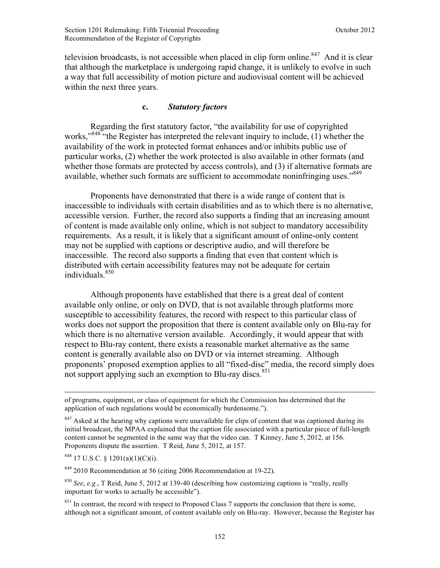television broadcasts, is not accessible when placed in clip form online.<sup>847</sup> And it is clear that although the marketplace is undergoing rapid change, it is unlikely to evolve in such a way that full accessibility of motion picture and audiovisual content will be achieved within the next three years.

# **c.** *Statutory factors*

Regarding the first statutory factor, "the availability for use of copyrighted works."<sup>848</sup> "the Register has interpreted the relevant inquiry to include, (1) whether the availability of the work in protected format enhances and/or inhibits public use of particular works, (2) whether the work protected is also available in other formats (and whether those formats are protected by access controls), and (3) if alternative formats are available, whether such formats are sufficient to accommodate noninfringing uses."<sup>849</sup>

 Proponents have demonstrated that there is a wide range of content that is inaccessible to individuals with certain disabilities and as to which there is no alternative, accessible version. Further, the record also supports a finding that an increasing amount of content is made available only online, which is not subject to mandatory accessibility requirements. As a result, it is likely that a significant amount of online-only content may not be supplied with captions or descriptive audio, and will therefore be inaccessible. The record also supports a finding that even that content which is distributed with certain accessibility features may not be adequate for certain  $individuals<sup>850</sup>$ 

 Although proponents have established that there is a great deal of content available only online, or only on DVD, that is not available through platforms more susceptible to accessibility features, the record with respect to this particular class of works does not support the proposition that there is content available only on Blu-ray for which there is no alternative version available. Accordingly, it would appear that with respect to Blu-ray content, there exists a reasonable market alternative as the same content is generally available also on DVD or via internet streaming. Although proponents' proposed exemption applies to all "fixed-disc" media, the record simply does not support applying such an exemption to Blu-ray discs.<sup>851</sup>

 $848$  17 U.S.C. § 1201(a)(1)(C)(i).

<u>.</u>

 $849$  2010 Recommendation at 56 (citing 2006 Recommendation at 19-22).

of programs, equipment, or class of equipment for which the Commission has determined that the application of such regulations would be economically burdensome.").

<sup>&</sup>lt;sup>847</sup> Asked at the hearing why captions were unavailable for clips of content that was captioned during its initial broadcast, the MPAA explained that the caption file associated with a particular piece of full-length content cannot be segmented in the same way that the video can. T Kinney, June 5, 2012, at 156. Proponents dispute the assertion. T Reid, June 5, 2012, at 157.

<sup>850</sup> *See*, *e.g.*, T Reid, June 5, 2012 at 139-40 (describing how customizing captions is "really, really important for works to actually be accessible").

 $851$  In contrast, the record with respect to Proposed Class 7 supports the conclusion that there is some, although not a significant amount, of content available only on Blu-ray. However, because the Register has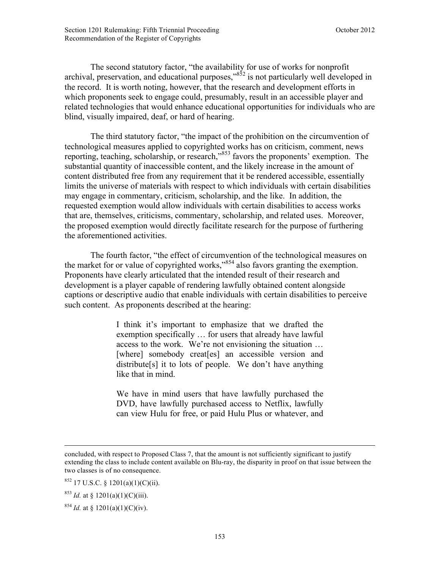The second statutory factor, "the availability for use of works for nonprofit archival, preservation, and educational purposes, $\frac{352}{15}$  is not particularly well developed in the record. It is worth noting, however, that the research and development efforts in which proponents seek to engage could, presumably, result in an accessible player and related technologies that would enhance educational opportunities for individuals who are blind, visually impaired, deaf, or hard of hearing.

The third statutory factor, "the impact of the prohibition on the circumvention of technological measures applied to copyrighted works has on criticism, comment, news reporting, teaching, scholarship, or research,"853 favors the proponents' exemption. The substantial quantity of inaccessible content, and the likely increase in the amount of content distributed free from any requirement that it be rendered accessible, essentially limits the universe of materials with respect to which individuals with certain disabilities may engage in commentary, criticism, scholarship, and the like. In addition, the requested exemption would allow individuals with certain disabilities to access works that are, themselves, criticisms, commentary, scholarship, and related uses. Moreover, the proposed exemption would directly facilitate research for the purpose of furthering the aforementioned activities.

The fourth factor, "the effect of circumvention of the technological measures on the market for or value of copyrighted works,"854 also favors granting the exemption. Proponents have clearly articulated that the intended result of their research and development is a player capable of rendering lawfully obtained content alongside captions or descriptive audio that enable individuals with certain disabilities to perceive such content. As proponents described at the hearing:

> I think it's important to emphasize that we drafted the exemption specifically … for users that already have lawful access to the work. We're not envisioning the situation … [where] somebody creat [es] an accessible version and distribute[s] it to lots of people. We don't have anything like that in mind.

> We have in mind users that have lawfully purchased the DVD, have lawfully purchased access to Netflix, lawfully can view Hulu for free, or paid Hulu Plus or whatever, and

 $853$  *Id.* at § 1201(a)(1)(C)(iii).

concluded, with respect to Proposed Class 7, that the amount is not sufficiently significant to justify extending the class to include content available on Blu-ray, the disparity in proof on that issue between the two classes is of no consequence.

 $852$  17 U.S.C. § 1201(a)(1)(C)(ii).

<sup>&</sup>lt;sup>854</sup> *Id.* at § 1201(a)(1)(C)(iv).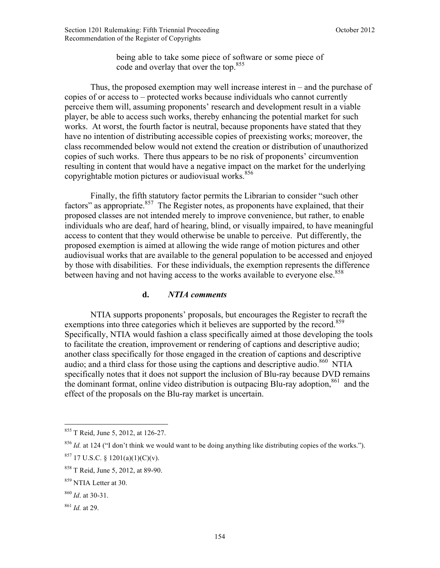being able to take some piece of software or some piece of code and overlay that over the top.<sup>855</sup>

Thus, the proposed exemption may well increase interest in – and the purchase of copies of or access to – protected works because individuals who cannot currently perceive them will, assuming proponents' research and development result in a viable player, be able to access such works, thereby enhancing the potential market for such works. At worst, the fourth factor is neutral, because proponents have stated that they have no intention of distributing accessible copies of preexisting works; moreover, the class recommended below would not extend the creation or distribution of unauthorized copies of such works. There thus appears to be no risk of proponents' circumvention resulting in content that would have a negative impact on the market for the underlying copyrightable motion pictures or audiovisual works.<sup>856</sup>

Finally, the fifth statutory factor permits the Librarian to consider "such other factors" as appropriate. $857$  The Register notes, as proponents have explained, that their proposed classes are not intended merely to improve convenience, but rather, to enable individuals who are deaf, hard of hearing, blind, or visually impaired, to have meaningful access to content that they would otherwise be unable to perceive. Put differently, the proposed exemption is aimed at allowing the wide range of motion pictures and other audiovisual works that are available to the general population to be accessed and enjoyed by those with disabilities. For these individuals, the exemption represents the difference between having and not having access to the works available to everyone else.<sup>858</sup>

### **d.** *NTIA comments*

NTIA supports proponents' proposals, but encourages the Register to recraft the exemptions into three categories which it believes are supported by the record.<sup>859</sup> Specifically, NTIA would fashion a class specifically aimed at those developing the tools to facilitate the creation, improvement or rendering of captions and descriptive audio; another class specifically for those engaged in the creation of captions and descriptive audio; and a third class for those using the captions and descriptive audio.<sup>860</sup> NTIA specifically notes that it does not support the inclusion of Blu-ray because DVD remains the dominant format, online video distribution is outpacing Blu-ray adoption.<sup>861</sup> and the effect of the proposals on the Blu-ray market is uncertain.

<sup>855</sup> T Reid, June 5, 2012, at 126-27.

<sup>&</sup>lt;sup>856</sup> *Id.* at 124 ("I don't think we would want to be doing anything like distributing copies of the works.").

 $857$  17 U.S.C. § 1201(a)(1)(C)(v).

<sup>858</sup> T Reid, June 5, 2012, at 89-90.

<sup>859</sup> NTIA Letter at 30.

<sup>860</sup> *Id*. at 30-31.

<sup>861</sup> *Id.* at 29.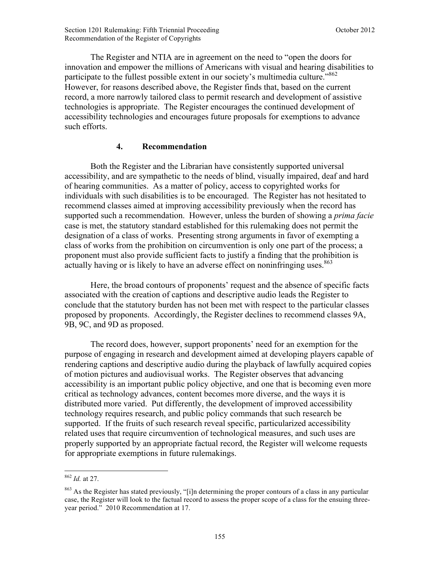The Register and NTIA are in agreement on the need to "open the doors for innovation and empower the millions of Americans with visual and hearing disabilities to participate to the fullest possible extent in our society's multimedia culture."<sup>862</sup> However, for reasons described above, the Register finds that, based on the current record, a more narrowly tailored class to permit research and development of assistive technologies is appropriate. The Register encourages the continued development of accessibility technologies and encourages future proposals for exemptions to advance such efforts.

## **4. Recommendation**

Both the Register and the Librarian have consistently supported universal accessibility, and are sympathetic to the needs of blind, visually impaired, deaf and hard of hearing communities. As a matter of policy, access to copyrighted works for individuals with such disabilities is to be encouraged. The Register has not hesitated to recommend classes aimed at improving accessibility previously when the record has supported such a recommendation. However, unless the burden of showing a *prima facie*  case is met, the statutory standard established for this rulemaking does not permit the designation of a class of works. Presenting strong arguments in favor of exempting a class of works from the prohibition on circumvention is only one part of the process; a proponent must also provide sufficient facts to justify a finding that the prohibition is actually having or is likely to have an adverse effect on noninfringing uses.<sup>863</sup>

Here, the broad contours of proponents' request and the absence of specific facts associated with the creation of captions and descriptive audio leads the Register to conclude that the statutory burden has not been met with respect to the particular classes proposed by proponents. Accordingly, the Register declines to recommend classes 9A, 9B, 9C, and 9D as proposed.

The record does, however, support proponents' need for an exemption for the purpose of engaging in research and development aimed at developing players capable of rendering captions and descriptive audio during the playback of lawfully acquired copies of motion pictures and audiovisual works. The Register observes that advancing accessibility is an important public policy objective, and one that is becoming even more critical as technology advances, content becomes more diverse, and the ways it is distributed more varied. Put differently, the development of improved accessibility technology requires research, and public policy commands that such research be supported. If the fruits of such research reveal specific, particularized accessibility related uses that require circumvention of technological measures, and such uses are properly supported by an appropriate factual record, the Register will welcome requests for appropriate exemptions in future rulemakings.

<sup>862</sup> *Id.* at 27.

<sup>&</sup>lt;sup>863</sup> As the Register has stated previously, "[i]n determining the proper contours of a class in any particular case, the Register will look to the factual record to assess the proper scope of a class for the ensuing threeyear period." 2010 Recommendation at 17.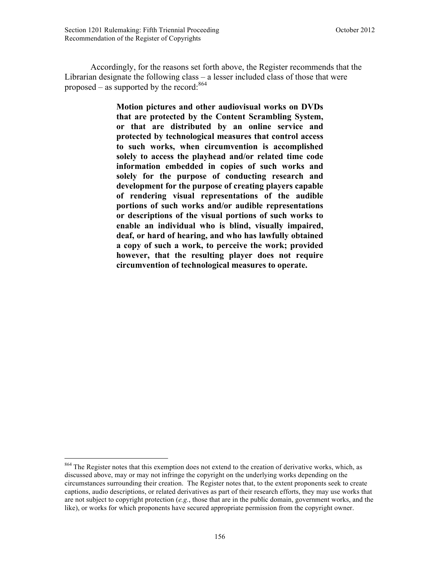Accordingly, for the reasons set forth above, the Register recommends that the Librarian designate the following class – a lesser included class of those that were proposed – as supported by the record:  $864$ 

> **Motion pictures and other audiovisual works on DVDs that are protected by the Content Scrambling System, or that are distributed by an online service and protected by technological measures that control access to such works, when circumvention is accomplished solely to access the playhead and/or related time code information embedded in copies of such works and solely for the purpose of conducting research and development for the purpose of creating players capable of rendering visual representations of the audible portions of such works and/or audible representations or descriptions of the visual portions of such works to enable an individual who is blind, visually impaired, deaf, or hard of hearing, and who has lawfully obtained a copy of such a work, to perceive the work; provided however, that the resulting player does not require circumvention of technological measures to operate.**

<sup>&</sup>lt;sup>864</sup> The Register notes that this exemption does not extend to the creation of derivative works, which, as discussed above, may or may not infringe the copyright on the underlying works depending on the circumstances surrounding their creation. The Register notes that, to the extent proponents seek to create captions, audio descriptions, or related derivatives as part of their research efforts, they may use works that are not subject to copyright protection (*e.g.*, those that are in the public domain, government works, and the like), or works for which proponents have secured appropriate permission from the copyright owner.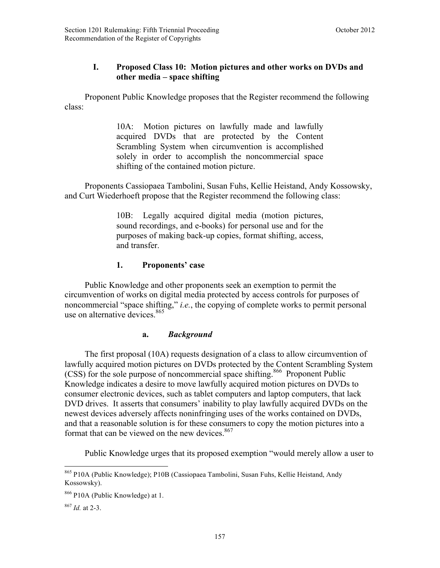# **I. Proposed Class 10: Motion pictures and other works on DVDs and other media – space shifting**

 Proponent Public Knowledge proposes that the Register recommend the following class:

> 10A: Motion pictures on lawfully made and lawfully acquired DVDs that are protected by the Content Scrambling System when circumvention is accomplished solely in order to accomplish the noncommercial space shifting of the contained motion picture.

 Proponents Cassiopaea Tambolini, Susan Fuhs, Kellie Heistand, Andy Kossowsky, and Curt Wiederhoeft propose that the Register recommend the following class:

> 10B: Legally acquired digital media (motion pictures, sound recordings, and e-books) for personal use and for the purposes of making back-up copies, format shifting, access, and transfer.

# **1. Proponents' case**

 Public Knowledge and other proponents seek an exemption to permit the circumvention of works on digital media protected by access controls for purposes of noncommercial "space shifting," *i.e.*, the copying of complete works to permit personal use on alternative devices.<sup>865</sup>

# **a.** *Background*

 The first proposal (10A) requests designation of a class to allow circumvention of lawfully acquired motion pictures on DVDs protected by the Content Scrambling System (CSS) for the sole purpose of noncommercial space shifting.<sup>866</sup> Proponent Public Knowledge indicates a desire to move lawfully acquired motion pictures on DVDs to consumer electronic devices, such as tablet computers and laptop computers, that lack DVD drives. It asserts that consumers' inability to play lawfully acquired DVDs on the newest devices adversely affects noninfringing uses of the works contained on DVDs, and that a reasonable solution is for these consumers to copy the motion pictures into a format that can be viewed on the new devices. $867$ 

Public Knowledge urges that its proposed exemption "would merely allow a user to

<sup>865</sup> P10A (Public Knowledge); P10B (Cassiopaea Tambolini, Susan Fuhs, Kellie Heistand, Andy Kossowsky).

<sup>866</sup> P10A (Public Knowledge) at 1.

<sup>867</sup> *Id.* at 2-3.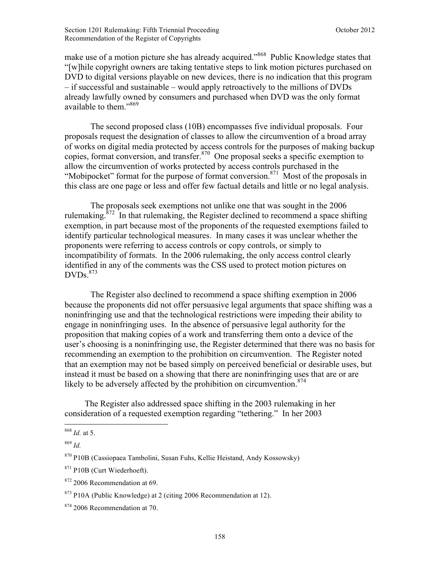make use of a motion picture she has already acquired."<sup>868</sup> Public Knowledge states that "[w]hile copyright owners are taking tentative steps to link motion pictures purchased on DVD to digital versions playable on new devices, there is no indication that this program – if successful and sustainable – would apply retroactively to the millions of DVDs already lawfully owned by consumers and purchased when DVD was the only format available to them."869

 The second proposed class (10B) encompasses five individual proposals. Four proposals request the designation of classes to allow the circumvention of a broad array of works on digital media protected by access controls for the purposes of making backup copies, format conversion, and transfer.<sup>870</sup> One proposal seeks a specific exemption to allow the circumvention of works protected by access controls purchased in the "Mobipocket" format for the purpose of format conversion.<sup>871</sup> Most of the proposals in this class are one page or less and offer few factual details and little or no legal analysis.

The proposals seek exemptions not unlike one that was sought in the 2006 rulemaking. $872$  In that rulemaking, the Register declined to recommend a space shifting exemption, in part because most of the proponents of the requested exemptions failed to identify particular technological measures. In many cases it was unclear whether the proponents were referring to access controls or copy controls, or simply to incompatibility of formats. In the 2006 rulemaking, the only access control clearly identified in any of the comments was the CSS used to protect motion pictures on  $DVDs.$ <sup>873</sup>

 The Register also declined to recommend a space shifting exemption in 2006 because the proponents did not offer persuasive legal arguments that space shifting was a noninfringing use and that the technological restrictions were impeding their ability to engage in noninfringing uses. In the absence of persuasive legal authority for the proposition that making copies of a work and transferring them onto a device of the user's choosing is a noninfringing use, the Register determined that there was no basis for recommending an exemption to the prohibition on circumvention. The Register noted that an exemption may not be based simply on perceived beneficial or desirable uses, but instead it must be based on a showing that there are noninfringing uses that are or are likely to be adversely affected by the prohibition on circumvention.<sup>874</sup>

 The Register also addressed space shifting in the 2003 rulemaking in her consideration of a requested exemption regarding "tethering." In her 2003

<sup>868</sup> *Id.* at 5.

<sup>869</sup> *Id.*

<sup>870</sup> P10B (Cassiopaea Tambolini, Susan Fuhs, Kellie Heistand, Andy Kossowsky)

<sup>871</sup> P10B (Curt Wiederhoeft).

<sup>&</sup>lt;sup>872</sup> 2006 Recommendation at 69.

 $873$  P10A (Public Knowledge) at 2 (citing 2006 Recommendation at 12).

<sup>&</sup>lt;sup>874</sup> 2006 Recommendation at 70.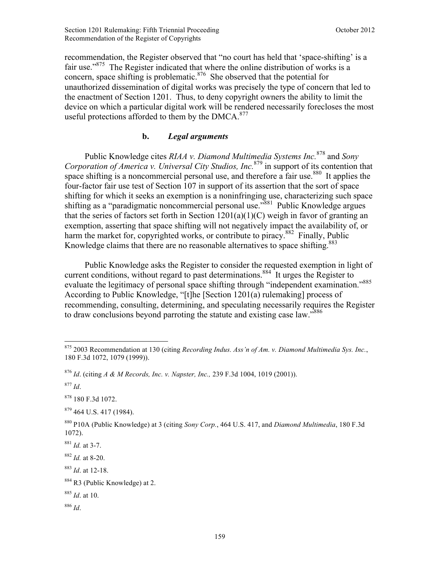recommendation, the Register observed that "no court has held that 'space-shifting' is a fair use."<sup>875</sup> The Register indicated that where the online distribution of works is a concern, space shifting is problematic. $876$  She observed that the potential for unauthorized dissemination of digital works was precisely the type of concern that led to the enactment of Section 1201. Thus, to deny copyright owners the ability to limit the device on which a particular digital work will be rendered necessarily forecloses the most useful protections afforded to them by the DMCA.<sup>877</sup>

# **b.** *Legal arguments*

 Public Knowledge cites *RIAA v. Diamond Multimedia Systems Inc.*878 and *Sony Corporation of America v. Universal City Studios, Inc.*879 in support of its contention that space shifting is a noncommercial personal use, and therefore a fair use.<sup>880</sup> It applies the four-factor fair use test of Section 107 in support of its assertion that the sort of space shifting for which it seeks an exemption is a noninfringing use, characterizing such space shifting as a "paradigmatic noncommercial personal use."<sup>881</sup> Public Knowledge argues that the series of factors set forth in Section  $1201(a)(1)(C)$  weigh in favor of granting an exemption, asserting that space shifting will not negatively impact the availability of, or harm the market for, copyrighted works, or contribute to piracy.<sup>882</sup> Finally, Public Knowledge claims that there are no reasonable alternatives to space shifting.<sup>883</sup>

 Public Knowledge asks the Register to consider the requested exemption in light of current conditions, without regard to past determinations.<sup>884</sup> It urges the Register to evaluate the legitimacy of personal space shifting through "independent examination."<sup>885</sup> According to Public Knowledge, "[t]he [Section 1201(a) rulemaking] process of recommending, consulting, determining, and speculating necessarily requires the Register to draw conclusions beyond parroting the statute and existing case law."<sup>886</sup>

<sup>&</sup>lt;u>.</u> <sup>875</sup> 2003 Recommendation at 130 (citing *Recording Indus. Ass'n of Am. v. Diamond Multimedia Sys. Inc.*, 180 F.3d 1072, 1079 (1999)).

<sup>876</sup> *Id*. (citing *A & M Records, Inc. v. Napster, Inc.,* 239 F.3d 1004, 1019 (2001)).

<sup>877</sup> *Id*.

<sup>878</sup> 180 F.3d 1072.

 $879$  464 U.S. 417 (1984).

<sup>880</sup> P10A (Public Knowledge) at 3 (citing *Sony Corp.*, 464 U.S. 417, and *Diamond Multimedia*, 180 F.3d 1072).

<sup>881</sup> *Id.* at 3-7.

<sup>882</sup> *Id.* at 8-20.

<sup>883</sup> *Id*. at 12-18.

<sup>884</sup> R3 (Public Knowledge) at 2.

<sup>885</sup> *Id*. at 10.

<sup>886</sup> *Id*.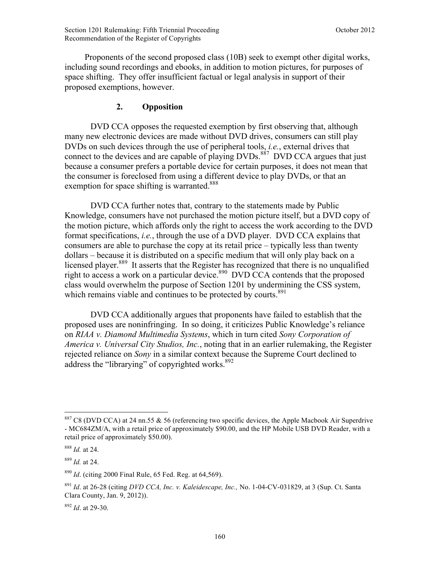Proponents of the second proposed class (10B) seek to exempt other digital works, including sound recordings and ebooks, in addition to motion pictures, for purposes of space shifting. They offer insufficient factual or legal analysis in support of their proposed exemptions, however.

# **2. Opposition**

DVD CCA opposes the requested exemption by first observing that, although many new electronic devices are made without DVD drives, consumers can still play DVDs on such devices through the use of peripheral tools, *i.e.*, external drives that connect to the devices and are capable of playing DVDs.<sup>887</sup> DVD CCA argues that just because a consumer prefers a portable device for certain purposes, it does not mean that the consumer is foreclosed from using a different device to play DVDs, or that an exemption for space shifting is warranted.<sup>888</sup>

DVD CCA further notes that, contrary to the statements made by Public Knowledge, consumers have not purchased the motion picture itself, but a DVD copy of the motion picture, which affords only the right to access the work according to the DVD format specifications, *i.e.*, through the use of a DVD player. DVD CCA explains that consumers are able to purchase the copy at its retail price – typically less than twenty dollars – because it is distributed on a specific medium that will only play back on a licensed player.<sup>889</sup> It asserts that the Register has recognized that there is no unqualified right to access a work on a particular device.<sup>890</sup> DVD CCA contends that the proposed class would overwhelm the purpose of Section 1201 by undermining the CSS system, which remains viable and continues to be protected by courts. $891$ 

 DVD CCA additionally argues that proponents have failed to establish that the proposed uses are noninfringing. In so doing, it criticizes Public Knowledge's reliance on *RIAA v. Diamond Multimedia Systems*, which in turn cited *Sony Corporation of America v. Universal City Studios, Inc.*, noting that in an earlier rulemaking, the Register rejected reliance on *Sony* in a similar context because the Supreme Court declined to address the "librarying" of copyrighted works. $892$ 

 $\overline{a}$ 

<sup>889</sup> *Id.* at 24.

<sup>892</sup> *Id*. at 29-30.

 $887$  C8 (DVD CCA) at 24 nn.55 & 56 (referencing two specific devices, the Apple Macbook Air Superdrive - MC684ZM/A, with a retail price of approximately \$90.00, and the HP Mobile USB DVD Reader, with a retail price of approximately \$50.00).

<sup>888</sup> *Id.* at 24.

<sup>890</sup> *Id*. (citing 2000 Final Rule, 65 Fed. Reg. at 64,569).

<sup>891</sup> *Id*. at 26-28 (citing *DVD CCA, Inc. v. Kaleidescape, Inc.,* No. 1-04-CV-031829, at 3 (Sup. Ct. Santa Clara County, Jan. 9, 2012)).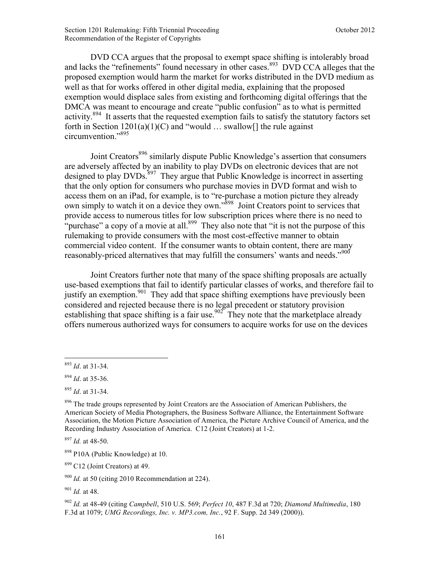DVD CCA argues that the proposal to exempt space shifting is intolerably broad and lacks the "refinements" found necessary in other cases.<sup>893</sup> DVD CCA alleges that the proposed exemption would harm the market for works distributed in the DVD medium as well as that for works offered in other digital media, explaining that the proposed exemption would displace sales from existing and forthcoming digital offerings that the DMCA was meant to encourage and create "public confusion" as to what is permitted activity.<sup>894</sup> It asserts that the requested exemption fails to satisfy the statutory factors set forth in Section  $1201(a)(1)(C)$  and "would ... swallow  $\lceil$  the rule against circumvention."895

Joint Creators<sup>896</sup> similarly dispute Public Knowledge's assertion that consumers are adversely affected by an inability to play DVDs on electronic devices that are not designed to play  $DVDs$ <sup>897</sup>. They argue that Public Knowledge is incorrect in asserting that the only option for consumers who purchase movies in DVD format and wish to access them on an iPad, for example, is to "re-purchase a motion picture they already own simply to watch it on a device they own."898 Joint Creators point to services that provide access to numerous titles for low subscription prices where there is no need to "purchase" a copy of a movie at all.<sup>899</sup> They also note that "it is not the purpose of this rulemaking to provide consumers with the most cost-effective manner to obtain commercial video content. If the consumer wants to obtain content, there are many reasonably-priced alternatives that may fulfill the consumers' wants and needs."900

Joint Creators further note that many of the space shifting proposals are actually use-based exemptions that fail to identify particular classes of works, and therefore fail to justify an exemption.<sup>901</sup> They add that space shifting exemptions have previously been considered and rejected because there is no legal precedent or statutory provision establishing that space shifting is a fair use.<sup>902</sup> They note that the marketplace already offers numerous authorized ways for consumers to acquire works for use on the devices

<sup>1</sup> <sup>893</sup> *Id*. at 31-34.

<sup>894</sup> *Id*. at 35-36.

<sup>895</sup> *Id*. at 31-34.

<sup>896</sup> The trade groups represented by Joint Creators are the Association of American Publishers, the American Society of Media Photographers, the Business Software Alliance, the Entertainment Software Association, the Motion Picture Association of America, the Picture Archive Council of America, and the Recording Industry Association of America. C12 (Joint Creators) at 1-2.

<sup>897</sup> *Id.* at 48-50.

<sup>&</sup>lt;sup>898</sup> P10A (Public Knowledge) at 10.

<sup>899</sup> C12 (Joint Creators) at 49.

<sup>900</sup> *Id.* at 50 (citing 2010 Recommendation at 224).

<sup>901</sup> *Id.* at 48.

<sup>902</sup> *Id.* at 48-49 (citing *Campbell*, 510 U.S. 569; *Perfect 10*, 487 F.3d at 720; *Diamond Multimedia*, 180 F.3d at 1079; *UMG Recordings, Inc. v. MP3.com, Inc.*, 92 F. Supp. 2d 349 (2000)).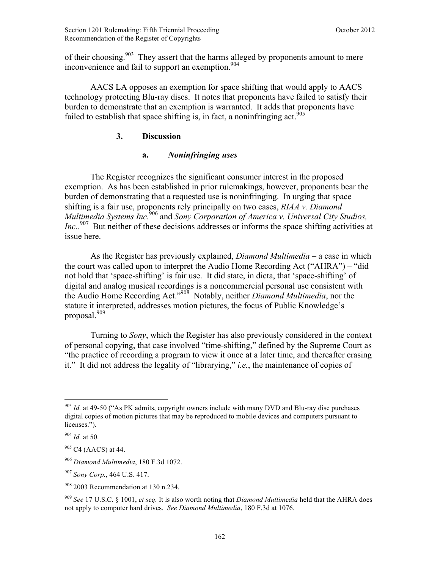of their choosing.<sup>903</sup> They assert that the harms alleged by proponents amount to mere inconvenience and fail to support an exemption.<sup>904</sup>

AACS LA opposes an exemption for space shifting that would apply to AACS technology protecting Blu-ray discs. It notes that proponents have failed to satisfy their burden to demonstrate that an exemption is warranted. It adds that proponents have failed to establish that space shifting is, in fact, a noninfringing act.<sup>905</sup>

## **3. Discussion**

# **a.** *Noninfringing uses*

The Register recognizes the significant consumer interest in the proposed exemption. As has been established in prior rulemakings, however, proponents bear the burden of demonstrating that a requested use is noninfringing. In urging that space shifting is a fair use, proponents rely principally on two cases, *RIAA v. Diamond Multimedia Systems Inc.*906 and *Sony Corporation of America v. Universal City Studios, Inc.*<sup>907</sup> But neither of these decisions addresses or informs the space shifting activities at issue here.

As the Register has previously explained, *Diamond Multimedia* – a case in which the court was called upon to interpret the Audio Home Recording Act ("AHRA") – "did not hold that 'space-shifting' is fair use. It did state, in dicta, that 'space-shifting' of digital and analog musical recordings is a noncommercial personal use consistent with the Audio Home Recording Act."908 Notably, neither *Diamond Multimedia*, nor the statute it interpreted, addresses motion pictures, the focus of Public Knowledge's proposal.<sup>909</sup>

Turning to *Sony*, which the Register has also previously considered in the context of personal copying, that case involved "time-shifting," defined by the Supreme Court as "the practice of recording a program to view it once at a later time, and thereafter erasing it." It did not address the legality of "librarying," *i.e.*, the maintenance of copies of

<u>.</u>

<sup>906</sup> *Diamond Multimedia*, 180 F.3d 1072.

<sup>&</sup>lt;sup>903</sup> *Id.* at 49-50 ("As PK admits, copyright owners include with many DVD and Blu-ray disc purchases digital copies of motion pictures that may be reproduced to mobile devices and computers pursuant to licenses.").

<sup>904</sup> *Id.* at 50.

 $905$  C4 (AACS) at 44.

<sup>907</sup> *Sony Corp.*, 464 U.S. 417.

 $908$  2003 Recommendation at 130 n.234.

<sup>909</sup> *See* 17 U.S.C. § 1001, *et seq.* It is also worth noting that *Diamond Multimedia* held that the AHRA does not apply to computer hard drives. *See Diamond Multimedia*, 180 F.3d at 1076.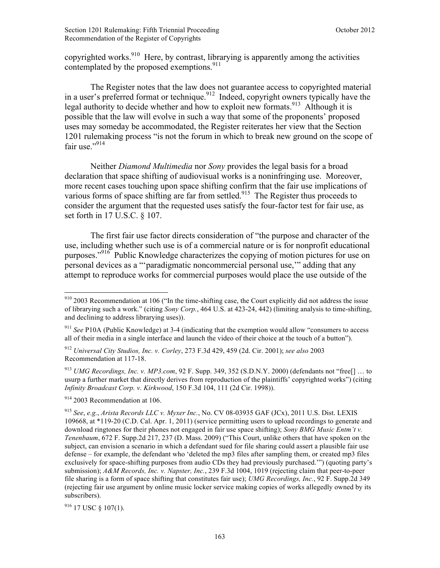copyrighted works.<sup>910</sup> Here, by contrast, librarying is apparently among the activities contemplated by the proposed exemptions.<sup>911</sup>

The Register notes that the law does not guarantee access to copyrighted material in a user's preferred format or technique.<sup>912</sup> Indeed, copyright owners typically have the legal authority to decide whether and how to exploit new formats.<sup>913</sup> Although it is possible that the law will evolve in such a way that some of the proponents' proposed uses may someday be accommodated, the Register reiterates her view that the Section 1201 rulemaking process "is not the forum in which to break new ground on the scope of fair use $^{914}$ 

Neither *Diamond Multimedia* nor *Sony* provides the legal basis for a broad declaration that space shifting of audiovisual works is a noninfringing use. Moreover, more recent cases touching upon space shifting confirm that the fair use implications of various forms of space shifting are far from settled.<sup>915</sup> The Register thus proceeds to consider the argument that the requested uses satisfy the four-factor test for fair use, as set forth in 17 U.S.C. § 107.

The first fair use factor directs consideration of "the purpose and character of the use, including whether such use is of a commercial nature or is for nonprofit educational purposes."<sup>916</sup> Public Knowledge characterizes the copying of motion pictures for use on personal devices as a "'paradigmatic noncommercial personal use,'" adding that any attempt to reproduce works for commercial purposes would place the use outside of the

 $914$  2003 Recommendation at 106.

 $\overline{a}$ 

<sup>916</sup> 17 USC § 107(1).

 $910$  2003 Recommendation at 106 ("In the time-shifting case, the Court explicitly did not address the issue of librarying such a work." (citing *Sony Corp.*, 464 U.S. at 423-24, 442) (limiting analysis to time-shifting, and declining to address librarying uses)).

<sup>&</sup>lt;sup>911</sup> *See* P10A (Public Knowledge) at 3-4 (indicating that the exemption would allow "consumers to access" all of their media in a single interface and launch the video of their choice at the touch of a button").

<sup>912</sup> *Universal City Studios, Inc. v. Corley*, 273 F.3d 429, 459 (2d. Cir. 2001); *see also* 2003 Recommendation at 117-18.

<sup>913</sup> *UMG Recordings, Inc. v. MP3.com*, 92 F. Supp. 349, 352 (S.D.N.Y. 2000) (defendants not "free[] … to usurp a further market that directly derives from reproduction of the plaintiffs' copyrighted works") (citing *Infinity Broadcast Corp. v. Kirkwood*, 150 F.3d 104, 111 (2d Cir. 1998)).

<sup>915</sup> *See*, *e.g.*, *Arista Records LLC v. Myxer Inc.*, No. CV 08-03935 GAF (JCx), 2011 U.S. Dist. LEXIS 109668, at \*119-20 (C.D. Cal. Apr. 1, 2011) (service permitting users to upload recordings to generate and download ringtones for their phones not engaged in fair use space shifting); *Sony BMG Music Entm't v. Tenenbaum*, 672 F. Supp.2d 217, 237 (D. Mass. 2009) ("This Court, unlike others that have spoken on the subject, can envision a scenario in which a defendant sued for file sharing could assert a plausible fair use defense – for example, the defendant who 'deleted the mp3 files after sampling them, or created mp3 files exclusively for space-shifting purposes from audio CDs they had previously purchased.'") (quoting party's submission); *A&M Records, Inc. v. Napster, Inc.*, 239 F.3d 1004, 1019 (rejecting claim that peer-to-peer file sharing is a form of space shifting that constitutes fair use); *UMG Recordings, Inc.*, 92 F. Supp.2d 349 (rejecting fair use argument by online music locker service making copies of works allegedly owned by its subscribers).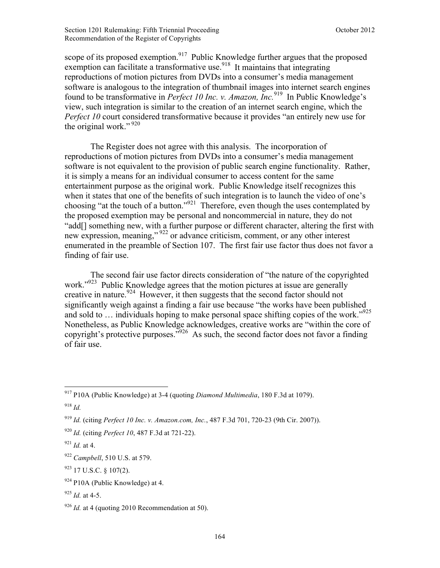scope of its proposed exemption.<sup>917</sup> Public Knowledge further argues that the proposed exemption can facilitate a transformative use.<sup>918</sup> It maintains that integrating reproductions of motion pictures from DVDs into a consumer's media management software is analogous to the integration of thumbnail images into internet search engines found to be transformative in *Perfect 10 Inc. v. Amazon, Inc.*919 In Public Knowledge's view, such integration is similar to the creation of an internet search engine, which the *Perfect 10* court considered transformative because it provides "an entirely new use for the original work."<sup>920</sup>

The Register does not agree with this analysis. The incorporation of reproductions of motion pictures from DVDs into a consumer's media management software is not equivalent to the provision of public search engine functionality. Rather, it is simply a means for an individual consumer to access content for the same entertainment purpose as the original work. Public Knowledge itself recognizes this when it states that one of the benefits of such integration is to launch the video of one's choosing "at the touch of a button."<sup>921</sup> Therefore, even though the uses contemplated by the proposed exemption may be personal and noncommercial in nature, they do not "add[] something new, with a further purpose or different character, altering the first with new expression, meaning," 922 or advance criticism, comment, or any other interest enumerated in the preamble of Section 107. The first fair use factor thus does not favor a finding of fair use.

The second fair use factor directs consideration of "the nature of the copyrighted work."<sup>923</sup> Public Knowledge agrees that the motion pictures at issue are generally creative in nature.<sup>924</sup> However, it then suggests that the second factor should not significantly weigh against a finding a fair use because "the works have been published and sold to ... individuals hoping to make personal space shifting copies of the work."<sup>925</sup> Nonetheless, as Public Knowledge acknowledges, creative works are "within the core of copyright's protective purposes."926 As such, the second factor does not favor a finding of fair use.

<sup>917</sup> P10A (Public Knowledge) at 3-4 (quoting *Diamond Multimedia*, 180 F.3d at 1079).

<sup>918</sup> *Id.*

<sup>919</sup> *Id.* (citing *Perfect 10 Inc. v. Amazon.com, Inc.*, 487 F.3d 701, 720-23 (9th Cir. 2007)).

<sup>920</sup> *Id.* (citing *Perfect 10*, 487 F.3d at 721-22).

 $^{921}$  *Id.* at 4.

<sup>922</sup> *Campbell*, 510 U.S. at 579.

<sup>923</sup> 17 U.S.C. § 107(2).

 $924$  P10A (Public Knowledge) at 4.

 $925$  *Id.* at 4-5.

<sup>&</sup>lt;sup>926</sup> *Id.* at 4 (quoting 2010 Recommendation at 50).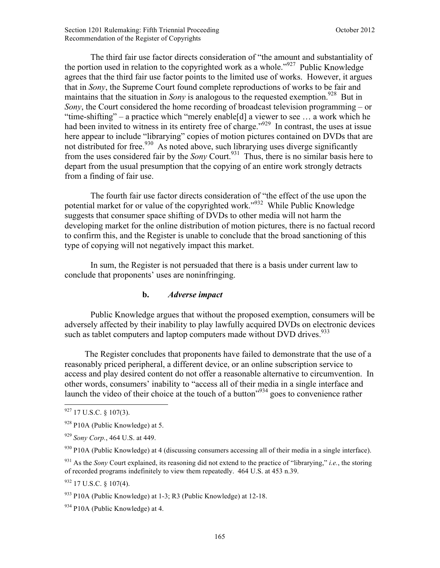The third fair use factor directs consideration of "the amount and substantiality of the portion used in relation to the copyrighted work as a whole."<sup>927</sup> Public Knowledge agrees that the third fair use factor points to the limited use of works. However, it argues that in *Sony*, the Supreme Court found complete reproductions of works to be fair and maintains that the situation in *Sony* is analogous to the requested exemption.<sup>928</sup> But in *Sony*, the Court considered the home recording of broadcast television programming – or "time-shifting" – a practice which "merely enable[d] a viewer to see … a work which he had been invited to witness in its entirety free of charge."<sup>929</sup> In contrast, the uses at issue here appear to include "librarying" copies of motion pictures contained on DVDs that are not distributed for free.  $930$  As noted above, such librarying uses diverge significantly from the uses considered fair by the *Sony* Court.<sup>931</sup> Thus, there is no similar basis here to depart from the usual presumption that the copying of an entire work strongly detracts from a finding of fair use.

The fourth fair use factor directs consideration of "the effect of the use upon the potential market for or value of the copyrighted work."932 While Public Knowledge suggests that consumer space shifting of DVDs to other media will not harm the developing market for the online distribution of motion pictures, there is no factual record to confirm this, and the Register is unable to conclude that the broad sanctioning of this type of copying will not negatively impact this market.

 In sum, the Register is not persuaded that there is a basis under current law to conclude that proponents' uses are noninfringing.

#### **b.** *Adverse impact*

Public Knowledge argues that without the proposed exemption, consumers will be adversely affected by their inability to play lawfully acquired DVDs on electronic devices such as tablet computers and laptop computers made without DVD drives.<sup>933</sup>

 The Register concludes that proponents have failed to demonstrate that the use of a reasonably priced peripheral, a different device, or an online subscription service to access and play desired content do not offer a reasonable alternative to circumvention. In other words, consumers' inability to "access all of their media in a single interface and launch the video of their choice at the touch of a button<sup>"934</sup> goes to convenience rather

 $927$  17 U.S.C. § 107(3).

 $928$  P10A (Public Knowledge) at 5.

<sup>929</sup> *Sony Corp.*, 464 U.S. at 449.

<sup>930</sup> P10A (Public Knowledge) at 4 (discussing consumers accessing all of their media in a single interface).

<sup>931</sup> As the *Sony* Court explained, its reasoning did not extend to the practice of "librarying," *i.e.*, the storing of recorded programs indefinitely to view them repeatedly. 464 U.S. at 453 n.39.

<sup>932</sup> 17 U.S.C. § 107(4).

 $933$  P10A (Public Knowledge) at 1-3; R3 (Public Knowledge) at 12-18.

 $934$  P10A (Public Knowledge) at 4.